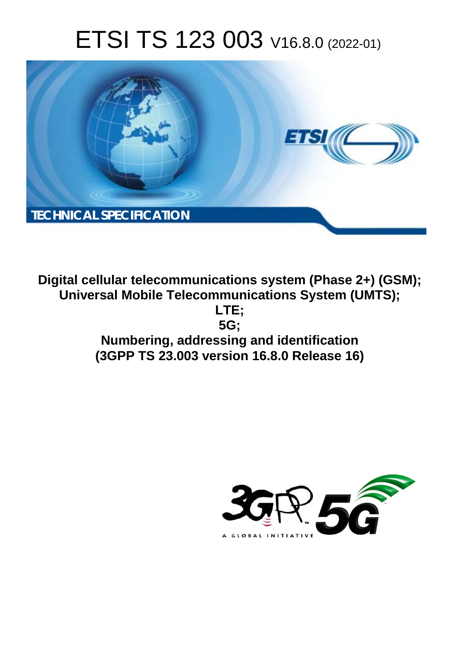# ETSI TS 123 003 V16.8.0 (2022-01)



**Digital cellular telecommunications system (Phase 2+) (GSM); Universal Mobile Telecommunications System (UMTS); LTE; 5G; Numbering, addressing and identification (3GPP TS 23.003 version 16.8.0 Release 16)** 

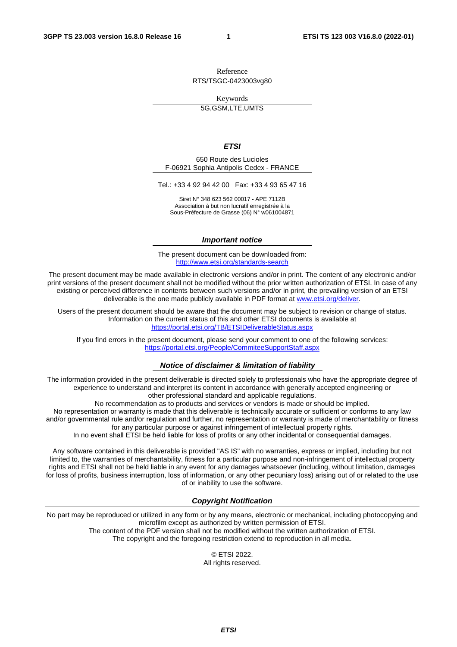Reference RTS/TSGC-0423003vg80

Keywords

5G,GSM,LTE,UMTS

#### *ETSI*

650 Route des Lucioles F-06921 Sophia Antipolis Cedex - FRANCE

Tel.: +33 4 92 94 42 00 Fax: +33 4 93 65 47 16

Siret N° 348 623 562 00017 - APE 7112B Association à but non lucratif enregistrée à la Sous-Préfecture de Grasse (06) N° w061004871

#### *Important notice*

The present document can be downloaded from: <http://www.etsi.org/standards-search>

The present document may be made available in electronic versions and/or in print. The content of any electronic and/or print versions of the present document shall not be modified without the prior written authorization of ETSI. In case of any existing or perceived difference in contents between such versions and/or in print, the prevailing version of an ETSI deliverable is the one made publicly available in PDF format at [www.etsi.org/deliver](http://www.etsi.org/deliver).

Users of the present document should be aware that the document may be subject to revision or change of status. Information on the current status of this and other ETSI documents is available at <https://portal.etsi.org/TB/ETSIDeliverableStatus.aspx>

If you find errors in the present document, please send your comment to one of the following services: <https://portal.etsi.org/People/CommiteeSupportStaff.aspx>

#### *Notice of disclaimer & limitation of liability*

The information provided in the present deliverable is directed solely to professionals who have the appropriate degree of experience to understand and interpret its content in accordance with generally accepted engineering or other professional standard and applicable regulations.

No recommendation as to products and services or vendors is made or should be implied.

No representation or warranty is made that this deliverable is technically accurate or sufficient or conforms to any law and/or governmental rule and/or regulation and further, no representation or warranty is made of merchantability or fitness for any particular purpose or against infringement of intellectual property rights.

In no event shall ETSI be held liable for loss of profits or any other incidental or consequential damages.

Any software contained in this deliverable is provided "AS IS" with no warranties, express or implied, including but not limited to, the warranties of merchantability, fitness for a particular purpose and non-infringement of intellectual property rights and ETSI shall not be held liable in any event for any damages whatsoever (including, without limitation, damages for loss of profits, business interruption, loss of information, or any other pecuniary loss) arising out of or related to the use of or inability to use the software.

#### *Copyright Notification*

No part may be reproduced or utilized in any form or by any means, electronic or mechanical, including photocopying and microfilm except as authorized by written permission of ETSI. The content of the PDF version shall not be modified without the written authorization of ETSI.

The copyright and the foregoing restriction extend to reproduction in all media.

© ETSI 2022. All rights reserved.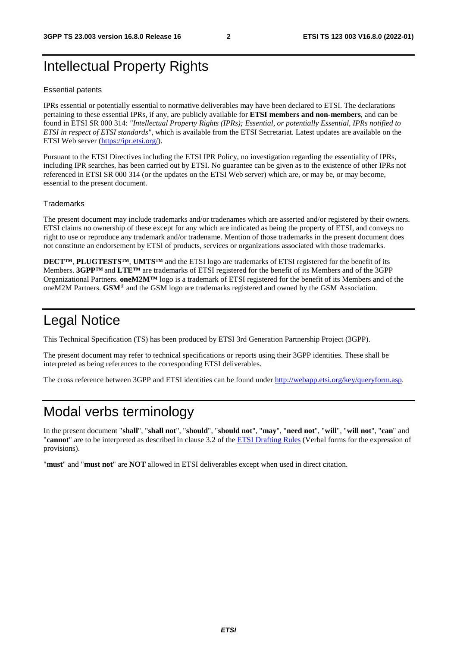# Intellectual Property Rights

#### Essential patents

IPRs essential or potentially essential to normative deliverables may have been declared to ETSI. The declarations pertaining to these essential IPRs, if any, are publicly available for **ETSI members and non-members**, and can be found in ETSI SR 000 314: *"Intellectual Property Rights (IPRs); Essential, or potentially Essential, IPRs notified to ETSI in respect of ETSI standards"*, which is available from the ETSI Secretariat. Latest updates are available on the ETSI Web server ([https://ipr.etsi.org/\)](https://ipr.etsi.org/).

Pursuant to the ETSI Directives including the ETSI IPR Policy, no investigation regarding the essentiality of IPRs, including IPR searches, has been carried out by ETSI. No guarantee can be given as to the existence of other IPRs not referenced in ETSI SR 000 314 (or the updates on the ETSI Web server) which are, or may be, or may become, essential to the present document.

#### **Trademarks**

The present document may include trademarks and/or tradenames which are asserted and/or registered by their owners. ETSI claims no ownership of these except for any which are indicated as being the property of ETSI, and conveys no right to use or reproduce any trademark and/or tradename. Mention of those trademarks in the present document does not constitute an endorsement by ETSI of products, services or organizations associated with those trademarks.

**DECT™**, **PLUGTESTS™**, **UMTS™** and the ETSI logo are trademarks of ETSI registered for the benefit of its Members. **3GPP™** and **LTE™** are trademarks of ETSI registered for the benefit of its Members and of the 3GPP Organizational Partners. **oneM2M™** logo is a trademark of ETSI registered for the benefit of its Members and of the oneM2M Partners. **GSM**® and the GSM logo are trademarks registered and owned by the GSM Association.

# Legal Notice

This Technical Specification (TS) has been produced by ETSI 3rd Generation Partnership Project (3GPP).

The present document may refer to technical specifications or reports using their 3GPP identities. These shall be interpreted as being references to the corresponding ETSI deliverables.

The cross reference between 3GPP and ETSI identities can be found under<http://webapp.etsi.org/key/queryform.asp>.

# Modal verbs terminology

In the present document "**shall**", "**shall not**", "**should**", "**should not**", "**may**", "**need not**", "**will**", "**will not**", "**can**" and "**cannot**" are to be interpreted as described in clause 3.2 of the [ETSI Drafting Rules](https://portal.etsi.org/Services/editHelp!/Howtostart/ETSIDraftingRules.aspx) (Verbal forms for the expression of provisions).

"**must**" and "**must not**" are **NOT** allowed in ETSI deliverables except when used in direct citation.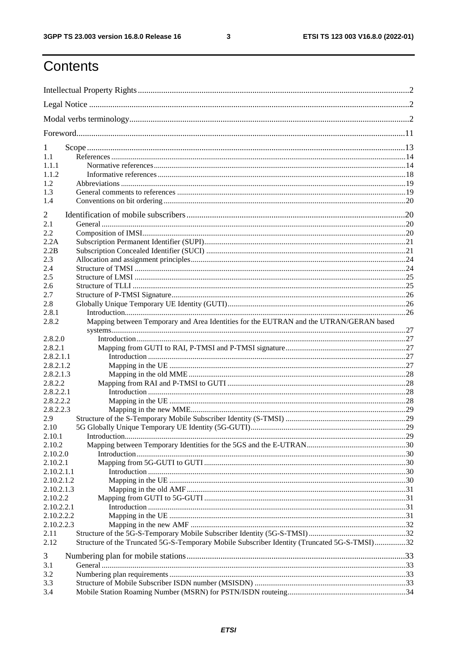$\mathbf{3}$ 

# Contents

| 1          |                                                                                              |  |  |
|------------|----------------------------------------------------------------------------------------------|--|--|
| 1.1        |                                                                                              |  |  |
| 1.1.1      |                                                                                              |  |  |
| 1.1.2      |                                                                                              |  |  |
| 1.2        |                                                                                              |  |  |
| 1.3        |                                                                                              |  |  |
| 1.4        |                                                                                              |  |  |
| 2          |                                                                                              |  |  |
| 2.1        |                                                                                              |  |  |
| 2.2        |                                                                                              |  |  |
| 2.2A       |                                                                                              |  |  |
| 2.2B       |                                                                                              |  |  |
| 2.3        |                                                                                              |  |  |
| 2.4        |                                                                                              |  |  |
| 2.5        |                                                                                              |  |  |
| 2.6        |                                                                                              |  |  |
| 2.7        |                                                                                              |  |  |
| 2.8        |                                                                                              |  |  |
| 2.8.1      |                                                                                              |  |  |
| 2.8.2      | Mapping between Temporary and Area Identities for the EUTRAN and the UTRAN/GERAN based       |  |  |
|            |                                                                                              |  |  |
| 2.8.2.0    |                                                                                              |  |  |
| 2.8.2.1    |                                                                                              |  |  |
| 2.8.2.1.1  |                                                                                              |  |  |
| 2.8.2.1.2  |                                                                                              |  |  |
| 2.8.2.1.3  |                                                                                              |  |  |
| 2.8.2.2    |                                                                                              |  |  |
| 2.8.2.2.1  |                                                                                              |  |  |
| 2.8.2.2.2  |                                                                                              |  |  |
| 2.8.2.2.3  |                                                                                              |  |  |
| 2.9        |                                                                                              |  |  |
| 2.10       |                                                                                              |  |  |
| 2.10.1     |                                                                                              |  |  |
| 2.10.2     |                                                                                              |  |  |
| 2.10.2.0   |                                                                                              |  |  |
| 2.10.2.1   |                                                                                              |  |  |
| 2.10.2.1.1 |                                                                                              |  |  |
| 2.10.2.1.2 |                                                                                              |  |  |
| 2.10.2.1.3 |                                                                                              |  |  |
| 2.10.2.2   |                                                                                              |  |  |
| 2.10.2.2.1 |                                                                                              |  |  |
| 2.10.2.2.2 |                                                                                              |  |  |
| 2.10.2.2.3 |                                                                                              |  |  |
| 2.11       |                                                                                              |  |  |
| 2.12       | Structure of the Truncated 5G-S-Temporary Mobile Subscriber Identity (Truncated 5G-S-TMSI)32 |  |  |
| 3          |                                                                                              |  |  |
| 3.1        |                                                                                              |  |  |
| 3.2        |                                                                                              |  |  |
| 3.3        |                                                                                              |  |  |
| 3.4        |                                                                                              |  |  |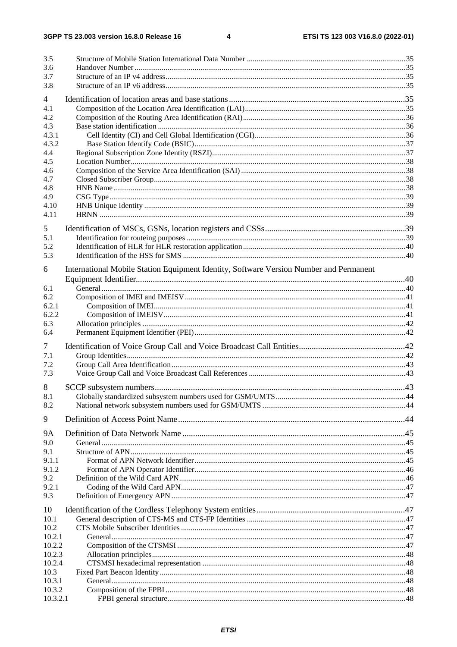$\overline{\mathbf{4}}$ 

| 3.5                      |                                                                                        |  |
|--------------------------|----------------------------------------------------------------------------------------|--|
| 3.6                      |                                                                                        |  |
| 3.7                      |                                                                                        |  |
| 3.8                      |                                                                                        |  |
| $\overline{\mathcal{A}}$ |                                                                                        |  |
| 4.1                      |                                                                                        |  |
| 4.2                      |                                                                                        |  |
| 4.3                      |                                                                                        |  |
| 4.3.1<br>4.3.2           |                                                                                        |  |
| 4.4                      |                                                                                        |  |
| 4.5                      |                                                                                        |  |
| 4.6                      |                                                                                        |  |
| 4.7                      |                                                                                        |  |
| 4.8                      |                                                                                        |  |
| 4.9                      |                                                                                        |  |
| 4.10                     |                                                                                        |  |
| 4.11                     |                                                                                        |  |
| 5                        |                                                                                        |  |
| 5.1                      |                                                                                        |  |
| 5.2                      |                                                                                        |  |
| 5.3                      |                                                                                        |  |
| 6                        | International Mobile Station Equipment Identity, Software Version Number and Permanent |  |
|                          |                                                                                        |  |
| 6.1                      |                                                                                        |  |
| 6.2                      |                                                                                        |  |
| 6.2.1                    |                                                                                        |  |
| 6.2.2                    |                                                                                        |  |
| 6.3                      |                                                                                        |  |
| 6.4                      |                                                                                        |  |
| 7                        |                                                                                        |  |
| 7.1                      |                                                                                        |  |
| 7.2                      |                                                                                        |  |
| 7.3                      |                                                                                        |  |
| 8                        |                                                                                        |  |
| 8.1                      |                                                                                        |  |
| 8.2                      |                                                                                        |  |
| 9                        |                                                                                        |  |
|                          |                                                                                        |  |
| <b>9A</b>                |                                                                                        |  |
| 9.0                      |                                                                                        |  |
| 9.1<br>9.1.1             |                                                                                        |  |
| 9.1.2                    |                                                                                        |  |
| 9.2                      |                                                                                        |  |
| 9.2.1                    |                                                                                        |  |
| 9.3                      |                                                                                        |  |
| 10                       |                                                                                        |  |
| 10.1                     |                                                                                        |  |
| 10.2                     |                                                                                        |  |
| 10.2.1                   |                                                                                        |  |
| 10.2.2                   |                                                                                        |  |
| 10.2.3                   |                                                                                        |  |
| 10.2.4                   |                                                                                        |  |
| 10.3                     |                                                                                        |  |
| 10.3.1                   |                                                                                        |  |
| 10.3.2                   |                                                                                        |  |
| 10.3.2.1                 |                                                                                        |  |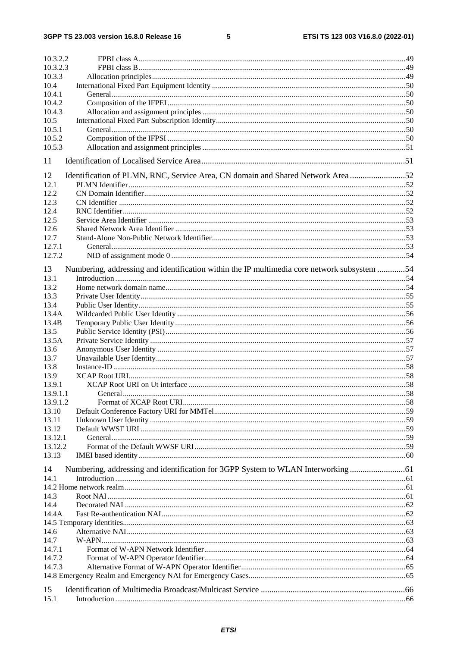$5\phantom{a}$ 

| 10.3.2.2           |                                                                                             |  |
|--------------------|---------------------------------------------------------------------------------------------|--|
| 10.3.2.3           |                                                                                             |  |
| 10.3.3             |                                                                                             |  |
| 10.4               |                                                                                             |  |
| 10.4.1             |                                                                                             |  |
| 10.4.2             |                                                                                             |  |
| 10.4.3             |                                                                                             |  |
| 10.5               |                                                                                             |  |
| 10.5.1             |                                                                                             |  |
| 10.5.2             |                                                                                             |  |
| 10.5.3             |                                                                                             |  |
| 11                 |                                                                                             |  |
| 12                 | Identification of PLMN, RNC, Service Area, CN domain and Shared Network Area52              |  |
| 12.1               |                                                                                             |  |
| 12.2               |                                                                                             |  |
| 12.3               |                                                                                             |  |
| 12.4               |                                                                                             |  |
| 12.5               |                                                                                             |  |
| 12.6               |                                                                                             |  |
| 12.7               |                                                                                             |  |
| 12.7.1             |                                                                                             |  |
| 12.7.2             |                                                                                             |  |
| 13                 | Numbering, addressing and identification within the IP multimedia core network subsystem 54 |  |
| 13.1               |                                                                                             |  |
| 13.2               |                                                                                             |  |
| 13.3               |                                                                                             |  |
| 13.4               |                                                                                             |  |
| 13.4A              |                                                                                             |  |
| 13.4B              |                                                                                             |  |
| 13.5               |                                                                                             |  |
| 13.5A              |                                                                                             |  |
| 13.6               |                                                                                             |  |
| 13.7               |                                                                                             |  |
| 13.8               |                                                                                             |  |
| 13.9               |                                                                                             |  |
| 13.9.1<br>13.9.1.1 |                                                                                             |  |
| 13.9.1.2           |                                                                                             |  |
| 13.10              |                                                                                             |  |
| 13.11              |                                                                                             |  |
| 13.12              |                                                                                             |  |
| 13.12.1            |                                                                                             |  |
| 13.12.2            |                                                                                             |  |
| 13.13              |                                                                                             |  |
| 14                 | Numbering, addressing and identification for 3GPP System to WLAN Interworking               |  |
| 14.1               |                                                                                             |  |
|                    |                                                                                             |  |
| 14.3               |                                                                                             |  |
| 14.4               |                                                                                             |  |
| 14.4A              |                                                                                             |  |
|                    |                                                                                             |  |
| 14.6               |                                                                                             |  |
| 14.7               |                                                                                             |  |
| 14.7.1             |                                                                                             |  |
| 14.7.2             |                                                                                             |  |
| 14.7.3             |                                                                                             |  |
|                    |                                                                                             |  |
| 15                 |                                                                                             |  |
| 15.1               |                                                                                             |  |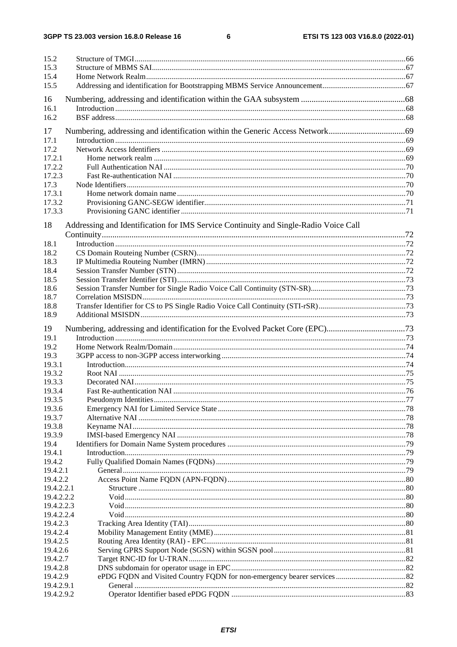$\bf 6$ 

| 15.2<br>15.3<br>15.4 |                                                                                      |  |
|----------------------|--------------------------------------------------------------------------------------|--|
| 15.5                 |                                                                                      |  |
| 16                   |                                                                                      |  |
| 16.1<br>16.2         |                                                                                      |  |
| 17                   |                                                                                      |  |
| 17.1                 |                                                                                      |  |
| 17.2                 |                                                                                      |  |
| 17.2.1               |                                                                                      |  |
| 17.2.2<br>17.2.3     |                                                                                      |  |
| 17.3                 |                                                                                      |  |
| 17.3.1               |                                                                                      |  |
| 17.3.2               |                                                                                      |  |
| 17.3.3               |                                                                                      |  |
| 18                   | Addressing and Identification for IMS Service Continuity and Single-Radio Voice Call |  |
| 18.1                 |                                                                                      |  |
| 18.2                 |                                                                                      |  |
| 18.3                 |                                                                                      |  |
| 18.4                 |                                                                                      |  |
| 18.5                 |                                                                                      |  |
| 18.6                 |                                                                                      |  |
| 18.7<br>18.8         |                                                                                      |  |
| 18.9                 |                                                                                      |  |
| 19                   | Numbering, addressing and identification for the Evolved Packet Core (EPC)73         |  |
| 19.1                 |                                                                                      |  |
| 19.2                 |                                                                                      |  |
| 19.3                 |                                                                                      |  |
| 19.3.1               |                                                                                      |  |
| 19.3.2               |                                                                                      |  |
| 19.3.3               |                                                                                      |  |
| 19.3.4               |                                                                                      |  |
| 19.3.5               |                                                                                      |  |
| 19.3.6               |                                                                                      |  |
| 19.3.7               |                                                                                      |  |
| 19.3.8<br>19.3.9     |                                                                                      |  |
| 19.4                 |                                                                                      |  |
| 19.4.1               |                                                                                      |  |
| 19.4.2               |                                                                                      |  |
| 19.4.2.1             |                                                                                      |  |
| 19.4.2.2             |                                                                                      |  |
| 19.4.2.2.1           |                                                                                      |  |
| 19.4.2.2.2           |                                                                                      |  |
| 19.4.2.2.3           |                                                                                      |  |
| 19.4.2.2.4           |                                                                                      |  |
| 19.4.2.3<br>19.4.2.4 |                                                                                      |  |
| 19.4.2.5             |                                                                                      |  |
| 19.4.2.6             |                                                                                      |  |
| 19.4.2.7             |                                                                                      |  |
| 19.4.2.8             |                                                                                      |  |
| 19.4.2.9             |                                                                                      |  |
| 19.4.2.9.1           |                                                                                      |  |
| 19.4.2.9.2           |                                                                                      |  |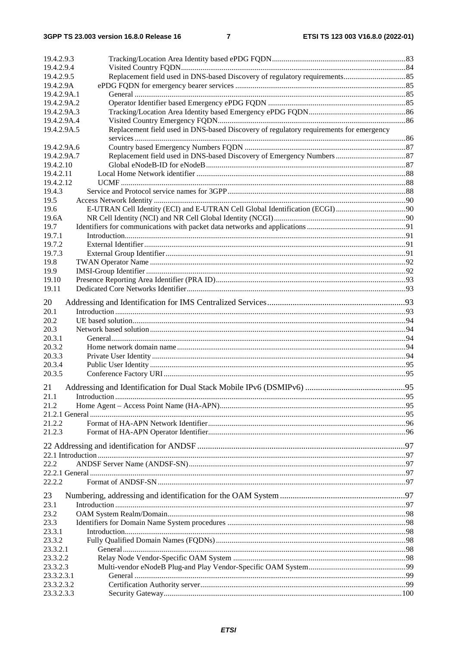| 19.4.2.9.3                                                                                            |     |
|-------------------------------------------------------------------------------------------------------|-----|
| 19.4.2.9.4                                                                                            |     |
| 19.4.2.9.5                                                                                            |     |
| 19.4.2.9A                                                                                             |     |
| 19.4.2.9A.1                                                                                           |     |
| 19.4.2.9A.2                                                                                           |     |
| 19.4.2.9A.3                                                                                           |     |
| 19.4.2.9A.4                                                                                           |     |
| Replacement field used in DNS-based Discovery of regulatory requirements for emergency<br>19.4.2.9A.5 |     |
|                                                                                                       |     |
| 19.4.2.9A.6                                                                                           |     |
|                                                                                                       |     |
| 19.4.2.9A.7                                                                                           |     |
| 19.4.2.10                                                                                             |     |
| 19.4.2.11                                                                                             |     |
| 19.4.2.12                                                                                             |     |
| 19.4.3                                                                                                |     |
| 19.5                                                                                                  |     |
| 19.6                                                                                                  |     |
| 19.6A                                                                                                 |     |
| 19.7                                                                                                  |     |
| 19.7.1                                                                                                |     |
| 19.7.2                                                                                                |     |
| 19.7.3                                                                                                |     |
| 19.8                                                                                                  |     |
| 19.9                                                                                                  |     |
| 19.10                                                                                                 |     |
| 19.11                                                                                                 |     |
|                                                                                                       |     |
| 20                                                                                                    |     |
| 20.1                                                                                                  |     |
| 20.2                                                                                                  |     |
| 20.3                                                                                                  |     |
| 20.3.1                                                                                                |     |
| 20.3.2                                                                                                |     |
| 20.3.3                                                                                                |     |
| 20.3.4                                                                                                |     |
| 20.3.5                                                                                                |     |
|                                                                                                       |     |
| 21                                                                                                    |     |
| 21.1<br>Introduction                                                                                  | .95 |
| 21.2                                                                                                  |     |
|                                                                                                       |     |
| 21.2.2                                                                                                |     |
| 21.2.3                                                                                                |     |
|                                                                                                       |     |
|                                                                                                       |     |
|                                                                                                       |     |
| 22.2                                                                                                  |     |
|                                                                                                       |     |
| 22.2.2                                                                                                |     |
|                                                                                                       |     |
| 23                                                                                                    |     |
| 23.1                                                                                                  |     |
| 23.2                                                                                                  |     |
| 23.3                                                                                                  |     |
| 23.3.1                                                                                                |     |
| 23.3.2                                                                                                |     |
| 23.3.2.1                                                                                              |     |
| 23.3.2.2                                                                                              |     |
| 23.3.2.3                                                                                              |     |
| 23.3.2.3.1                                                                                            |     |
| 23.3.2.3.2                                                                                            |     |
| 23.3.2.3.3                                                                                            |     |
|                                                                                                       |     |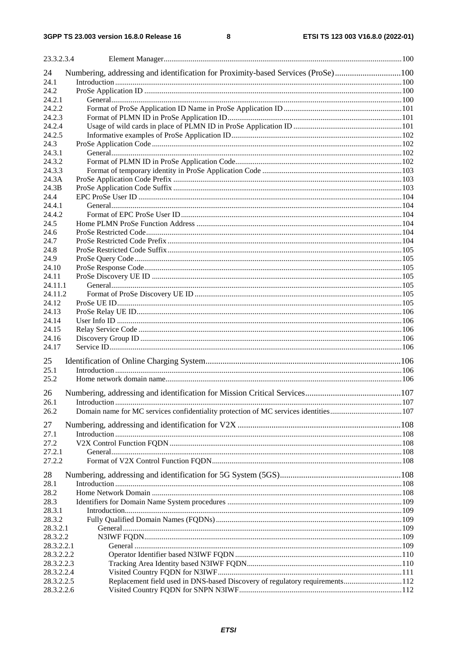| 23.3.2.3.4                                                                                  |  |
|---------------------------------------------------------------------------------------------|--|
| Numbering, addressing and identification for Proximity-based Services (ProSe)100<br>24      |  |
| 24.1                                                                                        |  |
| 24.2                                                                                        |  |
| 24.2.1                                                                                      |  |
| 24.2.2                                                                                      |  |
| 24.2.3                                                                                      |  |
| 24.2.4                                                                                      |  |
| 24.2.5                                                                                      |  |
| 24.3                                                                                        |  |
| 24.3.1                                                                                      |  |
| 24.3.2                                                                                      |  |
| 24.3.3                                                                                      |  |
| 24.3A                                                                                       |  |
| 24.3B                                                                                       |  |
| 24.4                                                                                        |  |
| 24.4.1                                                                                      |  |
| 24.4.2                                                                                      |  |
| 24.5                                                                                        |  |
| 24.6                                                                                        |  |
| 24.7                                                                                        |  |
| 24.8                                                                                        |  |
| 24.9                                                                                        |  |
| 24.10                                                                                       |  |
| 24.11                                                                                       |  |
| 24.11.1                                                                                     |  |
| 24.11.2                                                                                     |  |
| 24.12                                                                                       |  |
|                                                                                             |  |
| 24.13<br>24.14                                                                              |  |
|                                                                                             |  |
| 24.15<br>24.16                                                                              |  |
| 24.17                                                                                       |  |
|                                                                                             |  |
| 25                                                                                          |  |
| 25.1                                                                                        |  |
| 25.2                                                                                        |  |
|                                                                                             |  |
| 26                                                                                          |  |
| 26.1                                                                                        |  |
| Domain name for MC services confidentiality protection of MC services identities107<br>26.2 |  |
| 27                                                                                          |  |
| 27.1                                                                                        |  |
| 27.2                                                                                        |  |
| 27.2.1                                                                                      |  |
| 27.2.2                                                                                      |  |
|                                                                                             |  |
| 28                                                                                          |  |
| 28.1                                                                                        |  |
| 28.2                                                                                        |  |
| 28.3                                                                                        |  |
| 28.3.1                                                                                      |  |
| 28.3.2                                                                                      |  |
| 28.3.2.1                                                                                    |  |
| 28.3.2.2                                                                                    |  |
| 28.3.2.2.1                                                                                  |  |
| 28.3.2.2.2                                                                                  |  |
| 28.3.2.2.3                                                                                  |  |
| 28.3.2.2.4                                                                                  |  |
| Replacement field used in DNS-based Discovery of regulatory requirements112<br>28.3.2.2.5   |  |
| 28.3.2.2.6                                                                                  |  |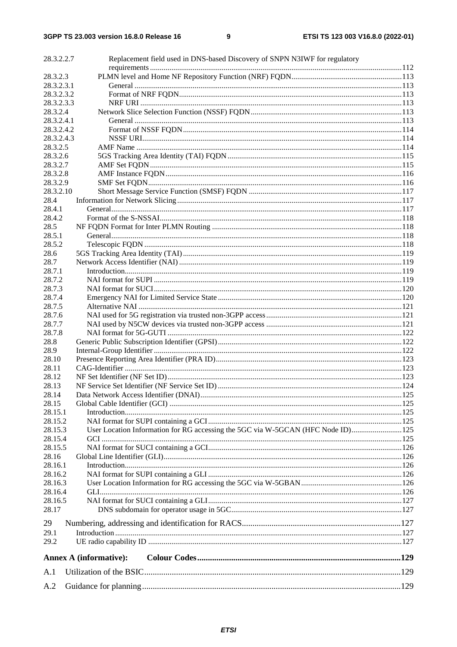| 28.3.2.2.7 | Replacement field used in DNS-based Discovery of SNPN N31WF for regulatory       |  |
|------------|----------------------------------------------------------------------------------|--|
|            |                                                                                  |  |
| 28.3.2.3   |                                                                                  |  |
| 28.3.2.3.1 |                                                                                  |  |
| 28.3.2.3.2 |                                                                                  |  |
| 28.3.2.3.3 |                                                                                  |  |
| 28.3.2.4   |                                                                                  |  |
| 28.3.2.4.1 |                                                                                  |  |
| 28.3.2.4.2 |                                                                                  |  |
| 28.3.2.4.3 |                                                                                  |  |
| 28.3.2.5   |                                                                                  |  |
| 28.3.2.6   |                                                                                  |  |
| 28.3.2.7   |                                                                                  |  |
| 28.3.2.8   |                                                                                  |  |
| 28.3.2.9   |                                                                                  |  |
| 28.3.2.10  |                                                                                  |  |
| 28.4       |                                                                                  |  |
| 28.4.1     |                                                                                  |  |
| 28.4.2     |                                                                                  |  |
| 28.5       |                                                                                  |  |
| 28.5.1     |                                                                                  |  |
| 28.5.2     |                                                                                  |  |
| 28.6       |                                                                                  |  |
| 28.7       |                                                                                  |  |
| 28.7.1     |                                                                                  |  |
| 28.7.2     |                                                                                  |  |
| 28.7.3     |                                                                                  |  |
| 28.7.4     |                                                                                  |  |
| 28.7.5     |                                                                                  |  |
| 28.7.6     |                                                                                  |  |
| 28.7.7     |                                                                                  |  |
| 28.7.8     |                                                                                  |  |
|            |                                                                                  |  |
| 28.8       |                                                                                  |  |
| 28.9       |                                                                                  |  |
| 28.10      |                                                                                  |  |
| 28.11      |                                                                                  |  |
| 28.12      |                                                                                  |  |
| 28.13      |                                                                                  |  |
| 28.14      |                                                                                  |  |
| 28.15      |                                                                                  |  |
| 28.15.1    |                                                                                  |  |
| 28.15.2    |                                                                                  |  |
| 28.15.3    | User Location Information for RG accessing the 5GC via W-5GCAN (HFC Node ID) 125 |  |
| 28.15.4    |                                                                                  |  |
| 28.15.5    |                                                                                  |  |
| 28.16      |                                                                                  |  |
| 28.16.1    |                                                                                  |  |
| 28.16.2    |                                                                                  |  |
| 28.16.3    |                                                                                  |  |
| 28.16.4    |                                                                                  |  |
| 28.16.5    |                                                                                  |  |
| 28.17      |                                                                                  |  |
|            |                                                                                  |  |
| 29         |                                                                                  |  |
| 29.1       |                                                                                  |  |
| 29.2       |                                                                                  |  |
|            | <b>Annex A (informative):</b>                                                    |  |
| A.1        |                                                                                  |  |
|            |                                                                                  |  |
| A.2        |                                                                                  |  |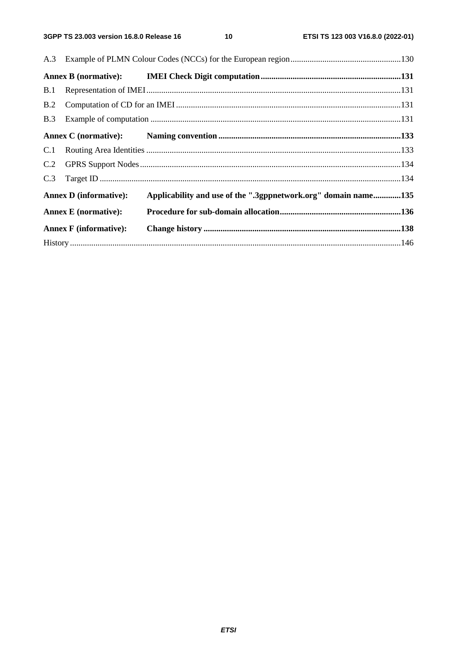$10$ 

| B.1 |                               |                                                                |  |
|-----|-------------------------------|----------------------------------------------------------------|--|
| B.2 |                               |                                                                |  |
|     |                               |                                                                |  |
|     |                               |                                                                |  |
|     |                               |                                                                |  |
| C.2 |                               |                                                                |  |
|     |                               |                                                                |  |
|     | <b>Annex D</b> (informative): | Applicability and use of the ".3gppnetwork.org" domain name135 |  |
|     | <b>Annex E</b> (normative):   |                                                                |  |
|     | <b>Annex F</b> (informative): |                                                                |  |
|     |                               |                                                                |  |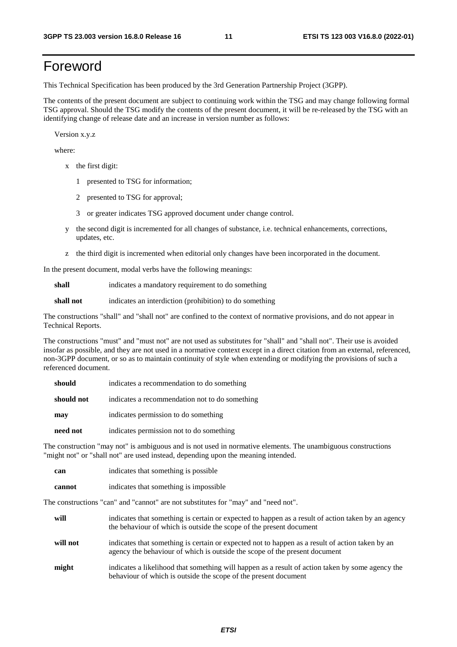# Foreword

This Technical Specification has been produced by the 3rd Generation Partnership Project (3GPP).

The contents of the present document are subject to continuing work within the TSG and may change following formal TSG approval. Should the TSG modify the contents of the present document, it will be re-released by the TSG with an identifying change of release date and an increase in version number as follows:

Version x.y.z

where:

- x the first digit:
	- 1 presented to TSG for information;
	- 2 presented to TSG for approval;
	- 3 or greater indicates TSG approved document under change control.
- y the second digit is incremented for all changes of substance, i.e. technical enhancements, corrections, updates, etc.
- z the third digit is incremented when editorial only changes have been incorporated in the document.

In the present document, modal verbs have the following meanings:

**shall** indicates a mandatory requirement to do something

**shall not** indicates an interdiction (prohibition) to do something

The constructions "shall" and "shall not" are confined to the context of normative provisions, and do not appear in Technical Reports.

The constructions "must" and "must not" are not used as substitutes for "shall" and "shall not". Their use is avoided insofar as possible, and they are not used in a normative context except in a direct citation from an external, referenced, non-3GPP document, or so as to maintain continuity of style when extending or modifying the provisions of such a referenced document.

| should     | indicates a recommendation to do something     |
|------------|------------------------------------------------|
| should not | indicates a recommendation not to do something |
| may        | indicates permission to do something           |
| need not   | indicates permission not to do something       |

The construction "may not" is ambiguous and is not used in normative elements. The unambiguous constructions "might not" or "shall not" are used instead, depending upon the meaning intended.

| can    | indicates that something is possible.  |
|--------|----------------------------------------|
| cannot | indicates that something is impossible |

The constructions "can" and "cannot" are not substitutes for "may" and "need not".

| will     | indicates that something is certain or expected to happen as a result of action taken by an agency<br>the behaviour of which is outside the scope of the present document     |
|----------|-------------------------------------------------------------------------------------------------------------------------------------------------------------------------------|
| will not | indicates that something is certain or expected not to happen as a result of action taken by an<br>agency the behaviour of which is outside the scope of the present document |
| might    | indicates a likelihood that something will happen as a result of action taken by some agency the<br>behaviour of which is outside the scope of the present document           |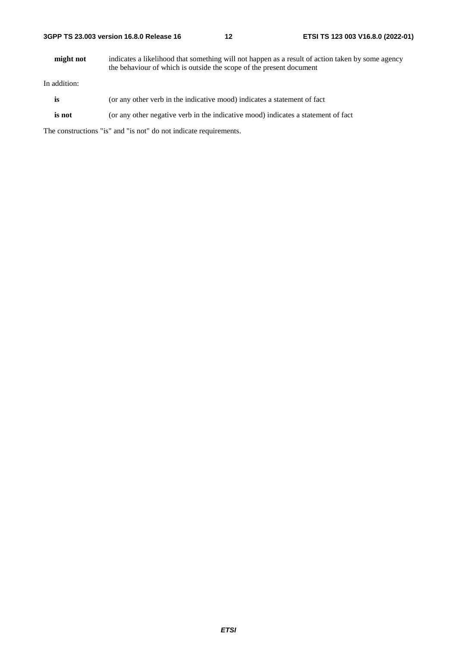#### **3GPP TS 23.003 version 16.8.0 Release 16 12 ETSI TS 123 003 V16.8.0 (2022-01)**

**might not** indicates a likelihood that something will not happen as a result of action taken by some agency the behaviour of which is outside the scope of the present document

In addition:

- is (or any other verb in the indicative mood) indicates a statement of fact
- **is not** (or any other negative verb in the indicative mood) indicates a statement of fact

The constructions "is" and "is not" do not indicate requirements.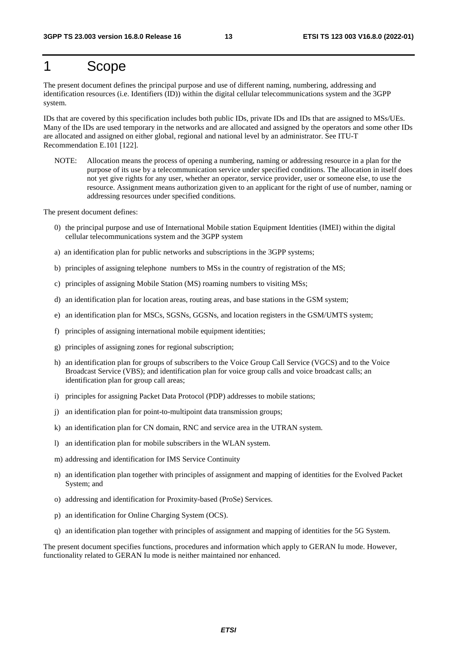# 1 Scope

The present document defines the principal purpose and use of different naming, numbering, addressing and identification resources (i.e. Identifiers (ID)) within the digital cellular telecommunications system and the 3GPP system.

IDs that are covered by this specification includes both public IDs, private IDs and IDs that are assigned to MSs/UEs. Many of the IDs are used temporary in the networks and are allocated and assigned by the operators and some other IDs are allocated and assigned on either global, regional and national level by an administrator. See ITU-T Recommendation E.101 [122].

NOTE: Allocation means the process of opening a numbering, naming or addressing resource in a plan for the purpose of its use by a telecommunication service under specified conditions. The allocation in itself does not yet give rights for any user, whether an operator, service provider, user or someone else, to use the resource. Assignment means authorization given to an applicant for the right of use of number, naming or addressing resources under specified conditions.

The present document defines:

- 0) the principal purpose and use of International Mobile station Equipment Identities (IMEI) within the digital cellular telecommunications system and the 3GPP system
- a) an identification plan for public networks and subscriptions in the 3GPP systems;
- b) principles of assigning telephone numbers to MSs in the country of registration of the MS;
- c) principles of assigning Mobile Station (MS) roaming numbers to visiting MSs;
- d) an identification plan for location areas, routing areas, and base stations in the GSM system;
- e) an identification plan for MSCs, SGSNs, GGSNs, and location registers in the GSM/UMTS system;
- f) principles of assigning international mobile equipment identities;
- g) principles of assigning zones for regional subscription;
- h) an identification plan for groups of subscribers to the Voice Group Call Service (VGCS) and to the Voice Broadcast Service (VBS); and identification plan for voice group calls and voice broadcast calls; an identification plan for group call areas;
- i) principles for assigning Packet Data Protocol (PDP) addresses to mobile stations;
- j) an identification plan for point-to-multipoint data transmission groups;
- k) an identification plan for CN domain, RNC and service area in the UTRAN system.
- l) an identification plan for mobile subscribers in the WLAN system.
- m) addressing and identification for IMS Service Continuity
- n) an identification plan together with principles of assignment and mapping of identities for the Evolved Packet System; and
- o) addressing and identification for Proximity-based (ProSe) Services.
- p) an identification for Online Charging System (OCS).
- q) an identification plan together with principles of assignment and mapping of identities for the 5G System.

The present document specifies functions, procedures and information which apply to GERAN Iu mode. However, functionality related to GERAN Iu mode is neither maintained nor enhanced.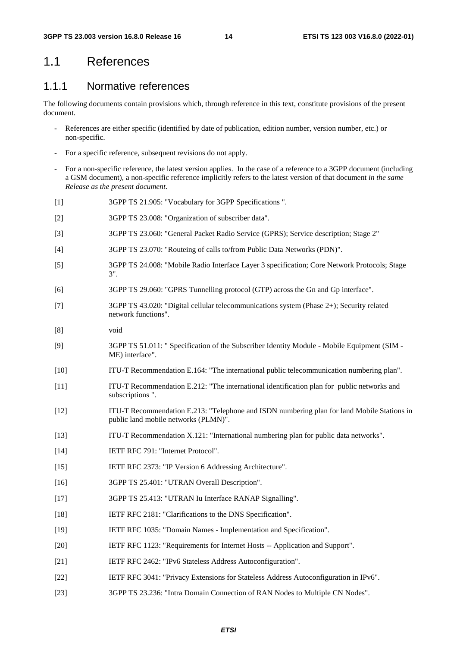### 1.1 References

### 1.1.1 Normative references

The following documents contain provisions which, through reference in this text, constitute provisions of the present document.

- References are either specific (identified by date of publication, edition number, version number, etc.) or non-specific.
- For a specific reference, subsequent revisions do not apply.
- For a non-specific reference, the latest version applies. In the case of a reference to a 3GPP document (including a GSM document), a non-specific reference implicitly refers to the latest version of that document *in the same Release as the present document*.
- [1] 3GPP TS 21.905: "Vocabulary for 3GPP Specifications ".
- [2] 3GPP TS 23.008: "Organization of subscriber data".
- [3] 3GPP TS 23.060: "General Packet Radio Service (GPRS); Service description; Stage 2"
- [4] 3GPP TS 23.070: "Routeing of calls to/from Public Data Networks (PDN)".
- [5] 3GPP TS 24.008: "Mobile Radio Interface Layer 3 specification; Core Network Protocols; Stage 3".
- [6] 3GPP TS 29.060: "GPRS Tunnelling protocol (GTP) across the Gn and Gp interface".
- [7] 3GPP TS 43.020: "Digital cellular telecommunications system (Phase 2+); Security related network functions".
- [8] void
- [9] 3GPP TS 51.011: " Specification of the Subscriber Identity Module Mobile Equipment (SIM ME) interface".
- [10] ITU-T Recommendation E.164: "The international public telecommunication numbering plan".
- [11] ITU-T Recommendation E.212: "The international identification plan for public networks and subscriptions ".
- [12] ITU-T Recommendation E.213: "Telephone and ISDN numbering plan for land Mobile Stations in public land mobile networks (PLMN)".
- [13] ITU-T Recommendation X.121: "International numbering plan for public data networks".
- [14] IETF RFC 791: "Internet Protocol".
- [15] IETF RFC 2373: "IP Version 6 Addressing Architecture".
- [16] 3GPP TS 25.401: "UTRAN Overall Description".
- [17] 3GPP TS 25.413: "UTRAN Iu Interface RANAP Signalling".
- [18] IETF RFC 2181: "Clarifications to the DNS Specification".
- [19] IETF RFC 1035: "Domain Names Implementation and Specification".
- [20] IETF RFC 1123: "Requirements for Internet Hosts -- Application and Support".
- [21] IETF RFC 2462: "IPv6 Stateless Address Autoconfiguration".
- [22] IETF RFC 3041: "Privacy Extensions for Stateless Address Autoconfiguration in IPv6".
- [23] 3GPP TS 23.236: "Intra Domain Connection of RAN Nodes to Multiple CN Nodes".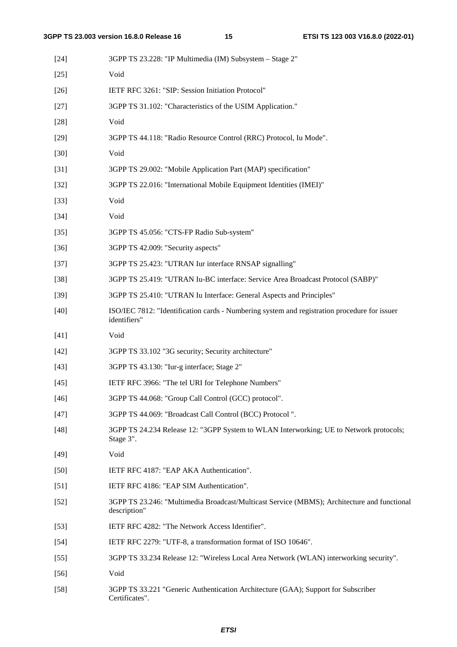| $[24]$ | 3GPP TS 23.228: "IP Multimedia (IM) Subsystem – Stage 2"                                                     |
|--------|--------------------------------------------------------------------------------------------------------------|
| $[25]$ | Void                                                                                                         |
| $[26]$ | IETF RFC 3261: "SIP: Session Initiation Protocol"                                                            |
| $[27]$ | 3GPP TS 31.102: "Characteristics of the USIM Application."                                                   |
| $[28]$ | Void                                                                                                         |
| $[29]$ | 3GPP TS 44.118: "Radio Resource Control (RRC) Protocol, Iu Mode".                                            |
| $[30]$ | Void                                                                                                         |
| $[31]$ | 3GPP TS 29.002: "Mobile Application Part (MAP) specification"                                                |
| $[32]$ | 3GPP TS 22.016: "International Mobile Equipment Identities (IMEI)"                                           |
| $[33]$ | Void                                                                                                         |
| $[34]$ | Void                                                                                                         |
| $[35]$ | 3GPP TS 45.056: "CTS-FP Radio Sub-system"                                                                    |
| $[36]$ | 3GPP TS 42.009: "Security aspects"                                                                           |
| $[37]$ | 3GPP TS 25.423: "UTRAN Iur interface RNSAP signalling"                                                       |
| $[38]$ | 3GPP TS 25.419: "UTRAN Iu-BC interface: Service Area Broadcast Protocol (SABP)"                              |
| $[39]$ | 3GPP TS 25.410: "UTRAN Iu Interface: General Aspects and Principles"                                         |
| $[40]$ | ISO/IEC 7812: "Identification cards - Numbering system and registration procedure for issuer<br>identifiers" |
| $[41]$ | Void                                                                                                         |
| $[42]$ | 3GPP TS 33.102 "3G security; Security architecture"                                                          |
| $[43]$ | 3GPP TS 43.130: "Iur-g interface; Stage 2"                                                                   |
| $[45]$ | IETF RFC 3966: "The tel URI for Telephone Numbers"                                                           |
| $[46]$ | 3GPP TS 44.068: "Group Call Control (GCC) protocol".                                                         |
| $[47]$ | 3GPP TS 44.069: "Broadcast Call Control (BCC) Protocol".                                                     |
| $[48]$ | 3GPP TS 24.234 Release 12: "3GPP System to WLAN Interworking; UE to Network protocols;<br>Stage 3".          |
| $[49]$ | Void                                                                                                         |
| $[50]$ | IETF RFC 4187: "EAP AKA Authentication".                                                                     |
| $[51]$ | IETF RFC 4186: "EAP SIM Authentication".                                                                     |
| $[52]$ | 3GPP TS 23.246: "Multimedia Broadcast/Multicast Service (MBMS); Architecture and functional<br>description"  |
| $[53]$ | IETF RFC 4282: "The Network Access Identifier".                                                              |
| $[54]$ | IETF RFC 2279: "UTF-8, a transformation format of ISO 10646".                                                |
| $[55]$ | 3GPP TS 33.234 Release 12: "Wireless Local Area Network (WLAN) interworking security".                       |
| $[56]$ | Void                                                                                                         |
| $[58]$ | 3GPP TS 33.221 "Generic Authentication Architecture (GAA); Support for Subscriber<br>Certificates".          |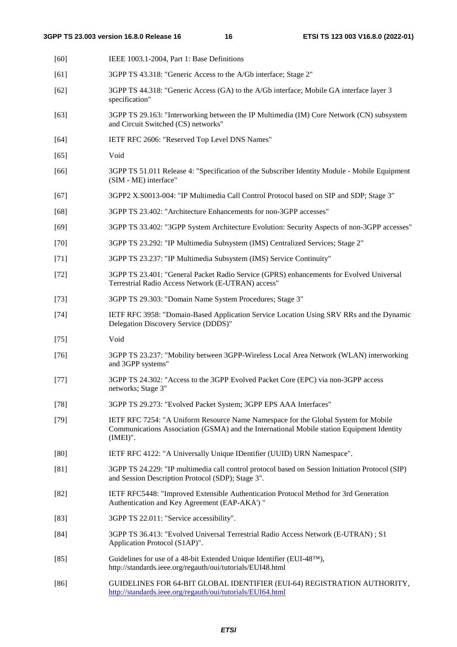| $[60]$         | IEEE 1003.1-2004, Part 1: Base Definitions                                                                                                                                                     |
|----------------|------------------------------------------------------------------------------------------------------------------------------------------------------------------------------------------------|
| $[61]$         | 3GPP TS 43.318: "Generic Access to the A/Gb interface; Stage 2"                                                                                                                                |
| $[62]$         | 3GPP TS 44.318: "Generic Access (GA) to the A/Gb interface; Mobile GA interface layer 3<br>specification"                                                                                      |
| $[63]$         | 3GPP TS 29.163: "Interworking between the IP Multimedia (IM) Core Network (CN) subsystem<br>and Circuit Switched (CS) networks"                                                                |
| $[64]$         | IETF RFC 2606: "Reserved Top Level DNS Names"                                                                                                                                                  |
| $[65]$         | Void                                                                                                                                                                                           |
| $[66]$         | 3GPP TS 51.011 Release 4: "Specification of the Subscriber Identity Module - Mobile Equipment<br>(SIM - ME) interface"                                                                         |
| $[67]$         | 3GPP2 X.S0013-004: "IP Multimedia Call Control Protocol based on SIP and SDP; Stage 3"                                                                                                         |
| $[68]$         | 3GPP TS 23.402: "Architecture Enhancements for non-3GPP accesses"                                                                                                                              |
| $[69]$         | 3GPP TS 33.402: "3GPP System Architecture Evolution: Security Aspects of non-3GPP accesses"                                                                                                    |
| $[70]$         | 3GPP TS 23.292: "IP Multimedia Subsystem (IMS) Centralized Services; Stage 2"                                                                                                                  |
| $[71]$         | 3GPP TS 23.237: "IP Multimedia Subsystem (IMS) Service Continuity"                                                                                                                             |
| $[72]$         | 3GPP TS 23.401: "General Packet Radio Service (GPRS) enhancements for Evolved Universal<br>Terrestrial Radio Access Network (E-UTRAN) access"                                                  |
| $[73]$         | 3GPP TS 29.303: "Domain Name System Procedures; Stage 3"                                                                                                                                       |
| $[74]$         | IETF RFC 3958: "Domain-Based Application Service Location Using SRV RRs and the Dynamic<br>Delegation Discovery Service (DDDS)"                                                                |
| $[75]$         | Void                                                                                                                                                                                           |
| $[76]$         | 3GPP TS 23.237: "Mobility between 3GPP-Wireless Local Area Network (WLAN) interworking<br>and 3GPP systems"                                                                                    |
| $[77]$         | 3GPP TS 24.302: "Access to the 3GPP Evolved Packet Core (EPC) via non-3GPP access<br>networks; Stage 3"                                                                                        |
| $[78]$         | 3GPP TS 29.273: "Evolved Packet System; 3GPP EPS AAA Interfaces"                                                                                                                               |
| $[79]$         | IETF RFC 7254: "A Uniform Resource Name Namespace for the Global System for Mobile<br>Communications Association (GSMA) and the International Mobile station Equipment Identity<br>$(IMEI)$ ". |
| [80]           | IETF RFC 4122: "A Universally Unique IDentifier (UUID) URN Namespace".                                                                                                                         |
| [81]           | 3GPP TS 24.229: "IP multimedia call control protocol based on Session Initiation Protocol (SIP)<br>and Session Description Protocol (SDP); Stage 3".                                           |
| $[82]$         | IETF RFC5448: "Improved Extensible Authentication Protocol Method for 3rd Generation<br>Authentication and Key Agreement (EAP-AKA') "                                                          |
| $[83]$         | 3GPP TS 22.011: "Service accessibility".                                                                                                                                                       |
| $[84]$         | 3GPP TS 36.413: "Evolved Universal Terrestrial Radio Access Network (E-UTRAN); S1<br>Application Protocol (S1AP)".                                                                             |
| $[85]$         | Guidelines for use of a 48-bit Extended Unique Identifier (EUI-48™),<br>http://standards.ieee.org/regauth/oui/tutorials/EUI48.html                                                             |
| 0 <sup>1</sup> | THINEL INES EOD 64 DIT CLOD AL INENTIFIED (FUL 64) DECISTD ATION.                                                                                                                              |

[86] GUIDELINES FOR 64-BIT GLOBAL IDENTIFIER (EUI-64) REGISTRATION AUTHORITY, <http://standards.ieee.org/regauth/oui/tutorials/EUI64.html>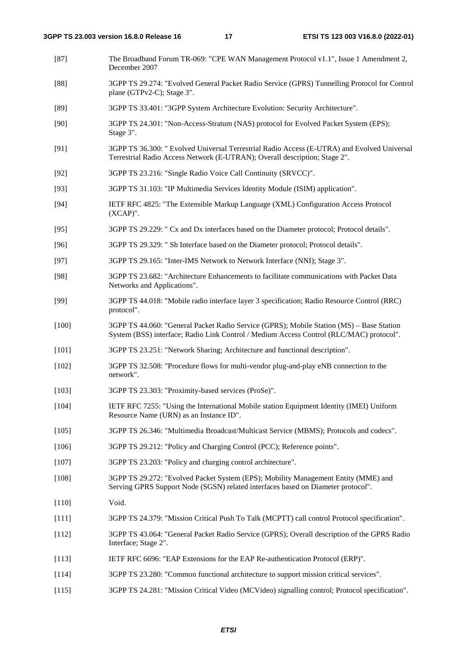- [87] The Broadband Forum TR-069: "CPE WAN Management Protocol v1.1", Issue 1 Amendment 2, December 2007
- [88] 3GPP TS 29.274: "Evolved General Packet Radio Service (GPRS) Tunnelling Protocol for Control plane (GTPv2-C); Stage 3".
- [89] 3GPP TS 33.401: "3GPP System Architecture Evolution: Security Architecture".
- [90] 3GPP TS 24.301: "Non-Access-Stratum (NAS) protocol for Evolved Packet System (EPS); Stage 3".
- [91] 3GPP TS 36.300: " Evolved Universal Terrestrial Radio Access (E-UTRA) and Evolved Universal Terrestrial Radio Access Network (E-UTRAN); Overall description; Stage 2".
- [92] 3GPP TS 23.216: "Single Radio Voice Call Continuity (SRVCC)".
- [93] 3GPP TS 31.103: "IP Multimedia Services Identity Module (ISIM) application".
- [94] IETF RFC 4825: "The Extensible Markup Language (XML) Configuration Access Protocol (XCAP)".
- [95] 3GPP TS 29.229: " Cx and Dx interfaces based on the Diameter protocol; Protocol details".
- [96] 3GPP TS 29.329: " Sh Interface based on the Diameter protocol; Protocol details".
- [97] 3GPP TS 29.165: "Inter-IMS Network to Network Interface (NNI); Stage 3".
- [98] 3GPP TS 23.682: "Architecture Enhancements to facilitate communications with Packet Data Networks and Applications".
- [99] 3GPP TS 44.018: "Mobile radio interface layer 3 specification; Radio Resource Control (RRC) protocol".
- [100] 3GPP TS 44.060: "General Packet Radio Service (GPRS); Mobile Station (MS) Base Station System (BSS) interface; Radio Link Control / Medium Access Control (RLC/MAC) protocol".
- [101] 3GPP TS 23.251: "Network Sharing; Architecture and functional description".
- [102] 3GPP TS 32.508: "Procedure flows for multi-vendor plug-and-play eNB connection to the network".
- [103] 3GPP TS 23.303: "Proximity-based services (ProSe)".
- [104] IETF RFC 7255: "Using the International Mobile station Equipment Identity (IMEI) Uniform Resource Name (URN) as an Instance ID".
- [105] 3GPP TS 26.346: "Multimedia Broadcast/Multicast Service (MBMS); Protocols and codecs".
- [106] 3GPP TS 29.212: "Policy and Charging Control (PCC); Reference points".
- [107] 3GPP TS 23.203: "Policy and charging control architecture".
- [108] 3GPP TS 29.272: "Evolved Packet System (EPS); Mobility Management Entity (MME) and Serving GPRS Support Node (SGSN) related interfaces based on Diameter protocol".
- [110] Void.
- [111] 3GPP TS 24.379: "Mission Critical Push To Talk (MCPTT) call control Protocol specification".
- [112] 3GPP TS 43.064: "General Packet Radio Service (GPRS); Overall description of the GPRS Radio Interface; Stage 2".
- [113] IETF RFC 6696: "EAP Extensions for the EAP Re-authentication Protocol (ERP)".
- [114] 3GPP TS 23.280: "Common functional architecture to support mission critical services".
- [115] 3GPP TS 24.281: "Mission Critical Video (MCVideo) signalling control; Protocol specification".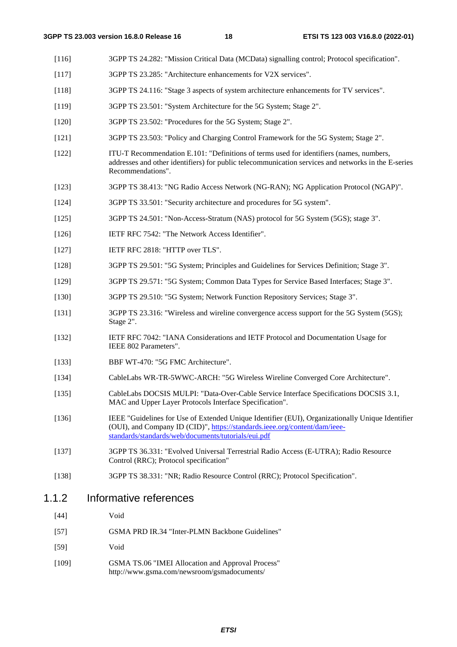- [116] 3GPP TS 24.282: "Mission Critical Data (MCData) signalling control; Protocol specification".
- [117] 3GPP TS 23.285: "Architecture enhancements for V2X services".
- [118] 3GPP TS 24.116: "Stage 3 aspects of system architecture enhancements for TV services".
- [119] 3GPP TS 23.501: "System Architecture for the 5G System; Stage 2".
- [120] 3GPP TS 23.502: "Procedures for the 5G System; Stage 2".
- [121] 3GPP TS 23.503: "Policy and Charging Control Framework for the 5G System; Stage 2".
- [122] ITU-T Recommendation E.101: "Definitions of terms used for identifiers (names, numbers, addresses and other identifiers) for public telecommunication services and networks in the E-series Recommendations".
- [123] 3GPP TS 38.413: "NG Radio Access Network (NG-RAN); NG Application Protocol (NGAP)".
- [124] 3GPP TS 33.501: "Security architecture and procedures for 5G system".
- [125] 3GPP TS 24.501: "Non-Access-Stratum (NAS) protocol for 5G System (5GS); stage 3".
- [126] IETF RFC 7542: "The Network Access Identifier".
- [127] **IETF RFC 2818: "HTTP over TLS".**
- [128] 3GPP TS 29.501: "5G System; Principles and Guidelines for Services Definition; Stage 3".
- [129] 3GPP TS 29.571: "5G System; Common Data Types for Service Based Interfaces; Stage 3".
- [130] 3GPP TS 29.510: "5G System; Network Function Repository Services; Stage 3".
- [131] 3GPP TS 23.316: "Wireless and wireline convergence access support for the 5G System (5GS); Stage 2".
- [132] IETF RFC 7042: "IANA Considerations and IETF Protocol and Documentation Usage for IEEE 802 Parameters".
- [133] BBF WT-470: "5G FMC Architecture".
- [134] CableLabs WR-TR-5WWC-ARCH: "5G Wireless Wireline Converged Core Architecture".
- [135] CableLabs DOCSIS MULPI: "Data-Over-Cable Service Interface Specifications DOCSIS 3.1, MAC and Upper Layer Protocols Interface Specification".
- [136] IEEE "Guidelines for Use of Extended Unique Identifier (EUI), Organizationally Unique Identifier (OUI), and Company ID (CID)", [https://standards.ieee.org/content/dam/ieee](https://standards.ieee.org/content/dam/ieee-standards/standards/web/documents/tutorials/eui.pdf)[standards/standards/web/documents/tutorials/eui.pdf](https://standards.ieee.org/content/dam/ieee-standards/standards/web/documents/tutorials/eui.pdf)
- [137] 3GPP TS 36.331: "Evolved Universal Terrestrial Radio Access (E-UTRA); Radio Resource Control (RRC); Protocol specification"
- [138] 3GPP TS 38.331: "NR; Radio Resource Control (RRC); Protocol Specification".

### 1.1.2 Informative references

- [44] Void
- [57] GSMA PRD IR.34 "Inter-PLMN Backbone Guidelines"
- [59] Void
- [109] GSMA TS.06 "IMEI Allocation and Approval Process" http://www.gsma.com/newsroom/gsmadocuments/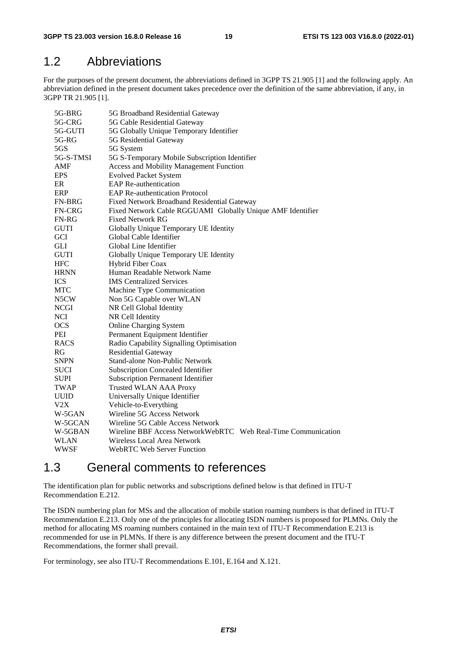### 1.2 Abbreviations

For the purposes of the present document, the abbreviations defined in 3GPP TS 21.905 [1] and the following apply. An abbreviation defined in the present document takes precedence over the definition of the same abbreviation, if any, in 3GPP TR 21.905 [1].

| 5G-BRG<br>5G-CRG  | 5G Broadband Residential Gateway<br>5G Cable Residential Gateway |  |  |  |  |  |
|-------------------|------------------------------------------------------------------|--|--|--|--|--|
| 5G-GUTI           | 5G Globally Unique Temporary Identifier                          |  |  |  |  |  |
| 5G-RG             | 5G Residential Gateway                                           |  |  |  |  |  |
| 5GS               | 5G System                                                        |  |  |  |  |  |
| 5G-S-TMSI         | 5G S-Temporary Mobile Subscription Identifier                    |  |  |  |  |  |
| AMF               | <b>Access and Mobility Management Function</b>                   |  |  |  |  |  |
| <b>EPS</b>        | <b>Evolved Packet System</b>                                     |  |  |  |  |  |
| ER                | <b>EAP</b> Re-authentication                                     |  |  |  |  |  |
| ERP               | <b>EAP Re-authentication Protocol</b>                            |  |  |  |  |  |
| <b>FN-BRG</b>     | Fixed Network Broadband Residential Gateway                      |  |  |  |  |  |
| <b>FN-CRG</b>     | Fixed Network Cable RGGUAMI Globally Unique AMF Identifier       |  |  |  |  |  |
| <b>FN-RG</b>      | <b>Fixed Network RG</b>                                          |  |  |  |  |  |
| <b>GUTI</b>       | Globally Unique Temporary UE Identity                            |  |  |  |  |  |
| <b>GCI</b>        | Global Cable Identifier                                          |  |  |  |  |  |
| <b>GLI</b>        | Global Line Identifier                                           |  |  |  |  |  |
| <b>GUTI</b>       | Globally Unique Temporary UE Identity                            |  |  |  |  |  |
| <b>HFC</b>        | Hybrid Fiber Coax                                                |  |  |  |  |  |
| <b>HRNN</b>       | Human Readable Network Name                                      |  |  |  |  |  |
| <b>ICS</b>        | <b>IMS</b> Centralized Services                                  |  |  |  |  |  |
| <b>MTC</b>        | Machine Type Communication                                       |  |  |  |  |  |
| N <sub>5</sub> CW | Non 5G Capable over WLAN                                         |  |  |  |  |  |
| <b>NCGI</b>       | NR Cell Global Identity                                          |  |  |  |  |  |
| <b>NCI</b>        | NR Cell Identity                                                 |  |  |  |  |  |
| <b>OCS</b>        | <b>Online Charging System</b>                                    |  |  |  |  |  |
| PEI               | Permanent Equipment Identifier                                   |  |  |  |  |  |
| <b>RACS</b>       | Radio Capability Signalling Optimisation                         |  |  |  |  |  |
| RG                | <b>Residential Gateway</b>                                       |  |  |  |  |  |
| <b>SNPN</b>       | Stand-alone Non-Public Network                                   |  |  |  |  |  |
| <b>SUCI</b>       | <b>Subscription Concealed Identifier</b>                         |  |  |  |  |  |
| <b>SUPI</b>       | Subscription Permanent Identifier                                |  |  |  |  |  |
| TWAP              | <b>Trusted WLAN AAA Proxy</b>                                    |  |  |  |  |  |
| <b>UUID</b>       | Universally Unique Identifier                                    |  |  |  |  |  |
| V2X               | Vehicle-to-Everything                                            |  |  |  |  |  |
| W-5GAN            | Wireline 5G Access Network                                       |  |  |  |  |  |
| W-5GCAN           | Wireline 5G Cable Access Network                                 |  |  |  |  |  |
| W-5GBAN           | Wireline BBF Access NetworkWebRTC Web Real-Time Communication    |  |  |  |  |  |
| WLAN              | Wireless Local Area Network                                      |  |  |  |  |  |
| WWSF              | <b>WebRTC Web Server Function</b>                                |  |  |  |  |  |
|                   |                                                                  |  |  |  |  |  |

### 1.3 General comments to references

The identification plan for public networks and subscriptions defined below is that defined in ITU-T Recommendation E.212.

The ISDN numbering plan for MSs and the allocation of mobile station roaming numbers is that defined in ITU-T Recommendation E.213. Only one of the principles for allocating ISDN numbers is proposed for PLMNs. Only the method for allocating MS roaming numbers contained in the main text of ITU-T Recommendation E.213 is recommended for use in PLMNs. If there is any difference between the present document and the ITU-T Recommendations, the former shall prevail.

For terminology, see also ITU-T Recommendations E.101, E.164 and X.121.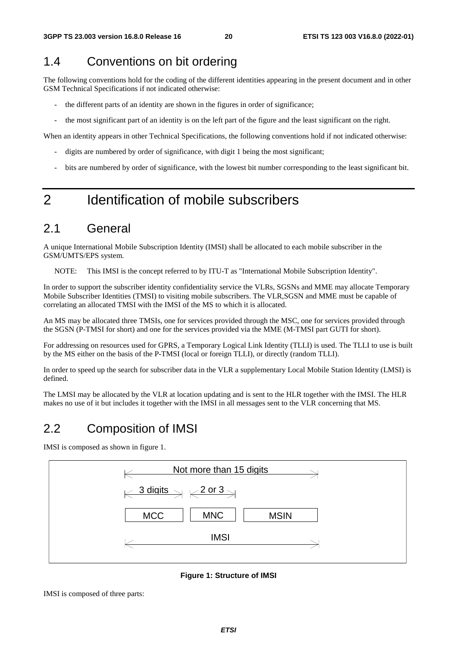# 1.4 Conventions on bit ordering

The following conventions hold for the coding of the different identities appearing in the present document and in other GSM Technical Specifications if not indicated otherwise:

- the different parts of an identity are shown in the figures in order of significance;
- the most significant part of an identity is on the left part of the figure and the least significant on the right.

When an identity appears in other Technical Specifications, the following conventions hold if not indicated otherwise:

- digits are numbered by order of significance, with digit 1 being the most significant;
- bits are numbered by order of significance, with the lowest bit number corresponding to the least significant bit.

# 2 Identification of mobile subscribers

### 2.1 General

A unique International Mobile Subscription Identity (IMSI) shall be allocated to each mobile subscriber in the GSM/UMTS/EPS system.

NOTE: This IMSI is the concept referred to by ITU-T as "International Mobile Subscription Identity".

In order to support the subscriber identity confidentiality service the VLRs, SGSNs and MME may allocate Temporary Mobile Subscriber Identities (TMSI) to visiting mobile subscribers. The VLR,SGSN and MME must be capable of correlating an allocated TMSI with the IMSI of the MS to which it is allocated.

An MS may be allocated three TMSIs, one for services provided through the MSC, one for services provided through the SGSN (P-TMSI for short) and one for the services provided via the MME (M-TMSI part GUTI for short).

For addressing on resources used for GPRS, a Temporary Logical Link Identity (TLLI) is used. The TLLI to use is built by the MS either on the basis of the P-TMSI (local or foreign TLLI), or directly (random TLLI).

In order to speed up the search for subscriber data in the VLR a supplementary Local Mobile Station Identity (LMSI) is defined.

The LMSI may be allocated by the VLR at location updating and is sent to the HLR together with the IMSI. The HLR makes no use of it but includes it together with the IMSI in all messages sent to the VLR concerning that MS.

### 2.2 Composition of IMSI

IMSI is composed as shown in figure 1.



**Figure 1: Structure of IMSI** 

IMSI is composed of three parts: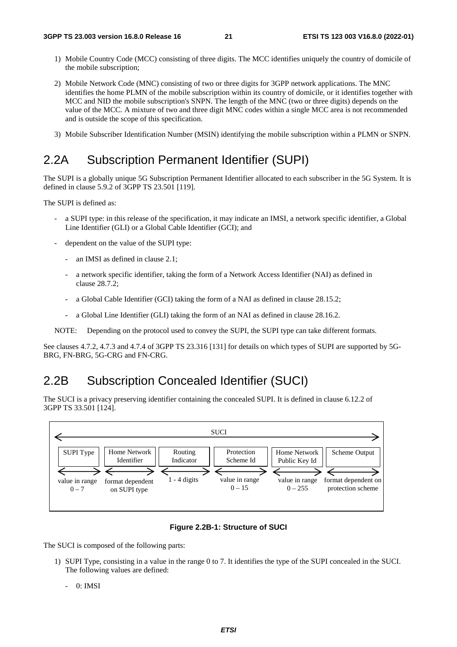- 1) Mobile Country Code (MCC) consisting of three digits. The MCC identifies uniquely the country of domicile of the mobile subscription;
- 2) Mobile Network Code (MNC) consisting of two or three digits for 3GPP network applications. The MNC identifies the home PLMN of the mobile subscription within its country of domicile, or it identifies together with MCC and NID the mobile subscription's SNPN. The length of the MNC (two or three digits) depends on the value of the MCC. A mixture of two and three digit MNC codes within a single MCC area is not recommended and is outside the scope of this specification.
- 3) Mobile Subscriber Identification Number (MSIN) identifying the mobile subscription within a PLMN or SNPN.

# 2.2A Subscription Permanent Identifier (SUPI)

The SUPI is a globally unique 5G Subscription Permanent Identifier allocated to each subscriber in the 5G System. It is defined in clause 5.9.2 of 3GPP TS 23.501 [119].

The SUPI is defined as:

- a SUPI type: in this release of the specification, it may indicate an IMSI, a network specific identifier, a Global Line Identifier (GLI) or a Global Cable Identifier (GCI); and
- dependent on the value of the SUPI type:
	- an IMSI as defined in clause 2.1:
	- a network specific identifier, taking the form of a Network Access Identifier (NAI) as defined in clause 28.7.2;
	- a Global Cable Identifier (GCI) taking the form of a NAI as defined in clause 28.15.2;
	- a Global Line Identifier (GLI) taking the form of an NAI as defined in clause 28.16.2.

NOTE: Depending on the protocol used to convey the SUPI, the SUPI type can take different formats.

See clauses 4.7.2, 4.7.3 and 4.7.4 of 3GPP TS 23.316 [131] for details on which types of SUPI are supported by 5G-BRG, FN-BRG, 5G-CRG and FN-CRG.

### 2.2B Subscription Concealed Identifier (SUCI)

The SUCI is a privacy preserving identifier containing the concealed SUPI. It is defined in clause 6.12.2 of 3GPP TS 33.501 [124].



#### **Figure 2.2B-1: Structure of SUCI**

The SUCI is composed of the following parts:

- 1) SUPI Type, consisting in a value in the range 0 to 7. It identifies the type of the SUPI concealed in the SUCI. The following values are defined:
	- 0: IMSI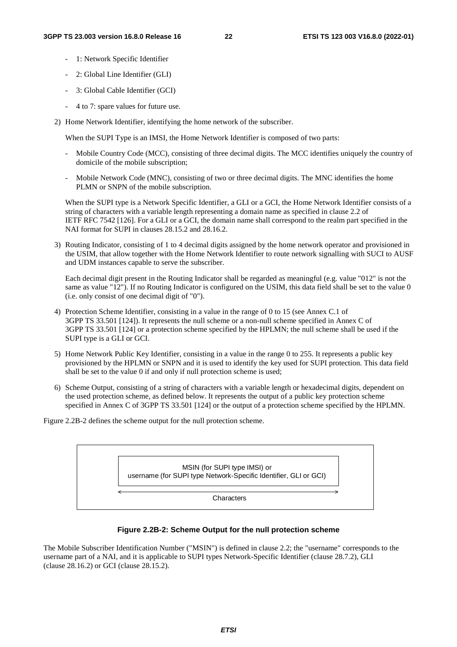- 1: Network Specific Identifier
- 2: Global Line Identifier (GLI)
- 3: Global Cable Identifier (GCI)
- 4 to 7: spare values for future use.
- 2) Home Network Identifier, identifying the home network of the subscriber.

When the SUPI Type is an IMSI, the Home Network Identifier is composed of two parts:

- Mobile Country Code (MCC), consisting of three decimal digits. The MCC identifies uniquely the country of domicile of the mobile subscription;
- Mobile Network Code (MNC), consisting of two or three decimal digits. The MNC identifies the home PLMN or SNPN of the mobile subscription.

When the SUPI type is a Network Specific Identifier, a GLI or a GCI, the Home Network Identifier consists of a string of characters with a variable length representing a domain name as specified in clause 2.2 of IETF RFC 7542 [126]. For a GLI or a GCI, the domain name shall correspond to the realm part specified in the NAI format for SUPI in clauses 28.15.2 and 28.16.2.

3) Routing Indicator, consisting of 1 to 4 decimal digits assigned by the home network operator and provisioned in the USIM, that allow together with the Home Network Identifier to route network signalling with SUCI to AUSF and UDM instances capable to serve the subscriber.

 Each decimal digit present in the Routing Indicator shall be regarded as meaningful (e.g. value "012" is not the same as value "12"). If no Routing Indicator is configured on the USIM, this data field shall be set to the value 0 (i.e. only consist of one decimal digit of "0").

- 4) Protection Scheme Identifier, consisting in a value in the range of 0 to 15 (see Annex C.1 of 3GPP TS 33.501 [124]). It represents the null scheme or a non-null scheme specified in Annex C of 3GPP TS 33.501 [124] or a protection scheme specified by the HPLMN; the null scheme shall be used if the SUPI type is a GLI or GCI.
- 5) Home Network Public Key Identifier, consisting in a value in the range 0 to 255. It represents a public key provisioned by the HPLMN or SNPN and it is used to identify the key used for SUPI protection. This data field shall be set to the value 0 if and only if null protection scheme is used;
- 6) Scheme Output, consisting of a string of characters with a variable length or hexadecimal digits, dependent on the used protection scheme, as defined below. It represents the output of a public key protection scheme specified in Annex C of 3GPP TS 33.501 [124] or the output of a protection scheme specified by the HPLMN.

Figure 2.2B-2 defines the scheme output for the null protection scheme.

MSIN (for SUPI type IMSI) or username (for SUPI type Network-Specific Identifier, GLI or GCI)

**Characters** 

#### **Figure 2.2B-2: Scheme Output for the null protection scheme**

The Mobile Subscriber Identification Number ("MSIN") is defined in clause 2.2; the "username" corresponds to the username part of a NAI, and it is applicable to SUPI types Network-Specific Identifier (clause 28.7.2), GLI (clause 28.16.2) or GCI (clause 28.15.2).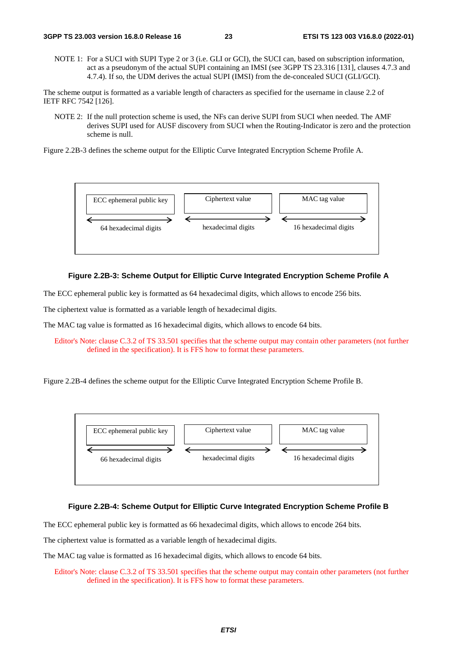NOTE 1: For a SUCI with SUPI Type 2 or 3 (i.e. GLI or GCI), the SUCI can, based on subscription information, act as a pseudonym of the actual SUPI containing an IMSI (see 3GPP TS 23.316 [131], clauses 4.7.3 and 4.7.4). If so, the UDM derives the actual SUPI (IMSI) from the de-concealed SUCI (GLI/GCI).

The scheme output is formatted as a variable length of characters as specified for the username in clause 2.2 of IETF RFC 7542 [126].

NOTE 2: If the null protection scheme is used, the NFs can derive SUPI from SUCI when needed. The AMF derives SUPI used for AUSF discovery from SUCI when the Routing-Indicator is zero and the protection scheme is null.

Figure 2.2B-3 defines the scheme output for the Elliptic Curve Integrated Encryption Scheme Profile A.



#### **Figure 2.2B-3: Scheme Output for Elliptic Curve Integrated Encryption Scheme Profile A**

The ECC ephemeral public key is formatted as 64 hexadecimal digits, which allows to encode 256 bits.

The ciphertext value is formatted as a variable length of hexadecimal digits.

The MAC tag value is formatted as 16 hexadecimal digits, which allows to encode 64 bits.

Editor's Note: clause C.3.2 of TS 33.501 specifies that the scheme output may contain other parameters (not further defined in the specification). It is FFS how to format these parameters.

Figure 2.2B-4 defines the scheme output for the Elliptic Curve Integrated Encryption Scheme Profile B.



#### **Figure 2.2B-4: Scheme Output for Elliptic Curve Integrated Encryption Scheme Profile B**

The ECC ephemeral public key is formatted as 66 hexadecimal digits, which allows to encode 264 bits.

The ciphertext value is formatted as a variable length of hexadecimal digits.

The MAC tag value is formatted as 16 hexadecimal digits, which allows to encode 64 bits.

Editor's Note: clause C.3.2 of TS 33.501 specifies that the scheme output may contain other parameters (not further defined in the specification). It is FFS how to format these parameters.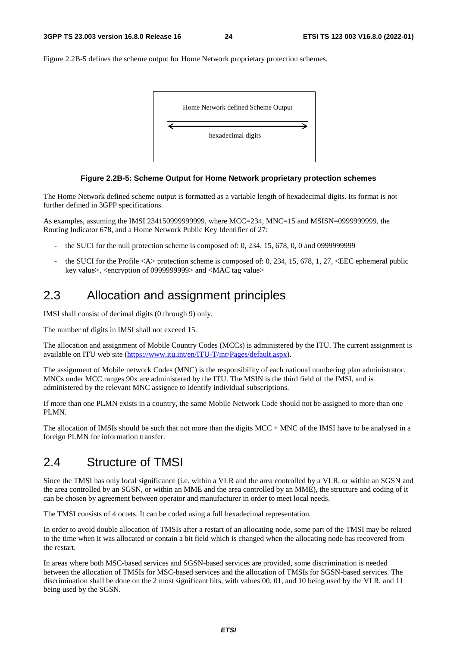Figure 2.2B-5 defines the scheme output for Home Network proprietary protection schemes.



#### **Figure 2.2B-5: Scheme Output for Home Network proprietary protection schemes**

The Home Network defined scheme output is formatted as a variable length of hexadecimal digits. Its format is not further defined in 3GPP specifications.

As examples, assuming the IMSI 234150999999999, where MCC=234, MNC=15 and MSISN=0999999999, the Routing Indicator 678, and a Home Network Public Key Identifier of 27:

- the SUCI for the null protection scheme is composed of:  $0, 234, 15, 678, 0, 0$  and 09999999999
- the SUCI for the Profile  $\langle A \rangle$  protection scheme is composed of: 0, 234, 15, 678, 1, 27,  $\langle EEC$  ephemeral public key value>, <encryption of 0999999999> and <MAC tag value>

## 2.3 Allocation and assignment principles

IMSI shall consist of decimal digits (0 through 9) only.

The number of digits in IMSI shall not exceed 15.

The allocation and assignment of Mobile Country Codes (MCCs) is administered by the ITU. The current assignment is available on ITU web site ([https://www.itu.int/en/ITU-T/inr/Pages/default.aspx\)](https://www.itu.int/en/ITU-T/inr/Pages/default.aspx).

The assignment of Mobile network Codes (MNC) is the responsibility of each national numbering plan administrator. MNCs under MCC ranges 90x are administered by the ITU. The MSIN is the third field of the IMSI, and is administered by the relevant MNC assignee to identify individual subscriptions.

If more than one PLMN exists in a country, the same Mobile Network Code should not be assigned to more than one PLMN.

The allocation of IMSIs should be such that not more than the digits MCC + MNC of the IMSI have to be analysed in a foreign PLMN for information transfer.

# 2.4 Structure of TMSI

Since the TMSI has only local significance (i.e. within a VLR and the area controlled by a VLR, or within an SGSN and the area controlled by an SGSN, or within an MME and the area controlled by an MME), the structure and coding of it can be chosen by agreement between operator and manufacturer in order to meet local needs.

The TMSI consists of 4 octets. It can be coded using a full hexadecimal representation.

In order to avoid double allocation of TMSIs after a restart of an allocating node, some part of the TMSI may be related to the time when it was allocated or contain a bit field which is changed when the allocating node has recovered from the restart.

In areas where both MSC-based services and SGSN-based services are provided, some discrimination is needed between the allocation of TMSIs for MSC-based services and the allocation of TMSIs for SGSN-based services. The discrimination shall be done on the 2 most significant bits, with values 00, 01, and 10 being used by the VLR, and 11 being used by the SGSN.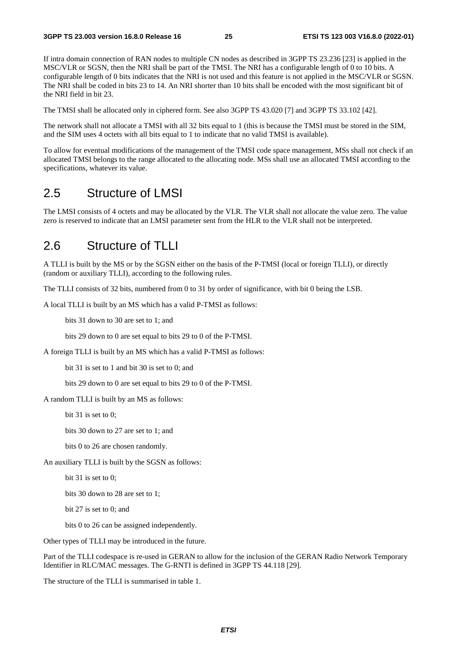If intra domain connection of RAN nodes to multiple CN nodes as described in 3GPP TS 23.236 [23] is applied in the MSC/VLR or SGSN, then the NRI shall be part of the TMSI. The NRI has a configurable length of 0 to 10 bits. A configurable length of 0 bits indicates that the NRI is not used and this feature is not applied in the MSC/VLR or SGSN. The NRI shall be coded in bits 23 to 14. An NRI shorter than 10 bits shall be encoded with the most significant bit of the NRI field in bit 23.

The TMSI shall be allocated only in ciphered form. See also 3GPP TS 43.020 [7] and 3GPP TS 33.102 [42].

The network shall not allocate a TMSI with all 32 bits equal to 1 (this is because the TMSI must be stored in the SIM, and the SIM uses 4 octets with all bits equal to 1 to indicate that no valid TMSI is available).

To allow for eventual modifications of the management of the TMSI code space management, MSs shall not check if an allocated TMSI belongs to the range allocated to the allocating node. MSs shall use an allocated TMSI according to the specifications, whatever its value.

### 2.5 Structure of LMSI

The LMSI consists of 4 octets and may be allocated by the VLR. The VLR shall not allocate the value zero. The value zero is reserved to indicate that an LMSI parameter sent from the HLR to the VLR shall not be interpreted.

### 2.6 Structure of TLLI

A TLLI is built by the MS or by the SGSN either on the basis of the P-TMSI (local or foreign TLLI), or directly (random or auxiliary TLLI), according to the following rules.

The TLLI consists of 32 bits, numbered from 0 to 31 by order of significance, with bit 0 being the LSB.

A local TLLI is built by an MS which has a valid P-TMSI as follows:

bits 31 down to 30 are set to 1; and

bits 29 down to 0 are set equal to bits 29 to 0 of the P-TMSI.

A foreign TLLI is built by an MS which has a valid P-TMSI as follows:

bit 31 is set to 1 and bit 30 is set to 0; and

bits 29 down to 0 are set equal to bits 29 to 0 of the P-TMSI.

A random TLLI is built by an MS as follows:

bit 31 is set to 0;

bits 30 down to 27 are set to 1; and

bits 0 to 26 are chosen randomly.

An auxiliary TLLI is built by the SGSN as follows:

bit 31 is set to 0;

bits 30 down to 28 are set to 1;

bit 27 is set to 0; and

bits 0 to 26 can be assigned independently.

Other types of TLLI may be introduced in the future.

Part of the TLLI codespace is re-used in GERAN to allow for the inclusion of the GERAN Radio Network Temporary Identifier in RLC/MAC messages. The G-RNTI is defined in 3GPP TS 44.118 [29].

The structure of the TLLI is summarised in table 1.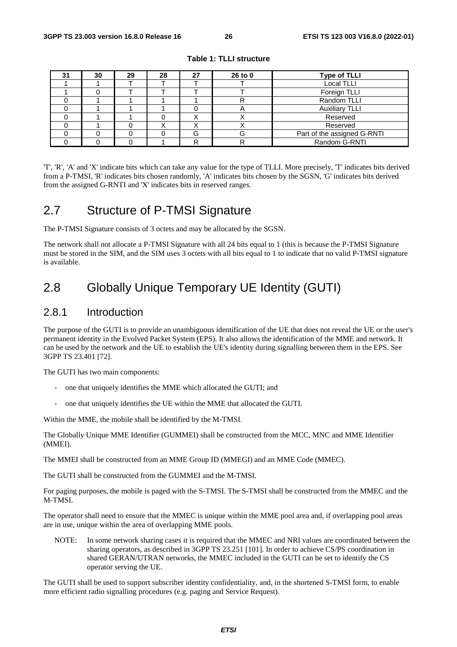| 31 | 30 | 29 | 28 | 27 | 26 to 0 | <b>Type of TLLI</b>         |
|----|----|----|----|----|---------|-----------------------------|
|    |    |    |    |    |         | <b>Local TLLI</b>           |
|    |    |    |    |    |         | Foreign TLLI                |
|    |    |    |    |    |         | Random TLLI                 |
|    |    |    |    |    |         | <b>Auxiliary TLLI</b>       |
|    |    |    |    |    |         | Reserved                    |
|    |    |    |    | ⌒  |         | Reserved                    |
|    |    |    |    | G  |         | Part of the assigned G-RNTI |
|    |    |    |    | R  |         | Random G-RNTI               |

**Table 1: TLLI structure** 

'T', 'R', 'A' and 'X' indicate bits which can take any value for the type of TLLI. More precisely, 'T' indicates bits derived from a P-TMSI, 'R' indicates bits chosen randomly, 'A' indicates bits chosen by the SGSN, 'G' indicates bits derived from the assigned G-RNTI and 'X' indicates bits in reserved ranges.

## 2.7 Structure of P-TMSI Signature

The P-TMSI Signature consists of 3 octets and may be allocated by the SGSN.

The network shall not allocate a P-TMSI Signature with all 24 bits equal to 1 (this is because the P-TMSI Signature must be stored in the SIM, and the SIM uses 3 octets with all bits equal to 1 to indicate that no valid P-TMSI signature is available.

# 2.8 Globally Unique Temporary UE Identity (GUTI)

### 2.8.1 Introduction

The purpose of the GUTI is to provide an unambiguous identification of the UE that does not reveal the UE or the user's permanent identity in the Evolved Packet System (EPS). It also allows the identification of the MME and network. It can be used by the network and the UE to establish the UE's identity during signalling between them in the EPS. See 3GPP TS 23.401 [72].

The GUTI has two main components:

- one that uniquely identifies the MME which allocated the GUTI; and
- one that uniquely identifies the UE within the MME that allocated the GUTI.

Within the MME, the mobile shall be identified by the M-TMSI.

The Globally Unique MME Identifier (GUMMEI) shall be constructed from the MCC, MNC and MME Identifier (MMEI).

The MMEI shall be constructed from an MME Group ID (MMEGI) and an MME Code (MMEC).

The GUTI shall be constructed from the GUMMEI and the M-TMSI.

For paging purposes, the mobile is paged with the S-TMSI. The S-TMSI shall be constructed from the MMEC and the M-TMSI.

The operator shall need to ensure that the MMEC is unique within the MME pool area and, if overlapping pool areas are in use, unique within the area of overlapping MME pools.

NOTE: In some network sharing cases it is required that the MMEC and NRI values are coordinated between the sharing operators, as described in 3GPP TS 23.251 [101]. In order to achieve CS/PS coordination in shared GERAN/UTRAN networks, the MMEC included in the GUTI can be set to identify the CS operator serving the UE.

The GUTI shall be used to support subscriber identity confidentiality, and, in the shortened S-TMSI form, to enable more efficient radio signalling procedures (e.g. paging and Service Request).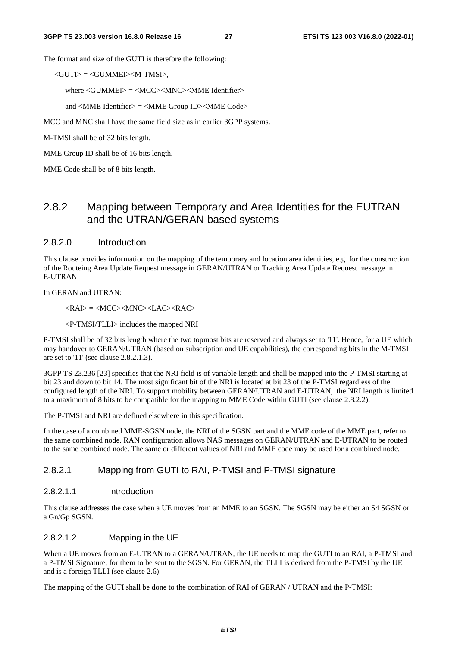The format and size of the GUTI is therefore the following:

<GUTI> = <GUMMEI><M-TMSI>,

where  $\langle$  GUMMEI $\rangle$  =  $\langle$ MCC $\rangle$  $\langle$ MNC $\rangle$  $\langle$ MME Identifier $\rangle$ 

and <MME Identifier> = <MME Group ID><MME Code>

MCC and MNC shall have the same field size as in earlier 3GPP systems.

M-TMSI shall be of 32 bits length.

MME Group ID shall be of 16 bits length.

MME Code shall be of 8 bits length.

### 2.8.2 Mapping between Temporary and Area Identities for the EUTRAN and the UTRAN/GERAN based systems

#### 2.8.2.0 Introduction

This clause provides information on the mapping of the temporary and location area identities, e.g. for the construction of the Routeing Area Update Request message in GERAN/UTRAN or Tracking Area Update Request message in E-UTRAN.

In GERAN and UTRAN:

 $\langle RAI \rangle = \langle MCC \rangle \langle MNC \rangle \langle LAC \rangle \langle RAC \rangle$ 

<P-TMSI/TLLI> includes the mapped NRI

P-TMSI shall be of 32 bits length where the two topmost bits are reserved and always set to '11'. Hence, for a UE which may handover to GERAN/UTRAN (based on subscription and UE capabilities), the corresponding bits in the M-TMSI are set to '11' (see clause 2.8.2.1.3).

3GPP TS 23.236 [23] specifies that the NRI field is of variable length and shall be mapped into the P-TMSI starting at bit 23 and down to bit 14. The most significant bit of the NRI is located at bit 23 of the P-TMSI regardless of the configured length of the NRI. To support mobility between GERAN/UTRAN and E-UTRAN, the NRI length is limited to a maximum of 8 bits to be compatible for the mapping to MME Code within GUTI (see clause 2.8.2.2).

The P-TMSI and NRI are defined elsewhere in this specification.

In the case of a combined MME-SGSN node, the NRI of the SGSN part and the MME code of the MME part, refer to the same combined node. RAN configuration allows NAS messages on GERAN/UTRAN and E-UTRAN to be routed to the same combined node. The same or different values of NRI and MME code may be used for a combined node.

#### 2.8.2.1 Mapping from GUTI to RAI, P-TMSI and P-TMSI signature

#### 2.8.2.1.1 Introduction

This clause addresses the case when a UE moves from an MME to an SGSN. The SGSN may be either an S4 SGSN or a Gn/Gp SGSN.

#### 2.8.2.1.2 Mapping in the UE

When a UE moves from an E-UTRAN to a GERAN/UTRAN, the UE needs to map the GUTI to an RAI, a P-TMSI and a P-TMSI Signature, for them to be sent to the SGSN. For GERAN, the TLLI is derived from the P-TMSI by the UE and is a foreign TLLI (see clause 2.6).

The mapping of the GUTI shall be done to the combination of RAI of GERAN / UTRAN and the P-TMSI: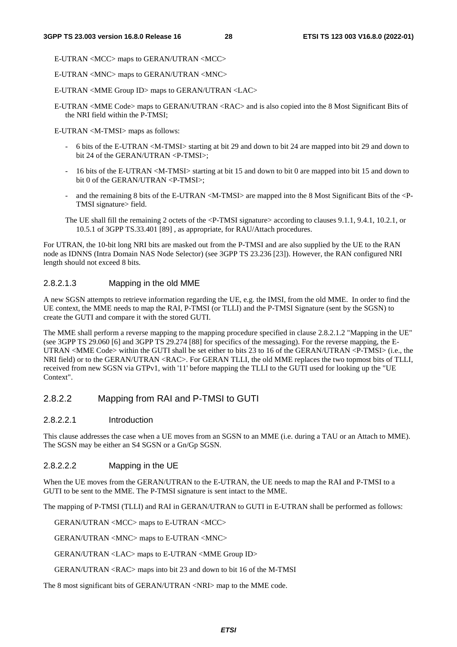E-UTRAN <MCC> maps to GERAN/UTRAN <MCC>

E-UTRAN <MNC> maps to GERAN/UTRAN <MNC>

E-UTRAN <MME Group ID> maps to GERAN/UTRAN <LAC>

E-UTRAN <MME Code> maps to GERAN/UTRAN <RAC> and is also copied into the 8 Most Significant Bits of the NRI field within the P-TMSI;

E-UTRAN <M-TMSI> maps as follows:

- 6 bits of the E-UTRAN <M-TMSI> starting at bit 29 and down to bit 24 are mapped into bit 29 and down to bit 24 of the GERAN/UTRAN <P-TMSI>;
- 16 bits of the E-UTRAN <M-TMSI> starting at bit 15 and down to bit 0 are mapped into bit 15 and down to bit 0 of the GERAN/UTRAN <P-TMSI>;
- and the remaining 8 bits of the E-UTRAN  $\langle M-TMSI \rangle$  are mapped into the 8 Most Significant Bits of the  $\langle P-TMSI \rangle$ TMSI signature> field.
- The UE shall fill the remaining 2 octets of the <P-TMSI signature> according to clauses 9.1.1, 9.4.1, 10.2.1, or 10.5.1 of 3GPP TS.33.401 [89] , as appropriate, for RAU/Attach procedures.

For UTRAN, the 10-bit long NRI bits are masked out from the P-TMSI and are also supplied by the UE to the RAN node as IDNNS (Intra Domain NAS Node Selector) (see 3GPP TS 23.236 [23]). However, the RAN configured NRI length should not exceed 8 bits.

#### 2.8.2.1.3 Mapping in the old MME

A new SGSN attempts to retrieve information regarding the UE, e.g. the IMSI, from the old MME. In order to find the UE context, the MME needs to map the RAI, P-TMSI (or TLLI) and the P-TMSI Signature (sent by the SGSN) to create the GUTI and compare it with the stored GUTI.

The MME shall perform a reverse mapping to the mapping procedure specified in clause 2.8.2.1.2 "Mapping in the UE" (see 3GPP TS 29.060 [6] and 3GPP TS 29.274 [88] for specifics of the messaging). For the reverse mapping, the E-UTRAN <MME Code> within the GUTI shall be set either to bits 23 to 16 of the GERAN/UTRAN <P-TMSI> (i.e., the NRI field) or to the GERAN/UTRAN <RAC>. For GERAN TLLI, the old MME replaces the two topmost bits of TLLI, received from new SGSN via GTPv1, with '11' before mapping the TLLI to the GUTI used for looking up the "UE Context".

#### 2.8.2.2 Mapping from RAI and P-TMSI to GUTI

#### 2.8.2.2.1 Introduction

This clause addresses the case when a UE moves from an SGSN to an MME (i.e. during a TAU or an Attach to MME). The SGSN may be either an S4 SGSN or a Gn/Gp SGSN.

#### 2.8.2.2.2 Mapping in the UE

When the UE moves from the GERAN/UTRAN to the E-UTRAN, the UE needs to map the RAI and P-TMSI to a GUTI to be sent to the MME. The P-TMSI signature is sent intact to the MME.

The mapping of P-TMSI (TLLI) and RAI in GERAN/UTRAN to GUTI in E-UTRAN shall be performed as follows:

GERAN/UTRAN <MCC> maps to E-UTRAN <MCC>

GERAN/UTRAN <MNC> maps to E-UTRAN <MNC>

GERAN/UTRAN <LAC> maps to E-UTRAN <MME Group ID>

GERAN/UTRAN <RAC> maps into bit 23 and down to bit 16 of the M-TMSI

The 8 most significant bits of GERAN/UTRAN <NRI> map to the MME code.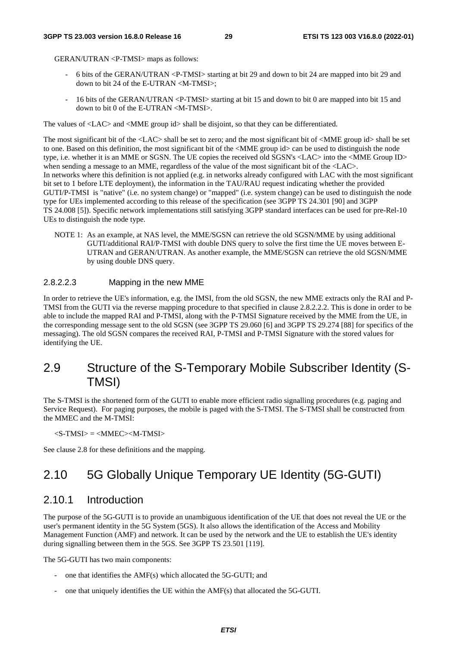GERAN/UTRAN <P-TMSI> maps as follows:

- 6 bits of the GERAN/UTRAN <P-TMSI> starting at bit 29 and down to bit 24 are mapped into bit 29 and down to bit 24 of the E-UTRAN <M-TMSI>;
- 16 bits of the GERAN/UTRAN <P-TMSI> starting at bit 15 and down to bit 0 are mapped into bit 15 and down to bit 0 of the E-UTRAN <M-TMSI>.

The values of <LAC> and <MME group id> shall be disjoint, so that they can be differentiated.

The most significant bit of the <LAC> shall be set to zero; and the most significant bit of <MME group id> shall be set to one. Based on this definition, the most significant bit of the <MME group id> can be used to distinguish the node type, i.e. whether it is an MME or SGSN. The UE copies the received old SGSN's <LAC> into the <MME Group ID> when sending a message to an MME, regardless of the value of the most significant bit of the  $\langle$ LAC>. In networks where this definition is not applied (e.g. in networks already configured with LAC with the most significant bit set to 1 before LTE deployment), the information in the TAU/RAU request indicating whether the provided GUTI/P-TMSI is "native" (i.e. no system change) or "mapped" (i.e. system change) can be used to distinguish the node type for UEs implemented according to this release of the specification (see 3GPP TS 24.301 [90] and 3GPP TS 24.008 [5]). Specific network implementations still satisfying 3GPP standard interfaces can be used for pre-Rel-10 UEs to distinguish the node type.

NOTE 1: As an example, at NAS level, the MME/SGSN can retrieve the old SGSN/MME by using additional GUTI/additional RAI/P-TMSI with double DNS query to solve the first time the UE moves between E-UTRAN and GERAN/UTRAN. As another example, the MME/SGSN can retrieve the old SGSN/MME by using double DNS query.

#### 2.8.2.2.3 Mapping in the new MME

In order to retrieve the UE's information, e.g. the IMSI, from the old SGSN, the new MME extracts only the RAI and P-TMSI from the GUTI via the reverse mapping procedure to that specified in clause 2.8.2.2.2. This is done in order to be able to include the mapped RAI and P-TMSI, along with the P-TMSI Signature received by the MME from the UE, in the corresponding message sent to the old SGSN (see 3GPP TS 29.060 [6] and 3GPP TS 29.274 [88] for specifics of the messaging). The old SGSN compares the received RAI, P-TMSI and P-TMSI Signature with the stored values for identifying the UE.

# 2.9 Structure of the S-Temporary Mobile Subscriber Identity (S-TMSI)

The S-TMSI is the shortened form of the GUTI to enable more efficient radio signalling procedures (e.g. paging and Service Request). For paging purposes, the mobile is paged with the S-TMSI. The S-TMSI shall be constructed from the MMEC and the M-TMSI:

 $\langle$ S-TMSI $\rangle$  =  $\langle$ MMEC $>$  $\langle$ M-TMSI $\rangle$ 

See clause 2.8 for these definitions and the mapping.

# 2.10 5G Globally Unique Temporary UE Identity (5G-GUTI)

#### 2.10.1 Introduction

The purpose of the 5G-GUTI is to provide an unambiguous identification of the UE that does not reveal the UE or the user's permanent identity in the 5G System (5GS). It also allows the identification of the Access and Mobility Management Function (AMF) and network. It can be used by the network and the UE to establish the UE's identity during signalling between them in the 5GS. See 3GPP TS 23.501 [119].

The 5G-GUTI has two main components:

- one that identifies the AMF(s) which allocated the 5G-GUTI; and
- one that uniquely identifies the UE within the AMF(s) that allocated the 5G-GUTI.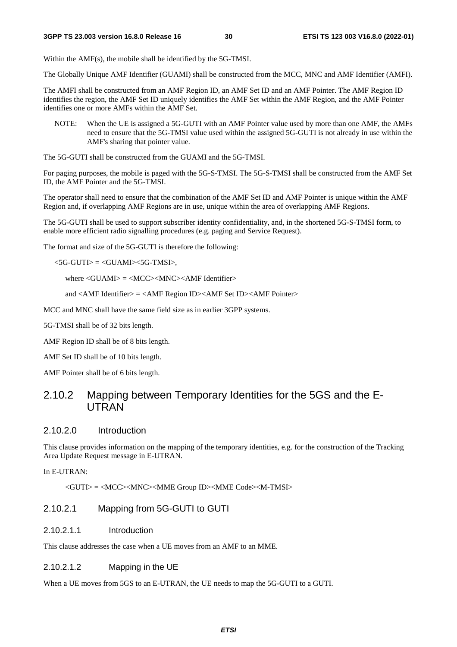Within the AMF(s), the mobile shall be identified by the 5G-TMSI.

The Globally Unique AMF Identifier (GUAMI) shall be constructed from the MCC, MNC and AMF Identifier (AMFI).

The AMFI shall be constructed from an AMF Region ID, an AMF Set ID and an AMF Pointer. The AMF Region ID identifies the region, the AMF Set ID uniquely identifies the AMF Set within the AMF Region, and the AMF Pointer identifies one or more AMFs within the AMF Set.

NOTE: When the UE is assigned a 5G-GUTI with an AMF Pointer value used by more than one AMF, the AMFs need to ensure that the 5G-TMSI value used within the assigned 5G-GUTI is not already in use within the AMF's sharing that pointer value.

The 5G-GUTI shall be constructed from the GUAMI and the 5G-TMSI.

For paging purposes, the mobile is paged with the 5G-S-TMSI. The 5G-S-TMSI shall be constructed from the AMF Set ID, the AMF Pointer and the 5G-TMSI.

The operator shall need to ensure that the combination of the AMF Set ID and AMF Pointer is unique within the AMF Region and, if overlapping AMF Regions are in use, unique within the area of overlapping AMF Regions.

The 5G-GUTI shall be used to support subscriber identity confidentiality, and, in the shortened 5G-S-TMSI form, to enable more efficient radio signalling procedures (e.g. paging and Service Request).

The format and size of the 5G-GUTI is therefore the following:

 $<$ 5G-GUTI $>$  =  $<$ GUAMI $>$ <5G-TMSI $>$ ,

where <GUAMI> = <MCC><MNC><AMF Identifier>

and <AMF Identifier> = <AMF Region ID><AMF Set ID><AMF Pointer>

MCC and MNC shall have the same field size as in earlier 3GPP systems.

5G-TMSI shall be of 32 bits length.

AMF Region ID shall be of 8 bits length.

AMF Set ID shall be of 10 bits length.

AMF Pointer shall be of 6 bits length.

### 2.10.2 Mapping between Temporary Identities for the 5GS and the E-UTRAN

#### 2.10.2.0 Introduction

This clause provides information on the mapping of the temporary identities, e.g. for the construction of the Tracking Area Update Request message in E-UTRAN.

In E-UTRAN:

<GUTI> = <MCC><MNC><MME Group ID><MME Code><M-TMSI>

#### 2.10.2.1 Mapping from 5G-GUTI to GUTI

#### 2.10.2.1.1 Introduction

This clause addresses the case when a UE moves from an AMF to an MME.

#### 2.10.2.1.2 Mapping in the UE

When a UE moves from 5GS to an E-UTRAN, the UE needs to map the 5G-GUTI to a GUTI.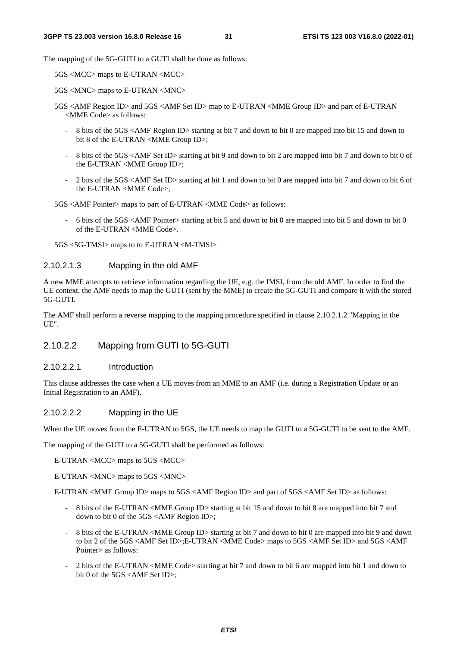The mapping of the 5G-GUTI to a GUTI shall be done as follows:

5GS <MCC> maps to E-UTRAN <MCC>

5GS <MNC> maps to E-UTRAN <MNC>

- 5GS <AMF Region ID> and 5GS <AMF Set ID> map to E-UTRAN <MME Group ID> and part of E-UTRAN <MME Code> as follows:
	- 8 bits of the 5GS <AMF Region ID> starting at bit 7 and down to bit 0 are mapped into bit 15 and down to bit 8 of the E-UTRAN <MME Group ID>;
	- 8 bits of the 5GS <AMF Set ID> starting at bit 9 and down to bit 2 are mapped into bit 7 and down to bit 0 of the E-UTRAN <MME Group ID>;
	- 2 bits of the 5GS <AMF Set ID> starting at bit 1 and down to bit 0 are mapped into bit 7 and down to bit 6 of the E-UTRAN <MME Code>;

5GS <AMF Pointer> maps to part of E-UTRAN <MME Code> as follows:

- 6 bits of the 5GS <AMF Pointer> starting at bit 5 and down to bit 0 are mapped into bit 5 and down to bit 0 of the E-UTRAN <MME Code>.

5GS <5G-TMSI> maps to to E-UTRAN <M-TMSI>

#### 2.10.2.1.3 Mapping in the old AMF

A new MME attempts to retrieve information regarding the UE, e.g. the IMSI, from the old AMF. In order to find the UE context, the AMF needs to map the GUTI (sent by the MME) to create the 5G-GUTI and compare it with the stored 5G-GUTI.

The AMF shall perform a reverse mapping to the mapping procedure specified in clause 2.10.2.1.2 "Mapping in the UE".

#### 2.10.2.2 Mapping from GUTI to 5G-GUTI

#### 2.10.2.2.1 Introduction

This clause addresses the case when a UE moves from an MME to an AMF (i.e. during a Registration Update or an Initial Registration to an AMF).

#### 2.10.2.2.2 Mapping in the UE

When the UE moves from the E-UTRAN to 5GS, the UE needs to map the GUTI to a 5G-GUTI to be sent to the AMF.

The mapping of the GUTI to a 5G-GUTI shall be performed as follows:

E-UTRAN <MCC> maps to 5GS <MCC>

E-UTRAN <MNC> maps to 5GS <MNC>

E-UTRAN <MME Group ID> maps to 5GS <AMF Region ID> and part of 5GS <AMF Set ID> as follows:

- 8 bits of the E-UTRAN <MME Group ID> starting at bit 15 and down to bit 8 are mapped into bit 7 and down to bit 0 of the 5GS <AMF Region ID>;
- 8 bits of the E-UTRAN <MME Group ID> starting at bit 7 and down to bit 0 are mapped into bit 9 and down to bit 2 of the 5GS <AMF Set ID>;E-UTRAN <MME Code> maps to 5GS <AMF Set ID> and 5GS <AMF Pointer> as follows:
- 2 bits of the E-UTRAN <MME Code> starting at bit 7 and down to bit 6 are mapped into bit 1 and down to bit 0 of the 5GS <AMF Set ID>;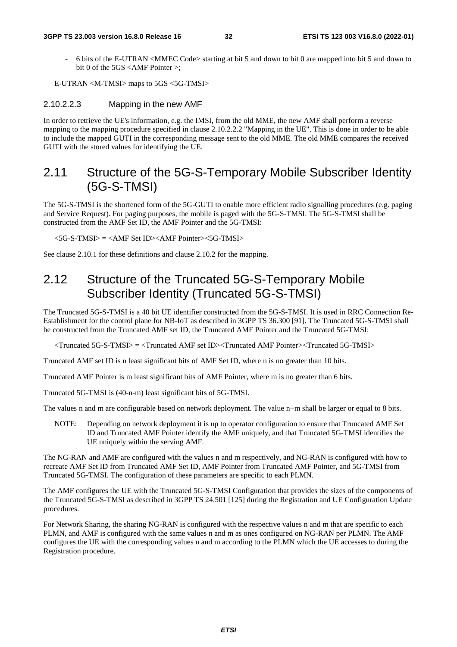- 6 bits of the E-UTRAN <MMEC Code> starting at bit 5 and down to bit 0 are mapped into bit 5 and down to bit 0 of the 5GS <AMF Pointer >;

E-UTRAN <M-TMSI> maps to 5GS <5G-TMSI>

#### 2.10.2.2.3 Mapping in the new AMF

In order to retrieve the UE's information, e.g. the IMSI, from the old MME, the new AMF shall perform a reverse mapping to the mapping procedure specified in clause 2.10.2.2.2 "Mapping in the UE". This is done in order to be able to include the mapped GUTI in the corresponding message sent to the old MME. The old MME compares the received GUTI with the stored values for identifying the UE.

### 2.11 Structure of the 5G-S-Temporary Mobile Subscriber Identity (5G-S-TMSI)

The 5G-S-TMSI is the shortened form of the 5G-GUTI to enable more efficient radio signalling procedures (e.g. paging and Service Request). For paging purposes, the mobile is paged with the 5G-S-TMSI. The 5G-S-TMSI shall be constructed from the AMF Set ID, the AMF Pointer and the 5G-TMSI:

 $<$ 5G-S-TMSI $>$  =  $<$ AMF Set ID $>$  $<$ AMF Pointer $>$  $<$ 5G-TMSI $>$ 

See clause 2.10.1 for these definitions and clause 2.10.2 for the mapping.

# 2.12 Structure of the Truncated 5G-S-Temporary Mobile Subscriber Identity (Truncated 5G-S-TMSI)

The Truncated 5G-S-TMSI is a 40 bit UE identifier constructed from the 5G-S-TMSI. It is used in RRC Connection Re-Establishment for the control plane for NB-IoT as described in 3GPP TS 36.300 [91]. The Truncated 5G-S-TMSI shall be constructed from the Truncated AMF set ID, the Truncated AMF Pointer and the Truncated 5G-TMSI:

<Truncated 5G-S-TMSI> = <Truncated AMF set ID><Truncated AMF Pointer><Truncated 5G-TMSI>

Truncated AMF set ID is n least significant bits of AMF Set ID, where n is no greater than 10 bits.

Truncated AMF Pointer is m least significant bits of AMF Pointer, where m is no greater than 6 bits.

Truncated 5G-TMSI is (40-n-m) least significant bits of 5G-TMSI.

The values n and m are configurable based on network deployment. The value n+m shall be larger or equal to 8 bits.

NOTE: Depending on network deployment it is up to operator configuration to ensure that Truncated AMF Set ID and Truncated AMF Pointer identify the AMF uniquely, and that Truncated 5G-TMSI identifies the UE uniquely within the serving AMF.

The NG-RAN and AMF are configured with the values n and m respectively, and NG-RAN is configured with how to recreate AMF Set ID from Truncated AMF Set ID, AMF Pointer from Truncated AMF Pointer, and 5G-TMSI from Truncated 5G-TMSI. The configuration of these parameters are specific to each PLMN.

The AMF configures the UE with the Truncated 5G-S-TMSI Configuration that provides the sizes of the components of the Truncated 5G-S-TMSI as described in 3GPP TS 24.501 [125] during the Registration and UE Configuration Update procedures.

For Network Sharing, the sharing NG-RAN is configured with the respective values n and m that are specific to each PLMN, and AMF is configured with the same values n and m as ones configured on NG-RAN per PLMN. The AMF configures the UE with the corresponding values n and m according to the PLMN which the UE accesses to during the Registration procedure.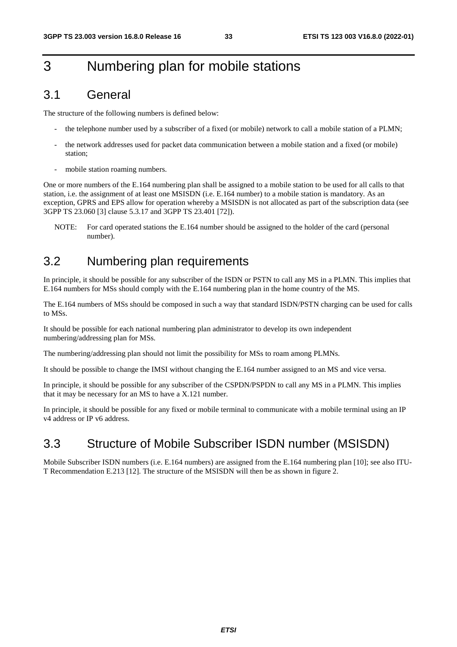# 3 Numbering plan for mobile stations

# 3.1 General

The structure of the following numbers is defined below:

- the telephone number used by a subscriber of a fixed (or mobile) network to call a mobile station of a PLMN;
- the network addresses used for packet data communication between a mobile station and a fixed (or mobile) station;
- mobile station roaming numbers.

One or more numbers of the E.164 numbering plan shall be assigned to a mobile station to be used for all calls to that station, i.e. the assignment of at least one MSISDN (i.e. E.164 number) to a mobile station is mandatory. As an exception, GPRS and EPS allow for operation whereby a MSISDN is not allocated as part of the subscription data (see 3GPP TS 23.060 [3] clause 5.3.17 and 3GPP TS 23.401 [72]).

NOTE: For card operated stations the E.164 number should be assigned to the holder of the card (personal number).

# 3.2 Numbering plan requirements

In principle, it should be possible for any subscriber of the ISDN or PSTN to call any MS in a PLMN. This implies that E.164 numbers for MSs should comply with the E.164 numbering plan in the home country of the MS.

The E.164 numbers of MSs should be composed in such a way that standard ISDN/PSTN charging can be used for calls to MSs.

It should be possible for each national numbering plan administrator to develop its own independent numbering/addressing plan for MSs.

The numbering/addressing plan should not limit the possibility for MSs to roam among PLMNs.

It should be possible to change the IMSI without changing the E.164 number assigned to an MS and vice versa.

In principle, it should be possible for any subscriber of the CSPDN/PSPDN to call any MS in a PLMN. This implies that it may be necessary for an MS to have a X.121 number.

In principle, it should be possible for any fixed or mobile terminal to communicate with a mobile terminal using an IP v4 address or IP v6 address.

# 3.3 Structure of Mobile Subscriber ISDN number (MSISDN)

Mobile Subscriber ISDN numbers (i.e. E.164 numbers) are assigned from the E.164 numbering plan [10]; see also ITU-T Recommendation E.213 [12]. The structure of the MSISDN will then be as shown in figure 2.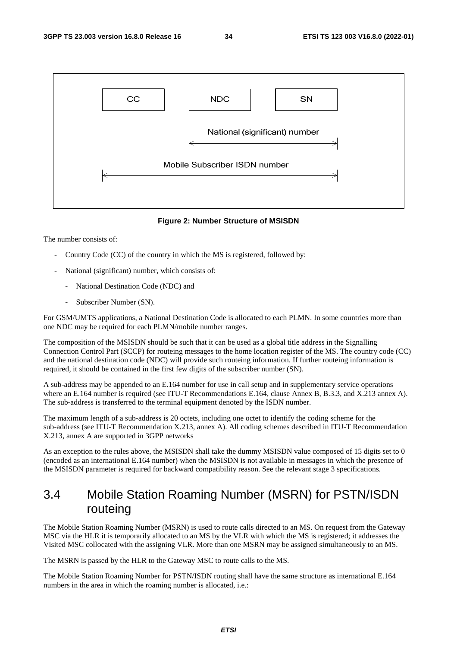

#### **Figure 2: Number Structure of MSISDN**

The number consists of:

- Country Code (CC) of the country in which the MS is registered, followed by:
- National (significant) number, which consists of:
	- National Destination Code (NDC) and
	- Subscriber Number (SN).

For GSM/UMTS applications, a National Destination Code is allocated to each PLMN. In some countries more than one NDC may be required for each PLMN/mobile number ranges.

The composition of the MSISDN should be such that it can be used as a global title address in the Signalling Connection Control Part (SCCP) for routeing messages to the home location register of the MS. The country code (CC) and the national destination code (NDC) will provide such routeing information. If further routeing information is required, it should be contained in the first few digits of the subscriber number (SN).

A sub-address may be appended to an E.164 number for use in call setup and in supplementary service operations where an E.164 number is required (see ITU-T Recommendations E.164, clause Annex B, B.3.3, and X.213 annex A). The sub-address is transferred to the terminal equipment denoted by the ISDN number.

The maximum length of a sub-address is 20 octets, including one octet to identify the coding scheme for the sub-address (see ITU-T Recommendation X.213, annex A). All coding schemes described in ITU-T Recommendation X.213, annex A are supported in 3GPP networks

As an exception to the rules above, the MSISDN shall take the dummy MSISDN value composed of 15 digits set to 0 (encoded as an international E.164 number) when the MSISDN is not available in messages in which the presence of the MSISDN parameter is required for backward compatibility reason. See the relevant stage 3 specifications.

# 3.4 Mobile Station Roaming Number (MSRN) for PSTN/ISDN routeing

The Mobile Station Roaming Number (MSRN) is used to route calls directed to an MS. On request from the Gateway MSC via the HLR it is temporarily allocated to an MS by the VLR with which the MS is registered; it addresses the Visited MSC collocated with the assigning VLR. More than one MSRN may be assigned simultaneously to an MS.

The MSRN is passed by the HLR to the Gateway MSC to route calls to the MS.

The Mobile Station Roaming Number for PSTN/ISDN routing shall have the same structure as international E.164 numbers in the area in which the roaming number is allocated, i.e.: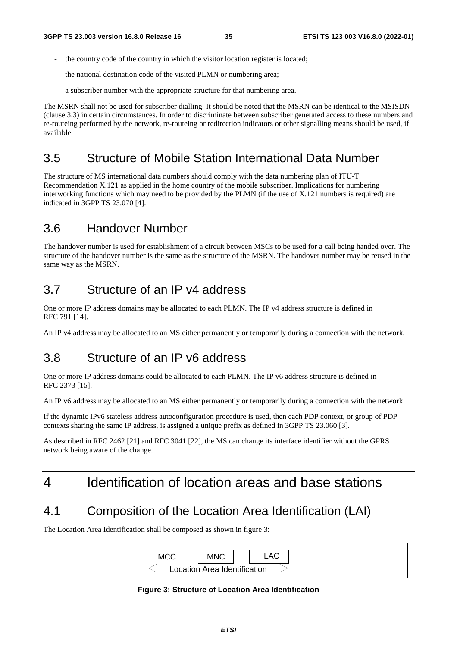- the country code of the country in which the visitor location register is located;
- the national destination code of the visited PLMN or numbering area;
- a subscriber number with the appropriate structure for that numbering area.

The MSRN shall not be used for subscriber dialling. It should be noted that the MSRN can be identical to the MSISDN (clause 3.3) in certain circumstances. In order to discriminate between subscriber generated access to these numbers and re-routeing performed by the network, re-routeing or redirection indicators or other signalling means should be used, if available.

# 3.5 Structure of Mobile Station International Data Number

The structure of MS international data numbers should comply with the data numbering plan of ITU-T Recommendation X.121 as applied in the home country of the mobile subscriber. Implications for numbering interworking functions which may need to be provided by the PLMN (if the use of X.121 numbers is required) are indicated in 3GPP TS 23.070 [4].

### 3.6 Handover Number

The handover number is used for establishment of a circuit between MSCs to be used for a call being handed over. The structure of the handover number is the same as the structure of the MSRN. The handover number may be reused in the same way as the MSRN.

# 3.7 Structure of an IP v4 address

One or more IP address domains may be allocated to each PLMN. The IP v4 address structure is defined in RFC 791 [14].

An IP v4 address may be allocated to an MS either permanently or temporarily during a connection with the network.

### 3.8 Structure of an IP v6 address

One or more IP address domains could be allocated to each PLMN. The IP v6 address structure is defined in RFC 2373 [15].

An IP v6 address may be allocated to an MS either permanently or temporarily during a connection with the network

If the dynamic IPv6 stateless address autoconfiguration procedure is used, then each PDP context, or group of PDP contexts sharing the same IP address, is assigned a unique prefix as defined in 3GPP TS 23.060 [3].

As described in RFC 2462 [21] and RFC 3041 [22], the MS can change its interface identifier without the GPRS network being aware of the change.

# 4 Identification of location areas and base stations

# 4.1 Composition of the Location Area Identification (LAI)

The Location Area Identification shall be composed as shown in figure 3:



#### **Figure 3: Structure of Location Area Identification**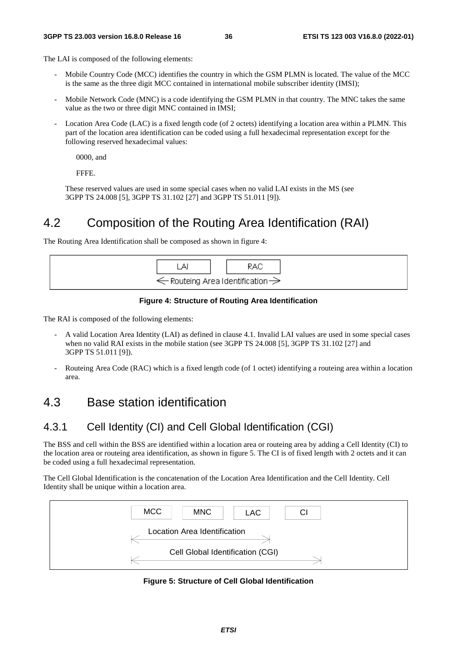The LAI is composed of the following elements:

- Mobile Country Code (MCC) identifies the country in which the GSM PLMN is located. The value of the MCC is the same as the three digit MCC contained in international mobile subscriber identity (IMSI);
- Mobile Network Code (MNC) is a code identifying the GSM PLMN in that country. The MNC takes the same value as the two or three digit MNC contained in IMSI;
- Location Area Code (LAC) is a fixed length code (of 2 octets) identifying a location area within a PLMN. This part of the location area identification can be coded using a full hexadecimal representation except for the following reserved hexadecimal values:

0000, and

FFFE.

 These reserved values are used in some special cases when no valid LAI exists in the MS (see 3GPP TS 24.008 [5], 3GPP TS 31.102 [27] and 3GPP TS 51.011 [9]).

## 4.2 Composition of the Routing Area Identification (RAI)

The Routing Area Identification shall be composed as shown in figure 4:

| А | RAC                                                     |
|---|---------------------------------------------------------|
|   | $\Leftarrow$ Routeing Area Identification $\Rightarrow$ |

#### **Figure 4: Structure of Routing Area Identification**

The RAI is composed of the following elements:

- A valid Location Area Identity (LAI) as defined in clause 4.1. Invalid LAI values are used in some special cases when no valid RAI exists in the mobile station (see 3GPP TS 24.008 [5], 3GPP TS 31.102 [27] and 3GPP TS 51.011 [9]).
- Routeing Area Code (RAC) which is a fixed length code (of 1 octet) identifying a routeing area within a location area.

## 4.3 Base station identification

#### 4.3.1 Cell Identity (CI) and Cell Global Identification (CGI)

The BSS and cell within the BSS are identified within a location area or routeing area by adding a Cell Identity (CI) to the location area or routeing area identification, as shown in figure 5. The CI is of fixed length with 2 octets and it can be coded using a full hexadecimal representation.

The Cell Global Identification is the concatenation of the Location Area Identification and the Cell Identity. Cell Identity shall be unique within a location area.



**Figure 5: Structure of Cell Global Identification**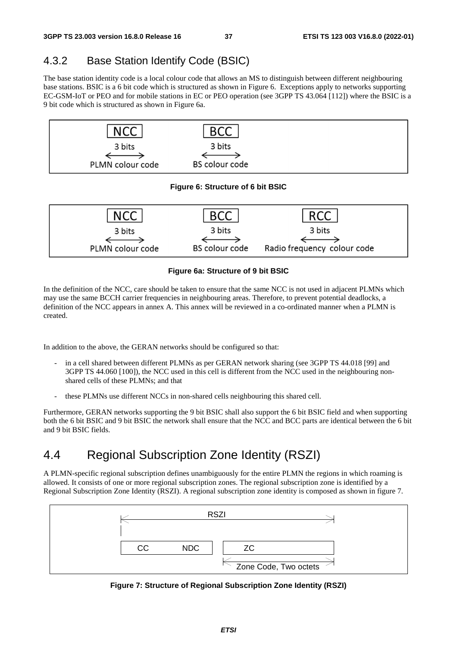## 4.3.2 Base Station Identify Code (BSIC)

The base station identity code is a local colour code that allows an MS to distinguish between different neighbouring base stations. BSIC is a 6 bit code which is structured as shown in Figure 6. Exceptions apply to networks supporting EC-GSM-IoT or PEO and for mobile stations in EC or PEO operation (see 3GPP TS 43.064 [112]) where the BSIC is a 9 bit code which is structured as shown in Figure 6a.



#### **Figure 6a: Structure of 9 bit BSIC**

In the definition of the NCC, care should be taken to ensure that the same NCC is not used in adjacent PLMNs which may use the same BCCH carrier frequencies in neighbouring areas. Therefore, to prevent potential deadlocks, a definition of the NCC appears in annex A. This annex will be reviewed in a co-ordinated manner when a PLMN is created.

In addition to the above, the GERAN networks should be configured so that:

- in a cell shared between different PLMNs as per GERAN network sharing (see 3GPP TS 44.018 [99] and 3GPP TS 44.060 [100]), the NCC used in this cell is different from the NCC used in the neighbouring nonshared cells of these PLMNs; and that
- these PLMNs use different NCCs in non-shared cells neighbouring this shared cell.

Furthermore, GERAN networks supporting the 9 bit BSIC shall also support the 6 bit BSIC field and when supporting both the 6 bit BSIC and 9 bit BSIC the network shall ensure that the NCC and BCC parts are identical between the 6 bit and 9 bit BSIC fields.

# 4.4 Regional Subscription Zone Identity (RSZI)

A PLMN-specific regional subscription defines unambiguously for the entire PLMN the regions in which roaming is allowed. It consists of one or more regional subscription zones. The regional subscription zone is identified by a Regional Subscription Zone Identity (RSZI). A regional subscription zone identity is composed as shown in figure 7.



**Figure 7: Structure of Regional Subscription Zone Identity (RSZI)**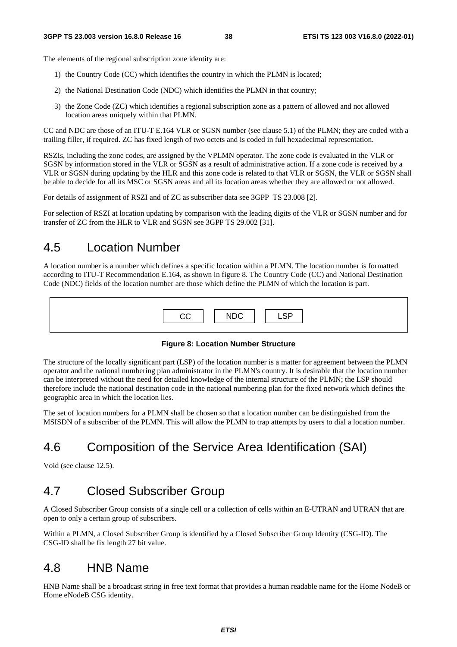The elements of the regional subscription zone identity are:

- 1) the Country Code (CC) which identifies the country in which the PLMN is located;
- 2) the National Destination Code (NDC) which identifies the PLMN in that country;
- 3) the Zone Code (ZC) which identifies a regional subscription zone as a pattern of allowed and not allowed location areas uniquely within that PLMN.

CC and NDC are those of an ITU-T E.164 VLR or SGSN number (see clause 5.1) of the PLMN; they are coded with a trailing filler, if required. ZC has fixed length of two octets and is coded in full hexadecimal representation.

RSZIs, including the zone codes, are assigned by the VPLMN operator. The zone code is evaluated in the VLR or SGSN by information stored in the VLR or SGSN as a result of administrative action. If a zone code is received by a VLR or SGSN during updating by the HLR and this zone code is related to that VLR or SGSN, the VLR or SGSN shall be able to decide for all its MSC or SGSN areas and all its location areas whether they are allowed or not allowed.

For details of assignment of RSZI and of ZC as subscriber data see 3GPP TS 23.008 [2].

For selection of RSZI at location updating by comparison with the leading digits of the VLR or SGSN number and for transfer of ZC from the HLR to VLR and SGSN see 3GPP TS 29.002 [31].

## 4.5 Location Number

A location number is a number which defines a specific location within a PLMN. The location number is formatted according to ITU-T Recommendation E.164, as shown in figure 8. The Country Code (CC) and National Destination Code (NDC) fields of the location number are those which define the PLMN of which the location is part.

| CC | <b>NDC</b> | <b>LSP</b> |
|----|------------|------------|
|    |            |            |

#### **Figure 8: Location Number Structure**

The structure of the locally significant part (LSP) of the location number is a matter for agreement between the PLMN operator and the national numbering plan administrator in the PLMN's country. It is desirable that the location number can be interpreted without the need for detailed knowledge of the internal structure of the PLMN; the LSP should therefore include the national destination code in the national numbering plan for the fixed network which defines the geographic area in which the location lies.

The set of location numbers for a PLMN shall be chosen so that a location number can be distinguished from the MSISDN of a subscriber of the PLMN. This will allow the PLMN to trap attempts by users to dial a location number.

# 4.6 Composition of the Service Area Identification (SAI)

Void (see clause 12.5).

## 4.7 Closed Subscriber Group

A Closed Subscriber Group consists of a single cell or a collection of cells within an E-UTRAN and UTRAN that are open to only a certain group of subscribers.

Within a PLMN, a Closed Subscriber Group is identified by a Closed Subscriber Group Identity (CSG-ID). The CSG-ID shall be fix length 27 bit value.

#### 4.8 HNB Name

HNB Name shall be a broadcast string in free text format that provides a human readable name for the Home NodeB or Home eNodeB CSG identity.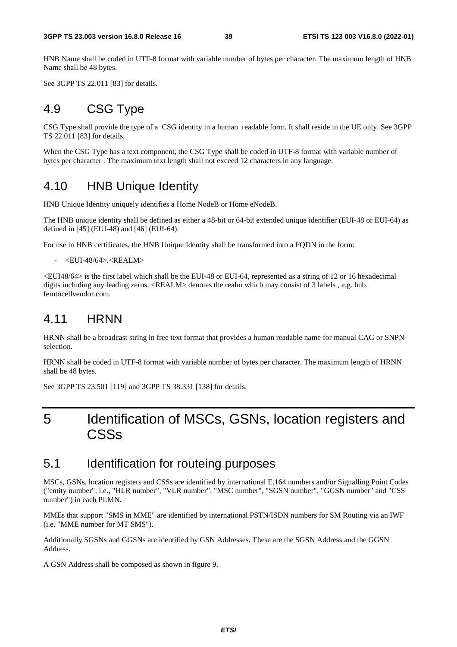HNB Name shall be coded in UTF-8 format with variable number of bytes per character. The maximum length of HNB Name shall be 48 bytes.

See 3GPP TS 22.011 [83] for details.

### 4.9 CSG Type

CSG Type shall provide the type of a CSG identity in a human readable form. It shall reside in the UE only. See 3GPP TS 22.011 [83] for details.

When the CSG Type has a text component, the CSG Type shall be coded in UTF-8 format with variable number of bytes per character . The maximum text length shall not exceed 12 characters in any language.

## 4.10 HNB Unique Identity

HNB Unique Identity uniquely identifies a Home NodeB or Home eNodeB.

The HNB unique identity shall be defined as either a 48-bit or 64-bit extended unique identifier (EUI-48 or EUI-64) as defined in [45] (EUI-48) and [46] (EUI-64).

For use in HNB certificates, the HNB Unique Identity shall be transformed into a FQDN in the form:

- <EUI-48/64>.<REALM>

<EUI48/64> is the first label which shall be the EUI-48 or EUI-64, represented as a string of 12 or 16 hexadecimal digits including any leading zeros. <REALM> denotes the realm which may consist of 3 labels , e.g. hnb. femtocellvendor.com.

## 4.11 HRNN

HRNN shall be a broadcast string in free text format that provides a human readable name for manual CAG or SNPN selection.

HRNN shall be coded in UTF-8 format with variable number of bytes per character. The maximum length of HRNN shall be 48 bytes.

See 3GPP TS 23.501 [119] and 3GPP TS 38.331 [138] for details.

# 5 Identification of MSCs, GSNs, location registers and CSSs

#### 5.1 Identification for routeing purposes

MSCs, GSNs, location registers and CSSs are identified by international E.164 numbers and/or Signalling Point Codes ("entity number", i.e., "HLR number", "VLR number", "MSC number", "SGSN number", "GGSN number" and "CSS number") in each PLMN.

MMEs that support "SMS in MME" are identified by international PSTN/ISDN numbers for SM Routing via an IWF (i.e. "MME number for MT SMS").

Additionally SGSNs and GGSNs are identified by GSN Addresses. These are the SGSN Address and the GGSN Address.

A GSN Address shall be composed as shown in figure 9.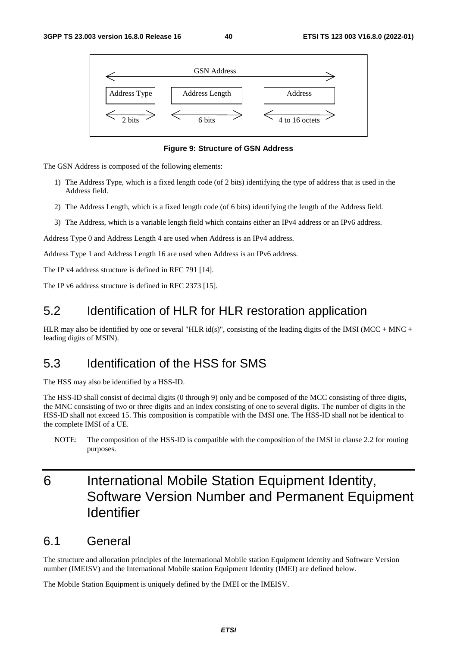



The GSN Address is composed of the following elements:

- 1) The Address Type, which is a fixed length code (of 2 bits) identifying the type of address that is used in the Address field.
- 2) The Address Length, which is a fixed length code (of 6 bits) identifying the length of the Address field.
- 3) The Address, which is a variable length field which contains either an IPv4 address or an IPv6 address.

Address Type 0 and Address Length 4 are used when Address is an IPv4 address.

Address Type 1 and Address Length 16 are used when Address is an IPv6 address.

The IP v4 address structure is defined in RFC 791 [14].

The IP v6 address structure is defined in RFC 2373 [15].

## 5.2 Identification of HLR for HLR restoration application

HLR may also be identified by one or several "HLR id(s)", consisting of the leading digits of the IMSI (MCC + MNC + leading digits of MSIN).

## 5.3 Identification of the HSS for SMS

The HSS may also be identified by a HSS-ID.

The HSS-ID shall consist of decimal digits (0 through 9) only and be composed of the MCC consisting of three digits, the MNC consisting of two or three digits and an index consisting of one to several digits. The number of digits in the HSS-ID shall not exceed 15. This composition is compatible with the IMSI one. The HSS-ID shall not be identical to the complete IMSI of a UE.

NOTE: The composition of the HSS-ID is compatible with the composition of the IMSI in clause 2.2 for routing purposes.

# 6 International Mobile Station Equipment Identity, Software Version Number and Permanent Equipment Identifier

#### 6.1 General

The structure and allocation principles of the International Mobile station Equipment Identity and Software Version number (IMEISV) and the International Mobile station Equipment Identity (IMEI) are defined below.

The Mobile Station Equipment is uniquely defined by the IMEI or the IMEISV.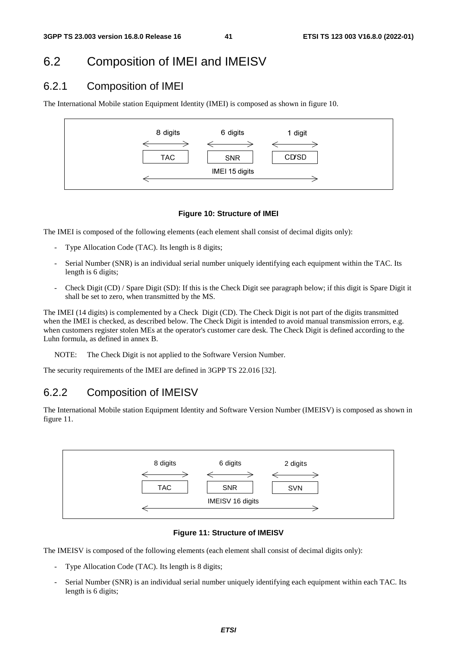## 6.2 Composition of IMEI and IMEISV

#### 6.2.1 Composition of IMEI

The International Mobile station Equipment Identity (IMEI) is composed as shown in figure 10.



#### **Figure 10: Structure of IMEI**

The IMEI is composed of the following elements (each element shall consist of decimal digits only):

- Type Allocation Code (TAC). Its length is 8 digits;
- Serial Number (SNR) is an individual serial number uniquely identifying each equipment within the TAC. Its length is 6 digits;
- Check Digit (CD) / Spare Digit (SD): If this is the Check Digit see paragraph below; if this digit is Spare Digit it shall be set to zero, when transmitted by the MS.

The IMEI (14 digits) is complemented by a Check Digit (CD). The Check Digit is not part of the digits transmitted when the IMEI is checked, as described below. The Check Digit is intended to avoid manual transmission errors, e.g. when customers register stolen MEs at the operator's customer care desk. The Check Digit is defined according to the Luhn formula, as defined in annex B.

NOTE: The Check Digit is not applied to the Software Version Number.

The security requirements of the IMEI are defined in 3GPP TS 22.016 [32].

#### 6.2.2 Composition of IMEISV

The International Mobile station Equipment Identity and Software Version Number (IMEISV) is composed as shown in figure 11.



#### **Figure 11: Structure of IMEISV**

The IMEISV is composed of the following elements (each element shall consist of decimal digits only):

- Type Allocation Code (TAC). Its length is 8 digits;
- Serial Number (SNR) is an individual serial number uniquely identifying each equipment within each TAC. Its length is 6 digits;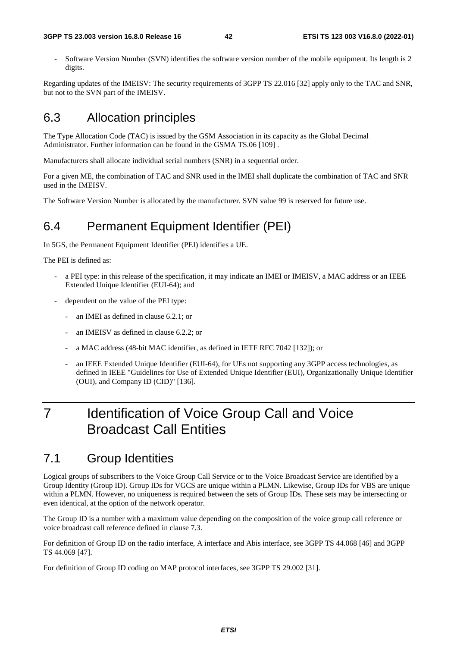#### **3GPP TS 23.003 version 16.8.0 Release 16 42 ETSI TS 123 003 V16.8.0 (2022-01)**

Software Version Number (SVN) identifies the software version number of the mobile equipment. Its length is 2 digits.

Regarding updates of the IMEISV: The security requirements of 3GPP TS 22.016 [32] apply only to the TAC and SNR, but not to the SVN part of the IMEISV.

## 6.3 Allocation principles

The Type Allocation Code (TAC) is issued by the GSM Association in its capacity as the Global Decimal Administrator. Further information can be found in the GSMA TS.06 [109] .

Manufacturers shall allocate individual serial numbers (SNR) in a sequential order.

For a given ME, the combination of TAC and SNR used in the IMEI shall duplicate the combination of TAC and SNR used in the IMEISV.

The Software Version Number is allocated by the manufacturer. SVN value 99 is reserved for future use.

# 6.4 Permanent Equipment Identifier (PEI)

In 5GS, the Permanent Equipment Identifier (PEI) identifies a UE.

The PEI is defined as:

- a PEI type: in this release of the specification, it may indicate an IMEI or IMEISV, a MAC address or an IEEE Extended Unique Identifier (EUI-64); and
- dependent on the value of the PEI type:
	- an IMEI as defined in clause 6.2.1; or
	- an IMEISV as defined in clause 6.2.2; or
	- a MAC address (48-bit MAC identifier, as defined in IETF RFC 7042 [132]); or
	- an IEEE Extended Unique Identifier (EUI-64), for UEs not supporting any 3GPP access technologies, as defined in IEEE "Guidelines for Use of Extended Unique Identifier (EUI), Organizationally Unique Identifier (OUI), and Company ID (CID)" [136].

# 7 Identification of Voice Group Call and Voice Broadcast Call Entities

## 7.1 Group Identities

Logical groups of subscribers to the Voice Group Call Service or to the Voice Broadcast Service are identified by a Group Identity (Group ID). Group IDs for VGCS are unique within a PLMN. Likewise, Group IDs for VBS are unique within a PLMN. However, no uniqueness is required between the sets of Group IDs. These sets may be intersecting or even identical, at the option of the network operator.

The Group ID is a number with a maximum value depending on the composition of the voice group call reference or voice broadcast call reference defined in clause 7.3.

For definition of Group ID on the radio interface, A interface and Abis interface, see 3GPP TS 44.068 [46] and 3GPP TS 44.069 [47].

For definition of Group ID coding on MAP protocol interfaces, see 3GPP TS 29.002 [31].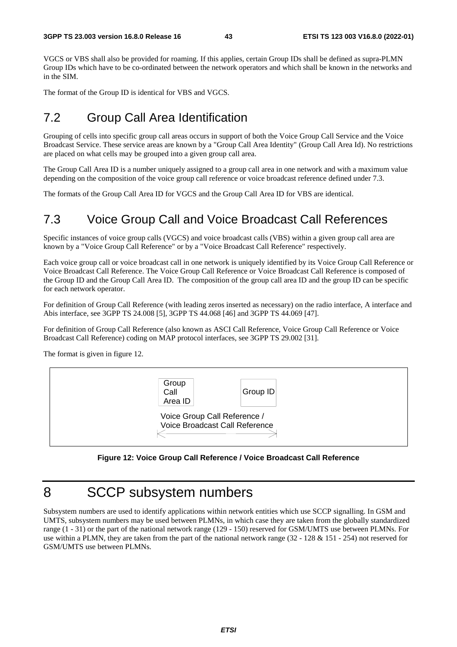VGCS or VBS shall also be provided for roaming. If this applies, certain Group IDs shall be defined as supra-PLMN Group IDs which have to be co-ordinated between the network operators and which shall be known in the networks and in the SIM.

The format of the Group ID is identical for VBS and VGCS.

# 7.2 Group Call Area Identification

Grouping of cells into specific group call areas occurs in support of both the Voice Group Call Service and the Voice Broadcast Service. These service areas are known by a "Group Call Area Identity" (Group Call Area Id). No restrictions are placed on what cells may be grouped into a given group call area.

The Group Call Area ID is a number uniquely assigned to a group call area in one network and with a maximum value depending on the composition of the voice group call reference or voice broadcast reference defined under 7.3.

The formats of the Group Call Area ID for VGCS and the Group Call Area ID for VBS are identical.

# 7.3 Voice Group Call and Voice Broadcast Call References

Specific instances of voice group calls (VGCS) and voice broadcast calls (VBS) within a given group call area are known by a "Voice Group Call Reference" or by a "Voice Broadcast Call Reference" respectively.

Each voice group call or voice broadcast call in one network is uniquely identified by its Voice Group Call Reference or Voice Broadcast Call Reference. The Voice Group Call Reference or Voice Broadcast Call Reference is composed of the Group ID and the Group Call Area ID. The composition of the group call area ID and the group ID can be specific for each network operator.

For definition of Group Call Reference (with leading zeros inserted as necessary) on the radio interface, A interface and Abis interface, see 3GPP TS 24.008 [5], 3GPP TS 44.068 [46] and 3GPP TS 44.069 [47].

For definition of Group Call Reference (also known as ASCI Call Reference, Voice Group Call Reference or Voice Broadcast Call Reference) coding on MAP protocol interfaces, see 3GPP TS 29.002 [31].

The format is given in figure 12.



#### **Figure 12: Voice Group Call Reference / Voice Broadcast Call Reference**

# 8 SCCP subsystem numbers

Subsystem numbers are used to identify applications within network entities which use SCCP signalling. In GSM and UMTS, subsystem numbers may be used between PLMNs, in which case they are taken from the globally standardized range (1 - 31) or the part of the national network range (129 - 150) reserved for GSM/UMTS use between PLMNs. For use within a PLMN, they are taken from the part of the national network range (32 - 128 & 151 - 254) not reserved for GSM/UMTS use between PLMNs.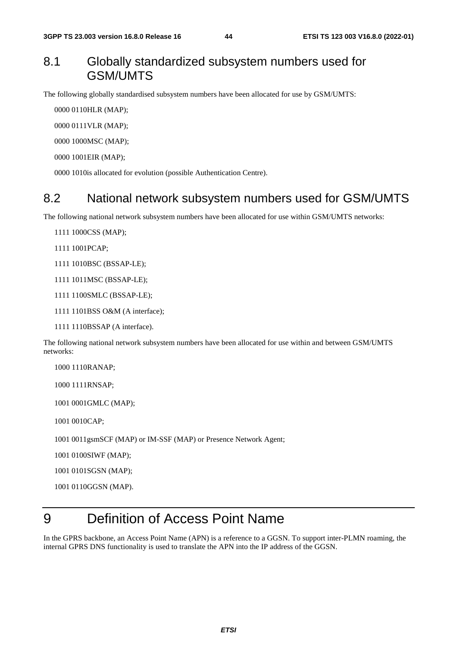## 8.1 Globally standardized subsystem numbers used for GSM/UMTS

The following globally standardised subsystem numbers have been allocated for use by GSM/UMTS:

0000 0110 HLR (MAP);

0000 0111 VLR (MAP);

0000 1000 MSC (MAP);

0000 1001 EIR (MAP);

0000 1010 is allocated for evolution (possible Authentication Centre).

#### 8.2 National network subsystem numbers used for GSM/UMTS

The following national network subsystem numbers have been allocated for use within GSM/UMTS networks:

1111 1000CSS (MAP);

1111 1001 PCAP;

1111 1010BSC (BSSAP-LE);

1111 1011 MSC (BSSAP-LE);

1111 1100 SMLC (BSSAP-LE);

1111 1101 BSS O&M (A interface);

1111 1110 BSSAP (A interface).

The following national network subsystem numbers have been allocated for use within and between GSM/UMTS networks:

1000 1110 RANAP:

1000 1111 RNSAP;

1001 0001 GMLC (MAP);

1001 0010 CAP;

1001 0011 gsmSCF (MAP) or IM-SSF (MAP) or Presence Network Agent;

1001 0100 SIWF (MAP);

1001 0101 SGSN (MAP);

1001 0110 GGSN (MAP).

# 9 Definition of Access Point Name

In the GPRS backbone, an Access Point Name (APN) is a reference to a GGSN. To support inter-PLMN roaming, the internal GPRS DNS functionality is used to translate the APN into the IP address of the GGSN.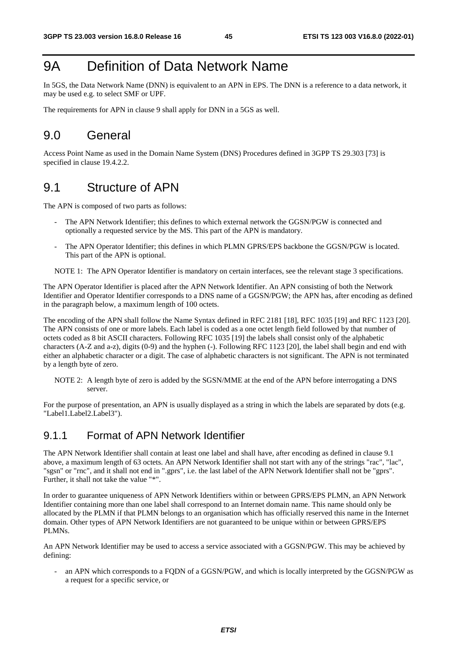# 9A Definition of Data Network Name

In 5GS, the Data Network Name (DNN) is equivalent to an APN in EPS. The DNN is a reference to a data network, it may be used e.g. to select SMF or UPF.

The requirements for APN in clause 9 shall apply for DNN in a 5GS as well.

# 9.0 General

Access Point Name as used in the Domain Name System (DNS) Procedures defined in 3GPP TS 29.303 [73] is specified in clause 19.4.2.2.

## 9.1 Structure of APN

The APN is composed of two parts as follows:

- The APN Network Identifier; this defines to which external network the GGSN/PGW is connected and optionally a requested service by the MS. This part of the APN is mandatory.
- The APN Operator Identifier; this defines in which PLMN GPRS/EPS backbone the GGSN/PGW is located. This part of the APN is optional.

NOTE 1: The APN Operator Identifier is mandatory on certain interfaces, see the relevant stage 3 specifications.

The APN Operator Identifier is placed after the APN Network Identifier. An APN consisting of both the Network Identifier and Operator Identifier corresponds to a DNS name of a GGSN/PGW; the APN has, after encoding as defined in the paragraph below, a maximum length of 100 octets.

The encoding of the APN shall follow the Name Syntax defined in RFC 2181 [18], RFC 1035 [19] and RFC 1123 [20]. The APN consists of one or more labels. Each label is coded as a one octet length field followed by that number of octets coded as 8 bit ASCII characters. Following RFC 1035 [19] the labels shall consist only of the alphabetic characters (A-Z and a-z), digits (0-9) and the hyphen (-). Following RFC 1123 [20], the label shall begin and end with either an alphabetic character or a digit. The case of alphabetic characters is not significant. The APN is not terminated by a length byte of zero.

NOTE 2: A length byte of zero is added by the SGSN/MME at the end of the APN before interrogating a DNS server.

For the purpose of presentation, an APN is usually displayed as a string in which the labels are separated by dots (e.g. "Label1.Label2.Label3").

#### 9.1.1 Format of APN Network Identifier

The APN Network Identifier shall contain at least one label and shall have, after encoding as defined in clause 9.1 above, a maximum length of 63 octets. An APN Network Identifier shall not start with any of the strings "rac", "lac", "sgsn" or "rnc", and it shall not end in ".gprs", i.e. the last label of the APN Network Identifier shall not be "gprs". Further, it shall not take the value "\*".

In order to guarantee uniqueness of APN Network Identifiers within or between GPRS/EPS PLMN, an APN Network Identifier containing more than one label shall correspond to an Internet domain name. This name should only be allocated by the PLMN if that PLMN belongs to an organisation which has officially reserved this name in the Internet domain. Other types of APN Network Identifiers are not guaranteed to be unique within or between GPRS/EPS PLMNs.

An APN Network Identifier may be used to access a service associated with a GGSN/PGW. This may be achieved by defining:

- an APN which corresponds to a FQDN of a GGSN/PGW, and which is locally interpreted by the GGSN/PGW as a request for a specific service, or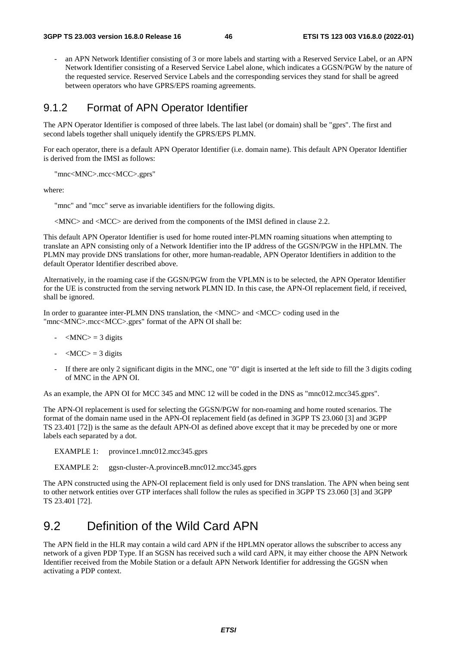an APN Network Identifier consisting of 3 or more labels and starting with a Reserved Service Label, or an APN Network Identifier consisting of a Reserved Service Label alone, which indicates a GGSN/PGW by the nature of the requested service. Reserved Service Labels and the corresponding services they stand for shall be agreed between operators who have GPRS/EPS roaming agreements.

#### 9.1.2 Format of APN Operator Identifier

The APN Operator Identifier is composed of three labels. The last label (or domain) shall be "gprs". The first and second labels together shall uniquely identify the GPRS/EPS PLMN.

For each operator, there is a default APN Operator Identifier (i.e. domain name). This default APN Operator Identifier is derived from the IMSI as follows:

"mnc<MNC>.mcc<MCC>.gprs"

where:

"mnc" and "mcc" serve as invariable identifiers for the following digits.

<MNC> and <MCC> are derived from the components of the IMSI defined in clause 2.2.

This default APN Operator Identifier is used for home routed inter-PLMN roaming situations when attempting to translate an APN consisting only of a Network Identifier into the IP address of the GGSN/PGW in the HPLMN. The PLMN may provide DNS translations for other, more human-readable, APN Operator Identifiers in addition to the default Operator Identifier described above.

Alternatively, in the roaming case if the GGSN/PGW from the VPLMN is to be selected, the APN Operator Identifier for the UE is constructed from the serving network PLMN ID. In this case, the APN-OI replacement field, if received, shall be ignored.

In order to guarantee inter-PLMN DNS translation, the <MNC> and <MCC> coding used in the "mnc<MNC>.mcc<MCC>.gprs" format of the APN OI shall be:

- $-MNC$  = 3 digits
- $-MCC$  = 3 digits
- If there are only 2 significant digits in the MNC, one "0" digit is inserted at the left side to fill the 3 digits coding of MNC in the APN OI.

As an example, the APN OI for MCC 345 and MNC 12 will be coded in the DNS as "mnc012.mcc345.gprs".

The APN-OI replacement is used for selecting the GGSN/PGW for non-roaming and home routed scenarios. The format of the domain name used in the APN-OI replacement field (as defined in 3GPP TS 23.060 [3] and 3GPP TS 23.401 [72]) is the same as the default APN-OI as defined above except that it may be preceded by one or more labels each separated by a dot.

EXAMPLE 1: province1.mnc012.mcc345.gprs

EXAMPLE 2: ggsn-cluster-A.provinceB.mnc012.mcc345.gprs

The APN constructed using the APN-OI replacement field is only used for DNS translation. The APN when being sent to other network entities over GTP interfaces shall follow the rules as specified in 3GPP TS 23.060 [3] and 3GPP TS 23.401 [72].

### 9.2 Definition of the Wild Card APN

The APN field in the HLR may contain a wild card APN if the HPLMN operator allows the subscriber to access any network of a given PDP Type. If an SGSN has received such a wild card APN, it may either choose the APN Network Identifier received from the Mobile Station or a default APN Network Identifier for addressing the GGSN when activating a PDP context.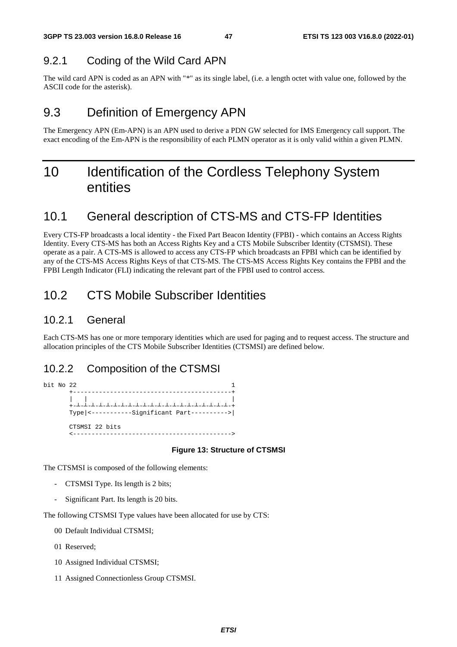## 9.2.1 Coding of the Wild Card APN

The wild card APN is coded as an APN with "\*" as its single label, (i.e. a length octet with value one, followed by the ASCII code for the asterisk).

# 9.3 Definition of Emergency APN

The Emergency APN (Em-APN) is an APN used to derive a PDN GW selected for IMS Emergency call support. The exact encoding of the Em-APN is the responsibility of each PLMN operator as it is only valid within a given PLMN.

# 10 Identification of the Cordless Telephony System entities

# 10.1 General description of CTS-MS and CTS-FP Identities

Every CTS-FP broadcasts a local identity - the Fixed Part Beacon Identity (FPBI) - which contains an Access Rights Identity. Every CTS-MS has both an Access Rights Key and a CTS Mobile Subscriber Identity (CTSMSI). These operate as a pair. A CTS-MS is allowed to access any CTS-FP which broadcasts an FPBI which can be identified by any of the CTS-MS Access Rights Keys of that CTS-MS. The CTS-MS Access Rights Key contains the FPBI and the FPBI Length Indicator (FLI) indicating the relevant part of the FPBI used to control access.

# 10.2 CTS Mobile Subscriber Identities

#### 10.2.1 General

Each CTS-MS has one or more temporary identities which are used for paging and to request access. The structure and allocation principles of the CTS Mobile Subscriber Identities (CTSMSI) are defined below.

## 10.2.2 Composition of the CTSMSI

bit No  $22$  1 +-------------------------------------------+ | | |  $+$ ┴-┴-┴-┴-┴-┴-┴-┴-┴-┴-┴-┴-┴-┴-┴-┴-┴-┴-┴-┴-┴-+ Type|<-----------Significant Part---------->| CTSMSI 22 bits <------------------------------------------->

#### **Figure 13: Structure of CTSMSI**

The CTSMSI is composed of the following elements:

- CTSMSI Type. Its length is 2 bits;
- Significant Part. Its length is 20 bits.

The following CTSMSI Type values have been allocated for use by CTS:

- 00 Default Individual CTSMSI;
- 01 Reserved;
- 10 Assigned Individual CTSMSI;
- 11 Assigned Connectionless Group CTSMSI.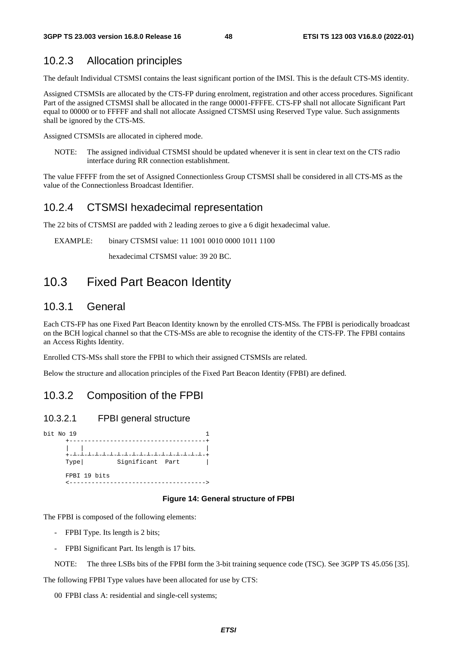#### 10.2.3 Allocation principles

The default Individual CTSMSI contains the least significant portion of the IMSI. This is the default CTS-MS identity.

Assigned CTSMSIs are allocated by the CTS-FP during enrolment, registration and other access procedures. Significant Part of the assigned CTSMSI shall be allocated in the range 00001-FFFFE. CTS-FP shall not allocate Significant Part equal to 00000 or to FFFFF and shall not allocate Assigned CTSMSI using Reserved Type value. Such assignments shall be ignored by the CTS-MS.

Assigned CTSMSIs are allocated in ciphered mode.

NOTE: The assigned individual CTSMSI should be updated whenever it is sent in clear text on the CTS radio interface during RR connection establishment.

The value FFFFF from the set of Assigned Connectionless Group CTSMSI shall be considered in all CTS-MS as the value of the Connectionless Broadcast Identifier.

#### 10.2.4 CTSMSI hexadecimal representation

The 22 bits of CTSMSI are padded with 2 leading zeroes to give a 6 digit hexadecimal value.

EXAMPLE: binary CTSMSI value: 11 1001 0010 0000 1011 1100

hexadecimal CTSMSI value: 39 20 BC.

## 10.3 Fixed Part Beacon Identity

#### 10.3.1 General

Each CTS-FP has one Fixed Part Beacon Identity known by the enrolled CTS-MSs. The FPBI is periodically broadcast on the BCH logical channel so that the CTS-MSs are able to recognise the identity of the CTS-FP. The FPBI contains an Access Rights Identity.

Enrolled CTS-MSs shall store the FPBI to which their assigned CTSMSIs are related.

Below the structure and allocation principles of the Fixed Part Beacon Identity (FPBI) are defined.

#### 10.3.2 Composition of the FPBI

#### 10.3.2.1 FPBI general structure



#### **Figure 14: General structure of FPBI**

The FPBI is composed of the following elements:

- FPBI Type. Its length is 2 bits;
- FPBI Significant Part. Its length is 17 bits.

NOTE: The three LSBs bits of the FPBI form the 3-bit training sequence code (TSC). See 3GPP TS 45.056 [35].

The following FPBI Type values have been allocated for use by CTS:

00 FPBI class A: residential and single-cell systems;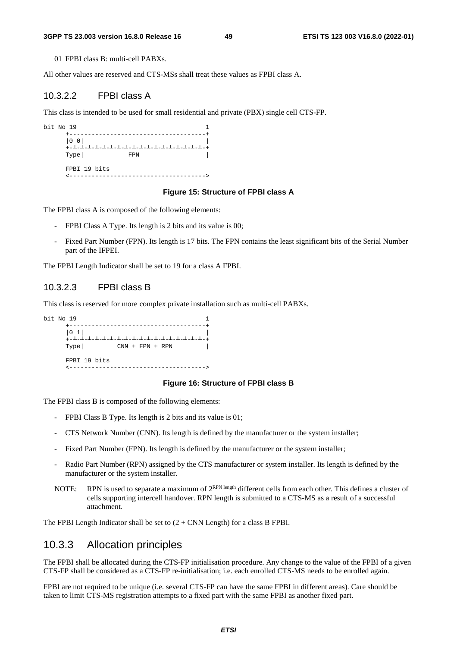01 FPBI class B: multi-cell PABXs.

All other values are reserved and CTS-MSs shall treat these values as FPBI class A.

#### 10.3.2.2 FPBI class A

This class is intended to be used for small residential and private (PBX) single cell CTS-FP.

| bit No 19 |                                       |                    |  |
|-----------|---------------------------------------|--------------------|--|
|           | $\begin{vmatrix} 0 & 0 \end{vmatrix}$ | ----------<br>╎┙╺╵ |  |
|           | Type                                  | FPN                |  |
|           | FPBI 19 bits                          |                    |  |

#### **Figure 15: Structure of FPBI class A**

The FPBI class A is composed of the following elements:

- FPBI Class A Type. Its length is 2 bits and its value is 00;
- Fixed Part Number (FPN). Its length is 17 bits. The FPN contains the least significant bits of the Serial Number part of the IFPEI.

The FPBI Length Indicator shall be set to 19 for a class A FPBI.

#### 10.3.2.3 FPBI class B

This class is reserved for more complex private installation such as multi-cell PABXs.



#### **Figure 16: Structure of FPBI class B**

The FPBI class B is composed of the following elements:

- FPBI Class B Type. Its length is 2 bits and its value is 01;
- CTS Network Number (CNN). Its length is defined by the manufacturer or the system installer;
- Fixed Part Number (FPN). Its length is defined by the manufacturer or the system installer;
- Radio Part Number (RPN) assigned by the CTS manufacturer or system installer. Its length is defined by the manufacturer or the system installer.
- NOTE: RPN is used to separate a maximum of  $2^{RPN \text{ length}}$  different cells from each other. This defines a cluster of cells supporting intercell handover. RPN length is submitted to a CTS-MS as a result of a successful attachment.

The FPBI Length Indicator shall be set to  $(2 + CNN$  Length) for a class B FPBI.

#### 10.3.3 Allocation principles

The FPBI shall be allocated during the CTS-FP initialisation procedure. Any change to the value of the FPBI of a given CTS-FP shall be considered as a CTS-FP re-initialisation; i.e. each enrolled CTS-MS needs to be enrolled again.

FPBI are not required to be unique (i.e. several CTS-FP can have the same FPBI in different areas). Care should be taken to limit CTS-MS registration attempts to a fixed part with the same FPBI as another fixed part.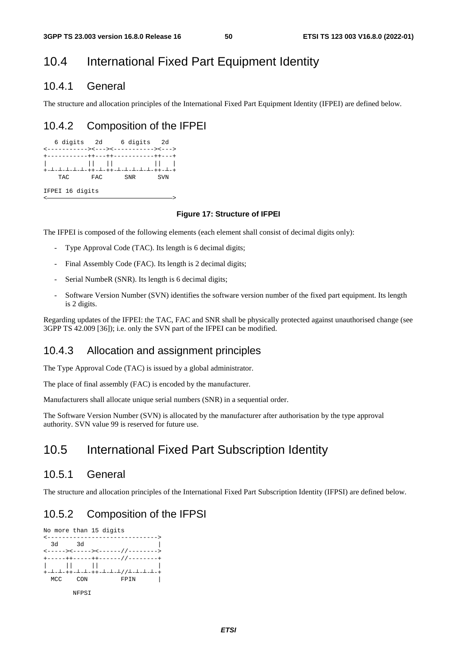# 10.4 International Fixed Part Equipment Identity

#### 10.4.1 General

The structure and allocation principles of the International Fixed Part Equipment Identity (IFPEI) are defined below.

#### 10.4.2 Composition of the IFPEI



#### **Figure 17: Structure of IFPEI**

The IFPEI is composed of the following elements (each element shall consist of decimal digits only):

- Type Approval Code (TAC). Its length is 6 decimal digits;
- Final Assembly Code (FAC). Its length is 2 decimal digits;
- Serial NumbeR (SNR). Its length is 6 decimal digits;
- Software Version Number (SVN) identifies the software version number of the fixed part equipment. Its length is 2 digits.

Regarding updates of the IFPEI: the TAC, FAC and SNR shall be physically protected against unauthorised change (see 3GPP TS 42.009 [36]); i.e. only the SVN part of the IFPEI can be modified.

#### 10.4.3 Allocation and assignment principles

The Type Approval Code (TAC) is issued by a global administrator.

The place of final assembly (FAC) is encoded by the manufacturer.

Manufacturers shall allocate unique serial numbers (SNR) in a sequential order.

The Software Version Number (SVN) is allocated by the manufacturer after authorisation by the type approval authority. SVN value 99 is reserved for future use.

## 10.5 International Fixed Part Subscription Identity

#### 10.5.1 General

The structure and allocation principles of the International Fixed Part Subscription Identity (IFPSI) are defined below.

#### 10.5.2 Composition of the IFPSI

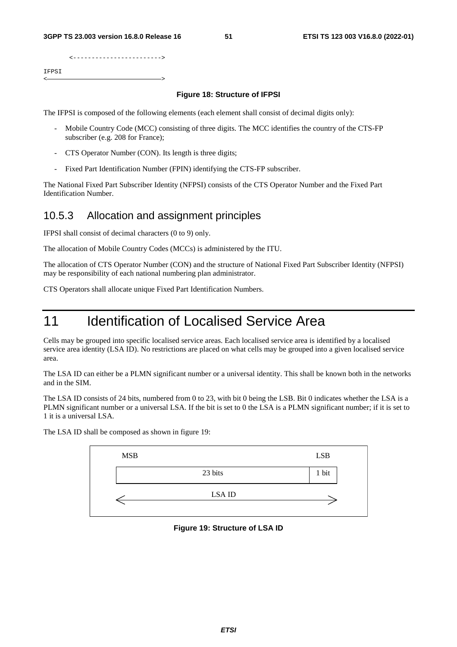|       | --------------------------- |  |
|-------|-----------------------------|--|
| IFPSI |                             |  |
|       |                             |  |
|       |                             |  |

#### **Figure 18: Structure of IFPSI**

The IFPSI is composed of the following elements (each element shall consist of decimal digits only):

- Mobile Country Code (MCC) consisting of three digits. The MCC identifies the country of the CTS-FP subscriber (e.g. 208 for France);
- CTS Operator Number (CON). Its length is three digits;
- Fixed Part Identification Number (FPIN) identifying the CTS-FP subscriber.

The National Fixed Part Subscriber Identity (NFPSI) consists of the CTS Operator Number and the Fixed Part Identification Number.

#### 10.5.3 Allocation and assignment principles

IFPSI shall consist of decimal characters (0 to 9) only.

The allocation of Mobile Country Codes (MCCs) is administered by the ITU.

The allocation of CTS Operator Number (CON) and the structure of National Fixed Part Subscriber Identity (NFPSI) may be responsibility of each national numbering plan administrator.

CTS Operators shall allocate unique Fixed Part Identification Numbers.

# 11 **Identification of Localised Service Area**

Cells may be grouped into specific localised service areas. Each localised service area is identified by a localised service area identity (LSA ID). No restrictions are placed on what cells may be grouped into a given localised service area.

The LSA ID can either be a PLMN significant number or a universal identity. This shall be known both in the networks and in the SIM.

The LSA ID consists of 24 bits, numbered from 0 to 23, with bit 0 being the LSB. Bit 0 indicates whether the LSA is a PLMN significant number or a universal LSA. If the bit is set to 0 the LSA is a PLMN significant number; if it is set to 1 it is a universal LSA.



The LSA ID shall be composed as shown in figure 19:

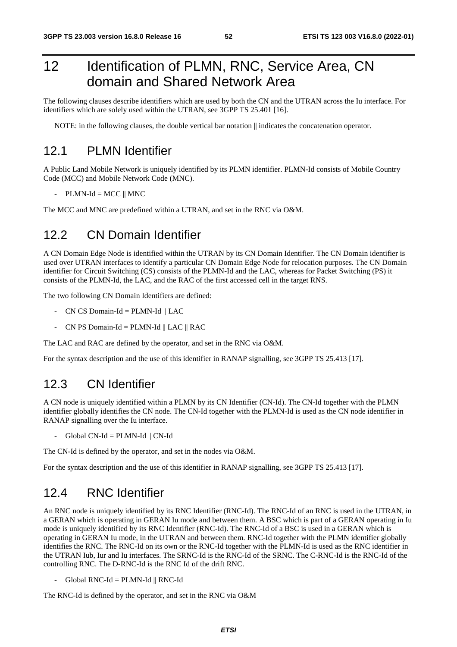# 12 Identification of PLMN, RNC, Service Area, CN domain and Shared Network Area

The following clauses describe identifiers which are used by both the CN and the UTRAN across the Iu interface. For identifiers which are solely used within the UTRAN, see 3GPP TS 25.401 [16].

NOTE: in the following clauses, the double vertical bar notation  $\parallel$  indicates the concatenation operator.

### 12.1 PLMN Identifier

A Public Land Mobile Network is uniquely identified by its PLMN identifier. PLMN-Id consists of Mobile Country Code (MCC) and Mobile Network Code (MNC).

 $-$  PLMN-Id = MCC  $\parallel$  MNC

The MCC and MNC are predefined within a UTRAN, and set in the RNC via O&M.

## 12.2 CN Domain Identifier

A CN Domain Edge Node is identified within the UTRAN by its CN Domain Identifier. The CN Domain identifier is used over UTRAN interfaces to identify a particular CN Domain Edge Node for relocation purposes. The CN Domain identifier for Circuit Switching (CS) consists of the PLMN-Id and the LAC, whereas for Packet Switching (PS) it consists of the PLMN-Id, the LAC, and the RAC of the first accessed cell in the target RNS.

The two following CN Domain Identifiers are defined:

- CN CS Domain-Id = PLMN-Id  $\parallel$  LAC
- CN PS Domain-Id = PLMN-Id || LAC || RAC

The LAC and RAC are defined by the operator, and set in the RNC via O&M.

For the syntax description and the use of this identifier in RANAP signalling, see 3GPP TS 25.413 [17].

### 12.3 CN Identifier

A CN node is uniquely identified within a PLMN by its CN Identifier (CN-Id). The CN-Id together with the PLMN identifier globally identifies the CN node. The CN-Id together with the PLMN-Id is used as the CN node identifier in RANAP signalling over the Iu interface.

 $-$  Global CN-Id = PLMN-Id  $\parallel$  CN-Id

The CN-Id is defined by the operator, and set in the nodes via O&M.

For the syntax description and the use of this identifier in RANAP signalling, see 3GPP TS 25.413 [17].

#### 12.4 RNC Identifier

An RNC node is uniquely identified by its RNC Identifier (RNC-Id). The RNC-Id of an RNC is used in the UTRAN, in a GERAN which is operating in GERAN Iu mode and between them. A BSC which is part of a GERAN operating in Iu mode is uniquely identified by its RNC Identifier (RNC-Id). The RNC-Id of a BSC is used in a GERAN which is operating in GERAN Iu mode, in the UTRAN and between them. RNC-Id together with the PLMN identifier globally identifies the RNC. The RNC-Id on its own or the RNC-Id together with the PLMN-Id is used as the RNC identifier in the UTRAN Iub, Iur and Iu interfaces. The SRNC-Id is the RNC-Id of the SRNC. The C-RNC-Id is the RNC-Id of the controlling RNC. The D-RNC-Id is the RNC Id of the drift RNC.

 $Global RNC-Id = PLMN-Id \parallel RNC-Id$ 

The RNC-Id is defined by the operator, and set in the RNC via O&M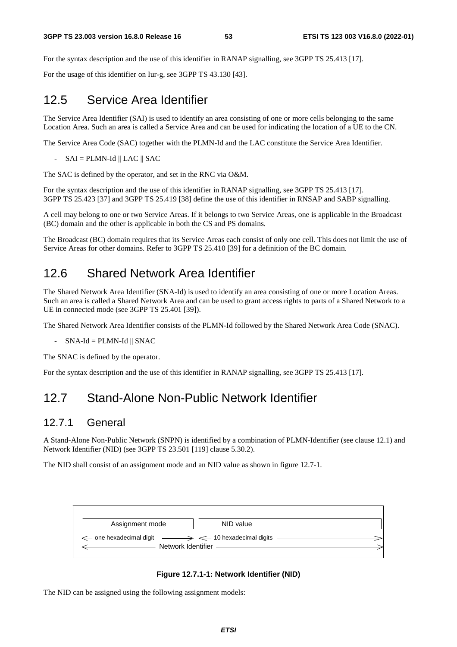For the syntax description and the use of this identifier in RANAP signalling, see 3GPP TS 25.413 [17].

For the usage of this identifier on Iur-g, see 3GPP TS 43.130 [43].

## 12.5 Service Area Identifier

The Service Area Identifier (SAI) is used to identify an area consisting of one or more cells belonging to the same Location Area. Such an area is called a Service Area and can be used for indicating the location of a UE to the CN.

The Service Area Code (SAC) together with the PLMN-Id and the LAC constitute the Service Area Identifier.

 $-SAI = PLMN-Id \parallel LAC \parallel SAC$ 

The SAC is defined by the operator, and set in the RNC via O&M.

For the syntax description and the use of this identifier in RANAP signalling, see 3GPP TS 25.413 [17]. 3GPP TS 25.423 [37] and 3GPP TS 25.419 [38] define the use of this identifier in RNSAP and SABP signalling.

A cell may belong to one or two Service Areas. If it belongs to two Service Areas, one is applicable in the Broadcast (BC) domain and the other is applicable in both the CS and PS domains.

The Broadcast (BC) domain requires that its Service Areas each consist of only one cell. This does not limit the use of Service Areas for other domains. Refer to 3GPP TS 25.410 [39] for a definition of the BC domain.

## 12.6 Shared Network Area Identifier

The Shared Network Area Identifier (SNA-Id) is used to identify an area consisting of one or more Location Areas. Such an area is called a Shared Network Area and can be used to grant access rights to parts of a Shared Network to a UE in connected mode (see 3GPP TS 25.401 [39]).

The Shared Network Area Identifier consists of the PLMN-Id followed by the Shared Network Area Code (SNAC).

 $-SNA-Id = PLMN-Id \parallel SNAC$ 

The SNAC is defined by the operator.

For the syntax description and the use of this identifier in RANAP signalling, see 3GPP TS 25.413 [17].

## 12.7 Stand-Alone Non-Public Network Identifier

#### 12.7.1 General

A Stand-Alone Non-Public Network (SNPN) is identified by a combination of PLMN-Identifier (see clause 12.1) and Network Identifier (NID) (see 3GPP TS 23.501 [119] clause 5.30.2).

The NID shall consist of an assignment mode and an NID value as shown in figure 12.7-1.



#### **Figure 12.7.1-1: Network Identifier (NID)**

The NID can be assigned using the following assignment models: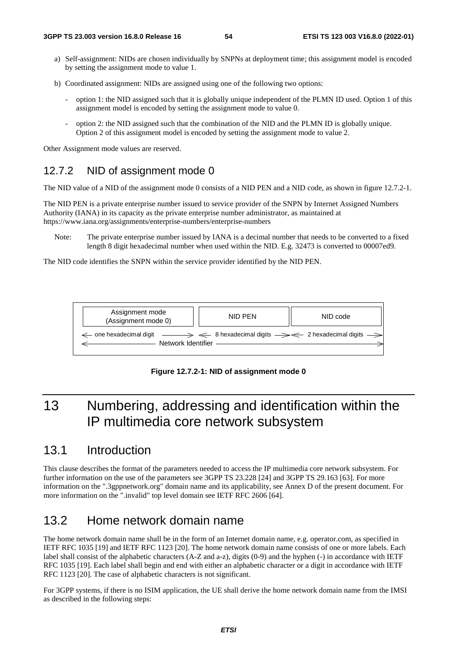- a) Self-assignment: NIDs are chosen individually by SNPNs at deployment time; this assignment model is encoded by setting the assignment mode to value 1.
- b) Coordinated assignment: NIDs are assigned using one of the following two options:
	- option 1: the NID assigned such that it is globally unique independent of the PLMN ID used. Option 1 of this assignment model is encoded by setting the assignment mode to value 0.
	- option 2: the NID assigned such that the combination of the NID and the PLMN ID is globally unique. Option 2 of this assignment model is encoded by setting the assignment mode to value 2.

Other Assignment mode values are reserved.

#### 12.7.2 NID of assignment mode 0

The NID value of a NID of the assignment mode 0 consists of a NID PEN and a NID code, as shown in figure 12.7.2-1.

The NID PEN is a private enterprise number issued to service provider of the SNPN by Internet Assigned Numbers Authority (IANA) in its capacity as the private enterprise number administrator, as maintained at https://www.iana.org/assignments/enterprise-numbers/enterprise-numbers

Note: The private enterprise number issued by IANA is a decimal number that needs to be converted to a fixed length 8 digit hexadecimal number when used within the NID. E.g. 32473 is converted to 00007ed9.

The NID code identifies the SNPN within the service provider identified by the NID PEN.



**Figure 12.7.2-1: NID of assignment mode 0** 

# 13 Numbering, addressing and identification within the IP multimedia core network subsystem

## 13.1 Introduction

This clause describes the format of the parameters needed to access the IP multimedia core network subsystem. For further information on the use of the parameters see 3GPP TS 23.228 [24] and 3GPP TS 29.163 [63]. For more information on the ".3gppnetwork.org" domain name and its applicability, see Annex D of the present document. For more information on the ".invalid" top level domain see IETF RFC 2606 [64].

## 13.2 Home network domain name

The home network domain name shall be in the form of an Internet domain name, e.g. operator.com, as specified in IETF RFC 1035 [19] and IETF RFC 1123 [20]. The home network domain name consists of one or more labels. Each label shall consist of the alphabetic characters (A-Z and a-z), digits (0-9) and the hyphen (-) in accordance with IETF RFC 1035 [19]. Each label shall begin and end with either an alphabetic character or a digit in accordance with IETF RFC 1123 [20]. The case of alphabetic characters is not significant.

For 3GPP systems, if there is no ISIM application, the UE shall derive the home network domain name from the IMSI as described in the following steps: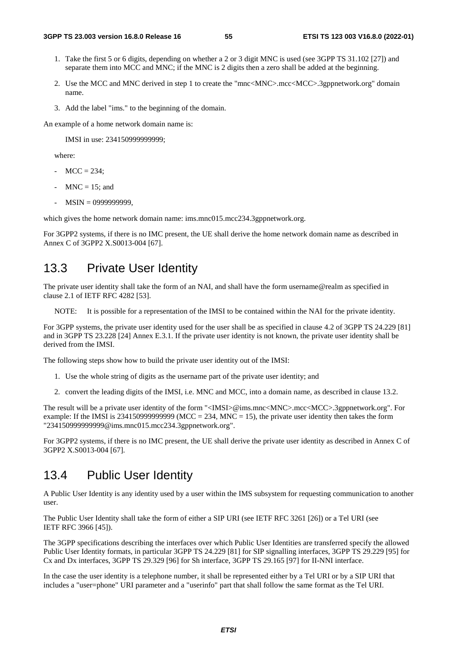- 1. Take the first 5 or 6 digits, depending on whether a 2 or 3 digit MNC is used (see 3GPP TS 31.102 [27]) and separate them into MCC and MNC; if the MNC is 2 digits then a zero shall be added at the beginning.
- 2. Use the MCC and MNC derived in step 1 to create the "mnc<MNC>.mcc<MCC>.3gppnetwork.org" domain name.
- 3. Add the label "ims." to the beginning of the domain.

An example of a home network domain name is:

IMSI in use: 234150999999999;

where:

- $MCC = 234$ ;
- $MNC = 15$ ; and
- MSIN = 0999999999,

which gives the home network domain name: ims.mnc015.mcc234.3gppnetwork.org.

For 3GPP2 systems, if there is no IMC present, the UE shall derive the home network domain name as described in Annex C of 3GPP2 X.S0013-004 [67].

#### 13.3 Private User Identity

The private user identity shall take the form of an NAI, and shall have the form username@realm as specified in clause 2.1 of IETF RFC 4282 [53].

NOTE: It is possible for a representation of the IMSI to be contained within the NAI for the private identity.

For 3GPP systems, the private user identity used for the user shall be as specified in clause 4.2 of 3GPP TS 24.229 [81] and in 3GPP TS 23.228 [24] Annex E.3.1. If the private user identity is not known, the private user identity shall be derived from the IMSI.

The following steps show how to build the private user identity out of the IMSI:

- 1. Use the whole string of digits as the username part of the private user identity; and
- 2. convert the leading digits of the IMSI, i.e. MNC and MCC, into a domain name, as described in clause 13.2.

The result will be a private user identity of the form "<IMSI>@ims.mnc<MNC>.mcc<MCC>.3gppnetwork.org". For example: If the IMSI is 234150999999999 (MCC = 234, MNC = 15), the private user identity then takes the form "234150999999999@ims.mnc015.mcc234.3gppnetwork.org".

For 3GPP2 systems, if there is no IMC present, the UE shall derive the private user identity as described in Annex C of 3GPP2 X.S0013-004 [67].

#### 13.4 Public User Identity

A Public User Identity is any identity used by a user within the IMS subsystem for requesting communication to another user.

The Public User Identity shall take the form of either a SIP URI (see IETF RFC 3261 [26]) or a Tel URI (see IETF RFC 3966 [45]).

The 3GPP specifications describing the interfaces over which Public User Identities are transferred specify the allowed Public User Identity formats, in particular 3GPP TS 24.229 [81] for SIP signalling interfaces, 3GPP TS 29.229 [95] for Cx and Dx interfaces, 3GPP TS 29.329 [96] for Sh interface, 3GPP TS 29.165 [97] for II-NNI interface.

In the case the user identity is a telephone number, it shall be represented either by a Tel URI or by a SIP URI that includes a "user=phone" URI parameter and a "userinfo" part that shall follow the same format as the Tel URI.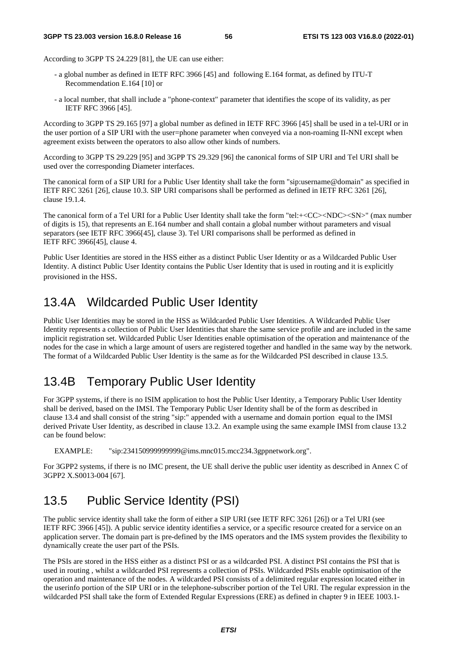According to 3GPP TS 24.229 [81], the UE can use either:

- a global number as defined in IETF RFC 3966 [45] and following E.164 format, as defined by ITU-T Recommendation E.164 [10] or
- a local number, that shall include a "phone-context" parameter that identifies the scope of its validity, as per IETF RFC 3966 [45].

According to 3GPP TS 29.165 [97] a global number as defined in IETF RFC 3966 [45] shall be used in a tel-URI or in the user portion of a SIP URI with the user=phone parameter when conveyed via a non-roaming II-NNI except when agreement exists between the operators to also allow other kinds of numbers.

According to 3GPP TS 29.229 [95] and 3GPP TS 29.329 [96] the canonical forms of SIP URI and Tel URI shall be used over the corresponding Diameter interfaces.

The canonical form of a SIP URI for a Public User Identity shall take the form "sip:username@domain" as specified in IETF RFC 3261 [26], clause 10.3. SIP URI comparisons shall be performed as defined in IETF RFC 3261 [26], clause 19.1.4.

The canonical form of a Tel URI for a Public User Identity shall take the form "tel:+<CC><NDC><SN>" (max number of digits is 15), that represents an E.164 number and shall contain a global number without parameters and visual separators (see IETF RFC 3966[45], clause 3). Tel URI comparisons shall be performed as defined in IETF RFC 3966[45], clause 4.

Public User Identities are stored in the HSS either as a distinct Public User Identity or as a Wildcarded Public User Identity. A distinct Public User Identity contains the Public User Identity that is used in routing and it is explicitly provisioned in the HSS.

# 13.4A Wildcarded Public User Identity

Public User Identities may be stored in the HSS as Wildcarded Public User Identities. A Wildcarded Public User Identity represents a collection of Public User Identities that share the same service profile and are included in the same implicit registration set. Wildcarded Public User Identities enable optimisation of the operation and maintenance of the nodes for the case in which a large amount of users are registered together and handled in the same way by the network. The format of a Wildcarded Public User Identity is the same as for the Wildcarded PSI described in clause 13.5.

## 13.4B Temporary Public User Identity

For 3GPP systems, if there is no ISIM application to host the Public User Identity, a Temporary Public User Identity shall be derived, based on the IMSI. The Temporary Public User Identity shall be of the form as described in clause 13.4 and shall consist of the string "sip:" appended with a username and domain portion equal to the IMSI derived Private User Identity, as described in clause 13.2. An example using the same example IMSI from clause 13.2 can be found below:

EXAMPLE: "sip:234150999999999@ims.mnc015.mcc234.3gppnetwork.org".

For 3GPP2 systems, if there is no IMC present, the UE shall derive the public user identity as described in Annex C of 3GPP2 X.S0013-004 [67].

### 13.5 Public Service Identity (PSI)

The public service identity shall take the form of either a SIP URI (see IETF RFC 3261 [26]) or a Tel URI (see IETF RFC 3966 [45]). A public service identity identifies a service, or a specific resource created for a service on an application server. The domain part is pre-defined by the IMS operators and the IMS system provides the flexibility to dynamically create the user part of the PSIs.

The PSIs are stored in the HSS either as a distinct PSI or as a wildcarded PSI. A distinct PSI contains the PSI that is used in routing , whilst a wildcarded PSI represents a collection of PSIs. Wildcarded PSIs enable optimisation of the operation and maintenance of the nodes. A wildcarded PSI consists of a delimited regular expression located either in the userinfo portion of the SIP URI or in the telephone-subscriber portion of the Tel URI. The regular expression in the wildcarded PSI shall take the form of Extended Regular Expressions (ERE) as defined in chapter 9 in IEEE 1003.1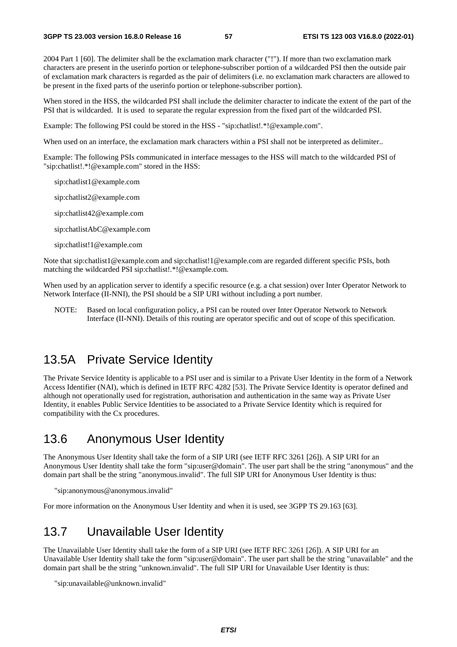2004 Part 1 [60]. The delimiter shall be the exclamation mark character ("!"). If more than two exclamation mark characters are present in the userinfo portion or telephone-subscriber portion of a wildcarded PSI then the outside pair of exclamation mark characters is regarded as the pair of delimiters (i.e. no exclamation mark characters are allowed to be present in the fixed parts of the userinfo portion or telephone-subscriber portion).

When stored in the HSS, the wildcarded PSI shall include the delimiter character to indicate the extent of the part of the PSI that is wildcarded. It is used to separate the regular expression from the fixed part of the wildcarded PSI.

Example: The following PSI could be stored in the HSS - "sip:chatlist!.\*!@example.com".

When used on an interface, the exclamation mark characters within a PSI shall not be interpreted as delimiter..

Example: The following PSIs communicated in interface messages to the HSS will match to the wildcarded PSI of "sip:chatlist!.\*!@example.com" stored in the HSS:

sip:chatlist1@example.com

sip:chatlist2@example.com

sip:chatlist42@example.com

sip:chatlistAbC@example.com

sip:chatlist!1@example.com

Note that sip:chatlist1@example.com and sip:chatlist!1@example.com are regarded different specific PSIs, both matching the wildcarded PSI sip:chatlist!.\*!@example.com.

When used by an application server to identify a specific resource (e.g. a chat session) over Inter Operator Network to Network Interface (II-NNI), the PSI should be a SIP URI without including a port number.

NOTE: Based on local configuration policy, a PSI can be routed over Inter Operator Network to Network Interface (II-NNI). Details of this routing are operator specific and out of scope of this specification.

#### 13.5A Private Service Identity

The Private Service Identity is applicable to a PSI user and is similar to a Private User Identity in the form of a Network Access Identifier (NAI), which is defined in IETF RFC 4282 [53]. The Private Service Identity is operator defined and although not operationally used for registration, authorisation and authentication in the same way as Private User Identity, it enables Public Service Identities to be associated to a Private Service Identity which is required for compatibility with the Cx procedures.

### 13.6 Anonymous User Identity

The Anonymous User Identity shall take the form of a SIP URI (see IETF RFC 3261 [26]). A SIP URI for an Anonymous User Identity shall take the form "sip:user@domain". The user part shall be the string "anonymous" and the domain part shall be the string "anonymous.invalid". The full SIP URI for Anonymous User Identity is thus:

"sip:anonymous@anonymous.invalid"

For more information on the Anonymous User Identity and when it is used, see 3GPP TS 29.163 [63].

### 13.7 Unavailable User Identity

The Unavailable User Identity shall take the form of a SIP URI (see IETF RFC 3261 [26]). A SIP URI for an Unavailable User Identity shall take the form "sip:user@domain". The user part shall be the string "unavailable" and the domain part shall be the string "unknown.invalid". The full SIP URI for Unavailable User Identity is thus:

"sip:unavailable@unknown.invalid"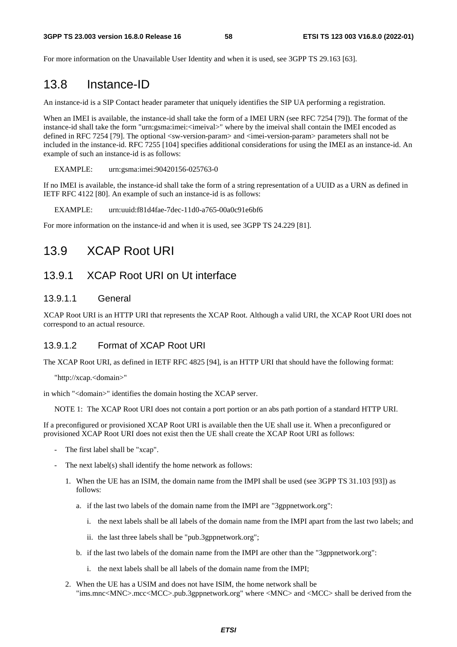For more information on the Unavailable User Identity and when it is used, see 3GPP TS 29.163 [63].

## 13.8 Instance-ID

An instance-id is a SIP Contact header parameter that uniquely identifies the SIP UA performing a registration.

When an IMEI is available, the instance-id shall take the form of a IMEI URN (see RFC 7254 [79]). The format of the instance-id shall take the form "urn:gsma:imei:<imeival>" where by the imeival shall contain the IMEI encoded as defined in RFC 7254 [79]. The optional <sw-version-param> and <imei-version-param> parameters shall not be included in the instance-id. RFC 7255 [104] specifies additional considerations for using the IMEI as an instance-id. An example of such an instance-id is as follows:

EXAMPLE: urn:gsma:imei:90420156-025763-0

If no IMEI is available, the instance-id shall take the form of a string representation of a UUID as a URN as defined in IETF RFC 4122 [80]. An example of such an instance-id is as follows:

EXAMPLE: urn:uuid:f81d4fae-7dec-11d0-a765-00a0c91e6bf6

For more information on the instance-id and when it is used, see 3GPP TS 24.229 [81].

### 13.9 XCAP Root URI

#### 13.9.1 XCAP Root URI on Ut interface

#### 13.9.1.1 General

XCAP Root URI is an HTTP URI that represents the XCAP Root. Although a valid URI, the XCAP Root URI does not correspond to an actual resource.

#### 13.9.1.2 Format of XCAP Root URI

The XCAP Root URI, as defined in IETF RFC 4825 [94], is an HTTP URI that should have the following format:

"http://xcap.<domain>"

in which "<domain>" identifies the domain hosting the XCAP server.

NOTE 1: The XCAP Root URI does not contain a port portion or an abs path portion of a standard HTTP URI.

If a preconfigured or provisioned XCAP Root URI is available then the UE shall use it. When a preconfigured or provisioned XCAP Root URI does not exist then the UE shall create the XCAP Root URI as follows:

- The first label shall be "xcap".
- The next label(s) shall identify the home network as follows:
	- 1. When the UE has an ISIM, the domain name from the IMPI shall be used (see 3GPP TS 31.103 [93]) as follows:
		- a. if the last two labels of the domain name from the IMPI are "3gppnetwork.org":
			- i. the next labels shall be all labels of the domain name from the IMPI apart from the last two labels; and
			- ii. the last three labels shall be "pub.3gppnetwork.org";
		- b. if the last two labels of the domain name from the IMPI are other than the "3gppnetwork.org":
			- i. the next labels shall be all labels of the domain name from the IMPI;
	- 2. When the UE has a USIM and does not have ISIM, the home network shall be "ims.mnc<MNC>.mcc<MCC>.pub.3gppnetwork.org" where <MNC> and <MCC> shall be derived from the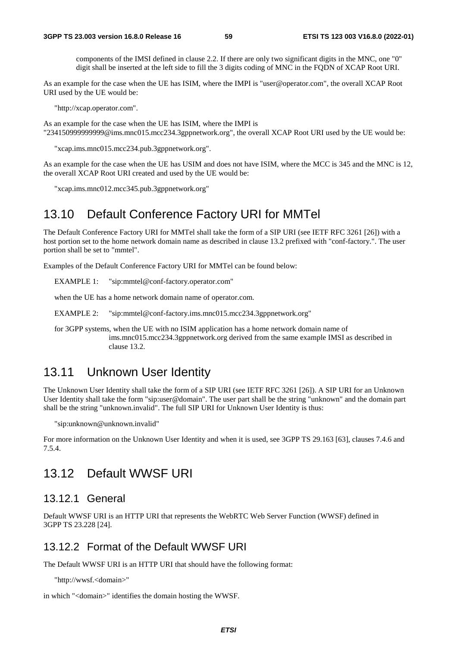components of the IMSI defined in clause 2.2. If there are only two significant digits in the MNC, one "0" digit shall be inserted at the left side to fill the 3 digits coding of MNC in the FQDN of XCAP Root URI.

As an example for the case when the UE has ISIM, where the IMPI is "user@operator.com", the overall XCAP Root URI used by the UE would be:

"http://xcap.operator.com".

As an example for the case when the UE has ISIM, where the IMPI is "234150999999999@ims.mnc015.mcc234.3gppnetwork.org", the overall XCAP Root URI used by the UE would be:

"xcap.ims.mnc015.mcc234.pub.3gppnetwork.org".

As an example for the case when the UE has USIM and does not have ISIM, where the MCC is 345 and the MNC is 12, the overall XCAP Root URI created and used by the UE would be:

"xcap.ims.mnc012.mcc345.pub.3gppnetwork.org"

#### 13.10 Default Conference Factory URI for MMTel

The Default Conference Factory URI for MMTel shall take the form of a SIP URI (see IETF RFC 3261 [26]) with a host portion set to the home network domain name as described in clause 13.2 prefixed with "conf-factory.". The user portion shall be set to "mmtel".

Examples of the Default Conference Factory URI for MMTel can be found below:

EXAMPLE 1: "sip:mmtel@conf-factory.operator.com"

when the UE has a home network domain name of operator.com.

EXAMPLE 2: "sip:mmtel@conf-factory.ims.mnc015.mcc234.3gppnetwork.org"

for 3GPP systems, when the UE with no ISIM application has a home network domain name of ims.mnc015.mcc234.3gppnetwork.org derived from the same example IMSI as described in clause 13.2.

#### 13.11 Unknown User Identity

The Unknown User Identity shall take the form of a SIP URI (see IETF RFC 3261 [26]). A SIP URI for an Unknown User Identity shall take the form "sip:user@domain". The user part shall be the string "unknown" and the domain part shall be the string "unknown.invalid". The full SIP URI for Unknown User Identity is thus:

"sip:unknown@unknown.invalid"

For more information on the Unknown User Identity and when it is used, see 3GPP TS 29.163 [63], clauses 7.4.6 and 7.5.4.

#### 13.12 Default WWSF URI

#### 13.12.1 General

Default WWSF URI is an HTTP URI that represents the WebRTC Web Server Function (WWSF) defined in 3GPP TS 23.228 [24].

#### 13.12.2 Format of the Default WWSF URI

The Default WWSF URI is an HTTP URI that should have the following format:

"http://wwsf.<domain>"

in which "<domain>" identifies the domain hosting the WWSF.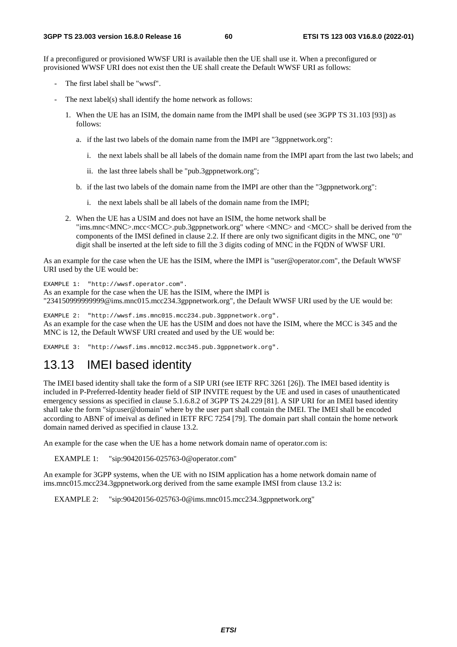If a preconfigured or provisioned WWSF URI is available then the UE shall use it. When a preconfigured or provisioned WWSF URI does not exist then the UE shall create the Default WWSF URI as follows:

- The first label shall be "wwsf".
- The next label(s) shall identify the home network as follows:
	- 1. When the UE has an ISIM, the domain name from the IMPI shall be used (see 3GPP TS 31.103 [93]) as follows:
		- a. if the last two labels of the domain name from the IMPI are "3gppnetwork.org":
			- i. the next labels shall be all labels of the domain name from the IMPI apart from the last two labels; and
			- ii. the last three labels shall be "pub.3gppnetwork.org";
		- b. if the last two labels of the domain name from the IMPI are other than the "3gppnetwork.org":
			- i. the next labels shall be all labels of the domain name from the IMPI;
	- 2. When the UE has a USIM and does not have an ISIM, the home network shall be "ims.mnc<MNC>.mcc<MCC>.pub.3gppnetwork.org" where <MNC> and <MCC> shall be derived from the components of the IMSI defined in clause 2.2. If there are only two significant digits in the MNC, one "0" digit shall be inserted at the left side to fill the 3 digits coding of MNC in the FQDN of WWSF URI.

As an example for the case when the UE has the ISIM, where the IMPI is "user@operator.com", the Default WWSF URI used by the UE would be:

EXAMPLE 1: "http://wwsf.operator.com".

As an example for the case when the UE has the ISIM, where the IMPI is

"234150999999999@ims.mnc015.mcc234.3gppnetwork.org", the Default WWSF URI used by the UE would be:

EXAMPLE 2: "http://wwsf.ims.mnc015.mcc234.pub.3gppnetwork.org". As an example for the case when the UE has the USIM and does not have the ISIM, where the MCC is 345 and the MNC is 12, the Default WWSF URI created and used by the UE would be:

EXAMPLE 3: "http://wwsf.ims.mnc012.mcc345.pub.3gppnetwork.org".

#### 13.13 IMEI based identity

The IMEI based identity shall take the form of a SIP URI (see IETF RFC 3261 [26]). The IMEI based identity is included in P-Preferred-Identity header field of SIP INVITE request by the UE and used in cases of unauthenticated emergency sessions as specified in clause 5.1.6.8.2 of 3GPP TS 24.229 [81]. A SIP URI for an IMEI based identity shall take the form "sip:user@domain" where by the user part shall contain the IMEI. The IMEI shall be encoded according to ABNF of imeival as defined in IETF RFC 7254 [79]. The domain part shall contain the home network domain named derived as specified in clause 13.2.

An example for the case when the UE has a home network domain name of operator.com is:

EXAMPLE 1: "sip:90420156-025763-0@operator.com"

An example for 3GPP systems, when the UE with no ISIM application has a home network domain name of ims.mnc015.mcc234.3gppnetwork.org derived from the same example IMSI from clause 13.2 is:

EXAMPLE 2: "sip:90420156-025763-0@ims.mnc015.mcc234.3gppnetwork.org"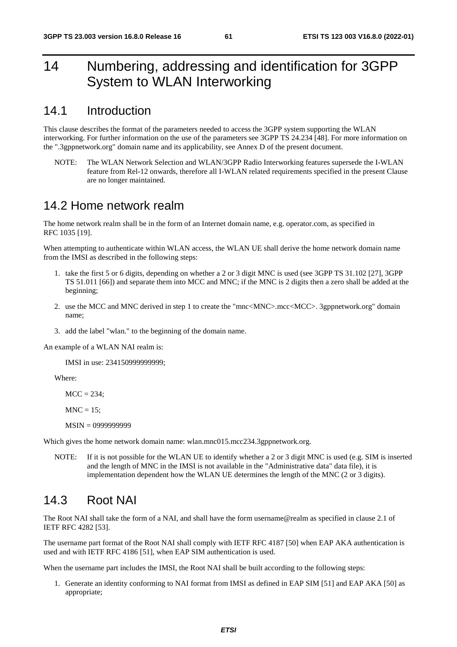# 14 Numbering, addressing and identification for 3GPP System to WLAN Interworking

### 14.1 Introduction

This clause describes the format of the parameters needed to access the 3GPP system supporting the WLAN interworking. For further information on the use of the parameters see 3GPP TS 24.234 [48]. For more information on the ".3gppnetwork.org" domain name and its applicability, see Annex D of the present document.

NOTE: The WLAN Network Selection and WLAN/3GPP Radio Interworking features supersede the I-WLAN feature from Rel-12 onwards, therefore all I-WLAN related requirements specified in the present Clause are no longer maintained.

### 14.2 Home network realm

The home network realm shall be in the form of an Internet domain name, e.g. operator.com, as specified in RFC 1035 [19].

When attempting to authenticate within WLAN access, the WLAN UE shall derive the home network domain name from the IMSI as described in the following steps:

- 1. take the first 5 or 6 digits, depending on whether a 2 or 3 digit MNC is used (see 3GPP TS 31.102 [27], 3GPP TS 51.011 [66]) and separate them into MCC and MNC; if the MNC is 2 digits then a zero shall be added at the beginning;
- 2. use the MCC and MNC derived in step 1 to create the "mnc<MNC>.mcc<MCC>. 3gppnetwork.org" domain name;
- 3. add the label "wlan." to the beginning of the domain name.

An example of a WLAN NAI realm is:

IMSI in use: 234150999999999;

Where:

 $MCC = 234$ :

 $MNC = 15$ :

MSIN = 0999999999

Which gives the home network domain name: wlan.mnc015.mcc234.3gppnetwork.org.

NOTE: If it is not possible for the WLAN UE to identify whether a 2 or 3 digit MNC is used (e.g. SIM is inserted and the length of MNC in the IMSI is not available in the "Administrative data" data file), it is implementation dependent how the WLAN UE determines the length of the MNC (2 or 3 digits).

## 14.3 Root NAI

The Root NAI shall take the form of a NAI, and shall have the form username@realm as specified in clause 2.1 of IETF RFC 4282 [53].

The username part format of the Root NAI shall comply with IETF RFC 4187 [50] when EAP AKA authentication is used and with IETF RFC 4186 [51], when EAP SIM authentication is used.

When the username part includes the IMSI, the Root NAI shall be built according to the following steps:

1. Generate an identity conforming to NAI format from IMSI as defined in EAP SIM [51] and EAP AKA [50] as appropriate;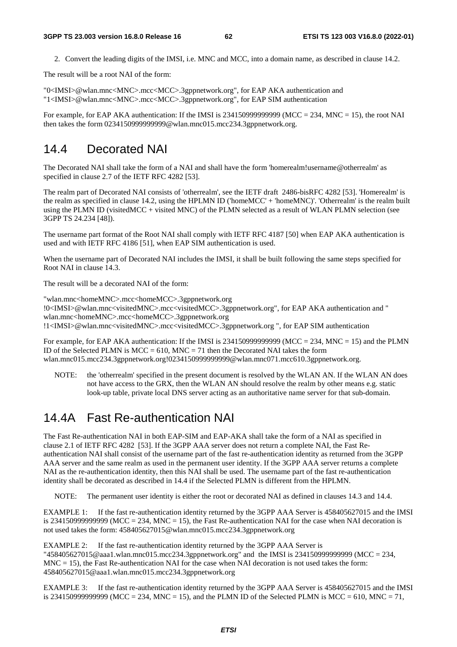2. Convert the leading digits of the IMSI, i.e. MNC and MCC, into a domain name, as described in clause 14.2.

The result will be a root NAI of the form:

"0<IMSI>@wlan.mnc<MNC>.mcc<MCC>.3gppnetwork.org", for EAP AKA authentication and "1<IMSI>@wlan.mnc<MNC>.mcc<MCC>.3gppnetwork.org", for EAP SIM authentication

For example, for EAP AKA authentication: If the IMSI is  $2341509999999999$  (MCC = 234, MNC = 15), the root NAI then takes the form 0234150999999999@wlan.mnc015.mcc234.3gppnetwork.org.

### 14.4 Decorated NAI

The Decorated NAI shall take the form of a NAI and shall have the form 'homerealm!username@otherrealm' as specified in clause 2.7 of the IETF RFC 4282 [53].

The realm part of Decorated NAI consists of 'otherrealm', see the IETF draft 2486-bisRFC 4282 [53]. 'Homerealm' is the realm as specified in clause 14.2, using the HPLMN ID ('homeMCC' + 'homeMNC)'. 'Otherrealm' is the realm built using the PLMN ID (visitedMCC + visited MNC) of the PLMN selected as a result of WLAN PLMN selection (see 3GPP TS 24.234 [48]).

The username part format of the Root NAI shall comply with IETF RFC 4187 [50] when EAP AKA authentication is used and with IETF RFC 4186 [51], when EAP SIM authentication is used.

When the username part of Decorated NAI includes the IMSI, it shall be built following the same steps specified for Root NAI in clause 14.3.

The result will be a decorated NAI of the form:

"wlan.mnc<homeMNC>.mcc<homeMCC>.3gppnetwork.org !0<IMSI>@wlan.mnc<visitedMNC>.mcc<visitedMCC>.3gppnetwork.org", for EAP AKA authentication and " wlan.mnc<homeMNC>.mcc<homeMCC>.3gppnetwork.org !1<IMSI>@wlan.mnc<visitedMNC>.mcc<visitedMCC>.3gppnetwork.org ", for EAP SIM authentication

For example, for EAP AKA authentication: If the IMSI is 23415099999999999 (MCC = 234, MNC = 15) and the PLMN ID of the Selected PLMN is  $MCC = 610$ ,  $MNC = 71$  then the Decorated NAI takes the form wlan.mnc015.mcc234.3gppnetwork.org!0234150999999999@wlan.mnc071.mcc610.3gppnetwork.org.

NOTE: the 'otherrealm' specified in the present document is resolved by the WLAN AN. If the WLAN AN does not have access to the GRX, then the WLAN AN should resolve the realm by other means e.g. static look-up table, private local DNS server acting as an authoritative name server for that sub-domain.

## 14.4A Fast Re-authentication NAI

The Fast Re-authentication NAI in both EAP-SIM and EAP-AKA shall take the form of a NAI as specified in clause 2.1 of IETF RFC 4282 [53]. If the 3GPP AAA server does not return a complete NAI, the Fast Reauthentication NAI shall consist of the username part of the fast re-authentication identity as returned from the 3GPP AAA server and the same realm as used in the permanent user identity. If the 3GPP AAA server returns a complete NAI as the re-authentication identity, then this NAI shall be used. The username part of the fast re-authentication identity shall be decorated as described in 14.4 if the Selected PLMN is different from the HPLMN.

NOTE: The permanent user identity is either the root or decorated NAI as defined in clauses 14.3 and 14.4.

EXAMPLE 1: If the fast re-authentication identity returned by the 3GPP AAA Server is 458405627015 and the IMSI is 2341509999999999 (MCC = 234, MNC = 15), the Fast Re-authentication NAI for the case when NAI decoration is not used takes the form: 458405627015@wlan.mnc015.mcc234.3gppnetwork.org

EXAMPLE 2: If the fast re-authentication identity returned by the 3GPP AAA Server is "458405627015@aaa1.wlan.mnc015.mcc234.3gppnetwork.org" and the IMSI is 234150999999999 (MCC = 234,  $MNC = 15$ ), the Fast Re-authentication NAI for the case when NAI decoration is not used takes the form: 458405627015@aaa1.wlan.mnc015.mcc234.3gppnetwork.org

EXAMPLE 3: If the fast re-authentication identity returned by the 3GPP AAA Server is 458405627015 and the IMSI is 234150999999999999 (MCC = 234, MNC = 15), and the PLMN ID of the Selected PLMN is MCC = 610, MNC = 71,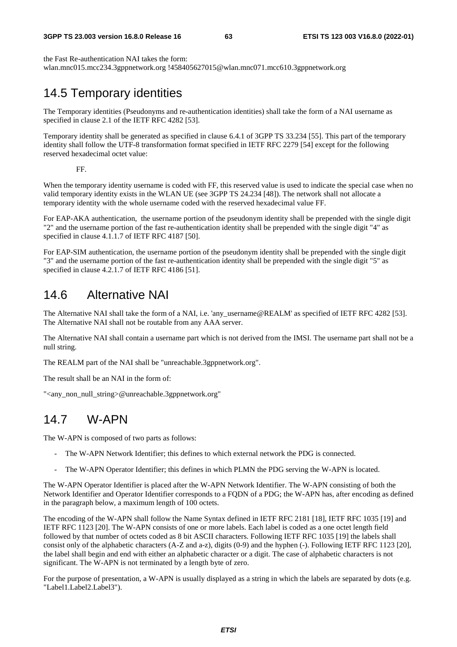#### **3GPP TS 23.003 version 16.8.0 Release 16 63 ETSI TS 123 003 V16.8.0 (2022-01)**

the Fast Re-authentication NAI takes the form: wlan.mnc015.mcc234.3gppnetwork.org !458405627015@wlan.mnc071.mcc610.3gppnetwork.org

# 14.5 Temporary identities

The Temporary identities (Pseudonyms and re-authentication identities) shall take the form of a NAI username as specified in clause 2.1 of the IETF RFC 4282 [53].

Temporary identity shall be generated as specified in clause 6.4.1 of 3GPP TS 33.234 [55]. This part of the temporary identity shall follow the UTF-8 transformation format specified in IETF RFC 2279 [54] except for the following reserved hexadecimal octet value:

FF.

When the temporary identity username is coded with FF, this reserved value is used to indicate the special case when no valid temporary identity exists in the WLAN UE (see 3GPP TS 24.234 [48]). The network shall not allocate a temporary identity with the whole username coded with the reserved hexadecimal value FF.

For EAP-AKA authentication, the username portion of the pseudonym identity shall be prepended with the single digit "2" and the username portion of the fast re-authentication identity shall be prepended with the single digit "4" as specified in clause 4.1.1.7 of IETF RFC 4187 [50].

For EAP-SIM authentication, the username portion of the pseudonym identity shall be prepended with the single digit "3" and the username portion of the fast re-authentication identity shall be prepended with the single digit "5" as specified in clause 4.2.1.7 of IETF RFC 4186 [51].

# 14.6 Alternative NAI

The Alternative NAI shall take the form of a NAI, i.e. 'any\_username@REALM' as specified of IETF RFC 4282 [53]. The Alternative NAI shall not be routable from any AAA server.

The Alternative NAI shall contain a username part which is not derived from the IMSI. The username part shall not be a null string.

The REALM part of the NAI shall be "unreachable.3gppnetwork.org".

The result shall be an NAI in the form of:

"<any\_non\_null\_string>@unreachable.3gppnetwork.org"

## 14.7 W-APN

The W-APN is composed of two parts as follows:

- The W-APN Network Identifier; this defines to which external network the PDG is connected.
- The W-APN Operator Identifier; this defines in which PLMN the PDG serving the W-APN is located.

The W-APN Operator Identifier is placed after the W-APN Network Identifier. The W-APN consisting of both the Network Identifier and Operator Identifier corresponds to a FQDN of a PDG; the W-APN has, after encoding as defined in the paragraph below, a maximum length of 100 octets.

The encoding of the W-APN shall follow the Name Syntax defined in IETF RFC 2181 [18], IETF RFC 1035 [19] and IETF RFC 1123 [20]. The W-APN consists of one or more labels. Each label is coded as a one octet length field followed by that number of octets coded as 8 bit ASCII characters. Following IETF RFC 1035 [19] the labels shall consist only of the alphabetic characters (A-Z and a-z), digits (0-9) and the hyphen (-). Following IETF RFC 1123 [20], the label shall begin and end with either an alphabetic character or a digit. The case of alphabetic characters is not significant. The W-APN is not terminated by a length byte of zero.

For the purpose of presentation, a W-APN is usually displayed as a string in which the labels are separated by dots (e.g. "Label1.Label2.Label3").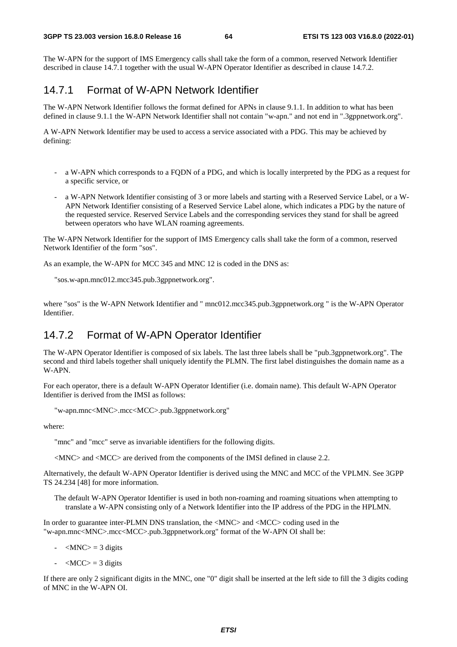The W-APN for the support of IMS Emergency calls shall take the form of a common, reserved Network Identifier described in clause 14.7.1 together with the usual W-APN Operator Identifier as described in clause 14.7.2.

#### 14.7.1 Format of W-APN Network Identifier

The W-APN Network Identifier follows the format defined for APNs in clause 9.1.1. In addition to what has been defined in clause 9.1.1 the W-APN Network Identifier shall not contain "w-apn." and not end in ".3gppnetwork.org".

A W-APN Network Identifier may be used to access a service associated with a PDG. This may be achieved by defining:

- a W-APN which corresponds to a FQDN of a PDG, and which is locally interpreted by the PDG as a request for a specific service, or
- a W-APN Network Identifier consisting of 3 or more labels and starting with a Reserved Service Label, or a W-APN Network Identifier consisting of a Reserved Service Label alone, which indicates a PDG by the nature of the requested service. Reserved Service Labels and the corresponding services they stand for shall be agreed between operators who have WLAN roaming agreements.

The W-APN Network Identifier for the support of IMS Emergency calls shall take the form of a common, reserved Network Identifier of the form "sos".

As an example, the W-APN for MCC 345 and MNC 12 is coded in the DNS as:

"sos.w-apn.mnc012.mcc345.pub.3gppnetwork.org".

where "sos" is the W-APN Network Identifier and " mnc012.mcc345.pub.3gppnetwork.org " is the W-APN Operator Identifier.

## 14.7.2 Format of W-APN Operator Identifier

The W-APN Operator Identifier is composed of six labels. The last three labels shall be "pub.3gppnetwork.org". The second and third labels together shall uniquely identify the PLMN. The first label distinguishes the domain name as a W-APN.

For each operator, there is a default W-APN Operator Identifier (i.e. domain name). This default W-APN Operator Identifier is derived from the IMSI as follows:

```
"w-apn.mnc<MNC>.mcc<MCC>.pub.3gppnetwork.org"
```
where:

"mnc" and "mcc" serve as invariable identifiers for the following digits.

<MNC> and <MCC> are derived from the components of the IMSI defined in clause 2.2.

Alternatively, the default W-APN Operator Identifier is derived using the MNC and MCC of the VPLMN. See 3GPP TS 24.234 [48] for more information.

The default W-APN Operator Identifier is used in both non-roaming and roaming situations when attempting to translate a W-APN consisting only of a Network Identifier into the IP address of the PDG in the HPLMN.

In order to guarantee inter-PLMN DNS translation, the <MNC> and <MCC> coding used in the "w-apn.mnc<MNC>.mcc<MCC>.pub.3gppnetwork.org" format of the W-APN OI shall be:

- $-MNC$  = 3 digits
- $-MCC$  = 3 digits

If there are only 2 significant digits in the MNC, one "0" digit shall be inserted at the left side to fill the 3 digits coding of MNC in the W-APN OI.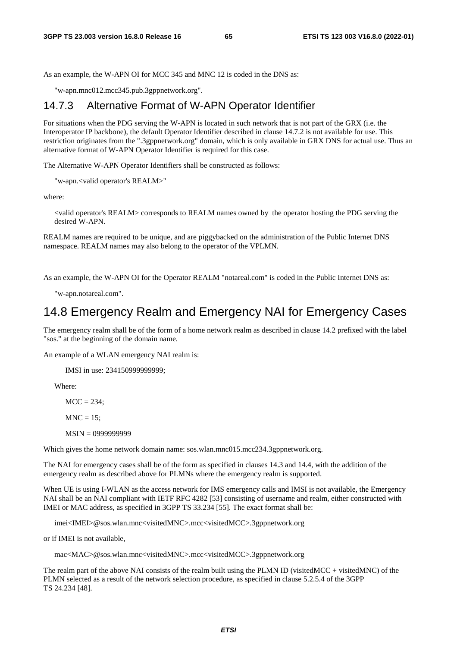As an example, the W-APN OI for MCC 345 and MNC 12 is coded in the DNS as:

"w-apn.mnc012.mcc345.pub.3gppnetwork.org".

#### 14.7.3 Alternative Format of W-APN Operator Identifier

For situations when the PDG serving the W-APN is located in such network that is not part of the GRX (i.e. the Interoperator IP backbone), the default Operator Identifier described in clause 14.7.2 is not available for use. This restriction originates from the ".3gppnetwork.org" domain, which is only available in GRX DNS for actual use. Thus an alternative format of W-APN Operator Identifier is required for this case.

The Alternative W-APN Operator Identifiers shall be constructed as follows:

"w-apn.<valid operator's REALM>"

where:

<valid operator's REALM> corresponds to REALM names owned by the operator hosting the PDG serving the desired W-APN.

REALM names are required to be unique, and are piggybacked on the administration of the Public Internet DNS namespace. REALM names may also belong to the operator of the VPLMN.

As an example, the W-APN OI for the Operator REALM "notareal.com" is coded in the Public Internet DNS as:

"w-apn.notareal.com".

### 14.8 Emergency Realm and Emergency NAI for Emergency Cases

The emergency realm shall be of the form of a home network realm as described in clause 14.2 prefixed with the label "sos." at the beginning of the domain name.

An example of a WLAN emergency NAI realm is:

IMSI in use: 234150999999999;

Where:

 $MCC = 234$ :

 $MNC = 15$ ;

MSIN = 0999999999

Which gives the home network domain name: sos.wlan.mnc015.mcc234.3gppnetwork.org.

The NAI for emergency cases shall be of the form as specified in clauses 14.3 and 14.4, with the addition of the emergency realm as described above for PLMNs where the emergency realm is supported.

When UE is using I-WLAN as the access network for IMS emergency calls and IMSI is not available, the Emergency NAI shall be an NAI compliant with IETF RFC 4282 [53] consisting of username and realm, either constructed with IMEI or MAC address, as specified in 3GPP TS 33.234 [55]. The exact format shall be:

imei<IMEI>@sos.wlan.mnc<visitedMNC>.mcc<visitedMCC>.3gppnetwork.org

or if IMEI is not available,

mac<MAC>@sos.wlan.mnc<visitedMNC>.mcc<visitedMCC>.3gppnetwork.org

The realm part of the above NAI consists of the realm built using the PLMN ID (visitedMCC + visitedMNC) of the PLMN selected as a result of the network selection procedure, as specified in clause 5.2.5.4 of the 3GPP TS 24.234 [48].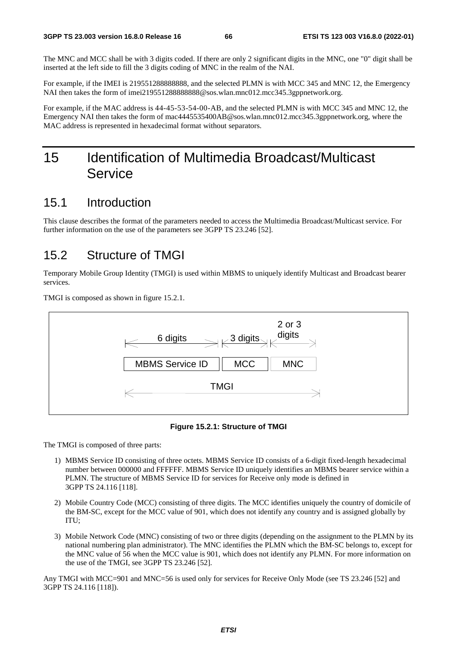The MNC and MCC shall be with 3 digits coded. If there are only 2 significant digits in the MNC, one "0" digit shall be inserted at the left side to fill the 3 digits coding of MNC in the realm of the NAI.

For example, if the IMEI is 219551288888888, and the selected PLMN is with MCC 345 and MNC 12, the Emergency NAI then takes the form of imei2195512888888888@sos.wlan.mnc012.mcc345.3gppnetwork.org.

For example, if the MAC address is 44-45-53-54-00-AB, and the selected PLMN is with MCC 345 and MNC 12, the Emergency NAI then takes the form of mac4445535400AB@sos.wlan.mnc012.mcc345.3gppnetwork.org, where the MAC address is represented in hexadecimal format without separators.

# 15 Identification of Multimedia Broadcast/Multicast Service

#### 15.1 Introduction

This clause describes the format of the parameters needed to access the Multimedia Broadcast/Multicast service. For further information on the use of the parameters see 3GPP TS 23.246 [52].

## 15.2 Structure of TMGI

Temporary Mobile Group Identity (TMGI) is used within MBMS to uniquely identify Multicast and Broadcast bearer services.

TMGI is composed as shown in figure 15.2.1.



**Figure 15.2.1: Structure of TMGI** 

The TMGI is composed of three parts:

- 1) MBMS Service ID consisting of three octets. MBMS Service ID consists of a 6-digit fixed-length hexadecimal number between 000000 and FFFFFF. MBMS Service ID uniquely identifies an MBMS bearer service within a PLMN. The structure of MBMS Service ID for services for Receive only mode is defined in 3GPP TS 24.116 [118].
- 2) Mobile Country Code (MCC) consisting of three digits. The MCC identifies uniquely the country of domicile of the BM-SC, except for the MCC value of 901, which does not identify any country and is assigned globally by ITU;
- 3) Mobile Network Code (MNC) consisting of two or three digits (depending on the assignment to the PLMN by its national numbering plan administrator). The MNC identifies the PLMN which the BM-SC belongs to, except for the MNC value of 56 when the MCC value is 901, which does not identify any PLMN. For more information on the use of the TMGI, see 3GPP TS 23.246 [52].

Any TMGI with MCC=901 and MNC=56 is used only for services for Receive Only Mode (see TS 23.246 [52] and 3GPP TS 24.116 [118]).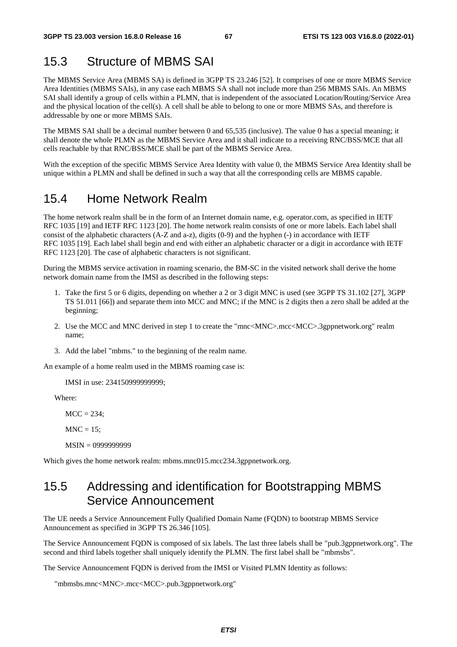# 15.3 Structure of MBMS SAI

The MBMS Service Area (MBMS SA) is defined in 3GPP TS 23.246 [52]. It comprises of one or more MBMS Service Area Identities (MBMS SAIs), in any case each MBMS SA shall not include more than 256 MBMS SAIs. An MBMS SAI shall identify a group of cells within a PLMN, that is independent of the associated Location/Routing/Service Area and the physical location of the cell(s). A cell shall be able to belong to one or more MBMS SAs, and therefore is addressable by one or more MBMS SAIs.

The MBMS SAI shall be a decimal number between 0 and 65,535 (inclusive). The value 0 has a special meaning; it shall denote the whole PLMN as the MBMS Service Area and it shall indicate to a receiving RNC/BSS/MCE that all cells reachable by that RNC/BSS/MCE shall be part of the MBMS Service Area.

With the exception of the specific MBMS Service Area Identity with value 0, the MBMS Service Area Identity shall be unique within a PLMN and shall be defined in such a way that all the corresponding cells are MBMS capable.

## 15.4 Home Network Realm

The home network realm shall be in the form of an Internet domain name, e.g. operator.com, as specified in IETF RFC 1035 [19] and IETF RFC 1123 [20]. The home network realm consists of one or more labels. Each label shall consist of the alphabetic characters (A-Z and a-z), digits (0-9) and the hyphen (-) in accordance with IETF RFC 1035 [19]. Each label shall begin and end with either an alphabetic character or a digit in accordance with IETF RFC 1123 [20]. The case of alphabetic characters is not significant.

During the MBMS service activation in roaming scenario, the BM-SC in the visited network shall derive the home network domain name from the IMSI as described in the following steps:

- 1. Take the first 5 or 6 digits, depending on whether a 2 or 3 digit MNC is used (see 3GPP TS 31.102 [27], 3GPP TS 51.011 [66]) and separate them into MCC and MNC; if the MNC is 2 digits then a zero shall be added at the beginning;
- 2. Use the MCC and MNC derived in step 1 to create the "mnc<MNC>.mcc<MCC>.3gppnetwork.org" realm name;
- 3. Add the label "mbms." to the beginning of the realm name.

An example of a home realm used in the MBMS roaming case is:

IMSI in use: 234150999999999;

Where:

 $MCC = 234$ ;

 $MNC = 15$ ;

MSIN = 0999999999

Which gives the home network realm: mbms.mnc015.mcc234.3gppnetwork.org.

## 15.5 Addressing and identification for Bootstrapping MBMS Service Announcement

The UE needs a Service Announcement Fully Qualified Domain Name (FQDN) to bootstrap MBMS Service Announcement as specified in 3GPP TS 26.346 [105].

The Service Announcement FQDN is composed of six labels. The last three labels shall be "pub.3gppnetwork.org". The second and third labels together shall uniquely identify the PLMN. The first label shall be "mbmsbs".

The Service Announcement FQDN is derived from the IMSI or Visited PLMN Identity as follows:

"mbmsbs.mnc<MNC>.mcc<MCC>.pub.3gppnetwork.org"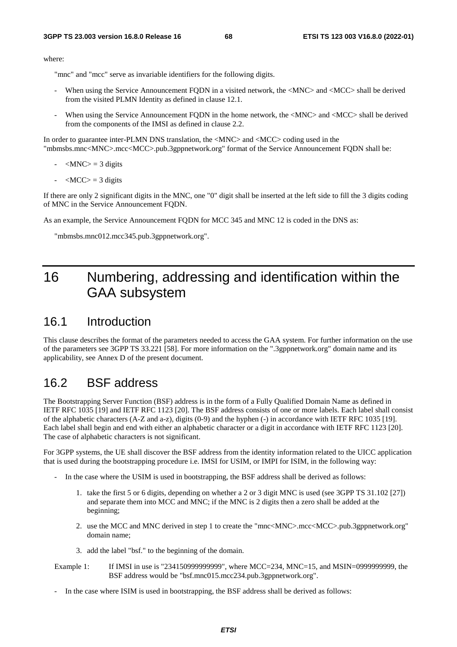where:

"mnc" and "mcc" serve as invariable identifiers for the following digits.

- When using the Service Announcement FODN in a visited network, the  $\langle MNC \rangle$  and  $\langle MCC \rangle$  shall be derived from the visited PLMN Identity as defined in clause 12.1.
- When using the Service Announcement FQDN in the home network, the <MNC> and <MCC> shall be derived from the components of the IMSI as defined in clause 2.2.

In order to guarantee inter-PLMN DNS translation, the  $\langle$ MNC $\rangle$  and  $\langle$ MCC $\rangle$  coding used in the "mbmsbs.mnc<MNC>.mcc<MCC>.pub.3gppnetwork.org" format of the Service Announcement FQDN shall be:

- $-MNC$  = 3 digits
- $\langle MCC \rangle = 3$  digits

If there are only 2 significant digits in the MNC, one "0" digit shall be inserted at the left side to fill the 3 digits coding of MNC in the Service Announcement FQDN.

As an example, the Service Announcement FQDN for MCC 345 and MNC 12 is coded in the DNS as:

"mbmsbs.mnc012.mcc345.pub.3gppnetwork.org".

# 16 Numbering, addressing and identification within the GAA subsystem

#### 16.1 Introduction

This clause describes the format of the parameters needed to access the GAA system. For further information on the use of the parameters see 3GPP TS 33.221 [58]. For more information on the ".3gppnetwork.org" domain name and its applicability, see Annex D of the present document.

#### 16.2 BSF address

The Bootstrapping Server Function (BSF) address is in the form of a Fully Qualified Domain Name as defined in IETF RFC 1035 [19] and IETF RFC 1123 [20]. The BSF address consists of one or more labels. Each label shall consist of the alphabetic characters (A-Z and a-z), digits (0-9) and the hyphen (-) in accordance with IETF RFC 1035 [19]. Each label shall begin and end with either an alphabetic character or a digit in accordance with IETF RFC 1123 [20]. The case of alphabetic characters is not significant.

For 3GPP systems, the UE shall discover the BSF address from the identity information related to the UICC application that is used during the bootstrapping procedure i.e. IMSI for USIM, or IMPI for ISIM, in the following way:

- In the case where the USIM is used in bootstrapping, the BSF address shall be derived as follows:
	- 1. take the first 5 or 6 digits, depending on whether a 2 or 3 digit MNC is used (see 3GPP TS 31.102 [27]) and separate them into MCC and MNC; if the MNC is 2 digits then a zero shall be added at the beginning;
	- 2. use the MCC and MNC derived in step 1 to create the "mnc<MNC>.mcc<MCC>.pub.3gppnetwork.org" domain name;
	- 3. add the label "bsf." to the beginning of the domain.
- Example 1: If IMSI in use is "234150999999999", where MCC=234, MNC=15, and MSIN=0999999999, the BSF address would be "bsf.mnc015.mcc234.pub.3gppnetwork.org".
- In the case where ISIM is used in bootstrapping, the BSF address shall be derived as follows: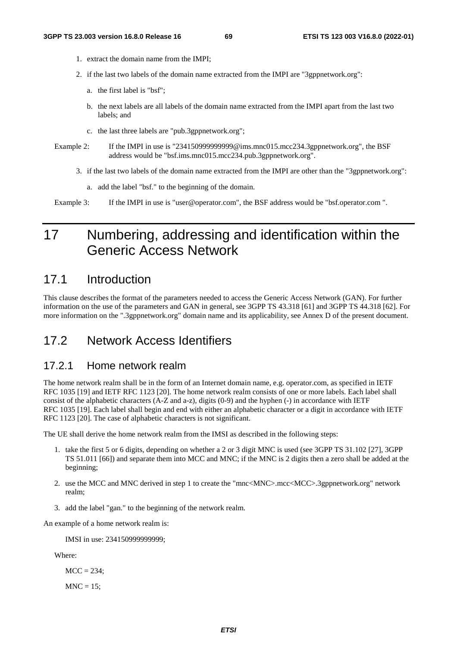- 1. extract the domain name from the IMPI;
- 2. if the last two labels of the domain name extracted from the IMPI are "3gppnetwork.org":
	- a. the first label is "bsf";
	- b. the next labels are all labels of the domain name extracted from the IMPI apart from the last two labels; and
	- c. the last three labels are "pub.3gppnetwork.org";
- Example 2: If the IMPI in use is "234150999999999999@ims.mnc015.mcc234.3gppnetwork.org", the BSF address would be "bsf.ims.mnc015.mcc234.pub.3gppnetwork.org".
	- 3. if the last two labels of the domain name extracted from the IMPI are other than the "3gppnetwork.org":
		- a. add the label "bsf." to the beginning of the domain.

Example 3: If the IMPI in use is "user@operator.com", the BSF address would be "bsf.operator.com".

# 17 Numbering, addressing and identification within the Generic Access Network

### 17.1 Introduction

This clause describes the format of the parameters needed to access the Generic Access Network (GAN). For further information on the use of the parameters and GAN in general, see 3GPP TS 43.318 [61] and 3GPP TS 44.318 [62]. For more information on the ".3gppnetwork.org" domain name and its applicability, see Annex D of the present document.

## 17.2 Network Access Identifiers

#### 17.2.1 Home network realm

The home network realm shall be in the form of an Internet domain name, e.g. operator.com, as specified in IETF RFC 1035 [19] and IETF RFC 1123 [20]. The home network realm consists of one or more labels. Each label shall consist of the alphabetic characters (A-Z and a-z), digits (0-9) and the hyphen (-) in accordance with IETF RFC 1035 [19]. Each label shall begin and end with either an alphabetic character or a digit in accordance with IETF RFC 1123 [20]. The case of alphabetic characters is not significant.

The UE shall derive the home network realm from the IMSI as described in the following steps:

- 1. take the first 5 or 6 digits, depending on whether a 2 or 3 digit MNC is used (see 3GPP TS 31.102 [27], 3GPP TS 51.011 [66]) and separate them into MCC and MNC; if the MNC is 2 digits then a zero shall be added at the beginning;
- 2. use the MCC and MNC derived in step 1 to create the "mnc<MNC>.mcc<MCC>.3gppnetwork.org" network realm;
- 3. add the label "gan." to the beginning of the network realm.

An example of a home network realm is:

IMSI in use: 234150999999999;

Where:

 $MCC = 234$ :

 $MNC = 15$ ;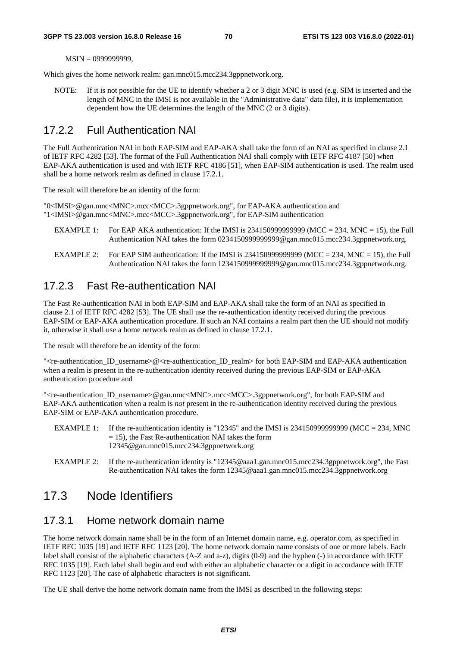MSIN = 0999999999,

Which gives the home network realm: gan.mnc015.mcc234.3gppnetwork.org.

NOTE: If it is not possible for the UE to identify whether a 2 or 3 digit MNC is used (e.g. SIM is inserted and the length of MNC in the IMSI is not available in the "Administrative data" data file), it is implementation dependent how the UE determines the length of the MNC (2 or 3 digits).

#### 17.2.2 Full Authentication NAI

The Full Authentication NAI in both EAP-SIM and EAP-AKA shall take the form of an NAI as specified in clause 2.1 of IETF RFC 4282 [53]. The format of the Full Authentication NAI shall comply with IETF RFC 4187 [50] when EAP-AKA authentication is used and with IETF RFC 4186 [51], when EAP-SIM authentication is used. The realm used shall be a home network realm as defined in clause 17.2.1.

The result will therefore be an identity of the form:

"0<IMSI>@gan.mnc<MNC>.mcc<MCC>.3gppnetwork.org", for EAP-AKA authentication and "1<IMSI>@gan.mnc<MNC>.mcc<MCC>.3gppnetwork.org", for EAP-SIM authentication

- EXAMPLE 1: For EAP AKA authentication: If the IMSI is 2341509999999999 (MCC = 234, MNC = 15), the Full Authentication NAI takes the form 0234150999999999@gan.mnc015.mcc234.3gppnetwork.org.
- EXAMPLE 2: For EAP SIM authentication: If the IMSI is  $2341509999999999$  (MCC = 234, MNC = 15), the Full Authentication NAI takes the form 1234150999999999@gan.mnc015.mcc234.3gppnetwork.org.

#### 17.2.3 Fast Re-authentication NAI

The Fast Re-authentication NAI in both EAP-SIM and EAP-AKA shall take the form of an NAI as specified in clause 2.1 of IETF RFC 4282 [53]. The UE shall use the re-authentication identity received during the previous EAP-SIM or EAP-AKA authentication procedure. If such an NAI contains a realm part then the UE should not modify it, otherwise it shall use a home network realm as defined in clause 17.2.1.

The result will therefore be an identity of the form:

"<re-authentication\_ID\_username>@<re-authentication\_ID\_realm> for both EAP-SIM and EAP-AKA authentication when a realm is present in the re-authentication identity received during the previous EAP-SIM or EAP-AKA authentication procedure and

"<re-authentication\_ID\_username>@gan.mnc<MNC>.mcc<MCC>.3gppnetwork.org", for both EAP-SIM and EAP-AKA authentication when a realm is *not* present in the re-authentication identity received during the previous EAP-SIM or EAP-AKA authentication procedure.

- EXAMPLE 1: If the re-authentication identity is "12345" and the IMSI is 2341509999999999 (MCC = 234, MNC  $= 15$ ), the Fast Re-authentication NAI takes the form 12345@gan.mnc015.mcc234.3gppnetwork.org
- EXAMPLE 2: If the re-authentication identity is "12345@aaa1.gan.mnc015.mcc234.3gppnetwork.org", the Fast Re-authentication NAI takes the form 12345@aaa1.gan.mnc015.mcc234.3gppnetwork.org

## 17.3 Node Identifiers

#### 17.3.1 Home network domain name

The home network domain name shall be in the form of an Internet domain name, e.g. operator.com, as specified in IETF RFC 1035 [19] and IETF RFC 1123 [20]. The home network domain name consists of one or more labels. Each label shall consist of the alphabetic characters (A-Z and a-z), digits (0-9) and the hyphen (-) in accordance with IETF RFC 1035 [19]. Each label shall begin and end with either an alphabetic character or a digit in accordance with IETF RFC 1123 [20]. The case of alphabetic characters is not significant.

The UE shall derive the home network domain name from the IMSI as described in the following steps: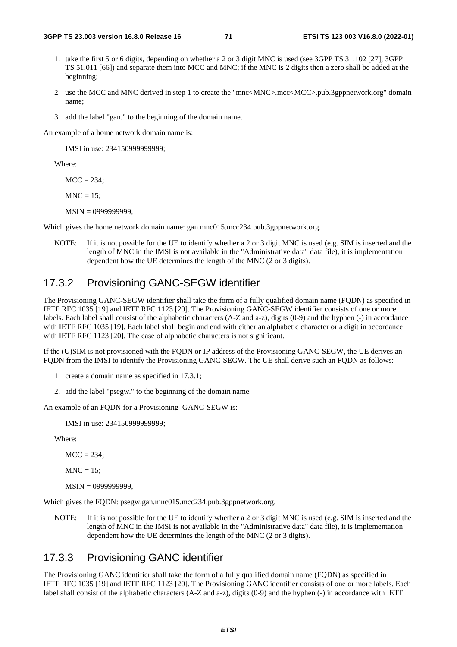- 1. take the first 5 or 6 digits, depending on whether a 2 or 3 digit MNC is used (see 3GPP TS 31.102 [27], 3GPP TS 51.011 [66]) and separate them into MCC and MNC; if the MNC is 2 digits then a zero shall be added at the beginning;
- 2. use the MCC and MNC derived in step 1 to create the "mnc<MNC>.mcc<MCC>.pub.3gppnetwork.org" domain name;
- 3. add the label "gan." to the beginning of the domain name.

An example of a home network domain name is:

IMSI in use: 234150999999999;

Where:

 $MCC = 234$ ;

 $MNC = 15$ ;

MSIN = 0999999999,

Which gives the home network domain name: gan.mnc015.mcc234.pub.3gppnetwork.org.

NOTE: If it is not possible for the UE to identify whether a 2 or 3 digit MNC is used (e.g. SIM is inserted and the length of MNC in the IMSI is not available in the "Administrative data" data file), it is implementation dependent how the UE determines the length of the MNC (2 or 3 digits).

#### 17.3.2 Provisioning GANC-SEGW identifier

The Provisioning GANC-SEGW identifier shall take the form of a fully qualified domain name (FQDN) as specified in IETF RFC 1035 [19] and IETF RFC 1123 [20]. The Provisioning GANC-SEGW identifier consists of one or more labels. Each label shall consist of the alphabetic characters (A-Z and a-z), digits (0-9) and the hyphen (-) in accordance with IETF RFC 1035 [19]. Each label shall begin and end with either an alphabetic character or a digit in accordance with IETF RFC 1123 [20]. The case of alphabetic characters is not significant.

If the (U)SIM is not provisioned with the FODN or IP address of the Provisioning GANC-SEGW, the UE derives an FQDN from the IMSI to identify the Provisioning GANC-SEGW. The UE shall derive such an FQDN as follows:

- 1. create a domain name as specified in 17.3.1;
- 2. add the label "psegw." to the beginning of the domain name.

An example of an FQDN for a Provisioning GANC-SEGW is:

IMSI in use: 234150999999999;

Where:

 $MCC = 234$ ;

 $MNC = 15$ :

MSIN = 0999999999,

Which gives the FQDN: psegw.gan.mnc015.mcc234.pub.3gppnetwork.org.

NOTE: If it is not possible for the UE to identify whether a 2 or 3 digit MNC is used (e.g. SIM is inserted and the length of MNC in the IMSI is not available in the "Administrative data" data file), it is implementation dependent how the UE determines the length of the MNC (2 or 3 digits).

#### 17.3.3 Provisioning GANC identifier

The Provisioning GANC identifier shall take the form of a fully qualified domain name (FQDN) as specified in IETF RFC 1035 [19] and IETF RFC 1123 [20]. The Provisioning GANC identifier consists of one or more labels. Each label shall consist of the alphabetic characters (A-Z and a-z), digits (0-9) and the hyphen (-) in accordance with IETF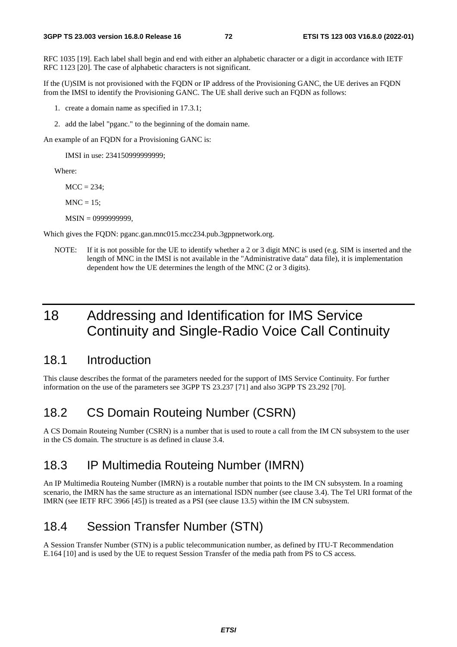RFC 1035 [19]. Each label shall begin and end with either an alphabetic character or a digit in accordance with IETF RFC 1123 [20]. The case of alphabetic characters is not significant.

If the (U)SIM is not provisioned with the FQDN or IP address of the Provisioning GANC, the UE derives an FQDN from the IMSI to identify the Provisioning GANC. The UE shall derive such an FQDN as follows:

- 1. create a domain name as specified in 17.3.1;
- 2. add the label "pganc." to the beginning of the domain name.

An example of an FQDN for a Provisioning GANC is:

IMSI in use: 234150999999999;

Where:

 $MCC = 234$ ;

 $MNC = 15$ ;

MSIN = 0999999999,

Which gives the FQDN: pganc.gan.mnc015.mcc234.pub.3gppnetwork.org.

NOTE: If it is not possible for the UE to identify whether a 2 or 3 digit MNC is used (e.g. SIM is inserted and the length of MNC in the IMSI is not available in the "Administrative data" data file), it is implementation dependent how the UE determines the length of the MNC (2 or 3 digits).

# 18 Addressing and Identification for IMS Service Continuity and Single-Radio Voice Call Continuity

### 18.1 Introduction

This clause describes the format of the parameters needed for the support of IMS Service Continuity. For further information on the use of the parameters see 3GPP TS 23.237 [71] and also 3GPP TS 23.292 [70].

# 18.2 CS Domain Routeing Number (CSRN)

A CS Domain Routeing Number (CSRN) is a number that is used to route a call from the IM CN subsystem to the user in the CS domain. The structure is as defined in clause 3.4.

## 18.3 IP Multimedia Routeing Number (IMRN)

An IP Multimedia Routeing Number (IMRN) is a routable number that points to the IM CN subsystem. In a roaming scenario, the IMRN has the same structure as an international ISDN number (see clause 3.4). The Tel URI format of the IMRN (see IETF RFC 3966 [45]) is treated as a PSI (see clause 13.5) within the IM CN subsystem.

# 18.4 Session Transfer Number (STN)

A Session Transfer Number (STN) is a public telecommunication number, as defined by ITU-T Recommendation E.164 [10] and is used by the UE to request Session Transfer of the media path from PS to CS access.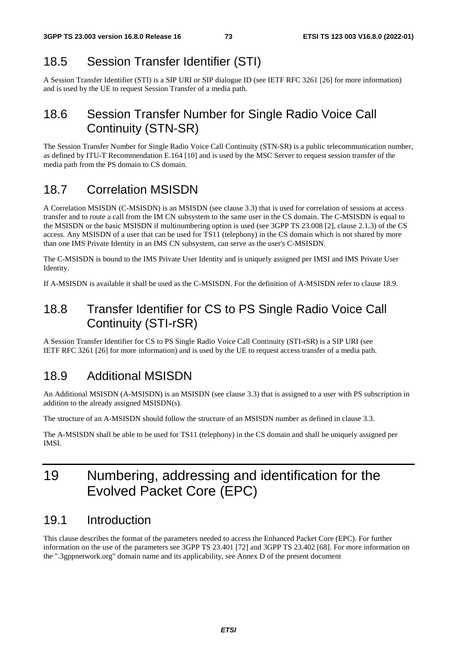# 18.5 Session Transfer Identifier (STI)

A Session Transfer Identifier (STI) is a SIP URI or SIP dialogue ID (see IETF RFC 3261 [26] for more information) and is used by the UE to request Session Transfer of a media path.

# 18.6 Session Transfer Number for Single Radio Voice Call Continuity (STN-SR)

The Session Transfer Number for Single Radio Voice Call Continuity (STN-SR) is a public telecommunication number, as defined by ITU-T Recommendation E.164 [10] and is used by the MSC Server to request session transfer of the media path from the PS domain to CS domain.

# 18.7 Correlation MSISDN

A Correlation MSISDN (C-MSISDN) is an MSISDN (see clause 3.3) that is used for correlation of sessions at access transfer and to route a call from the IM CN subsystem to the same user in the CS domain. The C-MSISDN is equal to the MSISDN or the basic MSISDN if multinumbering option is used (see 3GPP TS 23.008 [2], clause 2.1.3) of the CS access. Any MSISDN of a user that can be used for TS11 (telephony) in the CS domain which is not shared by more than one IMS Private Identity in an IMS CN subsystem, can serve as the user's C-MSISDN.

The C-MSISDN is bound to the IMS Private User Identity and is uniquely assigned per IMSI and IMS Private User Identity.

If A-MSISDN is available it shall be used as the C-MSISDN. For the definition of A-MSISDN refer to clause 18.9.

# 18.8 Transfer Identifier for CS to PS Single Radio Voice Call Continuity (STI-rSR)

A Session Transfer Identifier for CS to PS Single Radio Voice Call Continuity (STI-rSR) is a SIP URI (see IETF RFC 3261 [26] for more information) and is used by the UE to request access transfer of a media path.

# 18.9 Additional MSISDN

An Additional MSISDN (A-MSISDN) is an MSISDN (see clause 3.3) that is assigned to a user with PS subscription in addition to the already assigned MSISDN(s).

The structure of an A-MSISDN should follow the structure of an MSISDN number as defined in clause 3.3.

The A-MSISDN shall be able to be used for TS11 (telephony) in the CS domain and shall be uniquely assigned per IMSI.

# 19 Numbering, addressing and identification for the Evolved Packet Core (EPC)

## 19.1 Introduction

This clause describes the format of the parameters needed to access the Enhanced Packet Core (EPC). For further information on the use of the parameters see 3GPP TS 23.401 [72] and 3GPP TS 23.402 [68]. For more information on the ".3gppnetwork.org" domain name and its applicability, see Annex D of the present document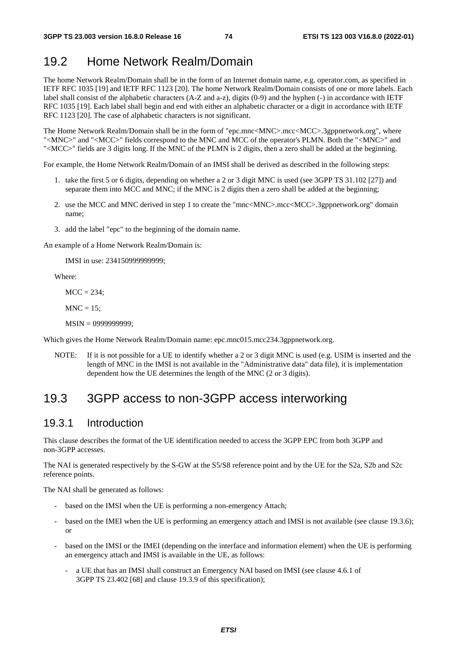# 19.2 Home Network Realm/Domain

The home Network Realm/Domain shall be in the form of an Internet domain name, e.g. operator.com, as specified in IETF RFC 1035 [19] and IETF RFC 1123 [20]. The home Network Realm/Domain consists of one or more labels. Each label shall consist of the alphabetic characters (A-Z and a-z), digits (0-9) and the hyphen (-) in accordance with IETF RFC 1035 [19]. Each label shall begin and end with either an alphabetic character or a digit in accordance with IETF RFC 1123 [20]. The case of alphabetic characters is not significant.

The Home Network Realm/Domain shall be in the form of "epc.mnc<MNC>.mcc<MCC>.3gppnetwork.org", where "<MNC>" and "<MCC>" fields correspond to the MNC and MCC of the operator's PLMN. Both the "<MNC>" and "<MCC>" fields are 3 digits long. If the MNC of the PLMN is 2 digits, then a zero shall be added at the beginning.

For example, the Home Network Realm/Domain of an IMSI shall be derived as described in the following steps:

- 1. take the first 5 or 6 digits, depending on whether a 2 or 3 digit MNC is used (see 3GPP TS 31.102 [27]) and separate them into MCC and MNC; if the MNC is 2 digits then a zero shall be added at the beginning;
- 2. use the MCC and MNC derived in step 1 to create the "mnc<MNC>.mcc<MCC>.3gppnetwork.org" domain name;
- 3. add the label "epc" to the beginning of the domain name.

An example of a Home Network Realm/Domain is:

IMSI in use: 234150999999999;

Where:

 $MCC = 234$ :

 $MNC = 15$ :

MSIN = 0999999999;

Which gives the Home Network Realm/Domain name: epc.mnc015.mcc234.3gppnetwork.org.

NOTE: If it is not possible for a UE to identify whether a 2 or 3 digit MNC is used (e.g. USIM is inserted and the length of MNC in the IMSI is not available in the "Administrative data" data file), it is implementation dependent how the UE determines the length of the MNC (2 or 3 digits).

## 19.3 3GPP access to non-3GPP access interworking

### 19.3.1 Introduction

This clause describes the format of the UE identification needed to access the 3GPP EPC from both 3GPP and non-3GPP accesses.

The NAI is generated respectively by the S-GW at the S5/S8 reference point and by the UE for the S2a, S2b and S2c reference points.

The NAI shall be generated as follows:

- based on the IMSI when the UE is performing a non-emergency Attach;
- based on the IMEI when the UE is performing an emergency attach and IMSI is not available (see clause 19.3.6); or
- based on the IMSI or the IMEI (depending on the interface and information element) when the UE is performing an emergency attach and IMSI is available in the UE, as follows:
	- a UE that has an IMSI shall construct an Emergency NAI based on IMSI (see clause 4.6.1 of 3GPP TS 23.402 [68] and clause 19.3.9 of this specification);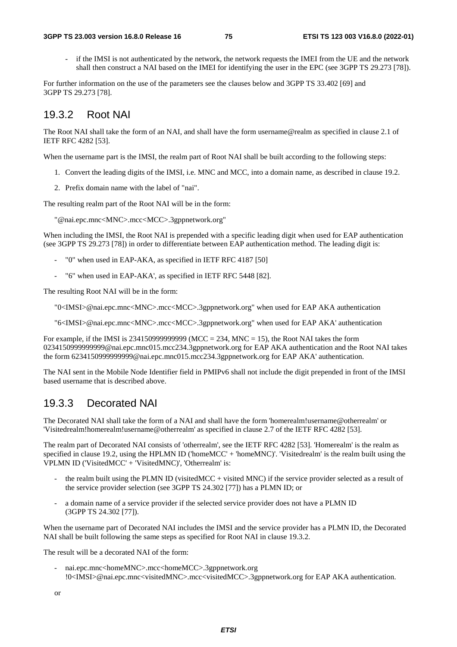if the IMSI is not authenticated by the network, the network requests the IMEI from the UE and the network shall then construct a NAI based on the IMEI for identifying the user in the EPC (see 3GPP TS 29.273 [78]).

For further information on the use of the parameters see the clauses below and 3GPP TS 33.402 [69] and 3GPP TS 29.273 [78].

### 19.3.2 Root NAI

The Root NAI shall take the form of an NAI, and shall have the form username@realm as specified in clause 2.1 of IETF RFC 4282 [53].

When the username part is the IMSI, the realm part of Root NAI shall be built according to the following steps:

- 1. Convert the leading digits of the IMSI, i.e. MNC and MCC, into a domain name, as described in clause 19.2.
- 2. Prefix domain name with the label of "nai".

The resulting realm part of the Root NAI will be in the form:

"@nai.epc.mnc<MNC>.mcc<MCC>.3gppnetwork.org"

When including the IMSI, the Root NAI is prepended with a specific leading digit when used for EAP authentication (see 3GPP TS 29.273 [78]) in order to differentiate between EAP authentication method. The leading digit is:

- "0" when used in EAP-AKA, as specified in IETF RFC 4187 [50]
- "6" when used in EAP-AKA', as specified in IETF RFC 5448 [82].

The resulting Root NAI will be in the form:

"0<IMSI>@nai.epc.mnc<MNC>.mcc<MCC>.3gppnetwork.org" when used for EAP AKA authentication

"6<IMSI>@nai.epc.mnc<MNC>.mcc<MCC>.3gppnetwork.org" when used for EAP AKA' authentication

For example, if the IMSI is  $234150999999999$  (MCC = 234, MNC = 15), the Root NAI takes the form 0234150999999999@nai.epc.mnc015.mcc234.3gppnetwork.org for EAP AKA authentication and the Root NAI takes the form 6234150999999999@nai.epc.mnc015.mcc234.3gppnetwork.org for EAP AKA' authentication.

The NAI sent in the Mobile Node Identifier field in PMIPv6 shall not include the digit prepended in front of the IMSI based username that is described above.

### 19.3.3 Decorated NAI

The Decorated NAI shall take the form of a NAI and shall have the form 'homerealm!username@otherrealm' or 'Visitedrealm!homerealm!username@otherrealm' as specified in clause 2.7 of the IETF RFC 4282 [53].

The realm part of Decorated NAI consists of 'otherrealm', see the IETF RFC 4282 [53]. 'Homerealm' is the realm as specified in clause 19.2, using the HPLMN ID ('homeMCC' + 'homeMNC)'. 'Visitedrealm' is the realm built using the VPLMN ID ('VisitedMCC' + 'VisitedMNC)', 'Otherrealm' is:

- the realm built using the PLMN ID (visited MCC + visited MNC) if the service provider selected as a result of the service provider selection (see 3GPP TS 24.302 [77]) has a PLMN ID; or
- a domain name of a service provider if the selected service provider does not have a PLMN ID (3GPP TS 24.302 [77]).

When the username part of Decorated NAI includes the IMSI and the service provider has a PLMN ID, the Decorated NAI shall be built following the same steps as specified for Root NAI in clause 19.3.2.

The result will be a decorated NAI of the form:

- nai.epc.mnc<homeMNC>.mcc<homeMCC>.3gppnetwork.org !0<IMSI>@nai.epc.mnc<visitedMNC>.mcc<visitedMCC>.3gppnetwork.org for EAP AKA authentication.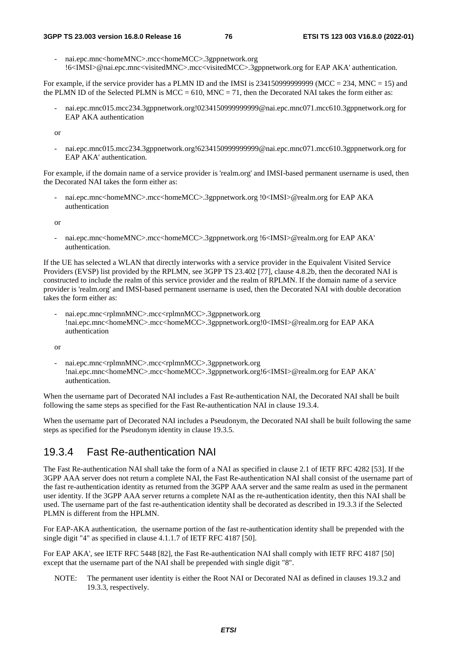#### **3GPP TS 23.003 version 16.8.0 Release 16 76 ETSI TS 123 003 V16.8.0 (2022-01)**

- nai.epc.mnc<homeMNC>.mcc<homeMCC>.3gppnetwork.org !6<IMSI>@nai.epc.mnc<visitedMNC>.mcc<visitedMCC>.3gppnetwork.org for EAP AKA' authentication.

For example, if the service provider has a PLMN ID and the IMSI is  $234150999999999$  (MCC = 234, MNC = 15) and the PLMN ID of the Selected PLMN is MCC = 610, MNC = 71, then the Decorated NAI takes the form either as:

- nai.epc.mnc015.mcc234.3gppnetwork.org!0234150999999999@nai.epc.mnc071.mcc610.3gppnetwork.org for EAP AKA authentication

or

- nai.epc.mnc015.mcc234.3gppnetwork.org!6234150999999999@nai.epc.mnc071.mcc610.3gppnetwork.org for EAP AKA' authentication.

For example, if the domain name of a service provider is 'realm.org' and IMSI-based permanent username is used, then the Decorated NAI takes the form either as:

- nai.epc.mnc<homeMNC>.mcc<homeMCC>.3gppnetwork.org !0<IMSI>@realm.org for EAP AKA authentication

or

- nai.epc.mnc<homeMNC>.mcc<homeMCC>.3gppnetwork.org !6<IMSI>@realm.org for EAP AKA' authentication.

If the UE has selected a WLAN that directly interworks with a service provider in the Equivalent Visited Service Providers (EVSP) list provided by the RPLMN, see 3GPP TS 23.402 [77], clause 4.8.2b, then the decorated NAI is constructed to include the realm of this service provider and the realm of RPLMN. If the domain name of a service provider is 'realm.org' and IMSI-based permanent username is used, then the Decorated NAI with double decoration takes the form either as:

- nai.epc.mnc<rplmnMNC>.mcc<rplmnMCC>.3gppnetwork.org !nai.epc.mnc<homeMNC>.mcc<homeMCC>.3gppnetwork.org!0<IMSI>@realm.org for EAP AKA authentication

or

- nai.epc.mnc<rplmnMNC>.mcc<rplmnMCC>.3gppnetwork.org !nai.epc.mnc<homeMNC>.mcc<homeMCC>.3gppnetwork.org!6<IMSI>@realm.org for EAP AKA' authentication.

When the username part of Decorated NAI includes a Fast Re-authentication NAI, the Decorated NAI shall be built following the same steps as specified for the Fast Re-authentication NAI in clause 19.3.4.

When the username part of Decorated NAI includes a Pseudonym, the Decorated NAI shall be built following the same steps as specified for the Pseudonym identity in clause 19.3.5.

### 19.3.4 Fast Re-authentication NAI

The Fast Re-authentication NAI shall take the form of a NAI as specified in clause 2.1 of IETF RFC 4282 [53]. If the 3GPP AAA server does not return a complete NAI, the Fast Re-authentication NAI shall consist of the username part of the fast re-authentication identity as returned from the 3GPP AAA server and the same realm as used in the permanent user identity. If the 3GPP AAA server returns a complete NAI as the re-authentication identity, then this NAI shall be used. The username part of the fast re-authentication identity shall be decorated as described in 19.3.3 if the Selected PLMN is different from the HPLMN.

For EAP-AKA authentication, the username portion of the fast re-authentication identity shall be prepended with the single digit "4" as specified in clause 4.1.1.7 of IETF RFC 4187 [50].

For EAP AKA', see IETF RFC 5448 [82], the Fast Re-authentication NAI shall comply with IETF RFC 4187 [50] except that the username part of the NAI shall be prepended with single digit "8".

NOTE: The permanent user identity is either the Root NAI or Decorated NAI as defined in clauses 19.3.2 and 19.3.3, respectively.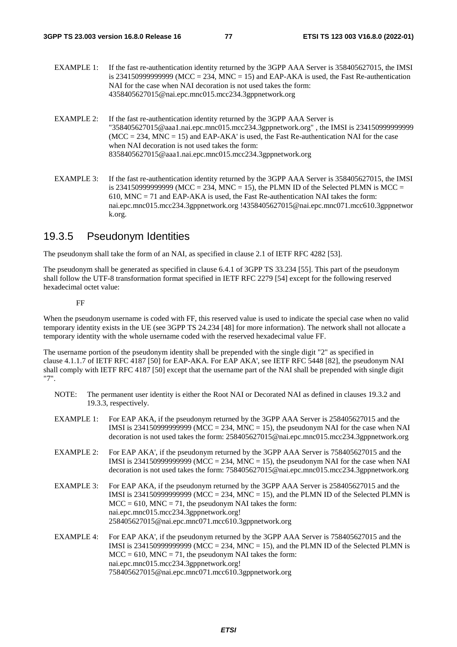- EXAMPLE 1: If the fast re-authentication identity returned by the 3GPP AAA Server is 358405627015, the IMSI is 2341509999999999 (MCC = 234, MNC = 15) and EAP-AKA is used, the Fast Re-authentication NAI for the case when NAI decoration is not used takes the form: 4358405627015@nai.epc.mnc015.mcc234.3gppnetwork.org
- EXAMPLE 2: If the fast re-authentication identity returned by the 3GPP AAA Server is "358405627015@aaa1.nai.epc.mnc015.mcc234.3gppnetwork.org" , the IMSI is 234150999999999  $(MCC = 234, MNC = 15)$  and EAP-AKA' is used, the Fast Re-authentication NAI for the case when NAI decoration is not used takes the form: 8358405627015@aaa1.nai.epc.mnc015.mcc234.3gppnetwork.org
- EXAMPLE 3: If the fast re-authentication identity returned by the 3GPP AAA Server is 358405627015, the IMSI is 2341509999999999 (MCC = 234, MNC = 15), the PLMN ID of the Selected PLMN is MCC = 610, MNC = 71 and EAP-AKA is used, the Fast Re-authentication NAI takes the form: nai.epc.mnc015.mcc234.3gppnetwork.org !4358405627015@nai.epc.mnc071.mcc610.3gppnetwor k.org.

### 19.3.5 Pseudonym Identities

The pseudonym shall take the form of an NAI, as specified in clause 2.1 of IETF RFC 4282 [53].

The pseudonym shall be generated as specified in clause 6.4.1 of 3GPP TS 33.234 [55]. This part of the pseudonym shall follow the UTF-8 transformation format specified in IETF RFC 2279 [54] except for the following reserved hexadecimal octet value:

#### FF

When the pseudonym username is coded with FF, this reserved value is used to indicate the special case when no valid temporary identity exists in the UE (see 3GPP TS 24.234 [48] for more information). The network shall not allocate a temporary identity with the whole username coded with the reserved hexadecimal value FF.

The username portion of the pseudonym identity shall be prepended with the single digit "2" as specified in clause 4.1.1.7 of IETF RFC 4187 [50] for EAP-AKA. For EAP AKA', see IETF RFC 5448 [82], the pseudonym NAI shall comply with IETF RFC 4187 [50] except that the username part of the NAI shall be prepended with single digit "7".

- NOTE: The permanent user identity is either the Root NAI or Decorated NAI as defined in clauses 19.3.2 and 19.3.3, respectively.
- EXAMPLE 1: For EAP AKA, if the pseudonym returned by the 3GPP AAA Server is 258405627015 and the IMSI is 234150999999999 (MCC = 234, MNC = 15), the pseudonym NAI for the case when NAI decoration is not used takes the form: 258405627015@nai.epc.mnc015.mcc234.3gppnetwork.org EXAMPLE 2: For EAP AKA', if the pseudonym returned by the 3GPP AAA Server is 758405627015 and the
- IMSI is 234150999999999 (MCC = 234, MNC = 15), the pseudonym NAI for the case when NAI decoration is not used takes the form: 758405627015@nai.epc.mnc015.mcc234.3gppnetwork.org EXAMPLE 3: For EAP AKA, if the pseudonym returned by the 3GPP AAA Server is 258405627015 and the
- IMSI is  $234150999999999$  (MCC =  $234$ , MNC = 15), and the PLMN ID of the Selected PLMN is  $MCC = 610$ ,  $MNC = 71$ , the pseudonym NAI takes the form: nai.epc.mnc015.mcc234.3gppnetwork.org! 258405627015@nai.epc.mnc071.mcc610.3gppnetwork.org
- EXAMPLE 4: For EAP AKA', if the pseudonym returned by the 3GPP AAA Server is 758405627015 and the IMSI is 23415099999999999 (MCC = 234, MNC = 15), and the PLMN ID of the Selected PLMN is  $MCC = 610$ ,  $MNC = 71$ , the pseudonym NAI takes the form: nai.epc.mnc015.mcc234.3gppnetwork.org! 758405627015@nai.epc.mnc071.mcc610.3gppnetwork.org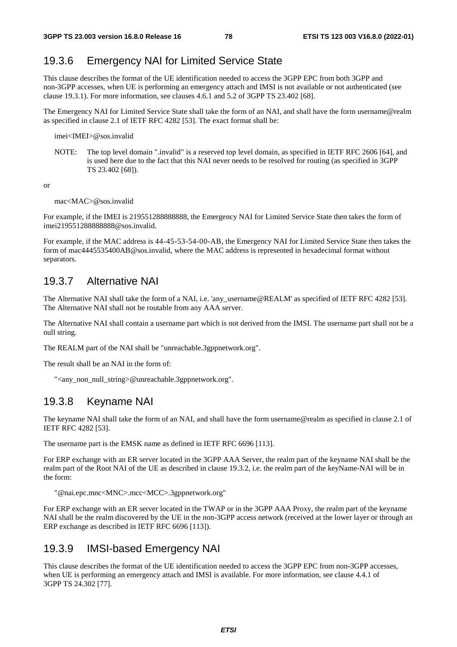## 19.3.6 Emergency NAI for Limited Service State

This clause describes the format of the UE identification needed to access the 3GPP EPC from both 3GPP and non-3GPP accesses, when UE is performing an emergency attach and IMSI is not available or not authenticated (see clause 19.3.1). For more information, see clauses 4.6.1 and 5.2 of 3GPP TS 23.402 [68].

The Emergency NAI for Limited Service State shall take the form of an NAI, and shall have the form username@realm as specified in clause 2.1 of IETF RFC 4282 [53]. The exact format shall be:

imei<IMEI>@sos.invalid

NOTE: The top level domain ".invalid" is a reserved top level domain, as specified in IETF RFC 2606 [64], and is used here due to the fact that this NAI never needs to be resolved for routing (as specified in 3GPP TS 23.402 [68]).

or

#### mac<MAC>@sos.invalid

For example, if the IMEI is 219551288888888, the Emergency NAI for Limited Service State then takes the form of imei219551288888888@sos.invalid.

For example, if the MAC address is 44-45-53-54-00-AB, the Emergency NAI for Limited Service State then takes the form of mac4445535400AB@sos.invalid, where the MAC address is represented in hexadecimal format without separators.

### 19.3.7 Alternative NAI

The Alternative NAI shall take the form of a NAI, i.e. 'any\_username@REALM' as specified of IETF RFC 4282 [53]. The Alternative NAI shall not be routable from any AAA server.

The Alternative NAI shall contain a username part which is not derived from the IMSI. The username part shall not be a null string.

The REALM part of the NAI shall be "unreachable.3gppnetwork.org".

The result shall be an NAI in the form of:

"<any\_non\_null\_string>@unreachable.3gppnetwork.org".

### 19.3.8 Keyname NAI

The keyname NAI shall take the form of an NAI, and shall have the form username@realm as specified in clause 2.1 of IETF RFC 4282 [53].

The username part is the EMSK name as defined in IETF RFC 6696 [113].

For ERP exchange with an ER server located in the 3GPP AAA Server, the realm part of the keyname NAI shall be the realm part of the Root NAI of the UE as described in clause 19.3.2, i.e. the realm part of the keyName-NAI will be in the form:

"@nai.epc.mnc<MNC>.mcc<MCC>.3gppnetwork.org"

For ERP exchange with an ER server located in the TWAP or in the 3GPP AAA Proxy, the realm part of the keyname NAI shall be the realm discovered by the UE in the non-3GPP access network (received at the lower layer or through an ERP exchange as described in IETF RFC 6696 [113]).

#### 19.3.9 IMSI-based Emergency NAI

This clause describes the format of the UE identification needed to access the 3GPP EPC from non-3GPP accesses, when UE is performing an emergency attach and IMSI is available. For more information, see clause 4.4.1 of 3GPP TS 24.302 [77].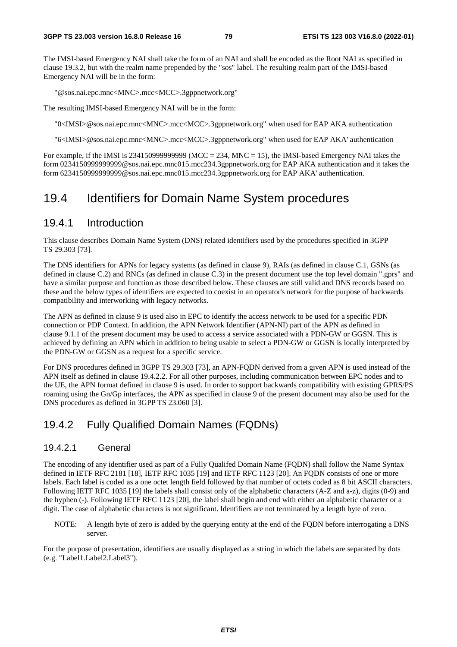The IMSI-based Emergency NAI shall take the form of an NAI and shall be encoded as the Root NAI as specified in clause 19.3.2, but with the realm name prepended by the "sos" label. The resulting realm part of the IMSI-based Emergency NAI will be in the form:

"@sos.nai.epc.mnc<MNC>.mcc<MCC>.3gppnetwork.org"

The resulting IMSI-based Emergency NAI will be in the form:

"0<IMSI>@sos.nai.epc.mnc<MNC>.mcc<MCC>.3gppnetwork.org" when used for EAP AKA authentication

"6<IMSI>@sos.nai.epc.mnc<MNC>.mcc<MCC>.3gppnetwork.org" when used for EAP AKA' authentication

For example, if the IMSI is 2341509999999999 (MCC = 234, MNC = 15), the IMSI-based Emergency NAI takes the form 0234150999999999@sos.nai.epc.mnc015.mcc234.3gppnetwork.org for EAP AKA authentication and it takes the form 62341509999999999@sos.nai.epc.mnc015.mcc234.3gppnetwork.org for EAP AKA' authentication.

## 19.4 Identifiers for Domain Name System procedures

### 19.4.1 Introduction

This clause describes Domain Name System (DNS) related identifiers used by the procedures specified in 3GPP TS 29.303 [73].

The DNS identifiers for APNs for legacy systems (as defined in clause 9), RAIs (as defined in clause C.1, GSNs (as defined in clause C.2) and RNCs (as defined in clause C.3) in the present document use the top level domain ".gprs" and have a similar purpose and function as those described below. These clauses are still valid and DNS records based on these and the below types of identifiers are expected to coexist in an operator's network for the purpose of backwards compatibility and interworking with legacy networks.

The APN as defined in clause 9 is used also in EPC to identify the access network to be used for a specific PDN connection or PDP Context. In addition, the APN Network Identifier (APN-NI) part of the APN as defined in clause 9.1.1 of the present document may be used to access a service associated with a PDN-GW or GGSN. This is achieved by defining an APN which in addition to being usable to select a PDN-GW or GGSN is locally interpreted by the PDN-GW or GGSN as a request for a specific service.

For DNS procedures defined in 3GPP TS 29.303 [73], an APN-FQDN derived from a given APN is used instead of the APN itself as defined in clause 19.4.2.2. For all other purposes, including communication between EPC nodes and to the UE, the APN format defined in clause 9 is used. In order to support backwards compatibility with existing GPRS/PS roaming using the Gn/Gp interfaces, the APN as specified in clause 9 of the present document may also be used for the DNS procedures as defined in 3GPP TS 23.060 [3].

### 19.4.2 Fully Qualified Domain Names (FQDNs)

#### 19.4.2.1 General

The encoding of any identifier used as part of a Fully Qualifed Domain Name (FQDN) shall follow the Name Syntax defined in IETF RFC 2181 [18], IETF RFC 1035 [19] and IETF RFC 1123 [20]. An FQDN consists of one or more labels. Each label is coded as a one octet length field followed by that number of octets coded as 8 bit ASCII characters. Following IETF RFC 1035 [19] the labels shall consist only of the alphabetic characters (A-Z and a-z), digits (0-9) and the hyphen (-). Following IETF RFC 1123 [20], the label shall begin and end with either an alphabetic character or a digit. The case of alphabetic characters is not significant. Identifiers are not terminated by a length byte of zero.

NOTE: A length byte of zero is added by the querying entity at the end of the FQDN before interrogating a DNS server.

For the purpose of presentation, identifiers are usually displayed as a string in which the labels are separated by dots (e.g. "Label1.Label2.Label3").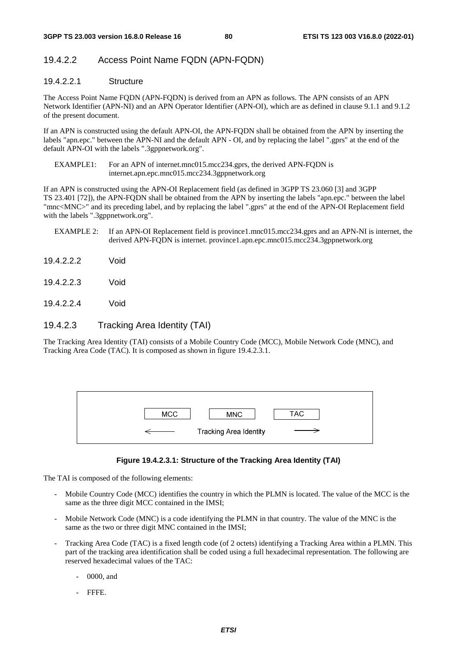### 19.4.2.2 Access Point Name FQDN (APN-FQDN)

### 19.4.2.2.1 Structure

The Access Point Name FQDN (APN-FQDN) is derived from an APN as follows. The APN consists of an APN Network Identifier (APN-NI) and an APN Operator Identifier (APN-OI), which are as defined in clause 9.1.1 and 9.1.2 of the present document.

If an APN is constructed using the default APN-OI, the APN-FQDN shall be obtained from the APN by inserting the labels "apn.epc." between the APN-NI and the default APN - OI, and by replacing the label ".gprs" at the end of the default APN-OI with the labels ".3gppnetwork.org".

EXAMPLE1: For an APN of internet.mnc015.mcc234.gprs, the derived APN-FODN is internet.apn.epc.mnc015.mcc234.3gppnetwork.org

If an APN is constructed using the APN-OI Replacement field (as defined in 3GPP TS 23.060 [3] and 3GPP TS 23.401 [72]), the APN-FQDN shall be obtained from the APN by inserting the labels "apn.epc." between the label "mnc<MNC>" and its preceding label, and by replacing the label ".gprs" at the end of the APN-OI Replacement field with the labels ".3gppnetwork.org".

- EXAMPLE 2: If an APN-OI Replacement field is province1.mnc015.mcc234.gprs and an APN-NI is internet, the derived APN-FQDN is internet. province1.apn.epc.mnc015.mcc234.3gppnetwork.org
- 19.4.2.2.2 Void
- 19.4.2.2.3 Void
- 19.4.2.2.4 Void

#### 19.4.2.3 Tracking Area Identity (TAI)

The Tracking Area Identity (TAI) consists of a Mobile Country Code (MCC), Mobile Network Code (MNC), and Tracking Area Code (TAC). It is composed as shown in figure 19.4.2.3.1.

| <b>MCC</b> | <b>MNC</b>             | TAC |
|------------|------------------------|-----|
|            | Tracking Area Identity |     |

#### **Figure 19.4.2.3.1: Structure of the Tracking Area Identity (TAI)**

The TAI is composed of the following elements:

- Mobile Country Code (MCC) identifies the country in which the PLMN is located. The value of the MCC is the same as the three digit MCC contained in the IMSI;
- Mobile Network Code (MNC) is a code identifying the PLMN in that country. The value of the MNC is the same as the two or three digit MNC contained in the IMSI;
- Tracking Area Code (TAC) is a fixed length code (of 2 octets) identifying a Tracking Area within a PLMN. This part of the tracking area identification shall be coded using a full hexadecimal representation. The following are reserved hexadecimal values of the TAC:
	- 0000, and
	- FFFE.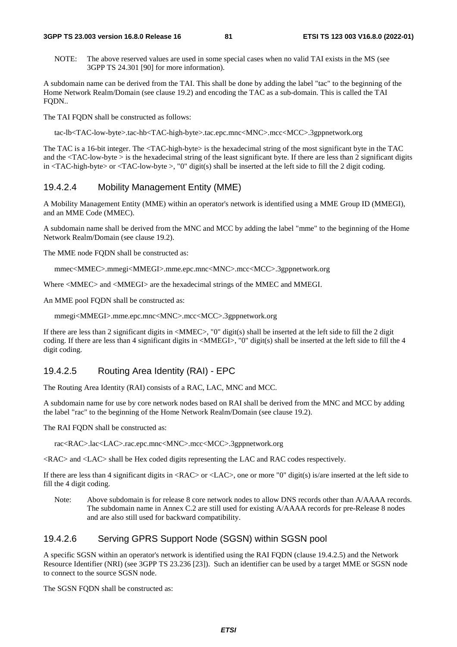#### **3GPP TS 23.003 version 16.8.0 Release 16 81 ETSI TS 123 003 V16.8.0 (2022-01)**

NOTE: The above reserved values are used in some special cases when no valid TAI exists in the MS (see 3GPP TS 24.301 [90] for more information).

A subdomain name can be derived from the TAI. This shall be done by adding the label "tac" to the beginning of the Home Network Realm/Domain (see clause 19.2) and encoding the TAC as a sub-domain. This is called the TAI FODN..

The TAI FODN shall be constructed as follows:

tac-lb<TAC-low-byte>.tac-hb<TAC-high-byte>.tac.epc.mnc<MNC>.mcc<MCC>.3gppnetwork.org

The TAC is a 16-bit integer. The <TAC-high-byte> is the hexadecimal string of the most significant byte in the TAC and the  $\langle TAC-low-bvte \rangle$  is the hexadecimal string of the least significant byte. If there are less than 2 significant digits in  $\langle TAC\text{-high-byte}\rangle$  or  $\langle TAC\text{-low-byte}\rangle$ , "0" digit(s) shall be inserted at the left side to fill the 2 digit coding.

#### 19.4.2.4 Mobility Management Entity (MME)

A Mobility Management Entity (MME) within an operator's network is identified using a MME Group ID (MMEGI), and an MME Code (MMEC).

A subdomain name shall be derived from the MNC and MCC by adding the label "mme" to the beginning of the Home Network Realm/Domain (see clause 19.2).

The MME node FQDN shall be constructed as:

mmec<MMEC>.mmegi<MMEGI>.mme.epc.mnc<MNC>.mcc<MCC>.3gppnetwork.org

Where <MMEC> and <MMEGI> are the hexadecimal strings of the MMEC and MMEGI.

An MME pool FQDN shall be constructed as:

mmegi<MMEGI>.mme.epc.mnc<MNC>.mcc<MCC>.3gppnetwork.org

If there are less than 2 significant digits in <MMEC>, "0" digit(s) shall be inserted at the left side to fill the 2 digit coding. If there are less than 4 significant digits in <MMEGI>, "0" digit(s) shall be inserted at the left side to fill the 4 digit coding.

#### 19.4.2.5 Routing Area Identity (RAI) - EPC

The Routing Area Identity (RAI) consists of a RAC, LAC, MNC and MCC.

A subdomain name for use by core network nodes based on RAI shall be derived from the MNC and MCC by adding the label "rac" to the beginning of the Home Network Realm/Domain (see clause 19.2).

The RAI FODN shall be constructed as:

rac<RAC>.lac<LAC>.rac.epc.mnc<MNC>.mcc<MCC>.3gppnetwork.org

<RAC> and <LAC> shall be Hex coded digits representing the LAC and RAC codes respectively.

If there are less than 4 significant digits in <RAC> or <LAC>, one or more "0" digit(s) is/are inserted at the left side to fill the 4 digit coding.

Note: Above subdomain is for release 8 core network nodes to allow DNS records other than A/AAAA records. The subdomain name in Annex C.2 are still used for existing A/AAAA records for pre-Release 8 nodes and are also still used for backward compatibility.

#### 19.4.2.6 Serving GPRS Support Node (SGSN) within SGSN pool

A specific SGSN within an operator's network is identified using the RAI FQDN (clause 19.4.2.5) and the Network Resource Identifier (NRI) (see 3GPP TS 23.236 [23]). Such an identifier can be used by a target MME or SGSN node to connect to the source SGSN node.

The SGSN FQDN shall be constructed as: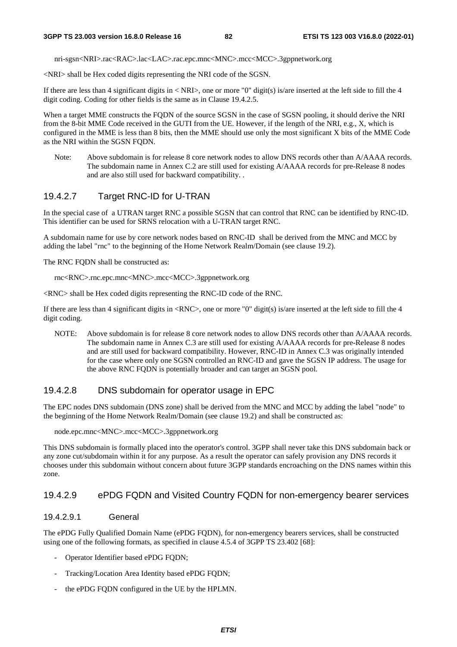nri-sgsn<NRI>.rac<RAC>.lac<LAC>.rac.epc.mnc<MNC>.mcc<MCC>.3gppnetwork.org

<NRI> shall be Hex coded digits representing the NRI code of the SGSN.

If there are less than 4 significant digits in  $\langle NRI \rangle$ , one or more "0" digit(s) is/are inserted at the left side to fill the 4 digit coding. Coding for other fields is the same as in Clause 19.4.2.5.

When a target MME constructs the FQDN of the source SGSN in the case of SGSN pooling, it should derive the NRI from the 8-bit MME Code received in the GUTI from the UE. However, if the length of the NRI, e.g., X, which is configured in the MME is less than 8 bits, then the MME should use only the most significant X bits of the MME Code as the NRI within the SGSN FQDN.

Note: Above subdomain is for release 8 core network nodes to allow DNS records other than A/AAAA records. The subdomain name in Annex C.2 are still used for existing A/AAAA records for pre-Release 8 nodes and are also still used for backward compatibility. .

#### 19.4.2.7 Target RNC-ID for U-TRAN

In the special case of a UTRAN target RNC a possible SGSN that can control that RNC can be identified by RNC-ID. This identifier can be used for SRNS relocation with a U-TRAN target RNC.

A subdomain name for use by core network nodes based on RNC-ID shall be derived from the MNC and MCC by adding the label "rnc" to the beginning of the Home Network Realm/Domain (see clause 19.2).

The RNC FQDN shall be constructed as:

rnc<RNC>.rnc.epc.mnc<MNC>.mcc<MCC>.3gppnetwork.org

<RNC> shall be Hex coded digits representing the RNC-ID code of the RNC.

If there are less than 4 significant digits in <RNC>, one or more "0" digit(s) is/are inserted at the left side to fill the 4 digit coding.

NOTE: Above subdomain is for release 8 core network nodes to allow DNS records other than A/AAAA records. The subdomain name in Annex C.3 are still used for existing A/AAAA records for pre-Release 8 nodes and are still used for backward compatibility. However, RNC-ID in Annex C.3 was originally intended for the case where only one SGSN controlled an RNC-ID and gave the SGSN IP address. The usage for the above RNC FQDN is potentially broader and can target an SGSN pool.

#### 19.4.2.8 DNS subdomain for operator usage in EPC

The EPC nodes DNS subdomain (DNS zone) shall be derived from the MNC and MCC by adding the label "node" to the beginning of the Home Network Realm/Domain (see clause 19.2) and shall be constructed as:

node.epc.mnc<MNC>.mcc<MCC>.3gppnetwork.org

This DNS subdomain is formally placed into the operator's control. 3GPP shall never take this DNS subdomain back or any zone cut/subdomain within it for any purpose. As a result the operator can safely provision any DNS records it chooses under this subdomain without concern about future 3GPP standards encroaching on the DNS names within this zone.

#### 19.4.2.9 ePDG FQDN and Visited Country FQDN for non-emergency bearer services

#### 19.4.2.9.1 General

The ePDG Fully Qualified Domain Name (ePDG FQDN), for non-emergency bearers services, shall be constructed using one of the following formats, as specified in clause 4.5.4 of 3GPP TS 23.402 [68]:

- Operator Identifier based ePDG FQDN;
- Tracking/Location Area Identity based ePDG FQDN;
- the ePDG FQDN configured in the UE by the HPLMN.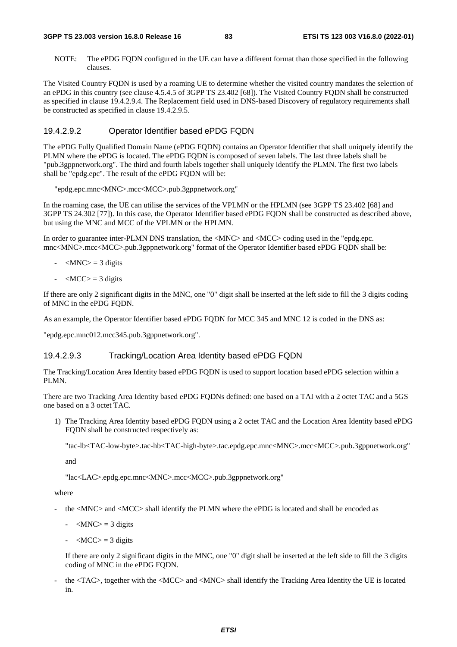#### **3GPP TS 23.003 version 16.8.0 Release 16 83 ETSI TS 123 003 V16.8.0 (2022-01)**

NOTE: The ePDG FQDN configured in the UE can have a different format than those specified in the following clauses.

The Visited Country FQDN is used by a roaming UE to determine whether the visited country mandates the selection of an ePDG in this country (see clause 4.5.4.5 of 3GPP TS 23.402 [68]). The Visited Country FQDN shall be constructed as specified in clause 19.4.2.9.4. The Replacement field used in DNS-based Discovery of regulatory requirements shall be constructed as specified in clause 19.4.2.9.5.

#### 19.4.2.9.2 Operator Identifier based ePDG FQDN

The ePDG Fully Qualified Domain Name (ePDG FQDN) contains an Operator Identifier that shall uniquely identify the PLMN where the ePDG is located. The ePDG FQDN is composed of seven labels. The last three labels shall be "pub.3gppnetwork.org". The third and fourth labels together shall uniquely identify the PLMN. The first two labels shall be "epdg.epc". The result of the ePDG FQDN will be:

"epdg.epc.mnc<MNC>.mcc<MCC>.pub.3gppnetwork.org"

In the roaming case, the UE can utilise the services of the VPLMN or the HPLMN (see 3GPP TS 23.402 [68] and 3GPP TS 24.302 [77]). In this case, the Operator Identifier based ePDG FQDN shall be constructed as described above, but using the MNC and MCC of the VPLMN or the HPLMN.

In order to guarantee inter-PLMN DNS translation, the  $\langle MNC \rangle$  and  $\langle MCC \rangle$  coding used in the "epdg.epc. mnc<MNC>.mcc<MCC>.pub.3gppnetwork.org" format of the Operator Identifier based ePDG FQDN shall be:

- $-MNC$  = 3 digits
- $-MCC$  = 3 digits

If there are only 2 significant digits in the MNC, one "0" digit shall be inserted at the left side to fill the 3 digits coding of MNC in the ePDG FQDN.

As an example, the Operator Identifier based ePDG FODN for MCC 345 and MNC 12 is coded in the DNS as:

"epdg.epc.mnc012.mcc345.pub.3gppnetwork.org".

#### 19.4.2.9.3 Tracking/Location Area Identity based ePDG FQDN

The Tracking/Location Area Identity based ePDG FQDN is used to support location based ePDG selection within a PLMN.

There are two Tracking Area Identity based ePDG FQDNs defined: one based on a TAI with a 2 octet TAC and a 5GS one based on a 3 octet TAC.

1) The Tracking Area Identity based ePDG FQDN using a 2 octet TAC and the Location Area Identity based ePDG FQDN shall be constructed respectively as:

"tac-lb<TAC-low-byte>.tac-hb<TAC-high-byte>.tac.epdg.epc.mnc<MNC>.mcc<MCC>.pub.3gppnetwork.org"

and

"lac<LAC>.epdg.epc.mnc<MNC>.mcc<MCC>.pub.3gppnetwork.org"

where

- the <MNC> and <MCC> shall identify the PLMN where the ePDG is located and shall be encoded as
	- $-MNC$  = 3 digits
	- $-MCC$  = 3 digits

 If there are only 2 significant digits in the MNC, one "0" digit shall be inserted at the left side to fill the 3 digits coding of MNC in the ePDG FQDN.

the <TAC>, together with the <MCC> and <MNC> shall identify the Tracking Area Identity the UE is located in.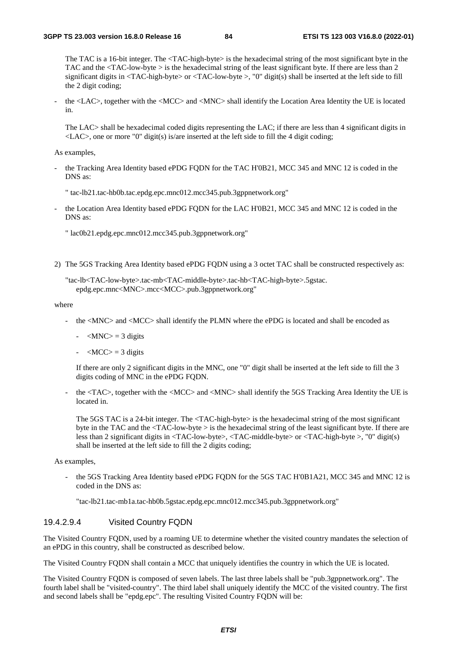The TAC is a 16-bit integer. The <TAC-high-byte> is the hexadecimal string of the most significant byte in the TAC and the <TAC-low-byte > is the hexadecimal string of the least significant byte. If there are less than 2 significant digits in  $\langle TAC\text{-high-byte}\rangle$  or  $\langle TAC\text{-low-byte}\rangle$ , "0" digit(s) shall be inserted at the left side to fill the 2 digit coding;

the <LAC>, together with the <MCC> and <MNC> shall identify the Location Area Identity the UE is located in.

The LAC> shall be hexadecimal coded digits representing the LAC; if there are less than 4 significant digits in  $\langle$ LAC $>$ , one or more "0" digit(s) is/are inserted at the left side to fill the 4 digit coding;

As examples,

- the Tracking Area Identity based ePDG FODN for the TAC H'0B21, MCC 345 and MNC 12 is coded in the DNS as:
	- " tac-lb21.tac-hb0b.tac.epdg.epc.mnc012.mcc345.pub.3gppnetwork.org"
- the Location Area Identity based ePDG FQDN for the LAC H'0B21, MCC 345 and MNC 12 is coded in the DNS as:

" lac0b21.epdg.epc.mnc012.mcc345.pub.3gppnetwork.org"

2) The 5GS Tracking Area Identity based ePDG FQDN using a 3 octet TAC shall be constructed respectively as:

"tac-lb<TAC-low-byte>.tac-mb<TAC-middle-byte>.tac-hb<TAC-high-byte>.5gstac. epdg.epc.mnc<MNC>.mcc<MCC>.pub.3gppnetwork.org"

where

- the <MNC> and <MCC> shall identify the PLMN where the ePDG is located and shall be encoded as
	- $-MNC$  = 3 digits
	- $-MCC$  = 3 digits

 If there are only 2 significant digits in the MNC, one "0" digit shall be inserted at the left side to fill the 3 digits coding of MNC in the ePDG FQDN.

the <TAC>, together with the <MCC> and <MNC> shall identify the 5GS Tracking Area Identity the UE is located in.

The 5GS TAC is a 24-bit integer. The <TAC-high-byte> is the hexadecimal string of the most significant byte in the TAC and the <TAC-low-byte > is the hexadecimal string of the least significant byte. If there are less than 2 significant digits in <TAC-low-byte>, <TAC-middle-byte> or <TAC-high-byte >, "0" digit(s) shall be inserted at the left side to fill the 2 digits coding;

As examples,

the 5GS Tracking Area Identity based ePDG FODN for the 5GS TAC H'0B1A21, MCC 345 and MNC 12 is coded in the DNS as:

"tac-lb21.tac-mb1a.tac-hb0b.5gstac.epdg.epc.mnc012.mcc345.pub.3gppnetwork.org"

#### 19.4.2.9.4 Visited Country FQDN

The Visited Country FQDN, used by a roaming UE to determine whether the visited country mandates the selection of an ePDG in this country, shall be constructed as described below.

The Visited Country FQDN shall contain a MCC that uniquely identifies the country in which the UE is located.

The Visited Country FQDN is composed of seven labels. The last three labels shall be "pub.3gppnetwork.org". The fourth label shall be "visited-country". The third label shall uniquely identify the MCC of the visited country. The first and second labels shall be "epdg.epc". The resulting Visited Country FQDN will be: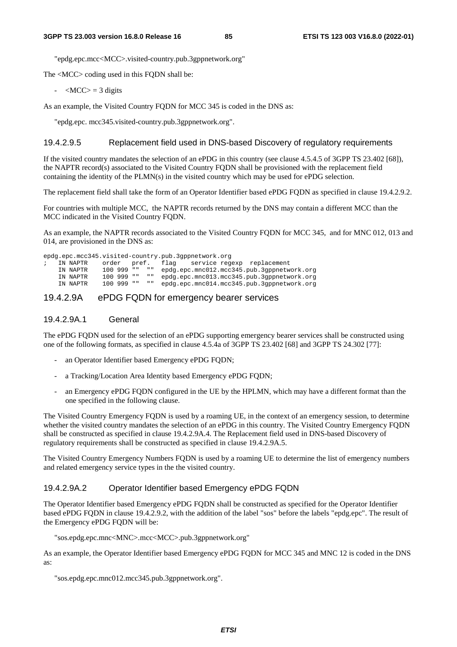"epdg.epc.mcc<MCC>.visited-country.pub.3gppnetwork.org"

The <MCC> coding used in this FQDN shall be:

 $-MCC$  = 3 digits

As an example, the Visited Country FQDN for MCC 345 is coded in the DNS as:

"epdg.epc. mcc345.visited-country.pub.3gppnetwork.org".

#### 19.4.2.9.5 Replacement field used in DNS-based Discovery of regulatory requirements

If the visited country mandates the selection of an ePDG in this country (see clause 4.5.4.5 of 3GPP TS 23.402 [68]), the NAPTR record(s) associated to the Visited Country FQDN shall be provisioned with the replacement field containing the identity of the PLMN(s) in the visited country which may be used for ePDG selection.

The replacement field shall take the form of an Operator Identifier based ePDG FQDN as specified in clause 19.4.2.9.2.

For countries with multiple MCC, the NAPTR records returned by the DNS may contain a different MCC than the MCC indicated in the Visited Country FQDN.

As an example, the NAPTR records associated to the Visited Country FQDN for MCC 345, and for MNC 012, 013 and 014, are provisioned in the DNS as:

epdg.epc.mcc345.visited-country.pub.3gppnetwork.org ; IN NAPTR order pref. flag service regexp replacement IN NAPTR 100 999 "" "" epdg.epc.mnc012.mcc345.pub.3gppnetwork.org IN NAPTR 100 999 "" "" epdg.epc.mnc013.mcc345.pub.3gppnetwork.org IN NAPTR 100 999 "" "" epdg.epc.mnc014.mcc345.pub.3gppnetwork.org

#### 19.4.2.9A ePDG FQDN for emergency bearer services

#### 19.4.2.9A.1 General

The ePDG FQDN used for the selection of an ePDG supporting emergency bearer services shall be constructed using one of the following formats, as specified in clause 4.5.4a of 3GPP TS 23.402 [68] and 3GPP TS 24.302 [77]:

- an Operator Identifier based Emergency ePDG FQDN;
- a Tracking/Location Area Identity based Emergency ePDG FQDN;
- an Emergency ePDG FQDN configured in the UE by the HPLMN, which may have a different format than the one specified in the following clause.

The Visited Country Emergency FQDN is used by a roaming UE, in the context of an emergency session, to determine whether the visited country mandates the selection of an ePDG in this country. The Visited Country Emergency FODN shall be constructed as specified in clause 19.4.2.9A.4. The Replacement field used in DNS-based Discovery of regulatory requirements shall be constructed as specified in clause 19.4.2.9A.5.

The Visited Country Emergency Numbers FQDN is used by a roaming UE to determine the list of emergency numbers and related emergency service types in the the visited country.

#### 19.4.2.9A.2 Operator Identifier based Emergency ePDG FQDN

The Operator Identifier based Emergency ePDG FQDN shall be constructed as specified for the Operator Identifier based ePDG FQDN in clause 19.4.2.9.2, with the addition of the label "sos" before the labels "epdg.epc". The result of the Emergency ePDG FQDN will be:

"sos.epdg.epc.mnc<MNC>.mcc<MCC>.pub.3gppnetwork.org"

As an example, the Operator Identifier based Emergency ePDG FQDN for MCC 345 and MNC 12 is coded in the DNS as:

"sos.epdg.epc.mnc012.mcc345.pub.3gppnetwork.org".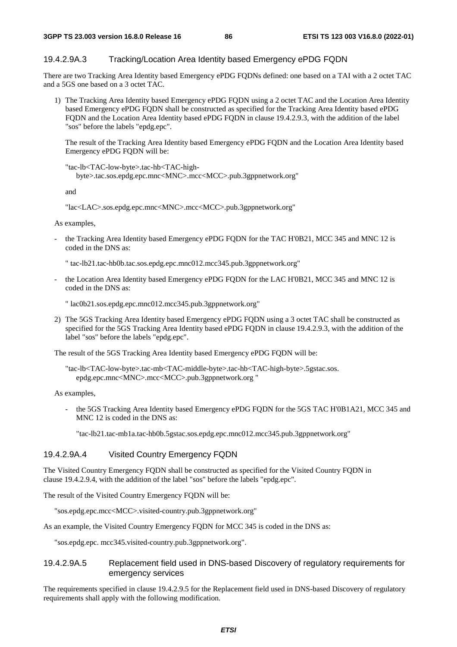#### 19.4.2.9A.3 Tracking/Location Area Identity based Emergency ePDG FQDN

There are two Tracking Area Identity based Emergency ePDG FQDNs defined: one based on a TAI with a 2 octet TAC and a 5GS one based on a 3 octet TAC.

1) The Tracking Area Identity based Emergency ePDG FQDN using a 2 octet TAC and the Location Area Identity based Emergency ePDG FQDN shall be constructed as specified for the Tracking Area Identity based ePDG FQDN and the Location Area Identity based ePDG FQDN in clause 19.4.2.9.3, with the addition of the label "sos" before the labels "epdg.epc".

 The result of the Tracking Area Identity based Emergency ePDG FQDN and the Location Area Identity based Emergency ePDG FQDN will be:

"tac-lb<TAC-low-byte>.tac-hb<TAC-highbyte>.tac.sos.epdg.epc.mnc<MNC>.mcc<MCC>.pub.3gppnetwork.org"

and

"lac<LAC>.sos.epdg.epc.mnc<MNC>.mcc<MCC>.pub.3gppnetwork.org"

As examples,

the Tracking Area Identity based Emergency ePDG FQDN for the TAC H'0B21, MCC 345 and MNC 12 is coded in the DNS as:

" tac-lb21.tac-hb0b.tac.sos.epdg.epc.mnc012.mcc345.pub.3gppnetwork.org"

the Location Area Identity based Emergency ePDG FQDN for the LAC H'0B21, MCC 345 and MNC 12 is coded in the DNS as:

" lac0b21.sos.epdg.epc.mnc012.mcc345.pub.3gppnetwork.org"

2) The 5GS Tracking Area Identity based Emergency ePDG FQDN using a 3 octet TAC shall be constructed as specified for the 5GS Tracking Area Identity based ePDG FQDN in clause 19.4.2.9.3, with the addition of the label "sos" before the labels "epdg.epc".

The result of the 5GS Tracking Area Identity based Emergency ePDG FQDN will be:

"tac-lb<TAC-low-byte>.tac-mb<TAC-middle-byte>.tac-hb<TAC-high-byte>.5gstac.sos. epdg.epc.mnc<MNC>.mcc<MCC>.pub.3gppnetwork.org "

As examples,

the 5GS Tracking Area Identity based Emergency ePDG FODN for the 5GS TAC H'0B1A21, MCC 345 and MNC 12 is coded in the DNS as:

"tac-lb21.tac-mb1a.tac-hb0b.5gstac.sos.epdg.epc.mnc012.mcc345.pub.3gppnetwork.org"

#### 19.4.2.9A.4 Visited Country Emergency FQDN

The Visited Country Emergency FQDN shall be constructed as specified for the Visited Country FQDN in clause 19.4.2.9.4, with the addition of the label "sos" before the labels "epdg.epc".

The result of the Visited Country Emergency FQDN will be:

"sos.epdg.epc.mcc<MCC>.visited-country.pub.3gppnetwork.org"

As an example, the Visited Country Emergency FQDN for MCC 345 is coded in the DNS as:

"sos.epdg.epc. mcc345.visited-country.pub.3gppnetwork.org".

#### 19.4.2.9A.5 Replacement field used in DNS-based Discovery of regulatory requirements for emergency services

The requirements specified in clause 19.4.2.9.5 for the Replacement field used in DNS-based Discovery of regulatory requirements shall apply with the following modification.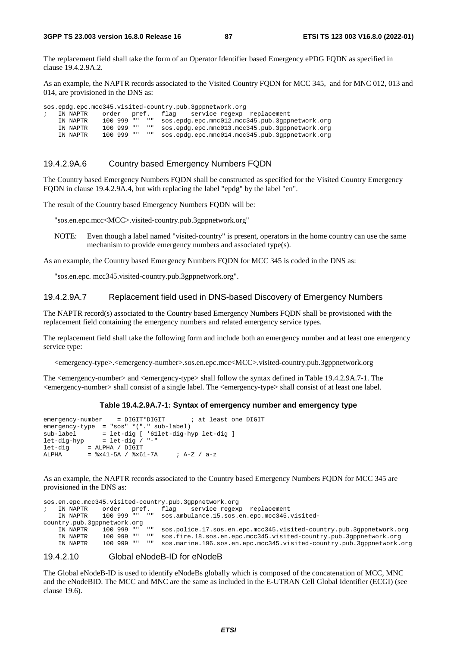The replacement field shall take the form of an Operator Identifier based Emergency ePDG FQDN as specified in clause 19.4.2.9A.2.

As an example, the NAPTR records associated to the Visited Country FQDN for MCC 345, and for MNC 012, 013 and 014, are provisioned in the DNS as:

sos.epdg.epc.mcc345.visited-country.pub.3gppnetwork.org ; IN NAPTR order pref. flag service regexp replacement IN NAPTR 100 999 "" "" sos.epdg.epc.mnc012.mcc345.pub.3gppnetwork.org IN NAPTR 100 999 "" "" sos.epdg.epc.mnc013.mcc345.pub.3gppnetwork.org IN NAPTR 100 999 "" "" sos.epdg.epc.mnc014.mcc345.pub.3gppnetwork.org

#### 19.4.2.9A.6 Country based Emergency Numbers FQDN

The Country based Emergency Numbers FQDN shall be constructed as specified for the Visited Country Emergency FQDN in clause 19.4.2.9A.4, but with replacing the label "epdg" by the label "en".

The result of the Country based Emergency Numbers FQDN will be:

"sos.en.epc.mcc<MCC>.visited-country.pub.3gppnetwork.org"

NOTE: Even though a label named "visited-country" is present, operators in the home country can use the same mechanism to provide emergency numbers and associated type(s).

As an example, the Country based Emergency Numbers FQDN for MCC 345 is coded in the DNS as:

"sos.en.epc. mcc345.visited-country.pub.3gppnetwork.org".

#### 19.4.2.9A.7 Replacement field used in DNS-based Discovery of Emergency Numbers

The NAPTR record(s) associated to the Country based Emergency Numbers FQDN shall be provisioned with the replacement field containing the emergency numbers and related emergency service types.

The replacement field shall take the following form and include both an emergency number and at least one emergency service type:

<emergency-type>.<emergency-number>.sos.en.epc.mcc<MCC>.visited-country.pub.3gppnetwork.org

The <emergency-number> and <emergency-type> shall follow the syntax defined in Table 19.4.2.9A.7-1. The <emergency-number> shall consist of a single label. The <emergency-type> shall consist of at least one label.

#### **Table 19.4.2.9A.7-1: Syntax of emergency number and emergency type**

```
emergency-number = DIGIT*DIGIT ; at least one DIGIT
emergency-type = "sos" *("." sub-label) 
sub-label = let-dig [ *61let-dig-hyp let-dig ] 
let-dig-hyp = let-dig / "-" 
let-dig = ALPHA / DIGIT 
ALPHA = x41-5A / x61-7A ; A-Z / a-z
```
As an example, the NAPTR records associated to the Country based Emergency Numbers FODN for MCC 345 are provisioned in the DNS as:

sos.en.epc.mcc345.visited-country.pub.3gppnetwork.org ; IN NAPTR order pref. flag service regexp replacement IN NAPTR 100 999 "" "" sos.ambulance.15.sos.en.epc.mcc345.visitedcountry.pub.3gppnetwork.org IN NAPTR 100 999 "" "" sos.police.17.sos.en.epc.mcc345.visited-country.pub.3gppnetwork.org IN NAPTR 100 999 "" "" sos.fire.18.sos.en.epc.mcc345.visited-country.pub.3gppnetwork.org 100 999 "" " sos.marine.196.sos.en.epc.mcc345.visited-country.pub.3gppnetwork.org

#### 19.4.2.10 Global eNodeB-ID for eNodeB

The Global eNodeB-ID is used to identify eNodeBs globally which is composed of the concatenation of MCC, MNC and the eNodeBID. The MCC and MNC are the same as included in the E-UTRAN Cell Global Identifier (ECGI) (see clause 19.6).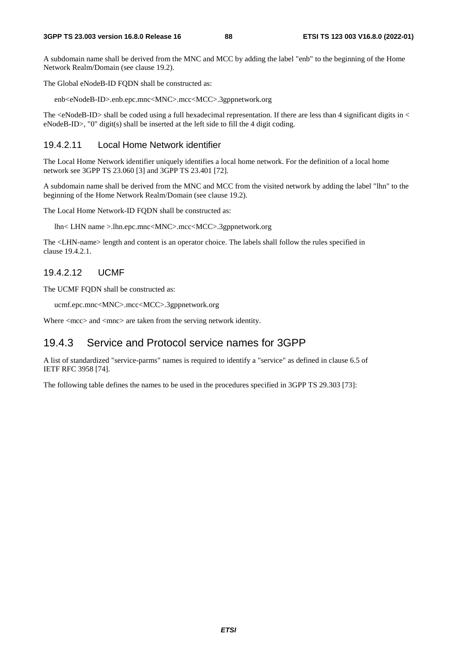A subdomain name shall be derived from the MNC and MCC by adding the label "enb" to the beginning of the Home Network Realm/Domain (see clause 19.2).

The Global eNodeB-ID FQDN shall be constructed as:

enb<eNodeB-ID>.enb.epc.mnc<MNC>.mcc<MCC>.3gppnetwork.org

The  $\leq$ NodeB-ID $>$ shall be coded using a full hexadecimal representation. If there are less than 4 significant digits in  $\leq$ eNodeB-ID>, "0" digit(s) shall be inserted at the left side to fill the 4 digit coding.

#### 19.4.2.11 Local Home Network identifier

The Local Home Network identifier uniquely identifies a local home network. For the definition of a local home network see 3GPP TS 23.060 [3] and 3GPP TS 23.401 [72].

A subdomain name shall be derived from the MNC and MCC from the visited network by adding the label "lhn" to the beginning of the Home Network Realm/Domain (see clause 19.2).

The Local Home Network-ID FQDN shall be constructed as:

lhn< LHN name >.lhn.epc.mnc<MNC>.mcc<MCC>.3gppnetwork.org

The <LHN-name> length and content is an operator choice. The labels shall follow the rules specified in clause 19.4.2.1.

#### 19.4.2.12 UCMF

The UCMF FQDN shall be constructed as:

ucmf.epc.mnc<MNC>.mcc<MCC>.3gppnetwork.org

Where  $\langle$  mcc $>$  and  $\langle$  mnc $>$  are taken from the serving network identity.

### 19.4.3 Service and Protocol service names for 3GPP

A list of standardized "service-parms" names is required to identify a "service" as defined in clause 6.5 of IETF RFC 3958 [74].

The following table defines the names to be used in the procedures specified in 3GPP TS 29.303 [73]: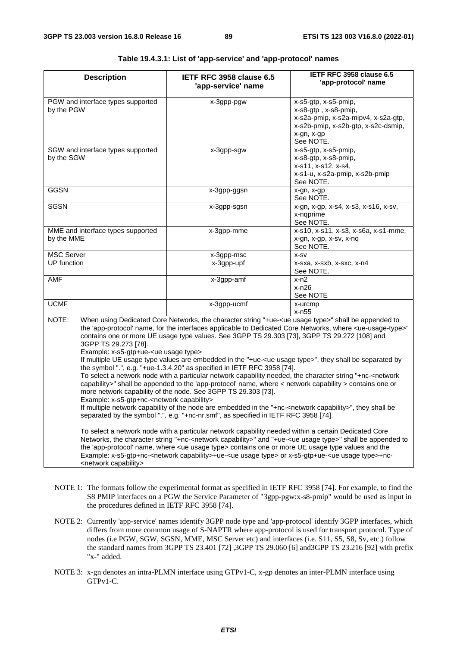| <b>Description</b>                                                                                                                                                                 | IETF RFC 3958 clause 6.5<br>'app-service' name                                                                                                                                                                                                                                                                                                                                                                                                                                                                                                                                                                                                                                                                                                                                                                                                                                                                                                                                                                                                                                                                                                                                                                                                                                                                       | IETF RFC 3958 clause 6.5<br>'app-protocol' name                                                                                                                                                                                                                |
|------------------------------------------------------------------------------------------------------------------------------------------------------------------------------------|----------------------------------------------------------------------------------------------------------------------------------------------------------------------------------------------------------------------------------------------------------------------------------------------------------------------------------------------------------------------------------------------------------------------------------------------------------------------------------------------------------------------------------------------------------------------------------------------------------------------------------------------------------------------------------------------------------------------------------------------------------------------------------------------------------------------------------------------------------------------------------------------------------------------------------------------------------------------------------------------------------------------------------------------------------------------------------------------------------------------------------------------------------------------------------------------------------------------------------------------------------------------------------------------------------------------|----------------------------------------------------------------------------------------------------------------------------------------------------------------------------------------------------------------------------------------------------------------|
| PGW and interface types supported<br>by the PGW                                                                                                                                    | x-3gpp-pgw                                                                                                                                                                                                                                                                                                                                                                                                                                                                                                                                                                                                                                                                                                                                                                                                                                                                                                                                                                                                                                                                                                                                                                                                                                                                                                           | x-s5-gtp, x-s5-pmip,<br>x-s8-gtp, x-s8-pmip,<br>x-s2a-pmip, x-s2a-mipv4, x-s2a-gtp,<br>x-s2b-pmip, x-s2b-gtp, x-s2c-dsmip,<br>x-gn, x-gp<br>See NOTE.                                                                                                          |
| SGW and interface types supported<br>by the SGW                                                                                                                                    | x-3gpp-sgw                                                                                                                                                                                                                                                                                                                                                                                                                                                                                                                                                                                                                                                                                                                                                                                                                                                                                                                                                                                                                                                                                                                                                                                                                                                                                                           | x-s5-gtp, x-s5-pmip,<br>x-s8-gtp, x-s8-pmip,<br>x-s11, x-s12, x-s4,<br>x-s1-u, x-s2a-pmip, x-s2b-pmip<br>See NOTE.                                                                                                                                             |
| <b>GGSN</b>                                                                                                                                                                        | x-3gpp-ggsn                                                                                                                                                                                                                                                                                                                                                                                                                                                                                                                                                                                                                                                                                                                                                                                                                                                                                                                                                                                                                                                                                                                                                                                                                                                                                                          | x-gn, x-gp<br>See NOTE.                                                                                                                                                                                                                                        |
| <b>SGSN</b>                                                                                                                                                                        | x-3gpp-sgsn                                                                                                                                                                                                                                                                                                                                                                                                                                                                                                                                                                                                                                                                                                                                                                                                                                                                                                                                                                                                                                                                                                                                                                                                                                                                                                          | x-gn, x-gp, x-s4, x-s3, x-s16, x-sv,<br>x-nqprime<br>See NOTE.                                                                                                                                                                                                 |
| MME and interface types supported<br>by the MME                                                                                                                                    | x-3gpp-mme                                                                                                                                                                                                                                                                                                                                                                                                                                                                                                                                                                                                                                                                                                                                                                                                                                                                                                                                                                                                                                                                                                                                                                                                                                                                                                           | x-s10, x-s11, x-s3, x-s6a, x-s1-mme,<br>x-gn, x-gp, x-sv, x-nq<br>See NOTE.                                                                                                                                                                                    |
| <b>MSC Server</b>                                                                                                                                                                  | x-3gpp-msc                                                                                                                                                                                                                                                                                                                                                                                                                                                                                                                                                                                                                                                                                                                                                                                                                                                                                                                                                                                                                                                                                                                                                                                                                                                                                                           | X-SV                                                                                                                                                                                                                                                           |
| <b>UP</b> function                                                                                                                                                                 | x-3gpp-upf                                                                                                                                                                                                                                                                                                                                                                                                                                                                                                                                                                                                                                                                                                                                                                                                                                                                                                                                                                                                                                                                                                                                                                                                                                                                                                           | x-sxa, x-sxb, x-sxc, x-n4<br>See NOTE.                                                                                                                                                                                                                         |
| AMF                                                                                                                                                                                | x-3gpp-amf                                                                                                                                                                                                                                                                                                                                                                                                                                                                                                                                                                                                                                                                                                                                                                                                                                                                                                                                                                                                                                                                                                                                                                                                                                                                                                           | $x-n2$<br>x-n26<br>See NOTE                                                                                                                                                                                                                                    |
| <b>UCMF</b>                                                                                                                                                                        | x-3gpp-ucmf                                                                                                                                                                                                                                                                                                                                                                                                                                                                                                                                                                                                                                                                                                                                                                                                                                                                                                                                                                                                                                                                                                                                                                                                                                                                                                          | x-urcmp<br>$x - n55$                                                                                                                                                                                                                                           |
| NOTE:<br>3GPP TS 29.273 [78].<br>Example: x-s5-gtp+ue- <ue type="" usage=""><br/>Example: x-s5-gtp+nc-<network capability=""><br/><network capability=""></network></network></ue> | When using Dedicated Core Networks, the character string "+ue- <ue type="" usage="">" shall be appended to<br/>contains one or more UE usage type values. See 3GPP TS 29.303 [73], 3GPP TS 29.272 [108] and<br/>If multiple UE usage type values are embedded in the "+ue-<ue type="" usage="">", they shall be separated by<br/>the symbol ".", e.g. "+ue-1.3.4.20" as specified in IETF RFC 3958 [74].<br/>To select a network node with a particular network capability needed, the character string "+nc-<network<br>capability&gt;" shall be appended to the 'app-protocol' name, where &lt; network capability &gt; contains one or<br/>more network capability of the node. See 3GPP TS 29.303 [73].<br/>If multiple network capability of the node are embedded in the "+nc-<network capability="">", they shall be<br/>separated by the symbol ".", e.g. "+nc-nr.smf", as specified in IETF RFC 3958 [74].<br/>To select a network node with a particular network capability needed within a certain Dedicated Core<br/>the 'app-protocol' name, where <ue type="" usage=""> contains one or more UE usage type values and the<br/>Example: x-s5-gtp+nc-<network capability="">+ue-<ue type="" usage=""> or x-s5-gtp+ue-<ue type="" usage="">+nc-</ue></ue></network></ue></network></network<br></ue></ue> | the 'app-protocol' name, for the interfaces applicable to Dedicated Core Networks, where <ue-usage-type>"<br/>Networks, the character string "+nc-<network capability="">" and "+ue-<ue type="" usage="">" shall be appended to</ue></network></ue-usage-type> |

#### **Table 19.4.3.1: List of 'app-service' and 'app-protocol' names**

- NOTE 1: The formats follow the experimental format as specified in IETF RFC 3958 [74]. For example, to find the S8 PMIP interfaces on a PGW the Service Parameter of "3gpp-pgw:x-s8-pmip" would be used as input in the procedures defined in IETF RFC 3958 [74].
- NOTE 2: Currently 'app-service' names identify 3GPP node type and 'app-protocol' identify 3GPP interfaces, which differs from more common usage of S-NAPTR where app-protocol is used for transport protocol. Type of nodes (i.e PGW, SGW, SGSN, MME, MSC Server etc) and interfaces (i.e. S11, S5, S8, Sv, etc.) follow the standard names from 3GPP TS 23.401 [72] ,3GPP TS 29.060 [6] and3GPP TS 23.216 [92] with prefix "x-" added.
- NOTE 3: x-gn denotes an intra-PLMN interface using GTPv1-C, x-gp denotes an inter-PLMN interface using GTPv1-C.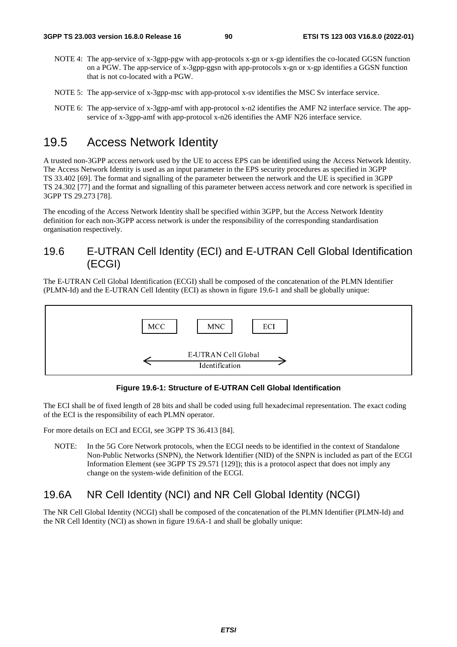- NOTE 4: The app-service of x-3gpp-pgw with app-protocols x-gn or x-gp identifies the co-located GGSN function on a PGW. The app-service of x-3gpp-ggsn with app-protocols x-gn or x-gp identifies a GGSN function that is not co-located with a PGW.
- NOTE 5: The app-service of x-3gpp-msc with app-protocol x-sv identifies the MSC Sv interface service.
- NOTE 6: The app-service of x-3gpp-amf with app-protocol x-n2 identifies the AMF N2 interface service. The appservice of x-3gpp-amf with app-protocol x-n26 identifies the AMF N26 interface service.

## 19.5 Access Network Identity

A trusted non-3GPP access network used by the UE to access EPS can be identified using the Access Network Identity. The Access Network Identity is used as an input parameter in the EPS security procedures as specified in 3GPP TS 33.402 [69]. The format and signalling of the parameter between the network and the UE is specified in 3GPP TS 24.302 [77] and the format and signalling of this parameter between access network and core network is specified in 3GPP TS 29.273 [78].

The encoding of the Access Network Identity shall be specified within 3GPP, but the Access Network Identity definition for each non-3GPP access network is under the responsibility of the corresponding standardisation organisation respectively.

### 19.6 E-UTRAN Cell Identity (ECI) and E-UTRAN Cell Global Identification (ECGI)

The E-UTRAN Cell Global Identification (ECGI) shall be composed of the concatenation of the PLMN Identifier (PLMN-Id) and the E-UTRAN Cell Identity (ECI) as shown in figure 19.6-1 and shall be globally unique:



**Figure 19.6-1: Structure of E-UTRAN Cell Global Identification** 

The ECI shall be of fixed length of 28 bits and shall be coded using full hexadecimal representation. The exact coding of the ECI is the responsibility of each PLMN operator.

For more details on ECI and ECGI, see 3GPP TS 36.413 [84].

NOTE: In the 5G Core Network protocols, when the ECGI needs to be identified in the context of Standalone Non-Public Networks (SNPN), the Network Identifier (NID) of the SNPN is included as part of the ECGI Information Element (see 3GPP TS 29.571 [129]); this is a protocol aspect that does not imply any change on the system-wide definition of the ECGI.

### 19.6A NR Cell Identity (NCI) and NR Cell Global Identity (NCGI)

The NR Cell Global Identity (NCGI) shall be composed of the concatenation of the PLMN Identifier (PLMN-Id) and the NR Cell Identity (NCI) as shown in figure 19.6A-1 and shall be globally unique: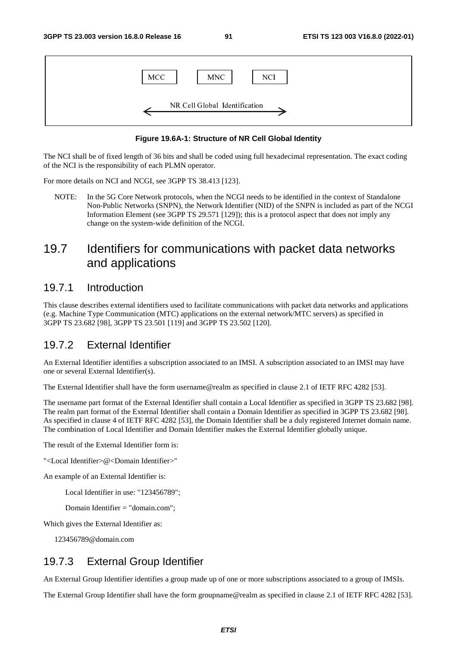

#### **Figure 19.6A-1: Structure of NR Cell Global Identity**

The NCI shall be of fixed length of 36 bits and shall be coded using full hexadecimal representation. The exact coding of the NCI is the responsibility of each PLMN operator.

For more details on NCI and NCGI, see 3GPP TS 38.413 [123].

NOTE: In the 5G Core Network protocols, when the NCGI needs to be identified in the context of Standalone Non-Public Networks (SNPN), the Network Identifier (NID) of the SNPN is included as part of the NCGI Information Element (see 3GPP TS 29.571 [129]); this is a protocol aspect that does not imply any change on the system-wide definition of the NCGI.

# 19.7 Identifiers for communications with packet data networks and applications

### 19.7.1 Introduction

This clause describes external identifiers used to facilitate communications with packet data networks and applications (e.g. Machine Type Communication (MTC) applications on the external network/MTC servers) as specified in 3GPP TS 23.682 [98], 3GPP TS 23.501 [119] and 3GPP TS 23.502 [120].

### 19.7.2 External Identifier

An External Identifier identifies a subscription associated to an IMSI. A subscription associated to an IMSI may have one or several External Identifier(s).

The External Identifier shall have the form username@realm as specified in clause 2.1 of IETF RFC 4282 [53].

The username part format of the External Identifier shall contain a Local Identifier as specified in 3GPP TS 23.682 [98]. The realm part format of the External Identifier shall contain a Domain Identifier as specified in 3GPP TS 23.682 [98]. As specified in clause 4 of IETF RFC 4282 [53], the Domain Identifier shall be a duly registered Internet domain name. The combination of Local Identifier and Domain Identifier makes the External Identifier globally unique.

The result of the External Identifier form is:

"<Local Identifier>@<Domain Identifier>"

An example of an External Identifier is:

Local Identifier in use: "123456789";

Domain Identifier = "domain.com";

Which gives the External Identifier as:

123456789@domain.com

### 19.7.3 External Group Identifier

An External Group Identifier identifies a group made up of one or more subscriptions associated to a group of IMSIs.

The External Group Identifier shall have the form groupname@realm as specified in clause 2.1 of IETF RFC 4282 [53].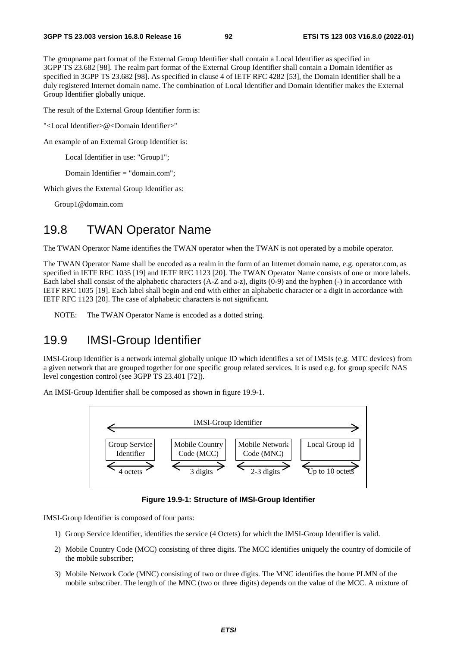The groupname part format of the External Group Identifier shall contain a Local Identifier as specified in 3GPP TS 23.682 [98]. The realm part format of the External Group Identifier shall contain a Domain Identifier as specified in 3GPP TS 23.682 [98]. As specified in clause 4 of IETF RFC 4282 [53], the Domain Identifier shall be a duly registered Internet domain name. The combination of Local Identifier and Domain Identifier makes the External Group Identifier globally unique.

The result of the External Group Identifier form is:

"<Local Identifier>@<Domain Identifier>"

An example of an External Group Identifier is:

Local Identifier in use: "Group1";

Domain Identifier = "domain.com";

Which gives the External Group Identifier as:

Group1@domain.com

## 19.8 TWAN Operator Name

The TWAN Operator Name identifies the TWAN operator when the TWAN is not operated by a mobile operator.

The TWAN Operator Name shall be encoded as a realm in the form of an Internet domain name, e.g. operator.com, as specified in IETF RFC 1035 [19] and IETF RFC 1123 [20]. The TWAN Operator Name consists of one or more labels. Each label shall consist of the alphabetic characters (A-Z and a-z), digits (0-9) and the hyphen (-) in accordance with IETF RFC 1035 [19]. Each label shall begin and end with either an alphabetic character or a digit in accordance with IETF RFC 1123 [20]. The case of alphabetic characters is not significant.

NOTE: The TWAN Operator Name is encoded as a dotted string.

## 19.9 IMSI-Group Identifier

IMSI-Group Identifier is a network internal globally unique ID which identifies a set of IMSIs (e.g. MTC devices) from a given network that are grouped together for one specific group related services. It is used e.g. for group specifc NAS level congestion control (see 3GPP TS 23.401 [72]).

An IMSI-Group Identifier shall be composed as shown in figure 19.9-1.



**Figure 19.9-1: Structure of IMSI-Group Identifier** 

IMSI-Group Identifier is composed of four parts:

- 1) Group Service Identifier, identifies the service (4 Octets) for which the IMSI-Group Identifier is valid.
- 2) Mobile Country Code (MCC) consisting of three digits. The MCC identifies uniquely the country of domicile of the mobile subscriber;
- 3) Mobile Network Code (MNC) consisting of two or three digits. The MNC identifies the home PLMN of the mobile subscriber. The length of the MNC (two or three digits) depends on the value of the MCC. A mixture of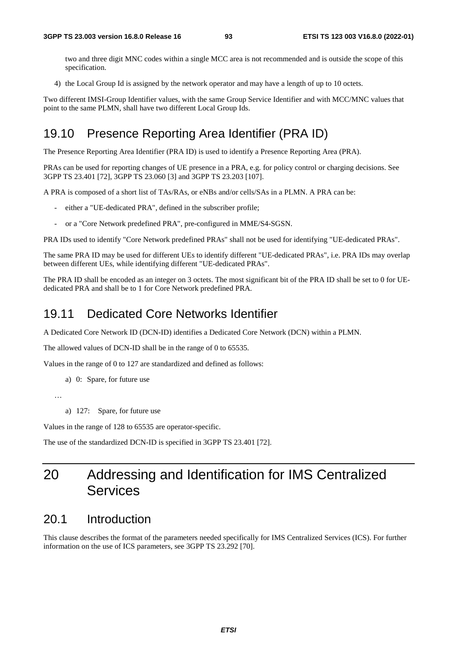two and three digit MNC codes within a single MCC area is not recommended and is outside the scope of this specification.

4) the Local Group Id is assigned by the network operator and may have a length of up to 10 octets.

Two different IMSI-Group Identifier values, with the same Group Service Identifier and with MCC/MNC values that point to the same PLMN, shall have two different Local Group Ids.

# 19.10 Presence Reporting Area Identifier (PRA ID)

The Presence Reporting Area Identifier (PRA ID) is used to identify a Presence Reporting Area (PRA).

PRAs can be used for reporting changes of UE presence in a PRA, e.g. for policy control or charging decisions. See 3GPP TS 23.401 [72], 3GPP TS 23.060 [3] and 3GPP TS 23.203 [107].

A PRA is composed of a short list of TAs/RAs, or eNBs and/or cells/SAs in a PLMN. A PRA can be:

- either a "UE-dedicated PRA", defined in the subscriber profile;
- or a "Core Network predefined PRA", pre-configured in MME/S4-SGSN.

PRA IDs used to identify "Core Network predefined PRAs" shall not be used for identifying "UE-dedicated PRAs".

The same PRA ID may be used for different UEs to identify different "UE-dedicated PRAs", i.e. PRA IDs may overlap between different UEs, while identifying different "UE-dedicated PRAs".

The PRA ID shall be encoded as an integer on 3 octets. The most significant bit of the PRA ID shall be set to 0 for UEdedicated PRA and shall be to 1 for Core Network predefined PRA.

### 19.11 Dedicated Core Networks Identifier

A Dedicated Core Network ID (DCN-ID) identifies a Dedicated Core Network (DCN) within a PLMN.

The allowed values of DCN-ID shall be in the range of 0 to 65535.

Values in the range of 0 to 127 are standardized and defined as follows:

a) 0: Spare, for future use

…

a) 127: Spare, for future use

Values in the range of 128 to 65535 are operator-specific.

The use of the standardized DCN-ID is specified in 3GPP TS 23.401 [72].

# 20 Addressing and Identification for IMS Centralized **Services**

## 20.1 Introduction

This clause describes the format of the parameters needed specifically for IMS Centralized Services (ICS). For further information on the use of ICS parameters, see 3GPP TS 23.292 [70].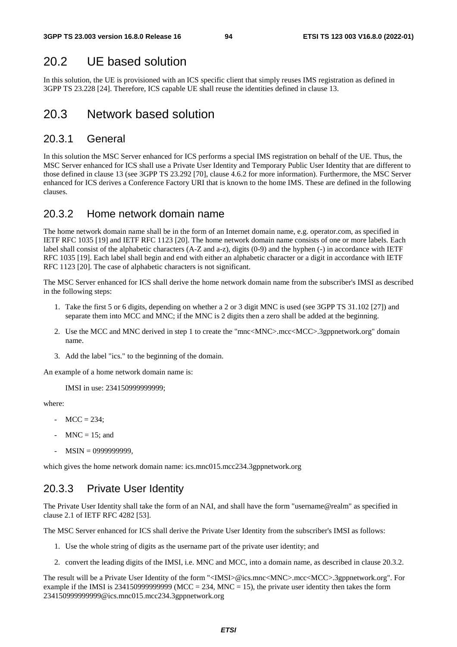# 20.2 UE based solution

In this solution, the UE is provisioned with an ICS specific client that simply reuses IMS registration as defined in 3GPP TS 23.228 [24]. Therefore, ICS capable UE shall reuse the identities defined in clause 13.

## 20.3 Network based solution

### 20.3.1 General

In this solution the MSC Server enhanced for ICS performs a special IMS registration on behalf of the UE. Thus, the MSC Server enhanced for ICS shall use a Private User Identity and Temporary Public User Identity that are different to those defined in clause 13 (see 3GPP TS 23.292 [70], clause 4.6.2 for more information). Furthermore, the MSC Server enhanced for ICS derives a Conference Factory URI that is known to the home IMS. These are defined in the following clauses.

### 20.3.2 Home network domain name

The home network domain name shall be in the form of an Internet domain name, e.g. operator.com, as specified in IETF RFC 1035 [19] and IETF RFC 1123 [20]. The home network domain name consists of one or more labels. Each label shall consist of the alphabetic characters (A-Z and a-z), digits (0-9) and the hyphen (-) in accordance with IETF RFC 1035 [19]. Each label shall begin and end with either an alphabetic character or a digit in accordance with IETF RFC 1123 [20]. The case of alphabetic characters is not significant.

The MSC Server enhanced for ICS shall derive the home network domain name from the subscriber's IMSI as described in the following steps:

- 1. Take the first 5 or 6 digits, depending on whether a 2 or 3 digit MNC is used (see 3GPP TS 31.102 [27]) and separate them into MCC and MNC; if the MNC is 2 digits then a zero shall be added at the beginning.
- 2. Use the MCC and MNC derived in step 1 to create the "mnc<MNC>.mcc<MCC>.3gppnetwork.org" domain name.
- 3. Add the label "ics." to the beginning of the domain.

An example of a home network domain name is:

IMSI in use: 234150999999999;

where:

- $-MCC = 234$ :
- $MNC = 15$ ; and
- MSIN = 0999999999,

which gives the home network domain name: ics.mnc015.mcc234.3gppnetwork.org

### 20.3.3 Private User Identity

The Private User Identity shall take the form of an NAI, and shall have the form "username@realm" as specified in clause 2.1 of IETF RFC 4282 [53].

The MSC Server enhanced for ICS shall derive the Private User Identity from the subscriber's IMSI as follows:

- 1. Use the whole string of digits as the username part of the private user identity; and
- 2. convert the leading digits of the IMSI, i.e. MNC and MCC, into a domain name, as described in clause 20.3.2.

The result will be a Private User Identity of the form "<IMSI>@ics.mnc<MNC>.mcc<MCC>.3gppnetwork.org". For example if the IMSI is 2341509999999999 (MCC = 234, MNC = 15), the private user identity then takes the form 234150999999999@ics.mnc015.mcc234.3gppnetwork.org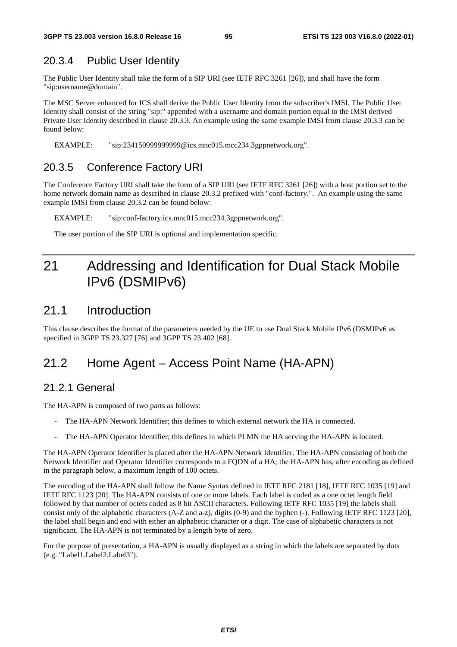### 20.3.4 Public User Identity

The Public User Identity shall take the form of a SIP URI (see IETF RFC 3261 [26]), and shall have the form "sip:username@domain".

The MSC Server enhanced for ICS shall derive the Public User Identity from the subscriber's IMSI. The Public User Identity shall consist of the string "sip:" appended with a username and domain portion equal to the IMSI derived Private User Identity described in clause 20.3.3. An example using the same example IMSI from clause 20.3.3 can be found below:

EXAMPLE: "sip:234150999999999@ics.mnc015.mcc234.3gppnetwork.org".

### 20.3.5 Conference Factory URI

The Conference Factory URI shall take the form of a SIP URI (see IETF RFC 3261 [26]) with a host portion set to the home network domain name as described in clause 20.3.2 prefixed with "conf-factory.". An example using the same example IMSI from clause 20.3.2 can be found below:

EXAMPLE: "sip:conf-factory.ics.mnc015.mcc234.3gppnetwork.org".

The user portion of the SIP URI is optional and implementation specific.

# 21 Addressing and Identification for Dual Stack Mobile IPv6 (DSMIPv6)

### 21.1 Introduction

This clause describes the format of the parameters needed by the UE to use Dual Stack Mobile IPv6 (DSMIPv6 as specified in 3GPP TS 23.327 [76] and 3GPP TS 23.402 [68].

# 21.2 Home Agent – Access Point Name (HA-APN)

### 21.2.1 General

The HA-APN is composed of two parts as follows:

- The HA-APN Network Identifier; this defines to which external network the HA is connected.
- The HA-APN Operator Identifier; this defines in which PLMN the HA serving the HA-APN is located.

The HA-APN Operator Identifier is placed after the HA-APN Network Identifier. The HA-APN consisting of both the Network Identifier and Operator Identifier corresponds to a FQDN of a HA; the HA-APN has, after encoding as defined in the paragraph below, a maximum length of 100 octets.

The encoding of the HA-APN shall follow the Name Syntax defined in IETF RFC 2181 [18], IETF RFC 1035 [19] and IETF RFC 1123 [20]. The HA-APN consists of one or more labels. Each label is coded as a one octet length field followed by that number of octets coded as 8 bit ASCII characters. Following IETF RFC 1035 [19] the labels shall consist only of the alphabetic characters (A-Z and a-z), digits (0-9) and the hyphen (-). Following IETF RFC 1123 [20], the label shall begin and end with either an alphabetic character or a digit. The case of alphabetic characters is not significant. The HA-APN is not terminated by a length byte of zero.

For the purpose of presentation, a HA-APN is usually displayed as a string in which the labels are separated by dots (e.g. "Label1.Label2.Label3").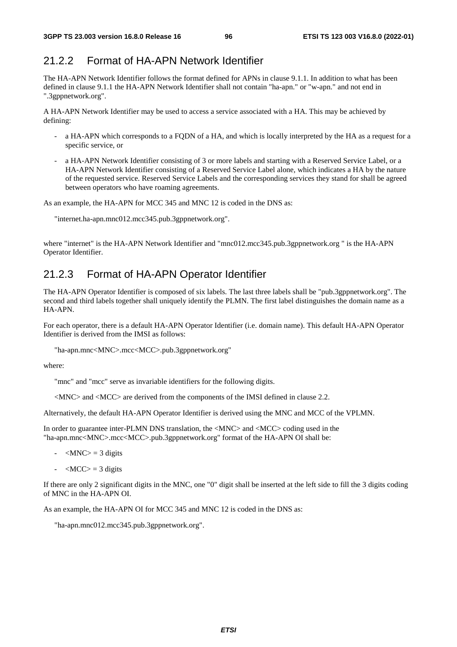### 21.2.2 Format of HA-APN Network Identifier

The HA-APN Network Identifier follows the format defined for APNs in clause 9.1.1. In addition to what has been defined in clause 9.1.1 the HA-APN Network Identifier shall not contain "ha-apn." or "w-apn." and not end in ".3gppnetwork.org".

A HA-APN Network Identifier may be used to access a service associated with a HA. This may be achieved by defining:

- a HA-APN which corresponds to a FQDN of a HA, and which is locally interpreted by the HA as a request for a specific service, or
- a HA-APN Network Identifier consisting of 3 or more labels and starting with a Reserved Service Label, or a HA-APN Network Identifier consisting of a Reserved Service Label alone, which indicates a HA by the nature of the requested service. Reserved Service Labels and the corresponding services they stand for shall be agreed between operators who have roaming agreements.

As an example, the HA-APN for MCC 345 and MNC 12 is coded in the DNS as:

"internet.ha-apn.mnc012.mcc345.pub.3gppnetwork.org".

where "internet" is the HA-APN Network Identifier and "mnc012.mcc345.pub.3gppnetwork.org " is the HA-APN Operator Identifier.

### 21.2.3 Format of HA-APN Operator Identifier

The HA-APN Operator Identifier is composed of six labels. The last three labels shall be "pub.3gppnetwork.org". The second and third labels together shall uniquely identify the PLMN. The first label distinguishes the domain name as a HA-APN.

For each operator, there is a default HA-APN Operator Identifier (i.e. domain name). This default HA-APN Operator Identifier is derived from the IMSI as follows:

"ha-apn.mnc<MNC>.mcc<MCC>.pub.3gppnetwork.org"

where:

"mnc" and "mcc" serve as invariable identifiers for the following digits.

<MNC> and <MCC> are derived from the components of the IMSI defined in clause 2.2.

Alternatively, the default HA-APN Operator Identifier is derived using the MNC and MCC of the VPLMN.

In order to guarantee inter-PLMN DNS translation, the <MNC> and <MCC> coding used in the "ha-apn.mnc<MNC>.mcc<MCC>.pub.3gppnetwork.org" format of the HA-APN OI shall be:

- $-MNC$  = 3 digits
- $-MCC$  = 3 digits

If there are only 2 significant digits in the MNC, one "0" digit shall be inserted at the left side to fill the 3 digits coding of MNC in the HA-APN OI.

As an example, the HA-APN OI for MCC 345 and MNC 12 is coded in the DNS as:

"ha-apn.mnc012.mcc345.pub.3gppnetwork.org".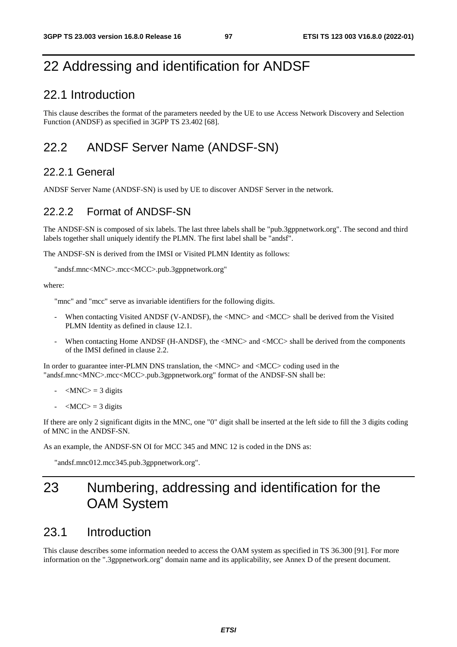# 22 Addressing and identification for ANDSF

## 22.1 Introduction

This clause describes the format of the parameters needed by the UE to use Access Network Discovery and Selection Function (ANDSF) as specified in 3GPP TS 23.402 [68].

# 22.2 ANDSF Server Name (ANDSF-SN)

### 22.2.1 General

ANDSF Server Name (ANDSF-SN) is used by UE to discover ANDSF Server in the network.

### 22.2.2 Format of ANDSF-SN

The ANDSF-SN is composed of six labels. The last three labels shall be "pub.3gppnetwork.org". The second and third labels together shall uniquely identify the PLMN. The first label shall be "andsf".

The ANDSF-SN is derived from the IMSI or Visited PLMN Identity as follows:

```
"andsf.mnc<MNC>.mcc<MCC>.pub.3gppnetwork.org"
```
where:

"mnc" and "mcc" serve as invariable identifiers for the following digits.

- When contacting Visited ANDSF (V-ANDSF), the <MNC> and <MCC> shall be derived from the Visited PLMN Identity as defined in clause 12.1.
- When contacting Home ANDSF (H-ANDSF), the  $\triangle MNC$  and  $\triangle MCC$  shall be derived from the components of the IMSI defined in clause 2.2.

In order to guarantee inter-PLMN DNS translation, the <MNC> and <MCC> coding used in the "andsf.mnc<MNC>.mcc<MCC>.pub.3gppnetwork.org" format of the ANDSF-SN shall be:

- $-MNC$  = 3 digits
- $-MCC$  = 3 digits

If there are only 2 significant digits in the MNC, one "0" digit shall be inserted at the left side to fill the 3 digits coding of MNC in the ANDSF-SN.

As an example, the ANDSF-SN OI for MCC 345 and MNC 12 is coded in the DNS as:

"andsf.mnc012.mcc345.pub.3gppnetwork.org".

# 23 Numbering, addressing and identification for the OAM System

# 23.1 Introduction

This clause describes some information needed to access the OAM system as specified in TS 36.300 [91]. For more information on the ".3gppnetwork.org" domain name and its applicability, see Annex D of the present document.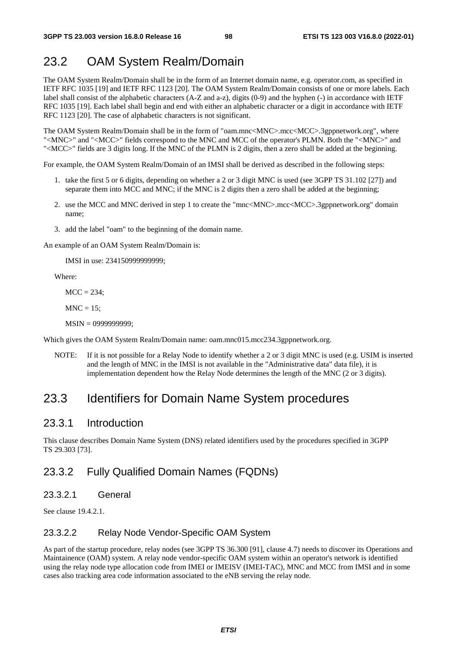# 23.2 OAM System Realm/Domain

The OAM System Realm/Domain shall be in the form of an Internet domain name, e.g. operator.com, as specified in IETF RFC 1035 [19] and IETF RFC 1123 [20]. The OAM System Realm/Domain consists of one or more labels. Each label shall consist of the alphabetic characters (A-Z and a-z), digits (0-9) and the hyphen (-) in accordance with IETF RFC 1035 [19]. Each label shall begin and end with either an alphabetic character or a digit in accordance with IETF RFC 1123 [20]. The case of alphabetic characters is not significant.

The OAM System Realm/Domain shall be in the form of "oam.mnc<MNC>.mcc<MCC>.3gppnetwork.org", where "<MNC>" and "<MCC>" fields correspond to the MNC and MCC of the operator's PLMN. Both the "<MNC>" and "<MCC>" fields are 3 digits long. If the MNC of the PLMN is 2 digits, then a zero shall be added at the beginning.

For example, the OAM System Realm/Domain of an IMSI shall be derived as described in the following steps:

- 1. take the first 5 or 6 digits, depending on whether a 2 or 3 digit MNC is used (see 3GPP TS 31.102 [27]) and separate them into MCC and MNC; if the MNC is 2 digits then a zero shall be added at the beginning;
- 2. use the MCC and MNC derived in step 1 to create the "mnc<MNC>.mcc<MCC>.3gppnetwork.org" domain name;
- 3. add the label "oam" to the beginning of the domain name.

An example of an OAM System Realm/Domain is:

IMSI in use: 234150999999999;

Where:

 $MCC = 234$ :

 $MNC = 15$ :

MSIN = 0999999999;

Which gives the OAM System Realm/Domain name: oam.mnc015.mcc234.3gppnetwork.org.

NOTE: If it is not possible for a Relay Node to identify whether a 2 or 3 digit MNC is used (e.g. USIM is inserted and the length of MNC in the IMSI is not available in the "Administrative data" data file), it is implementation dependent how the Relay Node determines the length of the MNC (2 or 3 digits).

### 23.3 Identifiers for Domain Name System procedures

#### 23.3.1 Introduction

This clause describes Domain Name System (DNS) related identifiers used by the procedures specified in 3GPP TS 29.303 [73].

### 23.3.2 Fully Qualified Domain Names (FQDNs)

#### 23.3.2.1 General

See clause 19.4.2.1.

#### 23.3.2.2 Relay Node Vendor-Specific OAM System

As part of the startup procedure, relay nodes (see 3GPP TS 36.300 [91], clause 4.7) needs to discover its Operations and Maintainence (OAM) system. A relay node vendor-specific OAM system within an operator's network is identified using the relay node type allocation code from IMEI or IMEISV (IMEI-TAC), MNC and MCC from IMSI and in some cases also tracking area code information associated to the eNB serving the relay node.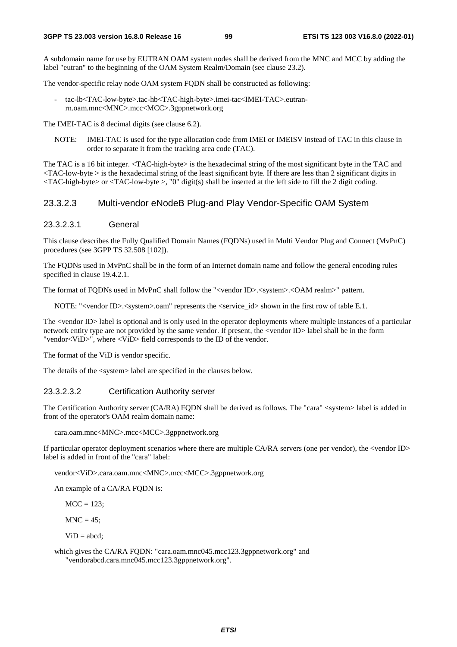A subdomain name for use by EUTRAN OAM system nodes shall be derived from the MNC and MCC by adding the label "eutran" to the beginning of the OAM System Realm/Domain (see clause 23.2).

The vendor-specific relay node OAM system FQDN shall be constructed as following:

- tac-lb<TAC-low-byte>.tac-hb<TAC-high-byte>.imei-tac<IMEI-TAC>.eutranrn.oam.mnc<MNC>.mcc<MCC>.3gppnetwork.org

The IMEI-TAC is 8 decimal digits (see clause 6.2).

NOTE: IMEI-TAC is used for the type allocation code from IMEI or IMEISV instead of TAC in this clause in order to separate it from the tracking area code (TAC).

The TAC is a 16 bit integer. <TAC-high-byte> is the hexadecimal string of the most significant byte in the TAC and  $\langle$ TAC-low-byte  $>$  is the hexadecimal string of the least significant byte. If there are less than 2 significant digits in  $\langle$ TAC-high-byte> or  $\langle$ TAC-low-byte >, "0" digit(s) shall be inserted at the left side to fill the 2 digit coding.

#### 23.3.2.3 Multi-vendor eNodeB Plug-and Play Vendor-Specific OAM System

#### 23.3.2.3.1 General

This clause describes the Fully Qualified Domain Names (FQDNs) used in Multi Vendor Plug and Connect (MvPnC) procedures (see 3GPP TS 32.508 [102]).

The FQDNs used in MvPnC shall be in the form of an Internet domain name and follow the general encoding rules specified in clause 19.4.2.1.

The format of FQDNs used in MvPnC shall follow the "<vendor ID>.<system>.<OAM realm>" pattern.

NOTE: "<vendor ID>.<system>.oam" represents the <service id> shown in the first row of table E.1.

The <vendor ID> label is optional and is only used in the operator deployments where multiple instances of a particular network entity type are not provided by the same vendor. If present, the <vendor ID> label shall be in the form "vendor<ViD>", where <ViD> field corresponds to the ID of the vendor.

The format of the ViD is vendor specific.

The details of the <system> label are specified in the clauses below.

#### 23.3.2.3.2 Certification Authority server

The Certification Authority server (CA/RA) FQDN shall be derived as follows. The "cara" <system> label is added in front of the operator's OAM realm domain name:

cara.oam.mnc<MNC>.mcc<MCC>.3gppnetwork.org

If particular operator deployment scenarios where there are multiple CA/RA servers (one per vendor), the <vendor ID> label is added in front of the "cara" label:

vendor<ViD>.cara.oam.mnc<MNC>.mcc<MCC>.3gppnetwork.org

An example of a CA/RA FQDN is:

 $MCC = 123$ ;

 $MNC = 45$ :

 $ViD = a h c d'$ 

which gives the CA/RA FQDN: "cara.oam.mnc045.mcc123.3gppnetwork.org" and "vendorabcd.cara.mnc045.mcc123.3gppnetwork.org".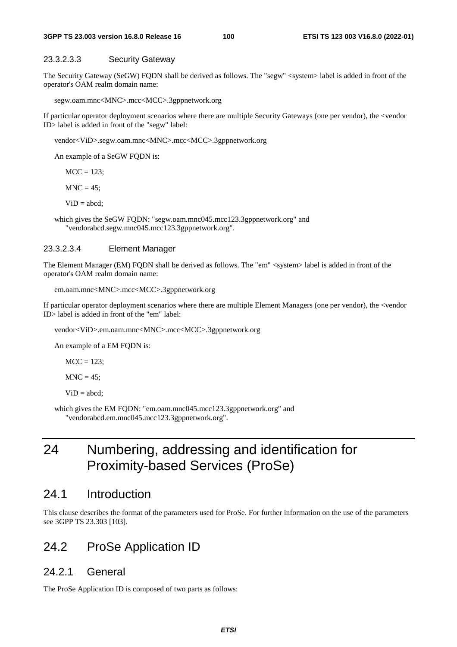#### 23.3.2.3.3 Security Gateway

The Security Gateway (SeGW) FQDN shall be derived as follows. The "segw" <system> label is added in front of the operator's OAM realm domain name:

segw.oam.mnc<MNC>.mcc<MCC>.3gppnetwork.org

If particular operator deployment scenarios where there are multiple Security Gateways (one per vendor), the <vendor ID> label is added in front of the "segw" label:

vendor<ViD>.segw.oam.mnc<MNC>.mcc<MCC>.3gppnetwork.org

An example of a SeGW FQDN is:

 $MCC = 123$ ;

 $MNC = 45$ ;

 $ViD = abcd;$ 

which gives the SeGW FQDN: "segw.oam.mnc045.mcc123.3gppnetwork.org" and "vendorabcd.segw.mnc045.mcc123.3gppnetwork.org".

#### 23.3.2.3.4 Element Manager

The Element Manager (EM) FQDN shall be derived as follows. The "em" <system> label is added in front of the operator's OAM realm domain name:

```
em.oam.mnc<MNC>.mcc<MCC>.3gppnetwork.org
```
If particular operator deployment scenarios where there are multiple Element Managers (one per vendor), the <vendor ID> label is added in front of the "em" label:

vendor<ViD>.em.oam.mnc<MNC>.mcc<MCC>.3gppnetwork.org

An example of a EM FQDN is:

 $MCC = 123$ ;

 $MNC = 45$ ;

 $ViD = abcd;$ 

which gives the EM FQDN: "em.oam.mnc045.mcc123.3gppnetwork.org" and "vendorabcd.em.mnc045.mcc123.3gppnetwork.org".

# 24 Numbering, addressing and identification for Proximity-based Services (ProSe)

### 24.1 Introduction

This clause describes the format of the parameters used for ProSe. For further information on the use of the parameters see 3GPP TS 23.303 [103].

### 24.2 ProSe Application ID

### 24.2.1 General

The ProSe Application ID is composed of two parts as follows: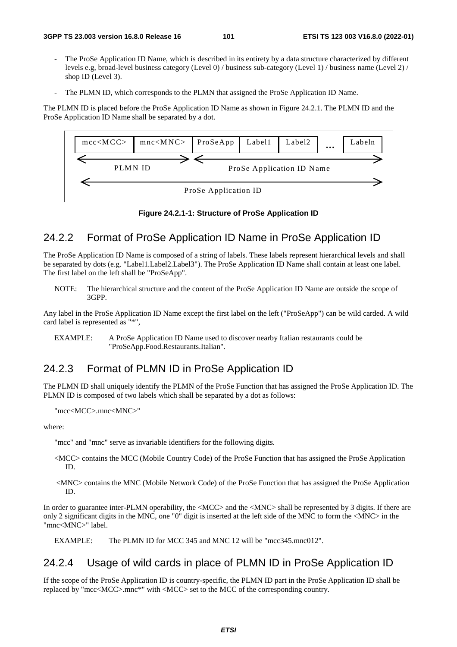- The ProSe Application ID Name, which is described in its entirety by a data structure characterized by different levels e.g, broad-level business category (Level 0) / business sub-category (Level 1) / business name (Level 2) / shop ID (Level 3).
- The PLMN ID, which corresponds to the PLMN that assigned the ProSe Application ID Name.

The PLMN ID is placed before the ProSe Application ID Name as shown in Figure 24.2.1. The PLMN ID and the ProSe Application ID Name shall be separated by a dot.



**Figure 24.2.1-1: Structure of ProSe Application ID** 

### 24.2.2 Format of ProSe Application ID Name in ProSe Application ID

The ProSe Application ID Name is composed of a string of labels. These labels represent hierarchical levels and shall be separated by dots (e.g. "Label1.Label2.Label3"). The ProSe Application ID Name shall contain at least one label. The first label on the left shall be "ProSeApp".

NOTE: The hierarchical structure and the content of the ProSe Application ID Name are outside the scope of 3GPP.

Any label in the ProSe Application ID Name except the first label on the left ("ProSeApp") can be wild carded. A wild card label is represented as "\*",

```
EXAMPLE: A ProSe Application ID Name used to discover nearby Italian restaurants could be 
                "ProSeApp.Food.Restaurants.Italian".
```
### 24.2.3 Format of PLMN ID in ProSe Application ID

The PLMN ID shall uniquely identify the PLMN of the ProSe Function that has assigned the ProSe Application ID. The PLMN ID is composed of two labels which shall be separated by a dot as follows:

```
"mcc<MCC>.mnc<MNC>"
```
where:

"mcc" and "mnc" serve as invariable identifiers for the following digits.

- <MCC> contains the MCC (Mobile Country Code) of the ProSe Function that has assigned the ProSe Application ID.
- <MNC> contains the MNC (Mobile Network Code) of the ProSe Function that has assigned the ProSe Application ID.

In order to guarantee inter-PLMN operability, the <MCC> and the <MNC> shall be represented by 3 digits. If there are only 2 significant digits in the MNC, one "0" digit is inserted at the left side of the MNC to form the <MNC> in the "mnc<MNC>" label.

EXAMPLE: The PLMN ID for MCC 345 and MNC 12 will be "mcc345.mnc012".

### 24.2.4 Usage of wild cards in place of PLMN ID in ProSe Application ID

If the scope of the ProSe Application ID is country-specific, the PLMN ID part in the ProSe Application ID shall be replaced by "mcc<MCC>.mnc\*" with <MCC> set to the MCC of the corresponding country.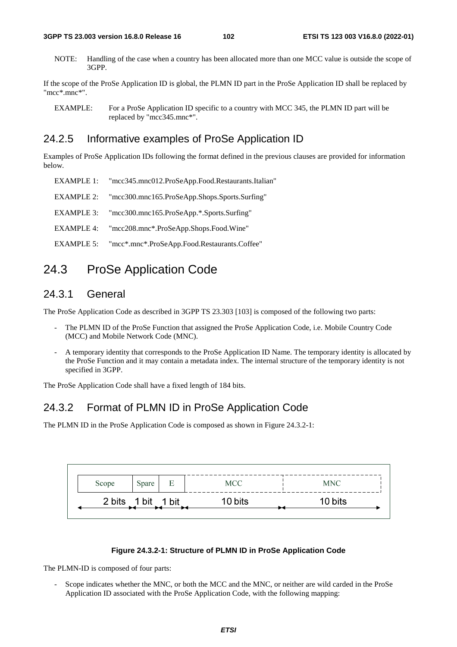NOTE: Handling of the case when a country has been allocated more than one MCC value is outside the scope of 3GPP.

If the scope of the ProSe Application ID is global, the PLMN ID part in the ProSe Application ID shall be replaced by "mcc\*.mnc\*".

EXAMPLE: For a ProSe Application ID specific to a country with MCC 345, the PLMN ID part will be replaced by "mcc345.mnc\*".

### 24.2.5 Informative examples of ProSe Application ID

Examples of ProSe Application IDs following the format defined in the previous clauses are provided for information below.

| EXAMPLE 1: | "mcc345.mnc012.ProSeApp.Food.Restaurants.Italian" |
|------------|---------------------------------------------------|
| EXAMPLE 2: | "mcc300.mnc165.ProSeApp.Shops.Sports.Surfing"     |
| EXAMPLE 3: | "mcc300.mnc165.ProSeApp.*.Sports.Surfing"         |
| EXAMPLE 4: | "mcc208.mnc*.ProSeApp.Shops.Food.Wine"            |
| EXAMPLE 5: | "mcc*.mnc*.ProSeApp.Food.Restaurants.Coffee"      |

# 24.3 ProSe Application Code

### 24.3.1 General

The ProSe Application Code as described in 3GPP TS 23.303 [103] is composed of the following two parts:

- The PLMN ID of the ProSe Function that assigned the ProSe Application Code, i.e. Mobile Country Code (MCC) and Mobile Network Code (MNC).
- A temporary identity that corresponds to the ProSe Application ID Name. The temporary identity is allocated by the ProSe Function and it may contain a metadata index. The internal structure of the temporary identity is not specified in 3GPP.

The ProSe Application Code shall have a fixed length of 184 bits.

### 24.3.2 Format of PLMN ID in ProSe Application Code

The PLMN ID in the ProSe Application Code is composed as shown in Figure 24.3.2-1:

| Scope | Spare              | E | MCC.    | <b>MNC</b> |
|-------|--------------------|---|---------|------------|
|       | 2 bits 1 bit 1 bit |   | 10 bits | 10 bits    |

#### **Figure 24.3.2-1: Structure of PLMN ID in ProSe Application Code**

The PLMN-ID is composed of four parts:

Scope indicates whether the MNC, or both the MCC and the MNC, or neither are wild carded in the ProSe Application ID associated with the ProSe Application Code, with the following mapping: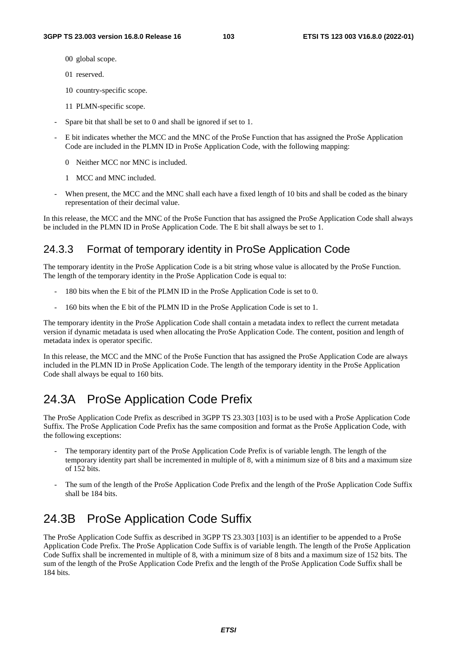- 00 global scope.
- 01 reserved.
- 10 country-specific scope.
- 11 PLMN-specific scope.
- Spare bit that shall be set to 0 and shall be ignored if set to 1.
- E bit indicates whether the MCC and the MNC of the ProSe Function that has assigned the ProSe Application Code are included in the PLMN ID in ProSe Application Code, with the following mapping:
	- 0 Neither MCC nor MNC is included.
	- 1 MCC and MNC included.
- When present, the MCC and the MNC shall each have a fixed length of 10 bits and shall be coded as the binary representation of their decimal value.

In this release, the MCC and the MNC of the ProSe Function that has assigned the ProSe Application Code shall always be included in the PLMN ID in ProSe Application Code. The E bit shall always be set to 1.

## 24.3.3 Format of temporary identity in ProSe Application Code

The temporary identity in the ProSe Application Code is a bit string whose value is allocated by the ProSe Function. The length of the temporary identity in the ProSe Application Code is equal to:

- 180 bits when the E bit of the PLMN ID in the ProSe Application Code is set to 0.
- 160 bits when the E bit of the PLMN ID in the ProSe Application Code is set to 1.

The temporary identity in the ProSe Application Code shall contain a metadata index to reflect the current metadata version if dynamic metadata is used when allocating the ProSe Application Code. The content, position and length of metadata index is operator specific.

In this release, the MCC and the MNC of the ProSe Function that has assigned the ProSe Application Code are always included in the PLMN ID in ProSe Application Code. The length of the temporary identity in the ProSe Application Code shall always be equal to 160 bits.

# 24.3A ProSe Application Code Prefix

The ProSe Application Code Prefix as described in 3GPP TS 23.303 [103] is to be used with a ProSe Application Code Suffix. The ProSe Application Code Prefix has the same composition and format as the ProSe Application Code, with the following exceptions:

- The temporary identity part of the ProSe Application Code Prefix is of variable length. The length of the temporary identity part shall be incremented in multiple of 8, with a minimum size of 8 bits and a maximum size of 152 bits.
- The sum of the length of the ProSe Application Code Prefix and the length of the ProSe Application Code Suffix shall be 184 bits.

# 24.3B ProSe Application Code Suffix

The ProSe Application Code Suffix as described in 3GPP TS 23.303 [103] is an identifier to be appended to a ProSe Application Code Prefix. The ProSe Application Code Suffix is of variable length. The length of the ProSe Application Code Suffix shall be incremented in multiple of 8, with a minimum size of 8 bits and a maximum size of 152 bits. The sum of the length of the ProSe Application Code Prefix and the length of the ProSe Application Code Suffix shall be 184 bits.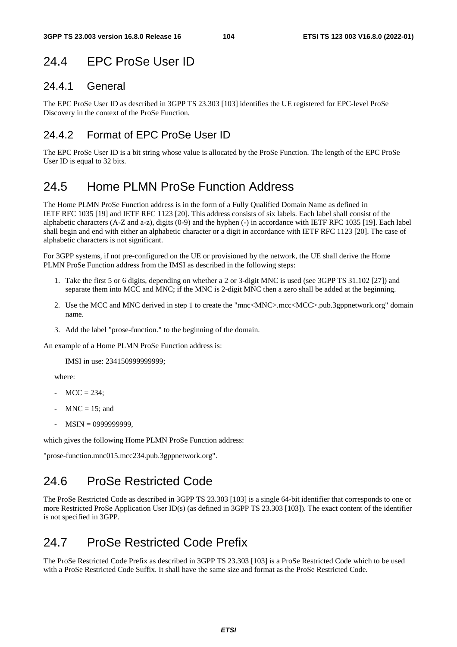# 24.4 EPC ProSe User ID

### 24.4.1 General

The EPC ProSe User ID as described in 3GPP TS 23.303 [103] identifies the UE registered for EPC-level ProSe Discovery in the context of the ProSe Function.

## 24.4.2 Format of EPC ProSe User ID

The EPC ProSe User ID is a bit string whose value is allocated by the ProSe Function. The length of the EPC ProSe User ID is equal to 32 bits.

# 24.5 Home PLMN ProSe Function Address

The Home PLMN ProSe Function address is in the form of a Fully Qualified Domain Name as defined in IETF RFC 1035 [19] and IETF RFC 1123 [20]. This address consists of six labels. Each label shall consist of the alphabetic characters (A-Z and a-z), digits (0-9) and the hyphen (-) in accordance with IETF RFC 1035 [19]. Each label shall begin and end with either an alphabetic character or a digit in accordance with IETF RFC 1123 [20]. The case of alphabetic characters is not significant.

For 3GPP systems, if not pre-configured on the UE or provisioned by the network, the UE shall derive the Home PLMN ProSe Function address from the IMSI as described in the following steps:

- 1. Take the first 5 or 6 digits, depending on whether a 2 or 3-digit MNC is used (see 3GPP TS 31.102 [27]) and separate them into MCC and MNC; if the MNC is 2-digit MNC then a zero shall be added at the beginning.
- 2. Use the MCC and MNC derived in step 1 to create the "mnc<MNC>.mcc<MCC>.pub.3gppnetwork.org" domain name.
- 3. Add the label "prose-function." to the beginning of the domain.

An example of a Home PLMN ProSe Function address is:

IMSI in use: 234150999999999;

where:

- $MCC = 234$ :
- $MNC = 15$ ; and
- MSIN = 0999999999,

which gives the following Home PLMN ProSe Function address:

"prose-function.mnc015.mcc234.pub.3gppnetwork.org".

# 24.6 ProSe Restricted Code

The ProSe Restricted Code as described in 3GPP TS 23.303 [103] is a single 64-bit identifier that corresponds to one or more Restricted ProSe Application User ID(s) (as defined in 3GPP TS 23.303 [103]). The exact content of the identifier is not specified in 3GPP.

# 24.7 ProSe Restricted Code Prefix

The ProSe Restricted Code Prefix as described in 3GPP TS 23.303 [103] is a ProSe Restricted Code which to be used with a ProSe Restricted Code Suffix. It shall have the same size and format as the ProSe Restricted Code.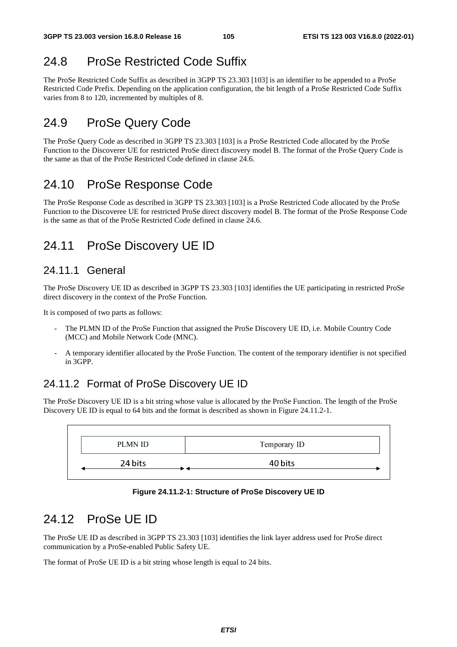# 24.8 ProSe Restricted Code Suffix

The ProSe Restricted Code Suffix as described in 3GPP TS 23.303 [103] is an identifier to be appended to a ProSe Restricted Code Prefix. Depending on the application configuration, the bit length of a ProSe Restricted Code Suffix varies from 8 to 120, incremented by multiples of 8.

# 24.9 ProSe Query Code

The ProSe Query Code as described in 3GPP TS 23.303 [103] is a ProSe Restricted Code allocated by the ProSe Function to the Discoverer UE for restricted ProSe direct discovery model B. The format of the ProSe Query Code is the same as that of the ProSe Restricted Code defined in clause 24.6.

# 24.10 ProSe Response Code

The ProSe Response Code as described in 3GPP TS 23.303 [103] is a ProSe Restricted Code allocated by the ProSe Function to the Discoveree UE for restricted ProSe direct discovery model B. The format of the ProSe Response Code is the same as that of the ProSe Restricted Code defined in clause 24.6.

# 24.11 ProSe Discovery UE ID

## 24.11.1 General

The ProSe Discovery UE ID as described in 3GPP TS 23.303 [103] identifies the UE participating in restricted ProSe direct discovery in the context of the ProSe Function.

It is composed of two parts as follows:

- The PLMN ID of the ProSe Function that assigned the ProSe Discovery UE ID, i.e. Mobile Country Code (MCC) and Mobile Network Code (MNC).
- A temporary identifier allocated by the ProSe Function. The content of the temporary identifier is not specified in 3GPP.

# 24.11.2 Format of ProSe Discovery UE ID

The ProSe Discovery UE ID is a bit string whose value is allocated by the ProSe Function. The length of the ProSe Discovery UE ID is equal to 64 bits and the format is described as shown in Figure 24.11.2-1.



**Figure 24.11.2-1: Structure of ProSe Discovery UE ID** 

# 24.12 ProSe UE ID

The ProSe UE ID as described in 3GPP TS 23.303 [103] identifies the link layer address used for ProSe direct communication by a ProSe-enabled Public Safety UE.

The format of ProSe UE ID is a bit string whose length is equal to 24 bits.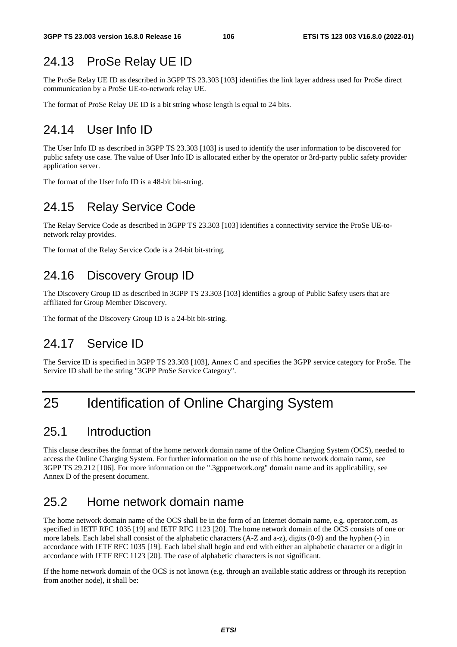# 24.13 ProSe Relay UE ID

The ProSe Relay UE ID as described in 3GPP TS 23.303 [103] identifies the link layer address used for ProSe direct communication by a ProSe UE-to-network relay UE.

The format of ProSe Relay UE ID is a bit string whose length is equal to 24 bits.

# 24.14 User Info ID

The User Info ID as described in 3GPP TS 23.303 [103] is used to identify the user information to be discovered for public safety use case. The value of User Info ID is allocated either by the operator or 3rd-party public safety provider application server.

The format of the User Info ID is a 48-bit bit-string.

# 24.15 Relay Service Code

The Relay Service Code as described in 3GPP TS 23.303 [103] identifies a connectivity service the ProSe UE-tonetwork relay provides.

The format of the Relay Service Code is a 24-bit bit-string.

# 24.16 Discovery Group ID

The Discovery Group ID as described in 3GPP TS 23.303 [103] identifies a group of Public Safety users that are affiliated for Group Member Discovery.

The format of the Discovery Group ID is a 24-bit bit-string.

# 24.17 Service ID

The Service ID is specified in 3GPP TS 23.303 [103], Annex C and specifies the 3GPP service category for ProSe. The Service ID shall be the string "3GPP ProSe Service Category".

# 25 Identification of Online Charging System

## 25.1 Introduction

This clause describes the format of the home network domain name of the Online Charging System (OCS), needed to access the Online Charging System. For further information on the use of this home network domain name, see 3GPP TS 29.212 [106]. For more information on the ".3gppnetwork.org" domain name and its applicability, see Annex D of the present document.

## 25.2 Home network domain name

The home network domain name of the OCS shall be in the form of an Internet domain name, e.g. operator.com, as specified in IETF RFC 1035 [19] and IETF RFC 1123 [20]. The home network domain of the OCS consists of one or more labels. Each label shall consist of the alphabetic characters (A-Z and a-z), digits (0-9) and the hyphen (-) in accordance with IETF RFC 1035 [19]. Each label shall begin and end with either an alphabetic character or a digit in accordance with IETF RFC 1123 [20]. The case of alphabetic characters is not significant.

If the home network domain of the OCS is not known (e.g. through an available static address or through its reception from another node), it shall be: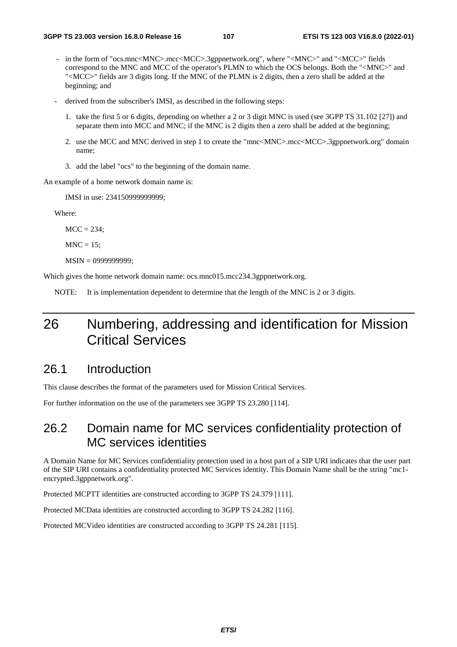- in the form of "ocs.mnc<MNC>.mcc<MCC>.3gppnetwork.org", where "<MNC>" and "<MCC>" fields correspond to the MNC and MCC of the operator's PLMN to which the OCS belongs. Both the "<MNC>" and "<MCC>" fields are 3 digits long. If the MNC of the PLMN is 2 digits, then a zero shall be added at the beginning; and
- derived from the subscriber's IMSI, as described in the following steps:
	- 1. take the first 5 or 6 digits, depending on whether a 2 or 3 digit MNC is used (see 3GPP TS 31.102 [27]) and separate them into MCC and MNC; if the MNC is 2 digits then a zero shall be added at the beginning;
	- 2. use the MCC and MNC derived in step 1 to create the "mnc<MNC>.mcc<MCC>.3gppnetwork.org" domain name;
	- 3. add the label "ocs" to the beginning of the domain name.

An example of a home network domain name is:

IMSI in use: 234150999999999;

Where:

 $MCC = 234$ ;

 $MNC = 15$ :

MSIN = 0999999999;

Which gives the home network domain name: ocs.mnc015.mcc234.3gppnetwork.org.

NOTE: It is implementation dependent to determine that the length of the MNC is 2 or 3 digits.

# 26 Numbering, addressing and identification for Mission Critical Services

## 26.1 Introduction

This clause describes the format of the parameters used for Mission Critical Services.

For further information on the use of the parameters see 3GPP TS 23.280 [114].

# 26.2 Domain name for MC services confidentiality protection of MC services identities

A Domain Name for MC Services confidentiality protection used in a host part of a SIP URI indicates that the user part of the SIP URI contains a confidentiality protected MC Services identity. This Domain Name shall be the string "mc1 encrypted.3gppnetwork.org".

Protected MCPTT identities are constructed according to 3GPP TS 24.379 [111].

Protected MCData identities are constructed according to 3GPP TS 24.282 [116].

Protected MCVideo identities are constructed according to 3GPP TS 24.281 [115].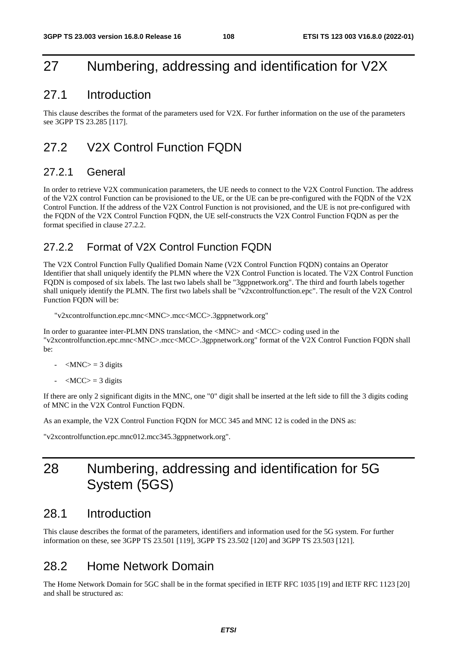## 27 Numbering, addressing and identification for V2X

### 27.1 Introduction

This clause describes the format of the parameters used for V2X. For further information on the use of the parameters see 3GPP TS 23.285 [117].

## 27.2 V2X Control Function FQDN

### 27.2.1 General

In order to retrieve V2X communication parameters, the UE needs to connect to the V2X Control Function. The address of the V2X control Function can be provisioned to the UE, or the UE can be pre-configured with the FQDN of the V2X Control Function. If the address of the V2X Control Function is not provisioned, and the UE is not pre-configured with the FQDN of the V2X Control Function FQDN, the UE self-constructs the V2X Control Function FQDN as per the format specified in clause 27.2.2.

### 27.2.2 Format of V2X Control Function FQDN

The V2X Control Function Fully Qualified Domain Name (V2X Control Function FQDN) contains an Operator Identifier that shall uniquely identify the PLMN where the V2X Control Function is located. The V2X Control Function FQDN is composed of six labels. The last two labels shall be "3gppnetwork.org". The third and fourth labels together shall uniquely identify the PLMN. The first two labels shall be "v2xcontrolfunction.epc". The result of the V2X Control Function FQDN will be:

"v2xcontrolfunction.epc.mnc<MNC>.mcc<MCC>.3gppnetwork.org"

In order to guarantee inter-PLMN DNS translation, the <MNC> and <MCC> coding used in the "v2xcontrolfunction.epc.mnc<MNC>.mcc<MCC>.3gppnetwork.org" format of the V2X Control Function FQDN shall be:

- $|MNC\rangle = 3$  digits
- $\langle MCC \rangle = 3$  digits

If there are only 2 significant digits in the MNC, one "0" digit shall be inserted at the left side to fill the 3 digits coding of MNC in the V2X Control Function FQDN.

As an example, the V2X Control Function FQDN for MCC 345 and MNC 12 is coded in the DNS as:

"v2xcontrolfunction.epc.mnc012.mcc345.3gppnetwork.org".

## 28 Numbering, addressing and identification for 5G System (5GS)

### 28.1 Introduction

This clause describes the format of the parameters, identifiers and information used for the 5G system. For further information on these, see 3GPP TS 23.501 [119], 3GPP TS 23.502 [120] and 3GPP TS 23.503 [121].

## 28.2 Home Network Domain

The Home Network Domain for 5GC shall be in the format specified in IETF RFC 1035 [19] and IETF RFC 1123 [20] and shall be structured as: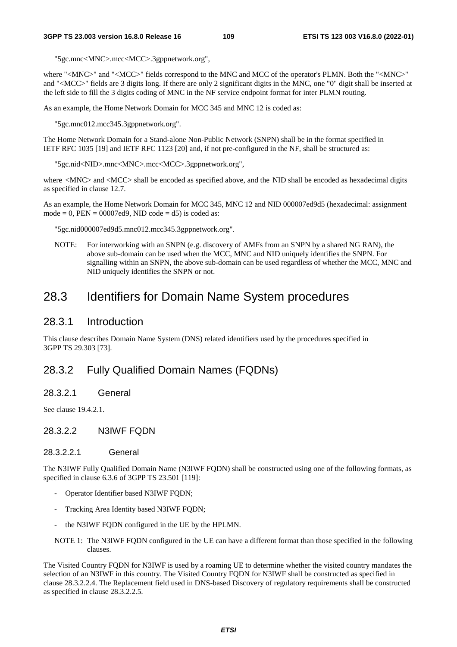"5gc.mnc<MNC>.mcc<MCC>.3gppnetwork.org",

where "<MNC>" and "<MCC>" fields correspond to the MNC and MCC of the operator's PLMN. Both the "<MNC>" and "<MCC>" fields are 3 digits long. If there are only 2 significant digits in the MNC, one "0" digit shall be inserted at the left side to fill the 3 digits coding of MNC in the NF service endpoint format for inter PLMN routing.

As an example, the Home Network Domain for MCC 345 and MNC 12 is coded as:

"5gc.mnc012.mcc345.3gppnetwork.org".

The Home Network Domain for a Stand-alone Non-Public Network (SNPN) shall be in the format specified in IETF RFC 1035 [19] and IETF RFC 1123 [20] and, if not pre-configured in the NF, shall be structured as:

"5gc.nid<NID>.mnc<MNC>.mcc<MCC>.3gppnetwork.org",

where <MNC> and <MCC> shall be encoded as specified above, and the NID shall be encoded as hexadecimal digits as specified in clause 12.7.

As an example, the Home Network Domain for MCC 345, MNC 12 and NID 000007ed9d5 (hexadecimal: assignment mode = 0,  $PEN = 00007ed9$ , NID code = d5) is coded as:

"5gc.nid000007ed9d5.mnc012.mcc345.3gppnetwork.org".

NOTE: For interworking with an SNPN (e.g. discovery of AMFs from an SNPN by a shared NG RAN), the above sub-domain can be used when the MCC, MNC and NID uniquely identifies the SNPN. For signalling within an SNPN, the above sub-domain can be used regardless of whether the MCC, MNC and NID uniquely identifies the SNPN or not.

## 28.3 Identifiers for Domain Name System procedures

#### 28.3.1 Introduction

This clause describes Domain Name System (DNS) related identifiers used by the procedures specified in 3GPP TS 29.303 [73].

### 28.3.2 Fully Qualified Domain Names (FQDNs)

28.3.2.1 General

See clause 19.4.2.1.

28.3.2.2 N3IWF FQDN

#### 28.3.2.2.1 General

The N3IWF Fully Qualified Domain Name (N3IWF FQDN) shall be constructed using one of the following formats, as specified in clause 6.3.6 of 3GPP TS 23.501 [119]:

- Operator Identifier based N3IWF FQDN;
- Tracking Area Identity based N3IWF FODN;
- the N3IWF FQDN configured in the UE by the HPLMN.
- NOTE 1: The N3IWF FQDN configured in the UE can have a different format than those specified in the following clauses.

The Visited Country FQDN for N3IWF is used by a roaming UE to determine whether the visited country mandates the selection of an N3IWF in this country. The Visited Country FQDN for N3IWF shall be constructed as specified in clause 28.3.2.2.4. The Replacement field used in DNS-based Discovery of regulatory requirements shall be constructed as specified in clause 28.3.2.2.5.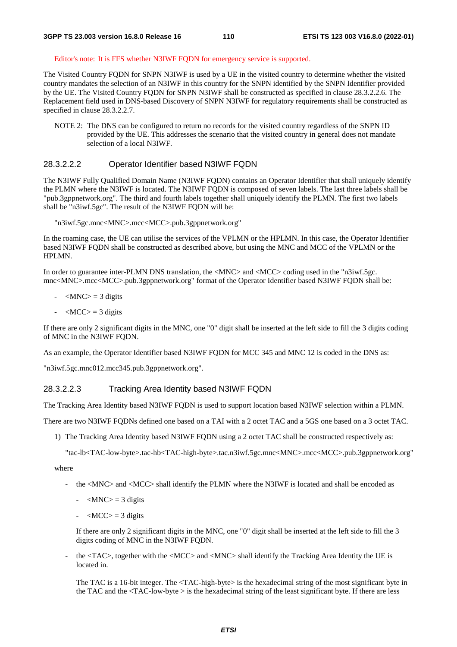#### Editor's note: It is FFS whether N3IWF FQDN for emergency service is supported.

The Visited Country FQDN for SNPN N3IWF is used by a UE in the visited country to determine whether the visited country mandates the selection of an N3IWF in this country for the SNPN identified by the SNPN Identifier provided by the UE. The Visited Country FQDN for SNPN N3IWF shall be constructed as specified in clause 28.3.2.2.6. The Replacement field used in DNS-based Discovery of SNPN N3IWF for regulatory requirements shall be constructed as specified in clause 28.3.2.2.7.

NOTE 2: The DNS can be configured to return no records for the visited country regardless of the SNPN ID provided by the UE. This addresses the scenario that the visited country in general does not mandate selection of a local N3IWF.

#### 28.3.2.2.2 Operator Identifier based N3IWF FQDN

The N3IWF Fully Qualified Domain Name (N3IWF FQDN) contains an Operator Identifier that shall uniquely identify the PLMN where the N3IWF is located. The N3IWF FQDN is composed of seven labels. The last three labels shall be "pub.3gppnetwork.org". The third and fourth labels together shall uniquely identify the PLMN. The first two labels shall be "n3iwf.5gc". The result of the N3IWF FQDN will be:

"n3iwf.5gc.mnc<MNC>.mcc<MCC>.pub.3gppnetwork.org"

In the roaming case, the UE can utilise the services of the VPLMN or the HPLMN. In this case, the Operator Identifier based N3IWF FQDN shall be constructed as described above, but using the MNC and MCC of the VPLMN or the HPLMN.

In order to guarantee inter-PLMN DNS translation, the <MNC> and <MCC> coding used in the "n3iwf.5gc. mnc<MNC>.mcc<MCC>.pub.3gppnetwork.org" format of the Operator Identifier based N3IWF FQDN shall be:

- $-MNC$  = 3 digits
- $-MCC$  = 3 digits

If there are only 2 significant digits in the MNC, one "0" digit shall be inserted at the left side to fill the 3 digits coding of MNC in the N3IWF FODN.

As an example, the Operator Identifier based N3IWF FQDN for MCC 345 and MNC 12 is coded in the DNS as:

"n3iwf.5gc.mnc012.mcc345.pub.3gppnetwork.org".

#### 28.3.2.2.3 Tracking Area Identity based N3IWF FQDN

The Tracking Area Identity based N3IWF FQDN is used to support location based N3IWF selection within a PLMN.

There are two N3IWF FQDNs defined one based on a TAI with a 2 octet TAC and a 5GS one based on a 3 octet TAC.

1) The Tracking Area Identity based N3IWF FQDN using a 2 octet TAC shall be constructed respectively as:

"tac-lb<TAC-low-byte>.tac-hb<TAC-high-byte>.tac.n3iwf.5gc.mnc<MNC>.mcc<MCC>.pub.3gppnetwork.org"

where

- the <MNC> and <MCC> shall identify the PLMN where the N3IWF is located and shall be encoded as
	- $-MNC$  = 3 digits
	- $-MCC$  = 3 digits

 If there are only 2 significant digits in the MNC, one "0" digit shall be inserted at the left side to fill the 3 digits coding of MNC in the N3IWF FQDN.

- the <TAC>, together with the <MCC> and <MNC> shall identify the Tracking Area Identity the UE is located in.

The TAC is a 16-bit integer. The <TAC-high-byte> is the hexadecimal string of the most significant byte in the TAC and the <TAC-low-byte > is the hexadecimal string of the least significant byte. If there are less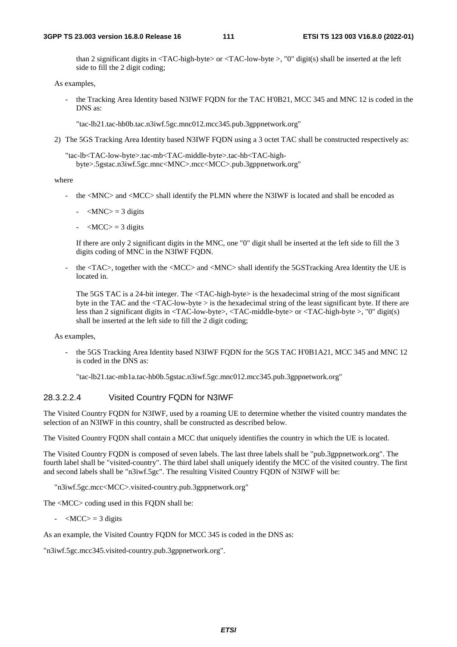than 2 significant digits in <TAC-high-byte> or <TAC-low-byte >, "0" digit(s) shall be inserted at the left side to fill the 2 digit coding;

As examples,

the Tracking Area Identity based N3IWF FQDN for the TAC H'0B21, MCC 345 and MNC 12 is coded in the DNS as:

"tac-lb21.tac-hb0b.tac.n3iwf.5gc.mnc012.mcc345.pub.3gppnetwork.org"

2) The 5GS Tracking Area Identity based N3IWF FQDN using a 3 octet TAC shall be constructed respectively as:

"tac-lb<TAC-low-byte>.tac-mb<TAC-middle-byte>.tac-hb<TAC-highbyte>.5gstac.n3iwf.5gc.mnc<MNC>.mcc<MCC>.pub.3gppnetwork.org"

#### where

- the <MNC> and <MCC> shall identify the PLMN where the N3IWF is located and shall be encoded as
	- $-MNC$  = 3 digits
	- $-MCC$  = 3 digits

 If there are only 2 significant digits in the MNC, one "0" digit shall be inserted at the left side to fill the 3 digits coding of MNC in the N3IWF FQDN.

the <TAC>, together with the <MCC> and <MNC> shall identify the 5GSTracking Area Identity the UE is located in.

The 5GS TAC is a 24-bit integer. The <TAC-high-byte> is the hexadecimal string of the most significant byte in the TAC and the <TAC-low-byte > is the hexadecimal string of the least significant byte. If there are less than 2 significant digits in <TAC-low-byte>, <TAC-middle-byte> or <TAC-high-byte >, "0" digit(s) shall be inserted at the left side to fill the 2 digit coding;

#### As examples,

the 5GS Tracking Area Identity based N3IWF FODN for the 5GS TAC H'0B1A21, MCC 345 and MNC 12 is coded in the DNS as:

"tac-lb21.tac-mb1a.tac-hb0b.5gstac.n3iwf.5gc.mnc012.mcc345.pub.3gppnetwork.org"

#### 28.3.2.2.4 Visited Country FQDN for N3IWF

The Visited Country FQDN for N3IWF, used by a roaming UE to determine whether the visited country mandates the selection of an N3IWF in this country, shall be constructed as described below.

The Visited Country FQDN shall contain a MCC that uniquely identifies the country in which the UE is located.

The Visited Country FQDN is composed of seven labels. The last three labels shall be "pub.3gppnetwork.org". The fourth label shall be "visited-country". The third label shall uniquely identify the MCC of the visited country. The first and second labels shall be "n3iwf.5gc". The resulting Visited Country FQDN of N3IWF will be:

"n3iwf.5gc.mcc<MCC>.visited-country.pub.3gppnetwork.org"

The <MCC> coding used in this FQDN shall be:

 $-MCC$  = 3 digits

As an example, the Visited Country FODN for MCC 345 is coded in the DNS as:

"n3iwf.5gc.mcc345.visited-country.pub.3gppnetwork.org".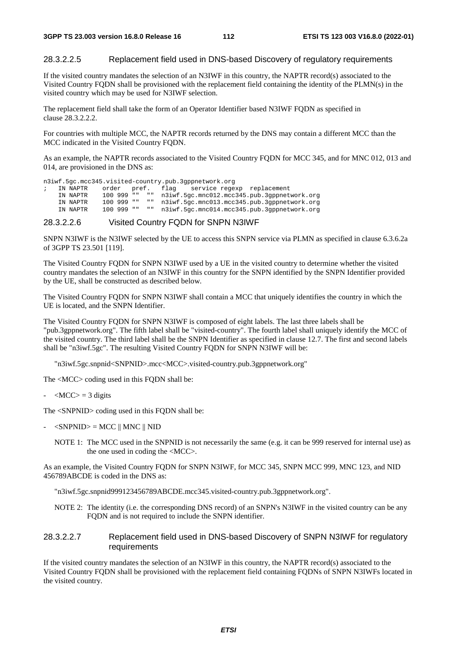#### 28.3.2.2.5 Replacement field used in DNS-based Discovery of regulatory requirements

If the visited country mandates the selection of an N3IWF in this country, the NAPTR record(s) associated to the Visited Country FQDN shall be provisioned with the replacement field containing the identity of the PLMN(s) in the visited country which may be used for N3IWF selection.

The replacement field shall take the form of an Operator Identifier based N3IWF FQDN as specified in clause 28.3.2.2.2.

For countries with multiple MCC, the NAPTR records returned by the DNS may contain a different MCC than the MCC indicated in the Visited Country FQDN.

As an example, the NAPTR records associated to the Visited Country FQDN for MCC 345, and for MNC 012, 013 and 014, are provisioned in the DNS as:

n3iwf.5gc.mcc345.visited-country.pub.3gppnetwork.org

; IN NAPTR order pref. flag service regexp replacement IN NAPTR 100 999 "" "" n3iwf.5gc.mnc012.mcc345.pub.3gppnetwork.org IN NAPTR 100 999 "" "" n3iwf.5gc.mnc013.mcc345.pub.3gppnetwork.org IN NAPTR 100 999 "" "" n3iwf.5gc.mnc014.mcc345.pub.3gppnetwork.org

#### 28.3.2.2.6 Visited Country FQDN for SNPN N3IWF

SNPN N3IWF is the N3IWF selected by the UE to access this SNPN service via PLMN as specified in clause 6.3.6.2a of 3GPP TS 23.501 [119].

The Visited Country FQDN for SNPN N3IWF used by a UE in the visited country to determine whether the visited country mandates the selection of an N3IWF in this country for the SNPN identified by the SNPN Identifier provided by the UE, shall be constructed as described below.

The Visited Country FQDN for SNPN N3IWF shall contain a MCC that uniquely identifies the country in which the UE is located, and the SNPN Identifier.

The Visited Country FQDN for SNPN N3IWF is composed of eight labels. The last three labels shall be "pub.3gppnetwork.org". The fifth label shall be "visited-country". The fourth label shall uniquely identify the MCC of the visited country. The third label shall be the SNPN Identifier as specified in clause 12.7. The first and second labels shall be "n3iwf.5gc". The resulting Visited Country FQDN for SNPN N3IWF will be:

"n3iwf.5gc.snpnid<SNPNID>.mcc<MCC>.visited-country.pub.3gppnetwork.org"

The <MCC> coding used in this FQDN shall be:

 $-MCC$  = 3 digits

The <SNPNID> coding used in this FQDN shall be:

- $<$ SNPNID $> =$ MCC || MNC || NID
	- NOTE 1: The MCC used in the SNPNID is not necessarily the same (e.g. it can be 999 reserved for internal use) as the one used in coding the <MCC>.

As an example, the Visited Country FQDN for SNPN N3IWF, for MCC 345, SNPN MCC 999, MNC 123, and NID 456789ABCDE is coded in the DNS as:

"n3iwf.5gc.snpnid999123456789ABCDE.mcc345.visited-country.pub.3gppnetwork.org".

NOTE 2: The identity (i.e. the corresponding DNS record) of an SNPN's N3IWF in the visited country can be any FQDN and is not required to include the SNPN identifier.

#### 28.3.2.2.7 Replacement field used in DNS-based Discovery of SNPN N3IWF for regulatory requirements

If the visited country mandates the selection of an N3IWF in this country, the NAPTR record(s) associated to the Visited Country FQDN shall be provisioned with the replacement field containing FQDNs of SNPN N3IWFs located in the visited country.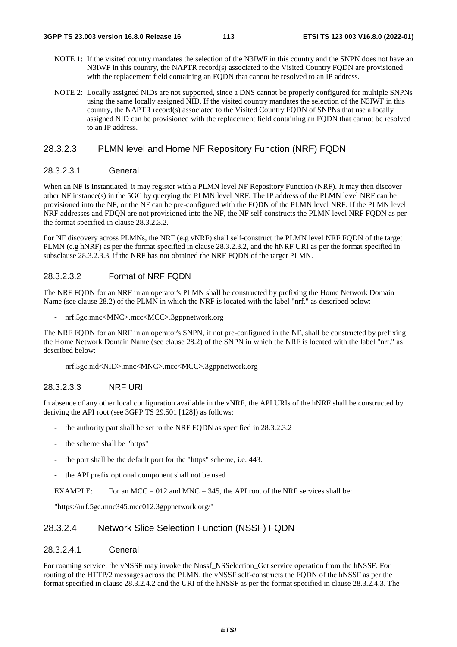- NOTE 1: If the visited country mandates the selection of the N3IWF in this country and the SNPN does not have an N3IWF in this country, the NAPTR record(s) associated to the Visited Country FQDN are provisioned with the replacement field containing an FQDN that cannot be resolved to an IP address.
- NOTE 2: Locally assigned NIDs are not supported, since a DNS cannot be properly configured for multiple SNPNs using the same locally assigned NID. If the visited country mandates the selection of the N3IWF in this country, the NAPTR record(s) associated to the Visited Country FQDN of SNPNs that use a locally assigned NID can be provisioned with the replacement field containing an FQDN that cannot be resolved to an IP address.

#### 28.3.2.3 PLMN level and Home NF Repository Function (NRF) FQDN

#### 28.3.2.3.1 General

When an NF is instantiated, it may register with a PLMN level NF Repository Function (NRF). It may then discover other NF instance(s) in the 5GC by querying the PLMN level NRF. The IP address of the PLMN level NRF can be provisioned into the NF, or the NF can be pre-configured with the FQDN of the PLMN level NRF. If the PLMN level NRF addresses and FDQN are not provisioned into the NF, the NF self-constructs the PLMN level NRF FQDN as per the format specified in clause 28.3.2.3.2.

For NF discovery across PLMNs, the NRF (e.g vNRF) shall self-construct the PLMN level NRF FQDN of the target PLMN (e.g hNRF) as per the format specified in clause 28.3.2.3.2, and the hNRF URI as per the format specified in subsclause 28.3.2.3.3, if the NRF has not obtained the NRF FQDN of the target PLMN.

#### 28.3.2.3.2 Format of NRF FQDN

The NRF FQDN for an NRF in an operator's PLMN shall be constructed by prefixing the Home Network Domain Name (see clause 28.2) of the PLMN in which the NRF is located with the label "nrf." as described below:

- nrf.5gc.mnc<MNC>.mcc<MCC>.3gppnetwork.org

The NRF FODN for an NRF in an operator's SNPN, if not pre-configured in the NF, shall be constructed by prefixing the Home Network Domain Name (see clause 28.2) of the SNPN in which the NRF is located with the label "nrf." as described below:

- nrf.5gc.nid<NID>.mnc<MNC>.mcc<MCC>.3gppnetwork.org

#### 28.3.2.3.3 NRF URI

In absence of any other local configuration available in the vNRF, the API URIs of the hNRF shall be constructed by deriving the API root (see 3GPP TS 29.501 [128]) as follows:

- the authority part shall be set to the NRF FQDN as specified in 28.3.2.3.2.
- the scheme shall be "https"
- the port shall be the default port for the "https" scheme, i.e. 443.
- the API prefix optional component shall not be used

EXAMPLE: For an MCC = 012 and MNC = 345, the API root of the NRF services shall be:

"https://nrf.5gc.mnc345.mcc012.3gppnetwork.org/"

#### 28.3.2.4 Network Slice Selection Function (NSSF) FQDN

#### 28.3.2.4.1 General

For roaming service, the vNSSF may invoke the Nnssf\_NSSelection\_Get service operation from the hNSSF. For routing of the HTTP/2 messages across the PLMN, the vNSSF self-constructs the FQDN of the hNSSF as per the format specified in clause 28.3.2.4.2 and the URI of the hNSSF as per the format specified in clause 28.3.2.4.3. The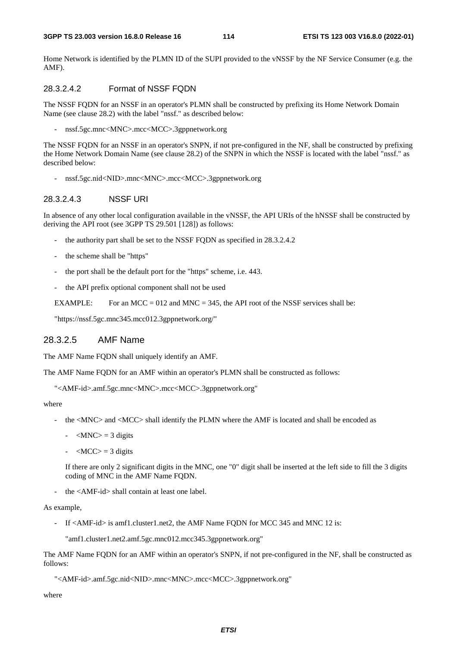Home Network is identified by the PLMN ID of the SUPI provided to the vNSSF by the NF Service Consumer (e.g. the AMF).

#### 28.3.2.4.2 Format of NSSF FQDN

The NSSF FQDN for an NSSF in an operator's PLMN shall be constructed by prefixing its Home Network Domain Name (see clause 28.2) with the label "nssf." as described below:

- nssf.5gc.mnc<MNC>.mcc<MCC>.3gppnetwork.org

The NSSF FQDN for an NSSF in an operator's SNPN, if not pre-configured in the NF, shall be constructed by prefixing the Home Network Domain Name (see clause 28.2) of the SNPN in which the NSSF is located with the label "nssf." as described below:

- nssf.5gc.nid<NID>.mnc<MNC>.mcc<MCC>.3gppnetwork.org

#### 28.3.2.4.3 NSSF URI

In absence of any other local configuration available in the vNSSF, the API URIs of the hNSSF shall be constructed by deriving the API root (see 3GPP TS 29.501 [128]) as follows:

- the authority part shall be set to the NSSF FQDN as specified in 28.3.2.4.2
- the scheme shall be "https"
- the port shall be the default port for the "https" scheme, i.e. 443.
- the API prefix optional component shall not be used

EXAMPLE: For an MCC =  $012$  and MNC = 345, the API root of the NSSF services shall be:

"https://nssf.5gc.mnc345.mcc012.3gppnetwork.org/"

#### 28.3.2.5 AMF Name

The AMF Name FQDN shall uniquely identify an AMF.

The AMF Name FQDN for an AMF within an operator's PLMN shall be constructed as follows:

"<AMF-id>.amf.5gc.mnc<MNC>.mcc<MCC>.3gppnetwork.org"

where

- the <MNC> and <MCC> shall identify the PLMN where the AMF is located and shall be encoded as
	- $-MNC$  = 3 digits
	- $-MCC$  = 3 digits

 If there are only 2 significant digits in the MNC, one "0" digit shall be inserted at the left side to fill the 3 digits coding of MNC in the AMF Name FODN.

the <AMF-id> shall contain at least one label.

As example,

- If <AMF-id> is amf1.cluster1.net2, the AMF Name FQDN for MCC 345 and MNC 12 is:

"amf1.cluster1.net2.amf.5gc.mnc012.mcc345.3gppnetwork.org"

The AMF Name FQDN for an AMF within an operator's SNPN, if not pre-configured in the NF, shall be constructed as follows:

"<AMF-id>.amf.5gc.nid<NID>.mnc<MNC>.mcc<MCC>.3gppnetwork.org"

where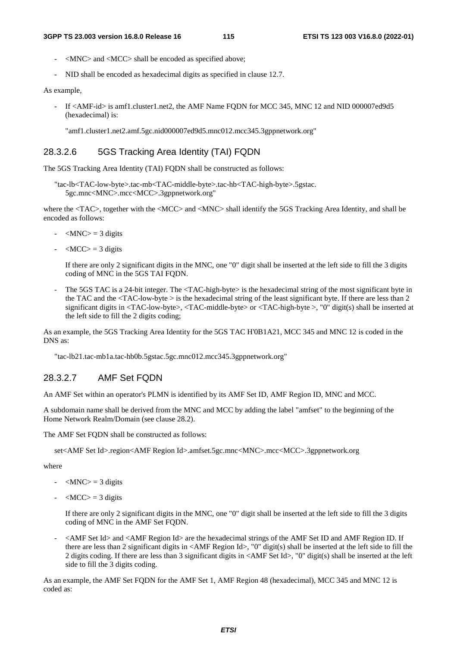- <MNC> and <MCC> shall be encoded as specified above;
- NID shall be encoded as hexadecimal digits as specified in clause 12.7.

#### As example,

If <AMF-id> is amf1.cluster1.net2, the AMF Name FQDN for MCC 345, MNC 12 and NID 000007ed9d5 (hexadecimal) is:

"amf1.cluster1.net2.amf.5gc.nid000007ed9d5.mnc012.mcc345.3gppnetwork.org"

#### 28.3.2.6 5GS Tracking Area Identity (TAI) FQDN

The 5GS Tracking Area Identity (TAI) FQDN shall be constructed as follows:

"tac-lb<TAC-low-byte>.tac-mb<TAC-middle-byte>.tac-hb<TAC-high-byte>.5gstac. 5gc.mnc<MNC>.mcc<MCC>.3gppnetwork.org"

where the  $\langle TAC \rangle$ , together with the  $\langle MCC \rangle$  and  $\langle MNC \rangle$  shall identify the 5GS Tracking Area Identity, and shall be encoded as follows:

- $-MNC$  = 3 digits
- $-MCC$  = 3 digits

 If there are only 2 significant digits in the MNC, one "0" digit shall be inserted at the left side to fill the 3 digits coding of MNC in the 5GS TAI FQDN.

The 5GS TAC is a 24-bit integer. The <TAC-high-byte> is the hexadecimal string of the most significant byte in the TAC and the <TAC-low-byte > is the hexadecimal string of the least significant byte. If there are less than 2 significant digits in <TAC-low-byte>, <TAC-middle-byte> or <TAC-high-byte >, "0" digit(s) shall be inserted at the left side to fill the 2 digits coding;

As an example, the 5GS Tracking Area Identity for the 5GS TAC H'0B1A21, MCC 345 and MNC 12 is coded in the DNS as:

"tac-lb21.tac-mb1a.tac-hb0b.5gstac.5gc.mnc012.mcc345.3gppnetwork.org"

#### 28.3.2.7 AMF Set FQDN

An AMF Set within an operator's PLMN is identified by its AMF Set ID, AMF Region ID, MNC and MCC.

A subdomain name shall be derived from the MNC and MCC by adding the label "amfset" to the beginning of the Home Network Realm/Domain (see clause 28.2).

The AMF Set FODN shall be constructed as follows:

set<AMF Set Id>.region<AMF Region Id>.amfset.5gc.mnc<MNC>.mcc<MCC>.3gppnetwork.org

where

- $-MNC$  = 3 digits
- $-MCC$  = 3 digits

 If there are only 2 significant digits in the MNC, one "0" digit shall be inserted at the left side to fill the 3 digits coding of MNC in the AMF Set FQDN.

- <AMF Set Id> and <AMF Region Id> are the hexadecimal strings of the AMF Set ID and AMF Region ID. If there are less than 2 significant digits in <AMF Region Id>, "0" digit(s) shall be inserted at the left side to fill the 2 digits coding. If there are less than 3 significant digits in <AMF Set Id>, "0" digit(s) shall be inserted at the left side to fill the 3 digits coding.

As an example, the AMF Set FQDN for the AMF Set 1, AMF Region 48 (hexadecimal), MCC 345 and MNC 12 is coded as: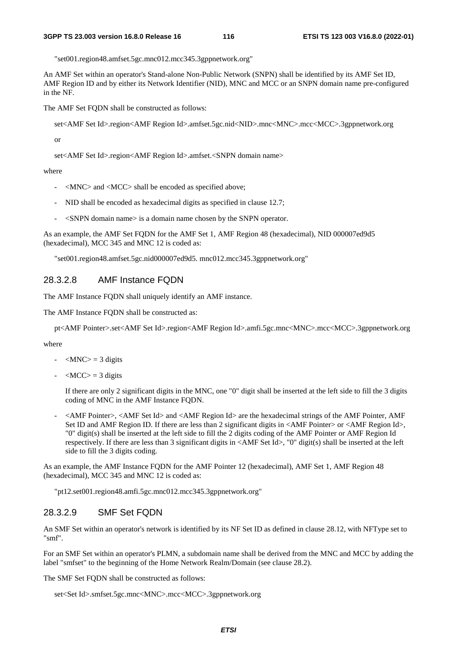"set001.region48.amfset.5gc.mnc012.mcc345.3gppnetwork.org"

An AMF Set within an operator's Stand-alone Non-Public Network (SNPN) shall be identified by its AMF Set ID, AMF Region ID and by either its Network Identifier (NID), MNC and MCC or an SNPN domain name pre-configured in the NF.

The AMF Set FQDN shall be constructed as follows:

set<AMF Set Id>.region<AMF Region Id>.amfset.5gc.nid<NID>.mnc<MNC>.mcc<MCC>.3gppnetwork.org

or

set<AMF Set Id>.region<AMF Region Id>.amfset.<SNPN domain name>

where

- <MNC> and <MCC> shall be encoded as specified above;
- NID shall be encoded as hexadecimal digits as specified in clause 12.7;
- $\leq$ SNPN domain name $>$  is a domain name chosen by the SNPN operator.

As an example, the AMF Set FQDN for the AMF Set 1, AMF Region 48 (hexadecimal), NID 000007ed9d5 (hexadecimal), MCC 345 and MNC 12 is coded as:

"set001.region48.amfset.5gc.nid000007ed9d5. mnc012.mcc345.3gppnetwork.org"

#### 28.3.2.8 AMF Instance FQDN

The AMF Instance FQDN shall uniquely identify an AMF instance.

The AMF Instance FQDN shall be constructed as:

pt<AMF Pointer>.set<AMF Set Id>.region<AMF Region Id>.amfi.5gc.mnc<MNC>.mcc<MCC>.3gppnetwork.org

where

- $\langle$ MNC $>$  = 3 digits
- $-MCC$  = 3 digits

 If there are only 2 significant digits in the MNC, one "0" digit shall be inserted at the left side to fill the 3 digits coding of MNC in the AMF Instance FQDN.

- <AMF Pointer>, <AMF Set Id> and <AMF Region Id> are the hexadecimal strings of the AMF Pointer, AMF Set ID and AMF Region ID. If there are less than 2 significant digits in  $\triangle AMF$  Pointer> or  $\triangle AMF$  Region Id>, "0" digit(s) shall be inserted at the left side to fill the 2 digits coding of the AMF Pointer or AMF Region Id respectively. If there are less than 3 significant digits in <AMF Set Id>, "0" digit(s) shall be inserted at the left side to fill the 3 digits coding.

As an example, the AMF Instance FQDN for the AMF Pointer 12 (hexadecimal), AMF Set 1, AMF Region 48 (hexadecimal), MCC 345 and MNC 12 is coded as:

"pt12.set001.region48.amfi.5gc.mnc012.mcc345.3gppnetwork.org"

#### 28.3.2.9 SMF Set FQDN

An SMF Set within an operator's network is identified by its NF Set ID as defined in clause 28.12, with NFType set to "smf".

For an SMF Set within an operator's PLMN, a subdomain name shall be derived from the MNC and MCC by adding the label "smfset" to the beginning of the Home Network Realm/Domain (see clause 28.2).

The SMF Set FODN shall be constructed as follows:

set<Set Id>.smfset.5gc.mnc<MNC>.mcc<MCC>.3gppnetwork.org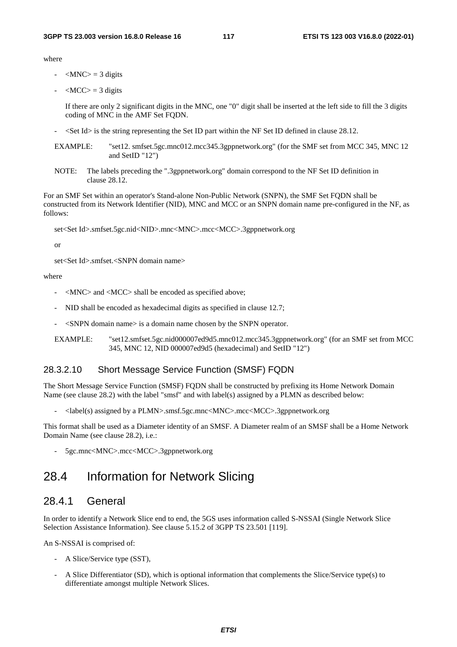where

- $\langle MNC \rangle = 3$  digits
- $\langle MCC \rangle = 3$  digits

 If there are only 2 significant digits in the MNC, one "0" digit shall be inserted at the left side to fill the 3 digits coding of MNC in the AMF Set FODN.

- <Set Id> is the string representing the Set ID part within the NF Set ID defined in clause 28.12.
- EXAMPLE: "set12. smfset.5gc.mnc012.mcc345.3gppnetwork.org" (for the SMF set from MCC 345, MNC 12 and SetID "12")
- NOTE: The labels preceding the ".3gppnetwork.org" domain correspond to the NF Set ID definition in clause 28.12.

For an SMF Set within an operator's Stand-alone Non-Public Network (SNPN), the SMF Set FQDN shall be constructed from its Network Identifier (NID), MNC and MCC or an SNPN domain name pre-configured in the NF, as follows:

set<Set Id>.smfset.5gc.nid<NID>.mnc<MNC>.mcc<MCC>.3gppnetwork.org

or

set<Set Id>.smfset.<SNPN domain name>

where

- <MNC> and <MCC> shall be encoded as specified above;
- NID shall be encoded as hexadecimal digits as specified in clause 12.7;
- <SNPN domain name> is a domain name chosen by the SNPN operator.
- EXAMPLE: "set12.smfset.5gc.nid000007ed9d5.mnc012.mcc345.3gppnetwork.org" (for an SMF set from MCC 345, MNC 12, NID 000007ed9d5 (hexadecimal) and SetID "12")

#### 28.3.2.10 Short Message Service Function (SMSF) FQDN

The Short Message Service Function (SMSF) FODN shall be constructed by prefixing its Home Network Domain Name (see clause 28.2) with the label "smsf" and with label(s) assigned by a PLMN as described below:

- <label(s) assigned by a PLMN>.smsf.5gc.mnc<MNC>.mcc<MCC>.3gppnetwork.org

This format shall be used as a Diameter identity of an SMSF. A Diameter realm of an SMSF shall be a Home Network Domain Name (see clause 28.2), i.e.:

- 5gc.mnc<MNC>.mcc<MCC>.3gppnetwork.org

## 28.4 Information for Network Slicing

#### 28.4.1 General

In order to identify a Network Slice end to end, the 5GS uses information called S-NSSAI (Single Network Slice Selection Assistance Information). See clause 5.15.2 of 3GPP TS 23.501 [119].

An S-NSSAI is comprised of:

- A Slice/Service type (SST),
- A Slice Differentiator (SD), which is optional information that complements the Slice/Service type(s) to differentiate amongst multiple Network Slices.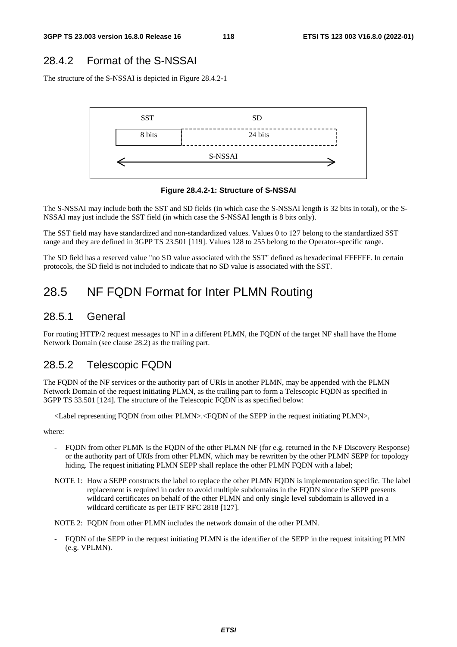### 28.4.2 Format of the S-NSSAI

The structure of the S-NSSAI is depicted in Figure 28.4.2-1



**Figure 28.4.2-1: Structure of S-NSSAI** 

The S-NSSAI may include both the SST and SD fields (in which case the S-NSSAI length is 32 bits in total), or the S-NSSAI may just include the SST field (in which case the S-NSSAI length is 8 bits only).

The SST field may have standardized and non-standardized values. Values 0 to 127 belong to the standardized SST range and they are defined in 3GPP TS 23.501 [119]. Values 128 to 255 belong to the Operator-specific range.

The SD field has a reserved value "no SD value associated with the SST" defined as hexadecimal FFFFFF. In certain protocols, the SD field is not included to indicate that no SD value is associated with the SST.

## 28.5 NF FQDN Format for Inter PLMN Routing

### 28.5.1 General

For routing HTTP/2 request messages to NF in a different PLMN, the FQDN of the target NF shall have the Home Network Domain (see clause 28.2) as the trailing part.

### 28.5.2 Telescopic FQDN

The FQDN of the NF services or the authority part of URIs in another PLMN, may be appended with the PLMN Network Domain of the request initiating PLMN, as the trailing part to form a Telescopic FQDN as specified in 3GPP TS 33.501 [124]. The structure of the Telescopic FQDN is as specified below:

<Label representing FQDN from other PLMN>.<FQDN of the SEPP in the request initiating PLMN>,

where:

- FQDN from other PLMN is the FQDN of the other PLMN NF (for e.g. returned in the NF Discovery Response) or the authority part of URIs from other PLMN, which may be rewritten by the other PLMN SEPP for topology hiding. The request initiating PLMN SEPP shall replace the other PLMN FQDN with a label;
- NOTE 1: How a SEPP constructs the label to replace the other PLMN FQDN is implementation specific. The label replacement is required in order to avoid multiple subdomains in the FQDN since the SEPP presents wildcard certificates on behalf of the other PLMN and only single level subdomain is allowed in a wildcard certificate as per IETF RFC 2818 [127].

NOTE 2: FQDN from other PLMN includes the network domain of the other PLMN.

- FQDN of the SEPP in the request initiating PLMN is the identifier of the SEPP in the request initaiting PLMN (e.g. VPLMN).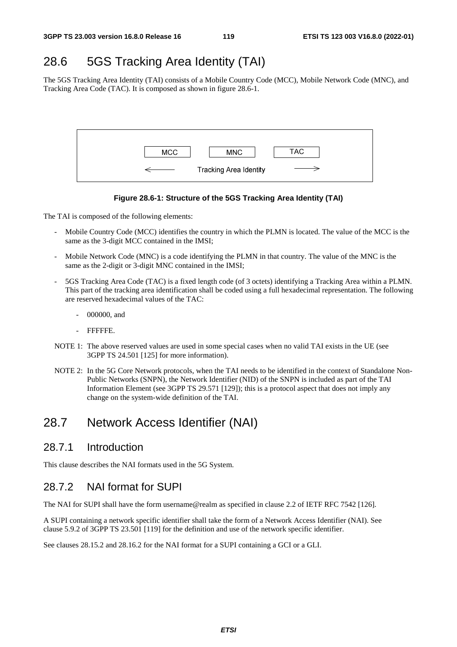## 28.6 5GS Tracking Area Identity (TAI)

The 5GS Tracking Area Identity (TAI) consists of a Mobile Country Code (MCC), Mobile Network Code (MNC), and Tracking Area Code (TAC). It is composed as shown in figure 28.6-1.



#### **Figure 28.6-1: Structure of the 5GS Tracking Area Identity (TAI)**

The TAI is composed of the following elements:

- Mobile Country Code (MCC) identifies the country in which the PLMN is located. The value of the MCC is the same as the 3-digit MCC contained in the IMSI;
- Mobile Network Code (MNC) is a code identifying the PLMN in that country. The value of the MNC is the same as the 2-digit or 3-digit MNC contained in the IMSI;
- 5GS Tracking Area Code (TAC) is a fixed length code (of 3 octets) identifying a Tracking Area within a PLMN. This part of the tracking area identification shall be coded using a full hexadecimal representation. The following are reserved hexadecimal values of the TAC:
	- 000000, and
	- FFFFFE.
- NOTE 1: The above reserved values are used in some special cases when no valid TAI exists in the UE (see 3GPP TS 24.501 [125] for more information).
- NOTE 2: In the 5G Core Network protocols, when the TAI needs to be identified in the context of Standalone Non-Public Networks (SNPN), the Network Identifier (NID) of the SNPN is included as part of the TAI Information Element (see 3GPP TS 29.571 [129]); this is a protocol aspect that does not imply any change on the system-wide definition of the TAI.

## 28.7 Network Access Identifier (NAI)

### 28.7.1 Introduction

This clause describes the NAI formats used in the 5G System.

## 28.7.2 NAI format for SUPI

The NAI for SUPI shall have the form username@realm as specified in clause 2.2 of IETF RFC 7542 [126].

A SUPI containing a network specific identifier shall take the form of a Network Access Identifier (NAI). See clause 5.9.2 of 3GPP TS 23.501 [119] for the definition and use of the network specific identifier.

See clauses 28.15.2 and 28.16.2 for the NAI format for a SUPI containing a GCI or a GLI.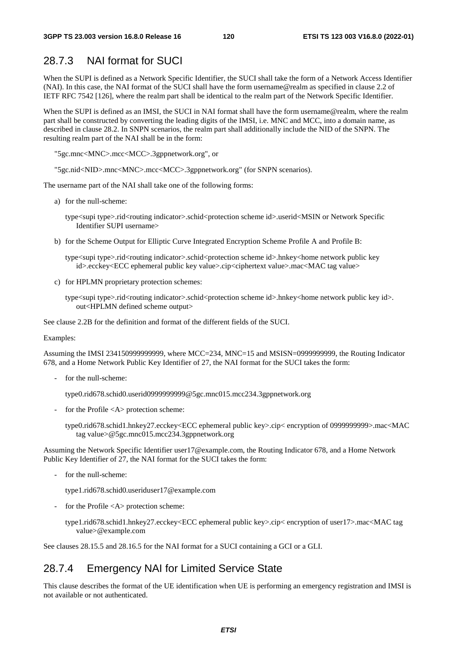### 28.7.3 NAI format for SUCI

When the SUPI is defined as a Network Specific Identifier, the SUCI shall take the form of a Network Access Identifier (NAI). In this case, the NAI format of the SUCI shall have the form username@realm as specified in clause 2.2 of IETF RFC 7542 [126], where the realm part shall be identical to the realm part of the Network Specific Identifier.

When the SUPI is defined as an IMSI, the SUCI in NAI format shall have the form username@realm, where the realm part shall be constructed by converting the leading digits of the IMSI, i.e. MNC and MCC, into a domain name, as described in clause 28.2. In SNPN scenarios, the realm part shall additionally include the NID of the SNPN. The resulting realm part of the NAI shall be in the form:

"5gc.mnc<MNC>.mcc<MCC>.3gppnetwork.org", or

"5gc.nid<NID>.mnc<MNC>.mcc<MCC>.3gppnetwork.org" (for SNPN scenarios).

The username part of the NAI shall take one of the following forms:

a) for the null-scheme:

type<supi type>.rid<routing indicator>.schid<protection scheme id>.userid<MSIN or Network Specific Identifier SUPI username>

b) for the Scheme Output for Elliptic Curve Integrated Encryption Scheme Profile A and Profile B:

type<supi type>.rid<routing indicator>.schid<protection scheme id>.hnkey<home network public key id>.ecckey<ECC ephemeral public key value>.cip<ciphertext value>.mac<MAC tag value>

- c) for HPLMN proprietary protection schemes:
	- type<supi type>.rid<routing indicator>.schid<protection scheme id>.hnkey<home network public key id>. out<HPLMN defined scheme output>

See clause 2.2B for the definition and format of the different fields of the SUCI.

Examples:

Assuming the IMSI 234150999999999, where MCC=234, MNC=15 and MSISN=0999999999, the Routing Indicator 678, and a Home Network Public Key Identifier of 27, the NAI format for the SUCI takes the form:

for the null-scheme:

type0.rid678.schid0.userid0999999999@5gc.mnc015.mcc234.3gppnetwork.org

for the Profile  $\langle A \rangle$  protection scheme:

type0.rid678.schid1.hnkey27.ecckey<ECC ephemeral public key>.cip< encryption of 0999999999>.mac<MAC tag value>@5gc.mnc015.mcc234.3gppnetwork.org

Assuming the Network Specific Identifier user17@example.com, the Routing Indicator 678, and a Home Network Public Key Identifier of 27, the NAI format for the SUCI takes the form:

- for the null-scheme:

type1.rid678.schid0.useriduser17@example.com

for the Profile  $\langle A \rangle$  protection scheme:

type1.rid678.schid1.hnkey27.ecckey<ECC ephemeral public key>.cip< encryption of user17>.mac<MAC tag value>@example.com

See clauses 28.15.5 and 28.16.5 for the NAI format for a SUCI containing a GCI or a GLI.

### 28.7.4 Emergency NAI for Limited Service State

This clause describes the format of the UE identification when UE is performing an emergency registration and IMSI is not available or not authenticated.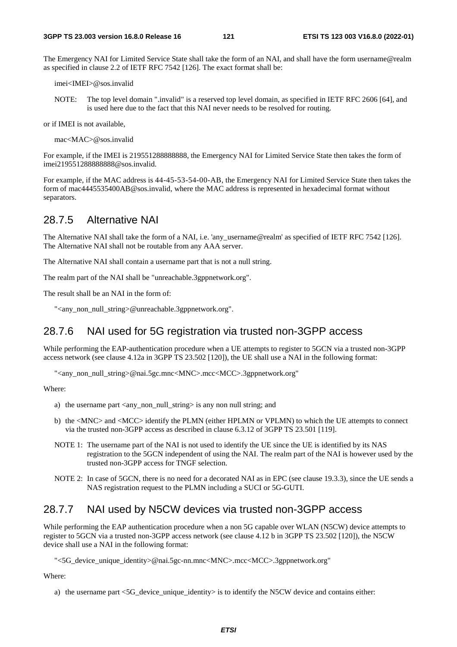The Emergency NAI for Limited Service State shall take the form of an NAI, and shall have the form username@realm as specified in clause 2.2 of IETF RFC 7542 [126]. The exact format shall be:

imei<IMEI>@sos.invalid

NOTE: The top level domain ".invalid" is a reserved top level domain, as specified in IETF RFC 2606 [64], and is used here due to the fact that this NAI never needs to be resolved for routing.

or if IMEI is not available,

mac<MAC>@sos.invalid

For example, if the IMEI is 219551288888888, the Emergency NAI for Limited Service State then takes the form of imei219551288888888@sos.invalid.

For example, if the MAC address is 44-45-53-54-00-AB, the Emergency NAI for Limited Service State then takes the form of mac4445535400AB@sos.invalid, where the MAC address is represented in hexadecimal format without separators.

### 28.7.5 Alternative NAI

The Alternative NAI shall take the form of a NAI, i.e. 'any username@realm' as specified of IETF RFC 7542 [126]. The Alternative NAI shall not be routable from any AAA server.

The Alternative NAI shall contain a username part that is not a null string.

The realm part of the NAI shall be "unreachable.3gppnetwork.org".

The result shall be an NAI in the form of:

"<any\_non\_null\_string>@unreachable.3gppnetwork.org".

### 28.7.6 NAI used for 5G registration via trusted non-3GPP access

While performing the EAP-authentication procedure when a UE attempts to register to 5GCN via a trusted non-3GPP access network (see clause 4.12a in 3GPP TS 23.502 [120]), the UE shall use a NAI in the following format:

"<any\_non\_null\_string>@nai.5gc.mnc<MNC>.mcc<MCC>.3gppnetwork.org"

Where:

- a) the username part <any\_non\_null\_string> is any non null string; and
- b) the <MNC> and <MCC> identify the PLMN (either HPLMN or VPLMN) to which the UE attempts to connect via the trusted non-3GPP access as described in clause 6.3.12 of 3GPP TS 23.501 [119].
- NOTE 1: The username part of the NAI is not used to identify the UE since the UE is identified by its NAS registration to the 5GCN independent of using the NAI. The realm part of the NAI is however used by the trusted non-3GPP access for TNGF selection.
- NOTE 2: In case of 5GCN, there is no need for a decorated NAI as in EPC (see clause 19.3.3), since the UE sends a NAS registration request to the PLMN including a SUCI or 5G-GUTI.

### 28.7.7 NAI used by N5CW devices via trusted non-3GPP access

While performing the EAP authentication procedure when a non 5G capable over WLAN (N5CW) device attempts to register to 5GCN via a trusted non-3GPP access network (see clause 4.12 b in 3GPP TS 23.502 [120]), the N5CW device shall use a NAI in the following format:

"<5G\_device\_unique\_identity>@nai.5gc-nn.mnc<MNC>.mcc<MCC>.3gppnetwork.org"

Where:

a) the username part <5G\_device\_unique\_identity> is to identify the N5CW device and contains either: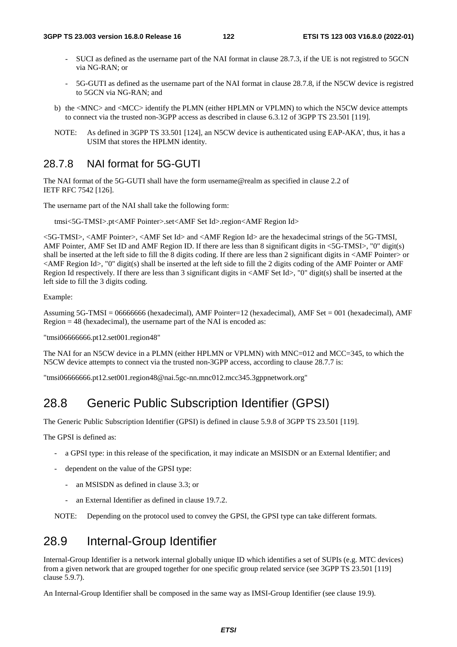- SUCI as defined as the username part of the NAI format in clause 28.7.3, if the UE is not registred to 5GCN via NG-RAN; or
- 5G-GUTI as defined as the username part of the NAI format in clause 28.7.8, if the N5CW device is registred to 5GCN via NG-RAN; and
- b) the <MNC> and <MCC> identify the PLMN (either HPLMN or VPLMN) to which the N5CW device attempts to connect via the trusted non-3GPP access as described in clause 6.3.12 of 3GPP TS 23.501 [119].
- NOTE: As defined in 3GPP TS 33.501 [124], an N5CW device is authenticated using EAP-AKA', thus, it has a USIM that stores the HPLMN identity.

### 28.7.8 NAI format for 5G-GUTI

The NAI format of the 5G-GUTI shall have the form username@realm as specified in clause 2.2 of IETF RFC 7542 [126].

The username part of the NAI shall take the following form:

tmsi<5G-TMSI>.pt<AMF Pointer>.set<AMF Set Id>.region<AMF Region Id>

<5G-TMSI>, <AMF Pointer>, <AMF Set Id> and <AMF Region Id> are the hexadecimal strings of the 5G-TMSI, AMF Pointer, AMF Set ID and AMF Region ID. If there are less than 8 significant digits in <5G-TMSI>, "0" digit(s) shall be inserted at the left side to fill the 8 digits coding. If there are less than 2 significant digits in <AMF Pointer> or <AMF Region Id>, "0" digit(s) shall be inserted at the left side to fill the 2 digits coding of the AMF Pointer or AMF Region Id respectively. If there are less than 3 significant digits in <AMF Set Id>, "0" digit(s) shall be inserted at the left side to fill the 3 digits coding.

Example:

Assuming 5G-TMSI = 06666666 (hexadecimal), AMF Pointer=12 (hexadecimal), AMF Set = 001 (hexadecimal), AMF Region = 48 (hexadecimal), the username part of the NAI is encoded as:

"tmsi06666666.pt12.set001.region48"

The NAI for an N5CW device in a PLMN (either HPLMN or VPLMN) with MNC=012 and MCC=345, to which the N5CW device attempts to connect via the trusted non-3GPP access, according to clause 28.7.7 is:

"tmsi06666666.pt12.set001.region48@nai.5gc-nn.mnc012.mcc345.3gppnetwork.org"

## 28.8 Generic Public Subscription Identifier (GPSI)

The Generic Public Subscription Identifier (GPSI) is defined in clause 5.9.8 of 3GPP TS 23.501 [119].

The GPSI is defined as:

- a GPSI type: in this release of the specification, it may indicate an MSISDN or an External Identifier; and
- dependent on the value of the GPSI type:
	- an MSISDN as defined in clause 3.3; or
	- an External Identifier as defined in clause 19.7.2.

NOTE: Depending on the protocol used to convey the GPSI, the GPSI type can take different formats.

## 28.9 Internal-Group Identifier

Internal-Group Identifier is a network internal globally unique ID which identifies a set of SUPIs (e.g. MTC devices) from a given network that are grouped together for one specific group related service (see 3GPP TS 23.501 [119] clause 5.9.7).

An Internal-Group Identifier shall be composed in the same way as IMSI-Group Identifier (see clause 19.9).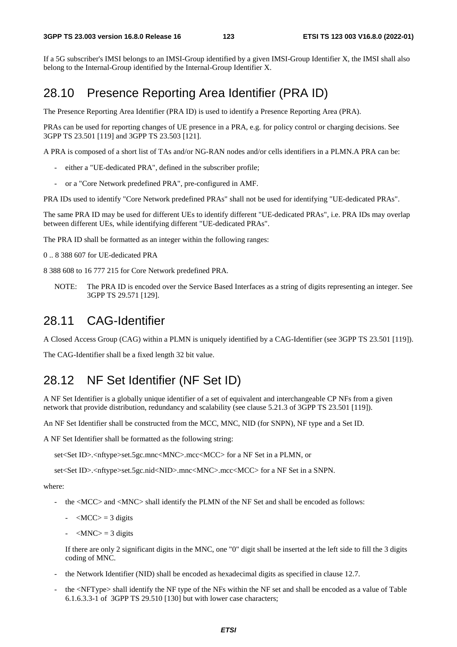If a 5G subscriber's IMSI belongs to an IMSI-Group identified by a given IMSI-Group Identifier X, the IMSI shall also belong to the Internal-Group identified by the Internal-Group Identifier X.

## 28.10 Presence Reporting Area Identifier (PRA ID)

The Presence Reporting Area Identifier (PRA ID) is used to identify a Presence Reporting Area (PRA).

PRAs can be used for reporting changes of UE presence in a PRA, e.g. for policy control or charging decisions. See 3GPP TS 23.501 [119] and 3GPP TS 23.503 [121].

A PRA is composed of a short list of TAs and/or NG-RAN nodes and/or cells identifiers in a PLMN.A PRA can be:

- either a "UE-dedicated PRA", defined in the subscriber profile;
- or a "Core Network predefined PRA", pre-configured in AMF.

PRA IDs used to identify "Core Network predefined PRAs" shall not be used for identifying "UE-dedicated PRAs".

The same PRA ID may be used for different UEs to identify different "UE-dedicated PRAs", i.e. PRA IDs may overlap between different UEs, while identifying different "UE-dedicated PRAs".

The PRA ID shall be formatted as an integer within the following ranges:

0 .. 8 388 607 for UE-dedicated PRA

8 388 608 to 16 777 215 for Core Network predefined PRA.

NOTE: The PRA ID is encoded over the Service Based Interfaces as a string of digits representing an integer. See 3GPP TS 29.571 [129].

## 28.11 CAG-Identifier

A Closed Access Group (CAG) within a PLMN is uniquely identified by a CAG-Identifier (see 3GPP TS 23.501 [119]).

The CAG-Identifier shall be a fixed length 32 bit value.

## 28.12 NF Set Identifier (NF Set ID)

A NF Set Identifier is a globally unique identifier of a set of equivalent and interchangeable CP NFs from a given network that provide distribution, redundancy and scalability (see clause 5.21.3 of 3GPP TS 23.501 [119]).

An NF Set Identifier shall be constructed from the MCC, MNC, NID (for SNPN), NF type and a Set ID.

A NF Set Identifier shall be formatted as the following string:

set<Set ID>.<nftype>set.5gc.mnc<MNC>.mcc<MCC> for a NF Set in a PLMN, or

set<Set ID>.<nftype>set.5gc.nid<NID>.mnc<MNC>.mcc<MCC> for a NF Set in a SNPN.

where:

- the <MCC> and <MNC> shall identify the PLMN of the NF Set and shall be encoded as follows:
	- $-MCC$  = 3 digits
	- $-MNC$  = 3 digits

 If there are only 2 significant digits in the MNC, one "0" digit shall be inserted at the left side to fill the 3 digits coding of MNC.

- the Network Identifier (NID) shall be encoded as hexadecimal digits as specified in clause 12.7.
- the <NFType> shall identify the NF type of the NFs within the NF set and shall be encoded as a value of Table 6.1.6.3.3-1 of 3GPP TS 29.510 [130] but with lower case characters;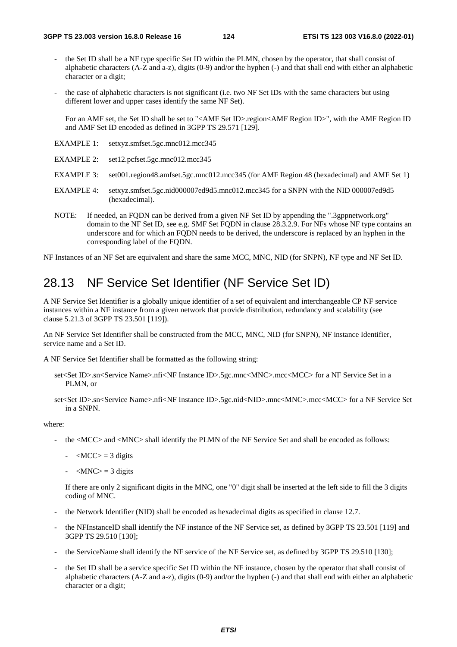- the Set ID shall be a NF type specific Set ID within the PLMN, chosen by the operator, that shall consist of alphabetic characters (A-Z and a-z), digits (0-9) and/or the hyphen (-) and that shall end with either an alphabetic character or a digit;
- the case of alphabetic characters is not significant (i.e. two NF Set IDs with the same characters but using different lower and upper cases identify the same NF Set).

For an AMF set, the Set ID shall be set to "<AMF Set ID>.region<AMF Region ID>", with the AMF Region ID and AMF Set ID encoded as defined in 3GPP TS 29.571 [129].

- EXAMPLE 1: setxyz.smfset.5gc.mnc012.mcc345
- EXAMPLE 2: set12.pcfset.5gc.mnc012.mcc345
- EXAMPLE 3: set001.region48.amfset.5gc.mnc012.mcc345 (for AMF Region 48 (hexadecimal) and AMF Set 1)
- EXAMPLE 4: setxyz.smfset.5gc.nid000007ed9d5.mnc012.mcc345 for a SNPN with the NID 000007ed9d5 (hexadecimal).
- NOTE: If needed, an FQDN can be derived from a given NF Set ID by appending the ".3gppnetwork.org" domain to the NF Set ID, see e.g. SMF Set FODN in clause 28.3.2.9. For NFs whose NF type contains an underscore and for which an FQDN needs to be derived, the underscore is replaced by an hyphen in the corresponding label of the FQDN.

NF Instances of an NF Set are equivalent and share the same MCC, MNC, NID (for SNPN), NF type and NF Set ID.

## 28.13 NF Service Set Identifier (NF Service Set ID)

A NF Service Set Identifier is a globally unique identifier of a set of equivalent and interchangeable CP NF service instances within a NF instance from a given network that provide distribution, redundancy and scalability (see clause 5.21.3 of 3GPP TS 23.501 [119]).

An NF Service Set Identifier shall be constructed from the MCC, MNC, NID (for SNPN), NF instance Identifier, service name and a Set ID.

A NF Service Set Identifier shall be formatted as the following string:

- set<Set ID>.sn<Service Name>.nfi<NF Instance ID>.5gc.mnc<MNC>.mcc<MCC> for a NF Service Set in a PLMN, or
- set<Set ID>.sn<Service Name>.nfi<NF Instance ID>.5gc.nid<NID>.mnc<MNC>.mcc<MCC> for a NF Service Set in a SNPN.

where:

- the <MCC> and <MNC> shall identify the PLMN of the NF Service Set and shall be encoded as follows:
	- $-MCC$  = 3 digits
	- $-MNC$  = 3 digits

 If there are only 2 significant digits in the MNC, one "0" digit shall be inserted at the left side to fill the 3 digits coding of MNC.

- the Network Identifier (NID) shall be encoded as hexadecimal digits as specified in clause 12.7.
- the NFInstanceID shall identify the NF instance of the NF Service set, as defined by 3GPP TS 23.501 [119] and 3GPP TS 29.510 [130];
- the ServiceName shall identify the NF service of the NF Service set, as defined by 3GPP TS 29.510 [130];
- the Set ID shall be a service specific Set ID within the NF instance, chosen by the operator that shall consist of alphabetic characters (A-Z and a-z), digits (0-9) and/or the hyphen (-) and that shall end with either an alphabetic character or a digit;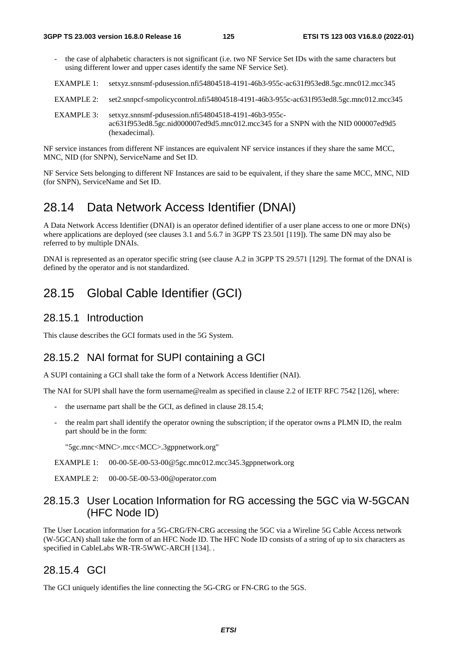- the case of alphabetic characters is not significant (i.e. two NF Service Set IDs with the same characters but using different lower and upper cases identify the same NF Service Set).
- EXAMPLE 1: setxyz.snnsmf-pdusession.nfi54804518-4191-46b3-955c-ac631f953ed8.5gc.mnc012.mcc345
- EXAMPLE 2: set2.snnpcf-smpolicycontrol.nfi54804518-4191-46b3-955c-ac631f953ed8.5gc.mnc012.mcc345
- EXAMPLE 3: setxyz.snnsmf-pdusession.nfi54804518-4191-46b3-955cac631f953ed8.5gc.nid000007ed9d5.mnc012.mcc345 for a SNPN with the NID 000007ed9d5 (hexadecimal).

NF service instances from different NF instances are equivalent NF service instances if they share the same MCC, MNC, NID (for SNPN), ServiceName and Set ID.

NF Service Sets belonging to different NF Instances are said to be equivalent, if they share the same MCC, MNC, NID (for SNPN), ServiceName and Set ID.

## 28.14 Data Network Access Identifier (DNAI)

A Data Network Access Identifier (DNAI) is an operator defined identifier of a user plane access to one or more DN(s) where applications are deployed (see clauses 3.1 and 5.6.7 in 3GPP TS 23.501 [119]). The same DN may also be referred to by multiple DNAIs.

DNAI is represented as an operator specific string (see clause A.2 in 3GPP TS 29.571 [129]. The format of the DNAI is defined by the operator and is not standardized.

## 28.15 Global Cable Identifier (GCI)

#### 28.15.1 Introduction

This clause describes the GCI formats used in the 5G System.

### 28.15.2 NAI format for SUPI containing a GCI

A SUPI containing a GCI shall take the form of a Network Access Identifier (NAI).

The NAI for SUPI shall have the form username@realm as specified in clause 2.2 of IETF RFC 7542 [126], where:

- the username part shall be the GCI, as defined in clause 28.15.4;
- the realm part shall identify the operator owning the subscription; if the operator owns a PLMN ID, the realm part should be in the form:

"5gc.mnc<MNC>.mcc<MCC>.3gppnetwork.org"

- EXAMPLE 1: 00-00-5E-00-53-00@5gc.mnc012.mcc345.3gppnetwork.org
- EXAMPLE 2: 00-00-5E-00-53-00@operator.com

### 28.15.3 User Location Information for RG accessing the 5GC via W-5GCAN (HFC Node ID)

The User Location information for a 5G-CRG/FN-CRG accessing the 5GC via a Wireline 5G Cable Access network (W-5GCAN) shall take the form of an HFC Node ID. The HFC Node ID consists of a string of up to six characters as specified in CableLabs WR-TR-5WWC-ARCH [134]. .

### 28.15.4 GCI

The GCI uniquely identifies the line connecting the 5G-CRG or FN-CRG to the 5GS.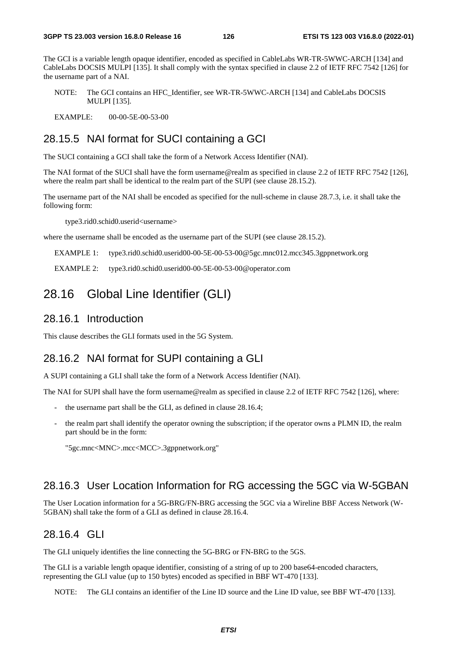The GCI is a variable length opaque identifier, encoded as specified in CableLabs WR-TR-5WWC-ARCH [134] and CableLabs DOCSIS MULPI [135]. It shall comply with the syntax specified in clause 2.2 of IETF RFC 7542 [126] for the username part of a NAI.

NOTE: The GCI contains an HFC\_Identifier, see WR-TR-5WWC-ARCH [134] and CableLabs DOCSIS MULPI [135].

EXAMPLE: 00-00-5E-00-53-00

### 28.15.5 NAI format for SUCI containing a GCI

The SUCI containing a GCI shall take the form of a Network Access Identifier (NAI).

The NAI format of the SUCI shall have the form username@realm as specified in clause 2.2 of IETF RFC 7542 [126], where the realm part shall be identical to the realm part of the SUPI (see clause 28.15.2).

The username part of the NAI shall be encoded as specified for the null-scheme in clause 28.7.3, i.e. it shall take the following form:

type3.rid0.schid0.userid<username>

where the username shall be encoded as the username part of the SUPI (see clause 28.15.2).

EXAMPLE 1: type3.rid0.schid0.userid00-00-5E-00-53-00@5gc.mnc012.mcc345.3gppnetwork.org

EXAMPLE 2: type3.rid0.schid0.userid00-00-5E-00-53-00@operator.com

## 28.16 Global Line Identifier (GLI)

### 28.16.1 Introduction

This clause describes the GLI formats used in the 5G System.

### 28.16.2 NAI format for SUPI containing a GLI

A SUPI containing a GLI shall take the form of a Network Access Identifier (NAI).

The NAI for SUPI shall have the form username@realm as specified in clause 2.2 of IETF RFC 7542 [126], where:

- the username part shall be the GLI, as defined in clause 28.16.4;
- the realm part shall identify the operator owning the subscription; if the operator owns a PLMN ID, the realm part should be in the form:

```
"5gc.mnc<MNC>.mcc<MCC>.3gppnetwork.org"
```
### 28.16.3 User Location Information for RG accessing the 5GC via W-5GBAN

The User Location information for a 5G-BRG/FN-BRG accessing the 5GC via a Wireline BBF Access Network (W-5GBAN) shall take the form of a GLI as defined in clause 28.16.4.

### 28.16.4 GLI

The GLI uniquely identifies the line connecting the 5G-BRG or FN-BRG to the 5GS.

The GLI is a variable length opaque identifier, consisting of a string of up to 200 base64-encoded characters, representing the GLI value (up to 150 bytes) encoded as specified in BBF WT-470 [133].

NOTE: The GLI contains an identifier of the Line ID source and the Line ID value, see BBF WT-470 [133].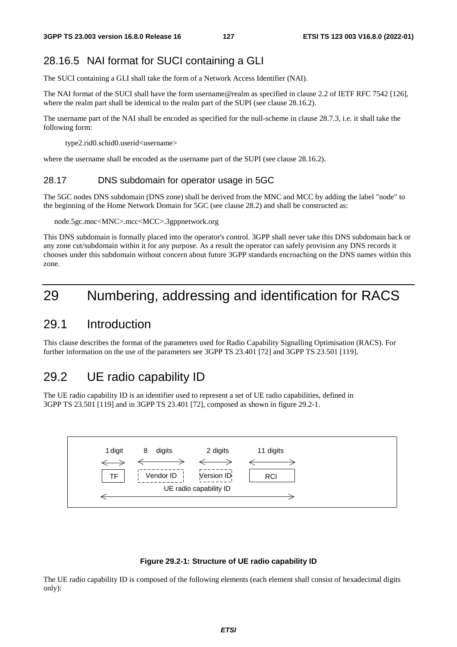### 28.16.5 NAI format for SUCI containing a GLI

The SUCI containing a GLI shall take the form of a Network Access Identifier (NAI).

The NAI format of the SUCI shall have the form username@realm as specified in clause 2.2 of IETF RFC 7542 [126], where the realm part shall be identical to the realm part of the SUPI (see clause 28.16.2).

The username part of the NAI shall be encoded as specified for the null-scheme in clause 28.7.3, i.e. it shall take the following form:

type2.rid0.schid0.userid<username>

where the username shall be encoded as the username part of the SUPI (see clause 28.16.2).

#### 28.17 DNS subdomain for operator usage in 5GC

The 5GC nodes DNS subdomain (DNS zone) shall be derived from the MNC and MCC by adding the label "node" to the beginning of the Home Network Domain for 5GC (see clause 28.2) and shall be constructed as:

#### node.5gc.mnc<MNC>.mcc<MCC>.3gppnetwork.org

This DNS subdomain is formally placed into the operator's control. 3GPP shall never take this DNS subdomain back or any zone cut/subdomain within it for any purpose. As a result the operator can safely provision any DNS records it chooses under this subdomain without concern about future 3GPP standards encroaching on the DNS names within this zone.

## 29 Numbering, addressing and identification for RACS

### 29.1 Introduction

This clause describes the format of the parameters used for Radio Capability Signalling Optimisation (RACS). For further information on the use of the parameters see 3GPP TS 23.401 [72] and 3GPP TS 23.501 [119].

## 29.2 UE radio capability ID

The UE radio capability ID is an identifier used to represent a set of UE radio capabilities, defined in 3GPP TS 23.501 [119] and in 3GPP TS 23.401 [72], composed as shown in figure 29.2-1.



#### **Figure 29.2-1: Structure of UE radio capability ID**

The UE radio capability ID is composed of the following elements (each element shall consist of hexadecimal digits only):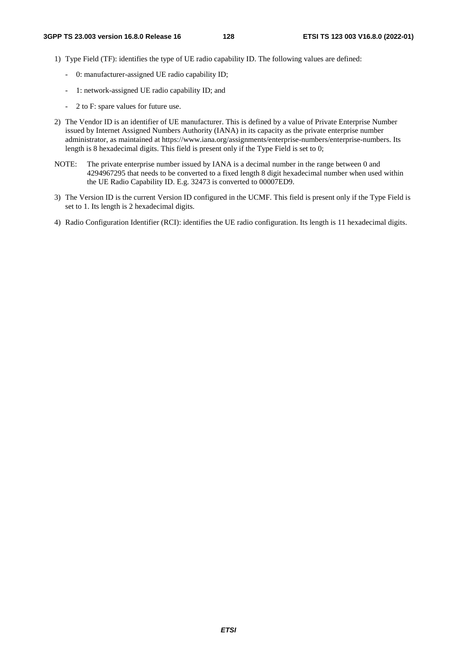- 1) Type Field (TF): identifies the type of UE radio capability ID. The following values are defined:
	- 0: manufacturer-assigned UE radio capability ID;
	- 1: network-assigned UE radio capability ID; and
	- 2 to F: spare values for future use.
- 2) The Vendor ID is an identifier of UE manufacturer. This is defined by a value of Private Enterprise Number issued by Internet Assigned Numbers Authority (IANA) in its capacity as the private enterprise number administrator, as maintained at https://www.iana.org/assignments/enterprise-numbers/enterprise-numbers. Its length is 8 hexadecimal digits. This field is present only if the Type Field is set to 0;
- NOTE: The private enterprise number issued by IANA is a decimal number in the range between 0 and 4294967295 that needs to be converted to a fixed length 8 digit hexadecimal number when used within the UE Radio Capability ID. E.g. 32473 is converted to 00007ED9.
- 3) The Version ID is the current Version ID configured in the UCMF. This field is present only if the Type Field is set to 1. Its length is 2 hexadecimal digits.
- 4) Radio Configuration Identifier (RCI): identifies the UE radio configuration. Its length is 11 hexadecimal digits.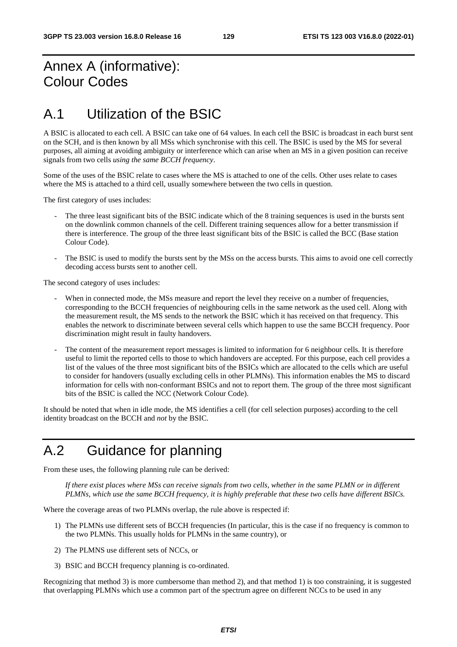## Annex A (informative): Colour Codes

## A.1 Utilization of the BSIC

A BSIC is allocated to each cell. A BSIC can take one of 64 values. In each cell the BSIC is broadcast in each burst sent on the SCH, and is then known by all MSs which synchronise with this cell. The BSIC is used by the MS for several purposes, all aiming at avoiding ambiguity or interference which can arise when an MS in a given position can receive signals from two cells *using the same BCCH frequency*.

Some of the uses of the BSIC relate to cases where the MS is attached to one of the cells. Other uses relate to cases where the MS is attached to a third cell, usually somewhere between the two cells in question.

The first category of uses includes:

- The three least significant bits of the BSIC indicate which of the 8 training sequences is used in the bursts sent on the downlink common channels of the cell. Different training sequences allow for a better transmission if there is interference. The group of the three least significant bits of the BSIC is called the BCC (Base station Colour Code).
- The BSIC is used to modify the bursts sent by the MSs on the access bursts. This aims to avoid one cell correctly decoding access bursts sent to another cell.

The second category of uses includes:

- When in connected mode, the MSs measure and report the level they receive on a number of frequencies, corresponding to the BCCH frequencies of neighbouring cells in the same network as the used cell. Along with the measurement result, the MS sends to the network the BSIC which it has received on that frequency. This enables the network to discriminate between several cells which happen to use the same BCCH frequency. Poor discrimination might result in faulty handovers.
- The content of the measurement report messages is limited to information for 6 neighbour cells. It is therefore useful to limit the reported cells to those to which handovers are accepted. For this purpose, each cell provides a list of the values of the three most significant bits of the BSICs which are allocated to the cells which are useful to consider for handovers (usually excluding cells in other PLMNs). This information enables the MS to discard information for cells with non-conformant BSICs and not to report them. The group of the three most significant bits of the BSIC is called the NCC (Network Colour Code).

It should be noted that when in idle mode, the MS identifies a cell (for cell selection purposes) according to the cell identity broadcast on the BCCH and *not* by the BSIC.

## A.2 Guidance for planning

From these uses, the following planning rule can be derived:

 *If there exist places where MSs can receive signals from two cells, whether in the same PLMN or in different PLMNs, which use the same BCCH frequency, it is highly preferable that these two cells have different BSICs.* 

Where the coverage areas of two PLMNs overlap, the rule above is respected if:

- 1) The PLMNs use different sets of BCCH frequencies (In particular, this is the case if no frequency is common to the two PLMNs. This usually holds for PLMNs in the same country), or
- 2) The PLMNS use different sets of NCCs, or
- 3) BSIC and BCCH frequency planning is co-ordinated.

Recognizing that method 3) is more cumbersome than method 2), and that method 1) is too constraining, it is suggested that overlapping PLMNs which use a common part of the spectrum agree on different NCCs to be used in any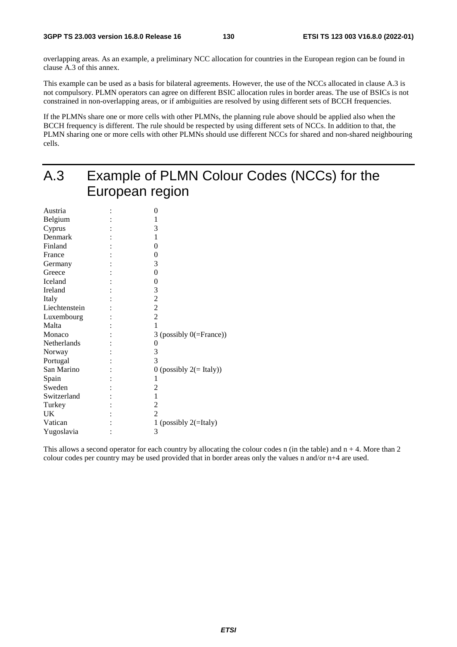overlapping areas. As an example, a preliminary NCC allocation for countries in the European region can be found in clause A.3 of this annex.

This example can be used as a basis for bilateral agreements. However, the use of the NCCs allocated in clause A.3 is not compulsory. PLMN operators can agree on different BSIC allocation rules in border areas. The use of BSICs is not constrained in non-overlapping areas, or if ambiguities are resolved by using different sets of BCCH frequencies.

If the PLMNs share one or more cells with other PLMNs, the planning rule above should be applied also when the BCCH frequency is different. The rule should be respected by using different sets of NCCs. In addition to that, the PLMN sharing one or more cells with other PLMNs should use different NCCs for shared and non-shared neighbouring cells.

| A.3           | Example of PLMN Colour Codes (NCCs) for the |
|---------------|---------------------------------------------|
|               | European region                             |
|               |                                             |
| Austria       | $\boldsymbol{0}$                            |
| Belgium       | 1                                           |
| Cyprus        | 3                                           |
| Denmark       | 1                                           |
| Finland       | 0                                           |
| France        | 0                                           |
| Germany       | 3                                           |
| Greece        | 0                                           |
| Iceland       | 0                                           |
| Ireland       | 3                                           |
| Italy         | $\overline{c}$                              |
| Liechtenstein | $\overline{2}$                              |
| Luxembourg    | $\overline{c}$                              |
| Malta         | 1                                           |
| Monaco        | 3 (possibly $0$ (=France))                  |
| Netherlands   | 0                                           |
| Norway        | 3                                           |
| Portugal      | 3                                           |
| San Marino    | 0 (possibly $2 (= Italy)$ )                 |
| Spain         |                                             |
| Sweden        | 2                                           |
| Switzerland   | 1                                           |
| Turkey        | 2                                           |
| <b>UK</b>     | $\mathfrak{D}$                              |
| Vatican       | 1 (possibly $2(=$ Italy)                    |
| Yugoslavia    | 3                                           |

This allows a second operator for each country by allocating the colour codes n (in the table) and  $n + 4$ . More than 2 colour codes per country may be used provided that in border areas only the values n and/or n+4 are used.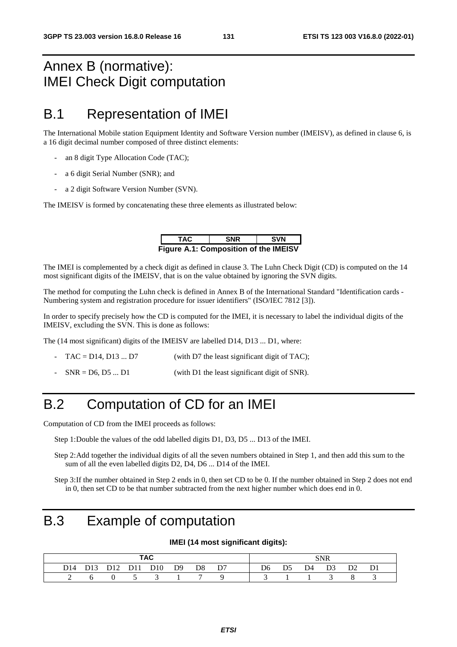## Annex B (normative): IMEI Check Digit computation

## B.1 Representation of IMEI

The International Mobile station Equipment Identity and Software Version number (IMEISV), as defined in clause 6, is a 16 digit decimal number composed of three distinct elements:

- an 8 digit Type Allocation Code (TAC);
- a 6 digit Serial Number (SNR); and
- a 2 digit Software Version Number (SVN).

The IMEISV is formed by concatenating these three elements as illustrated below:

| TAC                                          | <b>SNR</b> | <b>SVN</b> |
|----------------------------------------------|------------|------------|
| <b>Figure A.1: Composition of the IMEISV</b> |            |            |

The IMEI is complemented by a check digit as defined in clause 3. The Luhn Check Digit (CD) is computed on the 14 most significant digits of the IMEISV, that is on the value obtained by ignoring the SVN digits.

The method for computing the Luhn check is defined in Annex B of the International Standard "Identification cards - Numbering system and registration procedure for issuer identifiers" (ISO/IEC 7812 [3]).

In order to specify precisely how the CD is computed for the IMEI, it is necessary to label the individual digits of the IMEISV, excluding the SVN. This is done as follows:

The (14 most significant) digits of the IMEISV are labelled D14, D13 ... D1, where:

- $TAC = D14$ ,  $D13$  ...  $D7$  (with D7 the least significant digit of TAC);
- $SNR = D6, D5 ... D1$  (with D1 the least significant digit of SNR).

## B.2 Computation of CD for an IMEI

Computation of CD from the IMEI proceeds as follows:

- Step 1: Double the values of the odd labelled digits D1, D3, D5 ... D13 of the IMEI.
- Step 2: Add together the individual digits of all the seven numbers obtained in Step 1, and then add this sum to the sum of all the even labelled digits D2, D4, D6 ... D14 of the IMEI.

Step 3: If the number obtained in Step 2 ends in 0, then set CD to be 0. If the number obtained in Step 2 does not end in 0, then set CD to be that number subtracted from the next higher number which does end in 0.

## B.3 Example of computation

#### **IMEI (14 most significant digits):**

| <b>TAC</b>      |  |     |     |     |    |    |    |  |    | <b>SNR</b> |  |    |  |
|-----------------|--|-----|-----|-----|----|----|----|--|----|------------|--|----|--|
| D <sub>14</sub> |  | 712 | D11 | D10 | D9 | D8 | D7 |  | D6 | D4         |  | D2 |  |
|                 |  |     |     |     |    |    |    |  |    |            |  |    |  |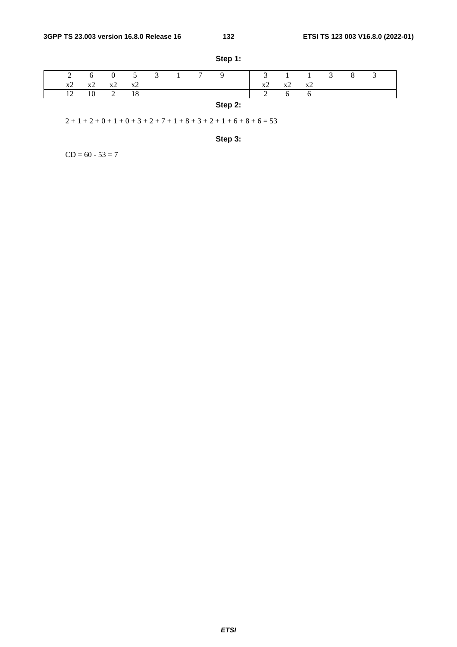|    |                |       |    | $\mathfrak{I}$ | $\tau$ |         | $\sim$             |       |       | 8 |  |
|----|----------------|-------|----|----------------|--------|---------|--------------------|-------|-------|---|--|
| x2 | X <sup>2</sup> | $x^2$ | x2 |                |        |         | XZ                 | $x^2$ | $x^2$ |   |  |
| 12 |                |       | 18 |                |        |         | $\mathcal{L}$<br>∼ | O     |       |   |  |
|    |                |       |    |                |        | Step 2: |                    |       |       |   |  |

**Step 1:** 

 $2 + 1 + 2 + 0 + 1 + 0 + 3 + 2 + 7 + 1 + 8 + 3 + 2 + 1 + 6 + 8 + 6 = 53$ 

**Step 3:** 

 $CD = 60 - 53 = 7$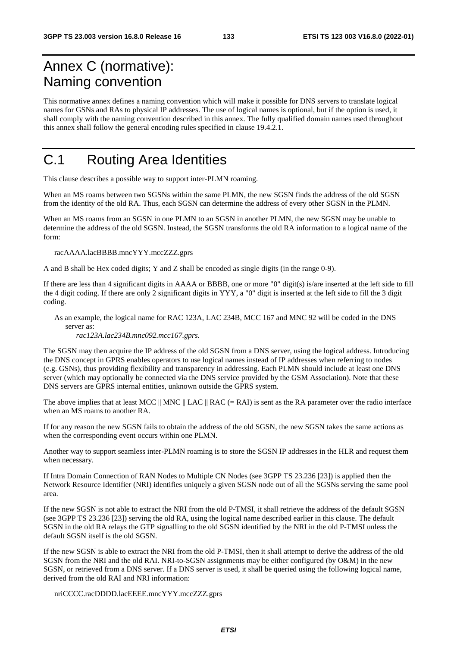## Annex C (normative): Naming convention

This normative annex defines a naming convention which will make it possible for DNS servers to translate logical names for GSNs and RAs to physical IP addresses. The use of logical names is optional, but if the option is used, it shall comply with the naming convention described in this annex. The fully qualified domain names used throughout this annex shall follow the general encoding rules specified in clause 19.4.2.1.

## C.1 Routing Area Identities

This clause describes a possible way to support inter-PLMN roaming.

When an MS roams between two SGSNs within the same PLMN, the new SGSN finds the address of the old SGSN from the identity of the old RA. Thus, each SGSN can determine the address of every other SGSN in the PLMN.

When an MS roams from an SGSN in one PLMN to an SGSN in another PLMN, the new SGSN may be unable to determine the address of the old SGSN. Instead, the SGSN transforms the old RA information to a logical name of the form:

racAAAA.lacBBBB.mncYYY.mccZZZ.gprs

A and B shall be Hex coded digits; Y and Z shall be encoded as single digits (in the range 0-9).

If there are less than 4 significant digits in AAAA or BBBB, one or more "0" digit(s) is/are inserted at the left side to fill the 4 digit coding. If there are only 2 significant digits in YYY, a "0" digit is inserted at the left side to fill the 3 digit coding.

As an example, the logical name for RAC 123A, LAC 234B, MCC 167 and MNC 92 will be coded in the DNS server as:

*rac123A.lac234B.mnc092.mcc167.gprs*.

The SGSN may then acquire the IP address of the old SGSN from a DNS server, using the logical address. Introducing the DNS concept in GPRS enables operators to use logical names instead of IP addresses when referring to nodes (e.g. GSNs), thus providing flexibility and transparency in addressing. Each PLMN should include at least one DNS server (which may optionally be connected via the DNS service provided by the GSM Association). Note that these DNS servers are GPRS internal entities, unknown outside the GPRS system.

The above implies that at least MCC  $\parallel$  MNC  $\parallel$  LAC  $\parallel$  RAC (= RAI) is sent as the RA parameter over the radio interface when an MS roams to another RA.

If for any reason the new SGSN fails to obtain the address of the old SGSN, the new SGSN takes the same actions as when the corresponding event occurs within one PLMN.

Another way to support seamless inter-PLMN roaming is to store the SGSN IP addresses in the HLR and request them when necessary.

If Intra Domain Connection of RAN Nodes to Multiple CN Nodes (see 3GPP TS 23.236 [23]) is applied then the Network Resource Identifier (NRI) identifies uniquely a given SGSN node out of all the SGSNs serving the same pool area.

If the new SGSN is not able to extract the NRI from the old P-TMSI, it shall retrieve the address of the default SGSN (see 3GPP TS 23.236 [23]) serving the old RA, using the logical name described earlier in this clause. The default SGSN in the old RA relays the GTP signalling to the old SGSN identified by the NRI in the old P-TMSI unless the default SGSN itself is the old SGSN.

If the new SGSN is able to extract the NRI from the old P-TMSI, then it shall attempt to derive the address of the old SGSN from the NRI and the old RAI. NRI-to-SGSN assignments may be either configured (by O&M) in the new SGSN, or retrieved from a DNS server. If a DNS server is used, it shall be queried using the following logical name, derived from the old RAI and NRI information:

nriCCCC.racDDDD.lacEEEE.mncYYY.mccZZZ.gprs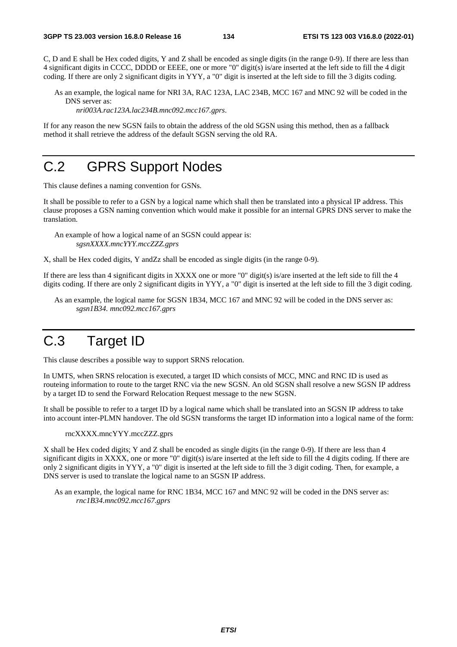C, D and E shall be Hex coded digits, Y and Z shall be encoded as single digits (in the range 0-9). If there are less than 4 significant digits in CCCC, DDDD or EEEE, one or more "0" digit(s) is/are inserted at the left side to fill the 4 digit coding. If there are only 2 significant digits in YYY, a "0" digit is inserted at the left side to fill the 3 digits coding.

As an example, the logical name for NRI 3A, RAC 123A, LAC 234B, MCC 167 and MNC 92 will be coded in the DNS server as:

*nri003A.rac123A.lac234B.mnc092.mcc167.gprs*.

If for any reason the new SGSN fails to obtain the address of the old SGSN using this method, then as a fallback method it shall retrieve the address of the default SGSN serving the old RA.

# C.2 GPRS Support Nodes

This clause defines a naming convention for GSNs.

It shall be possible to refer to a GSN by a logical name which shall then be translated into a physical IP address. This clause proposes a GSN naming convention which would make it possible for an internal GPRS DNS server to make the translation.

An example of how a logical name of an SGSN could appear is: *sgsnXXXX.mncYYY.mccZZZ.gprs* 

X, shall be Hex coded digits, Y andZz shall be encoded as single digits (in the range 0-9)*.* 

If there are less than 4 significant digits in XXXX one or more "0" digit(s) is/are inserted at the left side to fill the 4 digits coding. If there are only 2 significant digits in YYY, a "0" digit is inserted at the left side to fill the 3 digit coding.

As an example, the logical name for SGSN 1B34, MCC 167 and MNC 92 will be coded in the DNS server as: *sgsn1B34. mnc092.mcc167.gprs*

## C.3 Target ID

This clause describes a possible way to support SRNS relocation.

In UMTS, when SRNS relocation is executed, a target ID which consists of MCC, MNC and RNC ID is used as routeing information to route to the target RNC via the new SGSN. An old SGSN shall resolve a new SGSN IP address by a target ID to send the Forward Relocation Request message to the new SGSN.

It shall be possible to refer to a target ID by a logical name which shall be translated into an SGSN IP address to take into account inter-PLMN handover. The old SGSN transforms the target ID information into a logical name of the form:

rncXXXX.mncYYY.mccZZZ.gprs

X shall be Hex coded digits; Y and Z shall be encoded as single digits (in the range 0-9). If there are less than 4 significant digits in XXXX, one or more "0" digit(s) is/are inserted at the left side to fill the 4 digits coding. If there are only 2 significant digits in YYY, a "0" digit is inserted at the left side to fill the 3 digit coding. Then, for example, a DNS server is used to translate the logical name to an SGSN IP address.

As an example, the logical name for RNC 1B34, MCC 167 and MNC 92 will be coded in the DNS server as: *rnc1B34.mnc092.mcc167.gprs*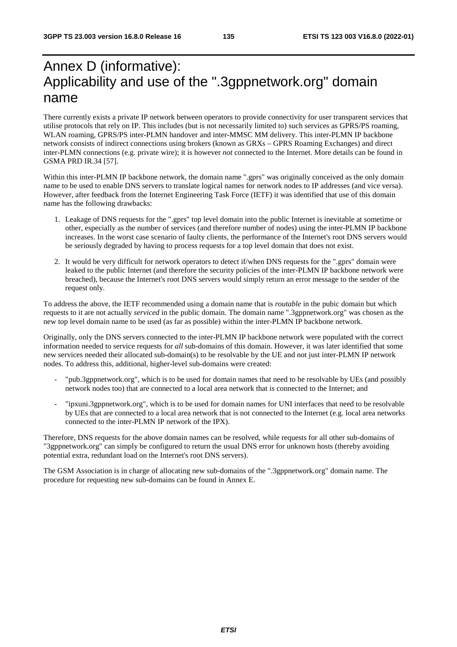## Annex D (informative): Applicability and use of the ".3gppnetwork.org" domain name

There currently exists a private IP network between operators to provide connectivity for user transparent services that utilise protocols that rely on IP. This includes (but is not necessarily limited to) such services as GPRS/PS roaming, WLAN roaming, GPRS/PS inter-PLMN handover and inter-MMSC MM delivery. This inter-PLMN IP backbone network consists of indirect connections using brokers (known as GRXs – GPRS Roaming Exchanges) and direct inter-PLMN connections (e.g. private wire); it is however *not* connected to the Internet. More details can be found in GSMA PRD IR.34 [57].

Within this inter-PLMN IP backbone network, the domain name ".gprs" was originally conceived as the only domain name to be used to enable DNS servers to translate logical names for network nodes to IP addresses (and vice versa). However, after feedback from the Internet Engineering Task Force (IETF) it was identified that use of this domain name has the following drawbacks:

- 1. Leakage of DNS requests for the ".gprs" top level domain into the public Internet is inevitable at sometime or other, especially as the number of services (and therefore number of nodes) using the inter-PLMN IP backbone increases. In the worst case scenario of faulty clients, the performance of the Internet's root DNS servers would be seriously degraded by having to process requests for a top level domain that does not exist.
- 2. It would be very difficult for network operators to detect if/when DNS requests for the ".gprs" domain were leaked to the public Internet (and therefore the security policies of the inter-PLMN IP backbone network were breached), because the Internet's root DNS servers would simply return an error message to the sender of the request only.

To address the above, the IETF recommended using a domain name that is *routable* in the pubic domain but which requests to it are not actually *serviced* in the public domain. The domain name ".3gppnetwork.org" was chosen as the new top level domain name to be used (as far as possible) within the inter-PLMN IP backbone network.

Originally, only the DNS servers connected to the inter-PLMN IP backbone network were populated with the correct information needed to service requests for *all* sub-domains of this domain. However, it was later identified that some new services needed their allocated sub-domain(s) to be resolvable by the UE and not just inter-PLMN IP network nodes. To address this, additional, higher-level sub-domains were created:

- "pub.3gppnetwork.org", which is to be used for domain names that need to be resolvable by UEs (and possibly network nodes too) that are connected to a local area network that is connected to the Internet; and
- "ipxuni.3gppnetwork.org", which is to be used for domain names for UNI interfaces that need to be resolvable by UEs that are connected to a local area network that is not connected to the Internet (e.g. local area networks connected to the inter-PLMN IP network of the IPX).

Therefore, DNS requests for the above domain names can be resolved, while requests for all other sub-domains of "3gppnetwork.org" can simply be configured to return the usual DNS error for unknown hosts (thereby avoiding potential extra, redundant load on the Internet's root DNS servers).

The GSM Association is in charge of allocating new sub-domains of the ".3gppnetwork.org" domain name. The procedure for requesting new sub-domains can be found in Annex E.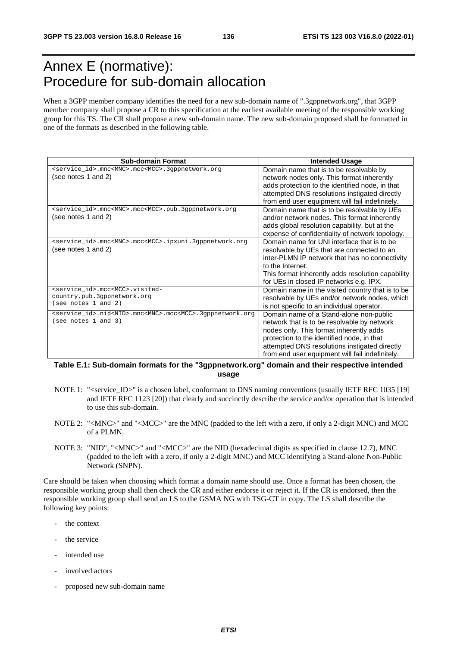## Annex E (normative): Procedure for sub-domain allocation

When a 3GPP member company identifies the need for a new sub-domain name of ".3gppnetwork.org", that 3GPP member company shall propose a CR to this specification at the earliest available meeting of the responsible working group for this TS. The CR shall propose a new sub-domain name. The new sub-domain proposed shall be formatted in one of the formats as described in the following table.

| <b>Sub-domain Format</b>                                                               | <b>Intended Usage</b>                             |
|----------------------------------------------------------------------------------------|---------------------------------------------------|
| <service_id>.mnc<mnc>.mcc<mcc>.3gppnetwork.org</mcc></mnc></service_id>                | Domain name that is to be resolvable by           |
| (see notes 1 and 2)                                                                    | network nodes only. This format inherently        |
|                                                                                        | adds protection to the identified node, in that   |
|                                                                                        | attempted DNS resolutions instigated directly     |
|                                                                                        | from end user equipment will fail indefinitely.   |
| <service_id>.mnc<mnc>.mcc<mcc>.pub.3gppnetwork.org</mcc></mnc></service_id>            | Domain name that is to be resolvable by UEs       |
| (see notes 1 and 2)                                                                    | and/or network nodes. This format inherently      |
|                                                                                        | adds global resolution capability, but at the     |
|                                                                                        | expense of confidentiality of network topology.   |
| <service_id>.mnc<mnc>.mcc<mcc>.ipxuni.3gppnetwork.org</mcc></mnc></service_id>         | Domain name for UNI interface that is to be       |
| (see notes 1 and 2)                                                                    | resolvable by UEs that are connected to an        |
|                                                                                        | inter-PLMN IP network that has no connectivity    |
|                                                                                        | to the Internet.                                  |
|                                                                                        | This format inherently adds resolution capability |
|                                                                                        | for UEs in closed IP networks e.g. IPX.           |
| <service_id>.mcc<mcc>.visited-</mcc></service_id>                                      | Domain name in the visited country that is to be  |
| country.pub.3gppnetwork.org                                                            | resolvable by UEs and/or network nodes, which     |
| (see notes 1 and 2)                                                                    | is not specific to an individual operator.        |
| <service_id>.nid<nid>.mnc<mnc>.mcc<mcc>.3gppnetwork.org</mcc></mnc></nid></service_id> | Domain name of a Stand-alone non-public           |
| (see notes 1 and 3)                                                                    | network that is to be resolvable by network       |
|                                                                                        | nodes only. This format inherently adds           |
|                                                                                        | protection to the identified node, in that        |
|                                                                                        | attempted DNS resolutions instigated directly     |
|                                                                                        | from end user equipment will fail indefinitely.   |

#### **Table E.1: Sub-domain formats for the "3gppnetwork.org" domain and their respective intended usage**

- NOTE 1: "<service\_ID>" is a chosen label, conformant to DNS naming conventions (usually IETF RFC 1035 [19] and IETF RFC 1123 [20]) that clearly and succinctly describe the service and/or operation that is intended to use this sub-domain.
- NOTE 2: "<MNC>" and "<MCC>" are the MNC (padded to the left with a zero, if only a 2-digit MNC) and MCC of a PLMN.
- NOTE 3: "NID", "<MNC>" and "<MCC>" are the NID (hexadecimal digits as specified in clause 12.7), MNC (padded to the left with a zero, if only a 2-digit MNC) and MCC identifying a Stand-alone Non-Public Network (SNPN).

Care should be taken when choosing which format a domain name should use. Once a format has been chosen, the responsible working group shall then check the CR and either endorse it or reject it. If the CR is endorsed, then the responsible working group shall send an LS to the GSMA NG with TSG-CT in copy. The LS shall describe the following key points:

- the context
- the service
- intended use
- involved actors
- proposed new sub-domain name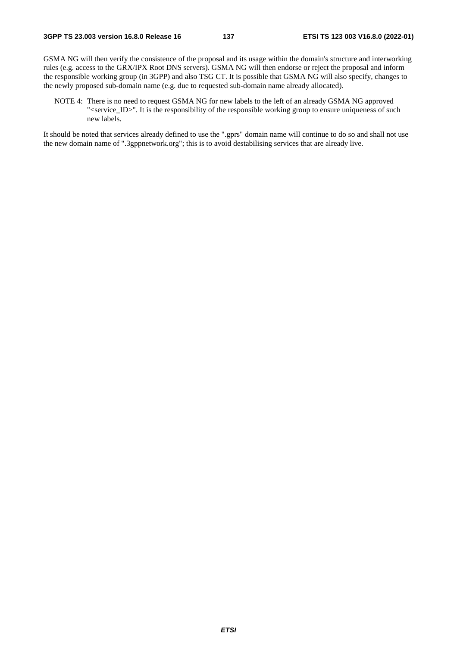GSMA NG will then verify the consistence of the proposal and its usage within the domain's structure and interworking rules (e.g. access to the GRX/IPX Root DNS servers). GSMA NG will then endorse or reject the proposal and inform the responsible working group (in 3GPP) and also TSG CT. It is possible that GSMA NG will also specify, changes to the newly proposed sub-domain name (e.g. due to requested sub-domain name already allocated).

NOTE 4: There is no need to request GSMA NG for new labels to the left of an already GSMA NG approved "<service\_ID>". It is the responsibility of the responsible working group to ensure uniqueness of such new labels.

It should be noted that services already defined to use the ".gprs" domain name will continue to do so and shall not use the new domain name of ".3gppnetwork.org"; this is to avoid destabilising services that are already live.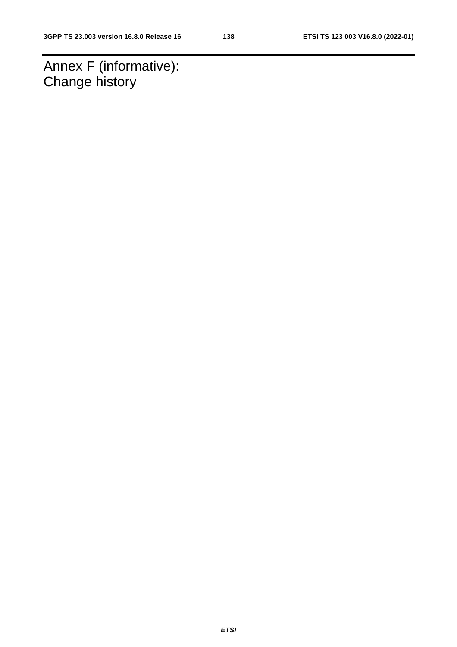Annex F (informative): Change history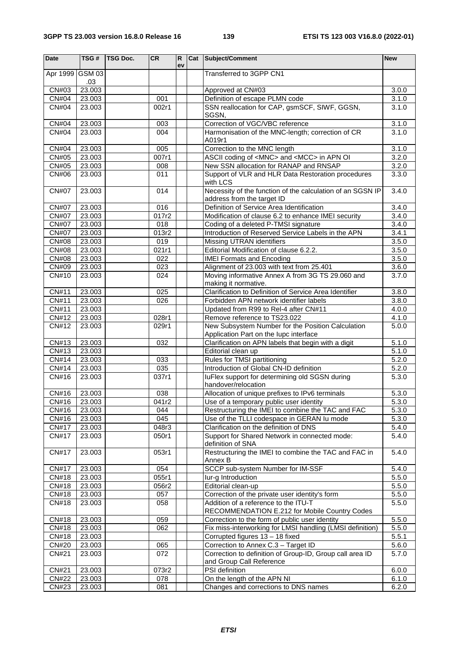| <b>Date</b>                  | $\overline{\text{TSG}}$ # | <b>TSG Doc.</b> | CR             | R<br>ev | Cat Subject/Comment                                                                           | <b>New</b>         |
|------------------------------|---------------------------|-----------------|----------------|---------|-----------------------------------------------------------------------------------------------|--------------------|
| Apr 1999                     | <b>GSM 03</b><br>.03      |                 |                |         | Transferred to 3GPP CN1                                                                       |                    |
| CN#03                        | 23.003                    |                 |                |         | Approved at CN#03                                                                             | 3.0.0              |
| CN#04                        | 23.003                    |                 | 001            |         | Definition of escape PLMN code                                                                | 3.1.0              |
| CN#04                        | 23.003                    |                 | 002r1          |         | SSN reallocation for CAP, gsmSCF, SIWF, GGSN,<br>SGSN,                                        | 3.1.0              |
| <b>CN#04</b>                 | 23.003                    |                 | 003            |         | Correction of VGC/VBC reference                                                               | 3.1.0              |
| CN#04                        | 23.003                    |                 | 004            |         | Harmonisation of the MNC-length; correction of CR                                             | 3.1.0              |
|                              |                           |                 |                |         | A019r1                                                                                        |                    |
| CN#04                        | 23.003                    |                 | 005            |         | Correction to the MNC length                                                                  | 3.1.0              |
| CN#05                        | 23.003                    |                 | 007r1          |         | ASCII coding of <mnc> and <mcc> in APN OI</mcc></mnc>                                         | 3.2.0              |
| <b>CN#05</b>                 | 23.003                    |                 | 008            |         | New SSN allocation for RANAP and RNSAP                                                        | 3.2.0              |
| CN#06                        | 23.003                    |                 | 011            |         | Support of VLR and HLR Data Restoration procedures<br>with LCS                                | 3.3.0              |
| <b>CN#07</b>                 | 23.003                    |                 | 014            |         | Necessity of the function of the calculation of an SGSN IP<br>address from the target ID      | 3.4.0              |
| <b>CN#07</b>                 | 23.003                    |                 | 016            |         | Definition of Service Area Identification                                                     | 3.4.0              |
| <b>CN#07</b>                 | 23.003                    |                 | 017r2          |         | Modification of clause 6.2 to enhance IMEI security                                           | 3.4.0              |
| <b>CN#07</b>                 | 23.003                    |                 | 018            |         | Coding of a deleted P-TMSI signature                                                          | 3.4.0              |
| <b>CN#07</b>                 | 23.003                    |                 | 013r2          |         | Introduction of Reserved Service Labels in the APN                                            | 3.4.1              |
| <b>CN#08</b>                 | 23.003                    |                 | 019            |         | Missing UTRAN identifiers                                                                     | 3.5.0              |
| <b>CN#08</b>                 | 23.003                    |                 | 021r1          |         | Editorial Modification of clause 6.2.2.                                                       | 3.5.0              |
| <b>CN#08</b>                 | 23.003                    |                 | 022            |         | <b>IMEI Formats and Encoding</b>                                                              | 3.5.0              |
| CN#09<br><b>CN#10</b>        | 23.003<br>23.003          |                 | 023<br>024     |         | Alignment of 23.003 with text from 25.401<br>Moving informative Annex A from 3G TS 29.060 and | 3.6.0<br>3.7.0     |
|                              |                           |                 |                |         | making it normative.                                                                          |                    |
| CN#11                        | 23.003                    |                 | 025            |         | Clarification to Definition of Service Area Identifier                                        | 3.8.0              |
| CN#11                        | 23.003                    |                 | 026            |         | Forbidden APN network identifier labels                                                       | 3.8.0              |
| CN#11                        | 23.003                    |                 |                |         | Updated from R99 to Rel-4 after CN#11                                                         | 4.0.0              |
| CN#12                        | 23.003                    |                 | 028r1          |         | Remove reference to TS23.022                                                                  | 4.1.0              |
| CN#12                        | 23.003                    |                 | 029r1          |         | New Subsystem Number for the Position Calculation<br>Application Part on the lupc interface   | 5.0.0              |
| CN#13                        | 23.003                    |                 | 032            |         | Clarification on APN labels that begin with a digit                                           | 5.1.0              |
| CN#13                        | 23.003                    |                 |                |         | Editorial clean up                                                                            | $\overline{5}.1.0$ |
| CN#14                        | 23.003                    |                 | 033            |         | Rules for TMSI partitioning                                                                   | 5.2.0              |
| CN#14                        | 23.003                    |                 | 035            |         | Introduction of Global CN-ID definition                                                       | 5.2.0              |
| CN#16                        | 23.003                    |                 | 037r1          |         | luFlex support for determining old SGSN during<br>handover/relocation                         | 5.3.0              |
| CN#16                        | 23.003                    |                 | 038            |         | Allocation of unique prefixes to IPv6 terminals                                               | 5.3.0              |
| CN#16                        | 23.003                    |                 | 041r2          |         | Use of a temporary public user identity                                                       | 5.3.0              |
| CN#16                        | 23.003                    |                 | 044            |         | Restructuring the IMEI to combine the TAC and FAC                                             | 5.3.0              |
| CN#16                        | 23.003                    |                 | 045            |         | Use of the TLLI codespace in GERAN Iu mode                                                    | 5.3.0              |
| <b>CN#17</b><br><b>CN#17</b> | 23.003<br>23.003          |                 | 048r3<br>050r1 |         | Clarification on the definition of DNS<br>Support for Shared Network in connected mode:       | 5.4.0<br>5.4.0     |
|                              |                           |                 |                |         | definition of SNA                                                                             |                    |
| <b>CN#17</b>                 | 23.003                    |                 | 053r1          |         | Restructuring the IMEI to combine the TAC and FAC in<br>Annex B                               | 5.4.0              |
| CN#17                        | 23.003                    |                 | 054            |         | SCCP sub-system Number for IM-SSF                                                             | 5.4.0              |
| <b>CN#18</b>                 | 23.003                    |                 | 055r1          |         | lur-g Introduction                                                                            | 5.5.0              |
| CN#18                        | 23.003                    |                 | 056r2          |         | Editorial clean-up                                                                            | 5.5.0              |
| CN#18                        | 23.003                    |                 | 057            |         | Correction of the private user identity's form                                                | 5.5.0              |
| CN#18                        | 23.003                    |                 | 058            |         | Addition of a reference to the ITU-T<br>RECOMMENDATION E.212 for Mobile Country Codes         | 5.5.0              |
| CN#18                        | 23.003                    |                 | 059            |         | Correction to the form of public user identity                                                | 5.5.0              |
| CN#18                        | 23.003                    |                 | 062            |         | Fix miss-interworking for LMSI handling (LMSI definition)                                     | 5.5.0              |
| CN#18                        | 23.003                    |                 |                |         | Corrupted figures 13 - 18 fixed                                                               | 5.5.1              |
| CN#20                        | 23.003                    |                 | 065            |         | Correction to Annex C.3 - Target ID                                                           | 5.6.0              |
| <b>CN#21</b>                 | 23.003                    |                 | 072            |         | Correction to definition of Group-ID, Group call area ID<br>and Group Call Reference          | 5.7.0              |
| CN#21                        | 23.003                    |                 | 073r2          |         | PSI definition                                                                                | 6.0.0              |
| <b>CN#22</b>                 | 23.003                    |                 | 078            |         | On the length of the APN NI                                                                   | 6.1.0              |
| CN#23                        | 23.003                    |                 | 081            |         | Changes and corrections to DNS names                                                          | 6.2.0              |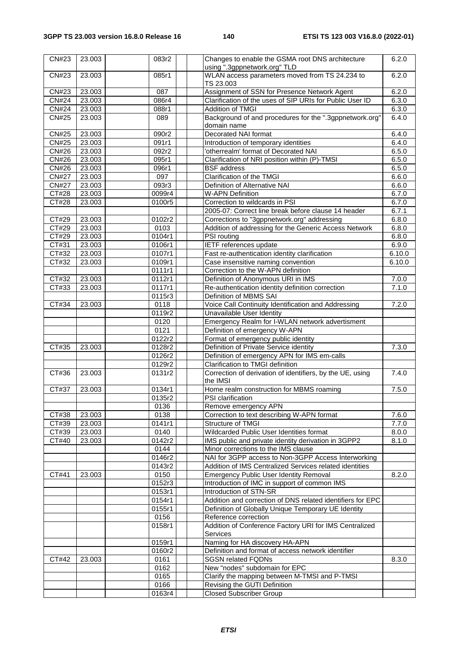| CN#23        | 23.003 | 083r2  | Changes to enable the GSMA root DNS architecture<br>using ".3gppnetwork.org" TLD | 6.2.0  |
|--------------|--------|--------|----------------------------------------------------------------------------------|--------|
| CN#23        | 23.003 | 085r1  | WLAN access parameters moved from TS 24.234 to                                   | 6.2.0  |
|              |        |        | TS 23.003                                                                        |        |
| CN#23        | 23.003 | 087    | Assignment of SSN for Presence Network Agent                                     | 6.2.0  |
| <b>CN#24</b> | 23.003 | 086r4  | Clarification of the uses of SIP URIs for Public User ID                         | 6.3.0  |
| <b>CN#24</b> | 23.003 | 088r1  | Addition of TMGI                                                                 | 6.3.0  |
| <b>CN#25</b> | 23.003 | 089    | Background of and procedures for the ".3gppnetwork.org"                          | 6.4.0  |
|              |        |        | domain name                                                                      |        |
| <b>CN#25</b> | 23.003 | 090r2  | Decorated NAI format                                                             | 6.4.0  |
| CN#25        | 23.003 | 091r1  | Introduction of temporary identities                                             | 6.4.0  |
| CN#26        | 23.003 | 092r2  | 'otherrealm' format of Decorated NAI                                             | 6.5.0  |
| CN#26        | 23.003 | 095r1  | Clarification of NRI position within (P)-TMSI                                    | 6.5.0  |
| <b>CN#26</b> | 23.003 | 096r1  | <b>BSF</b> address                                                               | 6.5.0  |
| <b>CN#27</b> | 23.003 | 097    | Clarification of the TMGI                                                        | 6.6.0  |
| <b>CN#27</b> | 23.003 | 093r3  | Definition of Alternative NAI                                                    | 6.6.0  |
| CT#28        | 23.003 | 0099r4 | <b>W-APN Definition</b>                                                          | 6.7.0  |
| CT#28        | 23.003 | 0100r5 | Correction to wildcards in PSI                                                   | 6.7.0  |
|              |        |        | 2005-07: Correct line break before clause 14 header                              | 6.7.1  |
| CT#29        | 23.003 | 0102r2 | Corrections to "3gppnetwork.org" addressing                                      | 6.8.0  |
| CT#29        | 23.003 | 0103   | Addition of addressing for the Generic Access Network                            | 6.8.0  |
| CT#29        | 23.003 | 0104r1 | <b>PSI</b> routing                                                               | 6.8.0  |
| CT#31        | 23.003 | 0106r1 | IETF references update                                                           | 6.9.0  |
| CT#32        | 23.003 | 0107r1 | Fast re-authentication identity clarification                                    | 6.10.0 |
| CT#32        | 23.003 | 0109r1 | Case insensitive naming convention                                               | 6.10.0 |
|              |        | 0111r1 | Correction to the W-APN definition                                               |        |
| CT#32        | 23.003 | 0112r1 | Definition of Anonymous URI in IMS                                               | 7.0.0  |
| CT#33        | 23.003 | 0117r1 | Re-authentication identity definition correction                                 | 7.1.0  |
|              |        | 0115r3 | Definition of MBMS SAI                                                           |        |
| CT#34        | 23.003 | 0118   | Voice Call Continuity Identification and Addressing                              | 7.2.0  |
|              |        | 0119r2 | Unavailable User Identity                                                        |        |
|              |        | 0120   | Emergency Realm for I-WLAN network advertisment                                  |        |
|              |        | 0121   | Definition of emergency W-APN                                                    |        |
|              |        | 0122r2 | Format of emergency public identity                                              |        |
| CT#35        | 23.003 | 0128r2 | Definition of Private Service identity                                           | 7.3.0  |
|              |        | 0126r2 | Definition of emergency APN for IMS em-calls                                     |        |
|              |        | 0129r2 | Clarification to TMGI definition                                                 |        |
| CT#36        | 23.003 | 0131r2 | Correction of derivation of identifiers, by the UE, using<br>the IMSI            | 7.4.0  |
| CT#37        | 23.003 | 0134r1 | Home realm construction for MBMS roaming                                         | 7.5.0  |
|              |        | 0135r2 | PSI clarification                                                                |        |
|              |        | 0136   | Remove emergency APN                                                             |        |
| CT#38        | 23.003 | 0138   | Correction to text describing W-APN format                                       | 7.6.0  |
| CT#39        | 23.003 | 0141r1 | Structure of TMGI                                                                | 7.7.0  |
| CT#39        | 23.003 | 0140   | Wildcarded Public User Identities format                                         | 8.0.0  |
| CT#40        | 23.003 | 0142r2 | IMS public and private identity derivation in 3GPP2                              | 8.1.0  |
|              |        | 0144   | Minor corrections to the IMS clause                                              |        |
|              |        | 0146r2 | NAI for 3GPP access to Non-3GPP Access Interworking                              |        |
|              |        | 0143r2 | Addition of IMS Centralized Services related identities                          |        |
| CT#41        | 23.003 | 0150   | <b>Emergency Public User Identity Removal</b>                                    | 8.2.0  |
|              |        | 0152r3 | Introduction of IMC in support of common IMS                                     |        |
|              |        | 0153r1 | Introduction of STN-SR                                                           |        |
|              |        | 0154r1 | Addition and correction of DNS related identifiers for EPC                       |        |
|              |        | 0155r1 | Definition of Globally Unique Temporary UE Identity                              |        |
|              |        | 0156   | Reference correction                                                             |        |
|              |        | 0158r1 | Addition of Conference Factory URI for IMS Centralized                           |        |
|              |        |        | Services                                                                         |        |
|              |        | 0159r1 | Naming for HA discovery HA-APN                                                   |        |
|              |        | 0160r2 | Definition and format of access network identifier                               |        |
| CT#42        | 23.003 | 0161   | <b>SGSN related FQDNs</b>                                                        | 8.3.0  |
|              |        | 0162   | New "nodes" subdomain for EPC                                                    |        |
|              |        | 0165   | Clarify the mapping between M-TMSI and P-TMSI                                    |        |
|              |        | 0166   | Revising the GUTI Definition                                                     |        |
|              |        | 0163r4 | <b>Closed Subscriber Group</b>                                                   |        |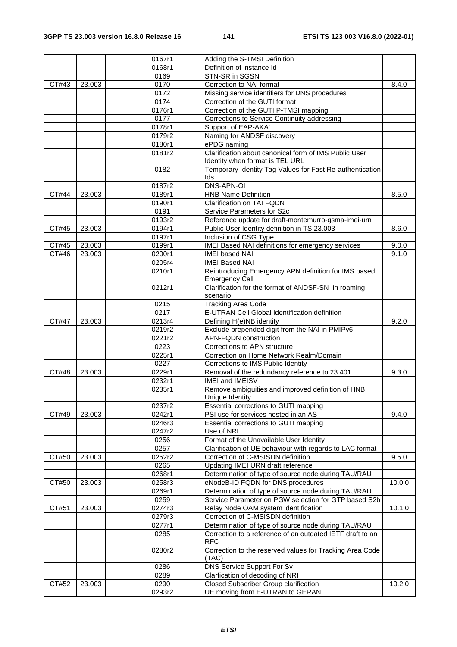|              |        | 0167r1             | Adding the S-TMSI Definition                              |        |
|--------------|--------|--------------------|-----------------------------------------------------------|--------|
|              |        | 0168r1             | Definition of instance Id                                 |        |
|              |        | 0169               | STN-SR in SGSN                                            |        |
| CT#43        | 23.003 | 0170               | Correction to NAI format                                  | 8.4.0  |
|              |        | 0172               | Missing service identifiers for DNS procedures            |        |
|              |        | 0174               | Correction of the GUTI format                             |        |
|              |        | 0176r1             | Correction of the GUTI P-TMSI mapping                     |        |
|              |        | 0177               | Corrections to Service Continuity addressing              |        |
|              |        | 0178r1             | Support of EAP-AKA'                                       |        |
|              |        | 0179r2             | Naming for ANDSF discovery                                |        |
|              |        | 0180r1             | ePDG naming                                               |        |
|              |        | 0181r2             | Clarification about canonical form of IMS Public User     |        |
|              |        |                    | Identity when format is TEL URL                           |        |
|              |        | 0182               | Temporary Identity Tag Values for Fast Re-authentication  |        |
|              |        |                    | lds                                                       |        |
|              |        | 0187r2             | <b>DNS-APN-OI</b>                                         |        |
| CT#44        | 23.003 | 0189r1             | <b>HNB Name Definition</b>                                | 8.5.0  |
|              |        | 0190r1             | Clarification on TAI FQDN                                 |        |
|              |        | 0191               | Service Parameters for S2c                                |        |
|              |        | 0193r2             | Reference update for draft-montemurro-gsma-imei-urn       |        |
| CT#45        | 23.003 | 0194r1             | Public User Identity definition in TS 23.003              | 8.6.0  |
|              |        | 0197r1             | Inclusion of CSG Type                                     |        |
| CT#45        | 23.003 | 0199r1             | IMEI Based NAI definitions for emergency services         | 9.0.0  |
| <b>CT#46</b> | 23.003 | 0200r1             | <b>IMEI</b> based NAI                                     | 9.1.0  |
|              |        | 0205r4             | <b>IMEI Based NAI</b>                                     |        |
|              |        | 0210r1             | Reintroducing Emergency APN definition for IMS based      |        |
|              |        |                    | <b>Emergency Call</b>                                     |        |
|              |        | 0212r1             | Clarification for the format of ANDSF-SN in roaming       |        |
|              |        |                    | scenario                                                  |        |
|              |        | 0215               | <b>Tracking Area Code</b>                                 |        |
|              |        | 0217               | E-UTRAN Cell Global Identification definition             |        |
| CT#47        | 23.003 | 0213r4             | Defining H(e)NB identity                                  | 9.2.0  |
|              |        | 0219r2             | Exclude prepended digit from the NAI in PMIPv6            |        |
|              |        | 0221r2             | APN-FQDN construction                                     |        |
|              |        | 0223               | Corrections to APN structure                              |        |
|              |        | 0225r1             | Correction on Home Network Realm/Domain                   |        |
|              |        | 0227               | Corrections to IMS Public Identity                        |        |
| CT#48        | 23.003 | 0229r1             | Removal of the redundancy reference to 23.401             | 9.3.0  |
|              |        | 0232r1             | IMEI and IMEISV                                           |        |
|              |        | 0235r1             | Remove ambiguities and improved definition of HNB         |        |
|              |        |                    | Unique Identity                                           |        |
|              |        | 0237r2             | Essential corrections to GUTI mapping                     |        |
| CT#49        | 23.003 | 0242r1             | PSI use for services hosted in an AS                      | 9.4.0  |
|              |        | 0246r3             | Essential corrections to GUTI mapping                     |        |
|              |        | 0247r <sub>2</sub> | Use of NRI                                                |        |
|              |        | 0256               | Format of the Unavailable User Identity                   |        |
|              |        | 0257               | Clarification of UE behaviour with regards to LAC format  |        |
| CT#50        | 23.003 | 0252r2             | Correction of C-MSISDN definition                         | 9.5.0  |
|              |        | 0265               | Updating IMEI URN draft reference                         |        |
|              |        | 0268r1             | Determination of type of source node during TAU/RAU       |        |
| CT#50        | 23.003 | 0258r3             | eNodeB-ID FQDN for DNS procedures                         | 10.0.0 |
|              |        | 0269r1             | Determination of type of source node during TAU/RAU       |        |
|              |        | 0259               | Service Parameter on PGW selection for GTP based S2b      |        |
| CT#51        | 23.003 | 0274r3             | Relay Node OAM system identification                      | 10.1.0 |
|              |        | 0279r3             | Correction of C-MSISDN definition                         |        |
|              |        | 0277r1             | Determination of type of source node during TAU/RAU       |        |
|              |        | 0285               | Correction to a reference of an outdated IETF draft to an |        |
|              |        |                    | <b>RFC</b>                                                |        |
|              |        | 0280r2             | Correction to the reserved values for Tracking Area Code  |        |
|              |        |                    | (TAC)                                                     |        |
|              |        | 0286               | DNS Service Support For Sv                                |        |
|              |        | 0289               | Clarfication of decoding of NRI                           |        |
| CT#52        | 23.003 | 0290               | Closed Subscriber Group clarification                     | 10.2.0 |
|              |        | 0293r2             | UE moving from E-UTRAN to GERAN                           |        |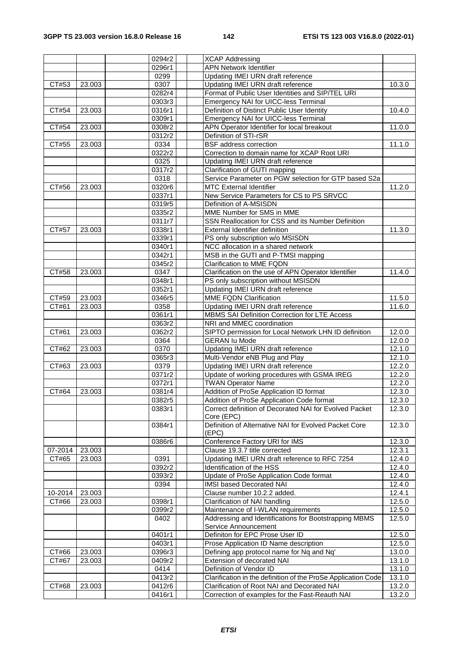|         |        | 0294r2 | <b>XCAP Addressing</b>                                         |        |
|---------|--------|--------|----------------------------------------------------------------|--------|
|         |        | 0296r1 | <b>APN Network Identifier</b>                                  |        |
|         |        | 0299   | Updating IMEI URN draft reference                              |        |
| CT#53   | 23.003 | 0307   | Updating IMEI URN draft reference                              | 10.3.0 |
|         |        | 0282r4 | Format of Public User Identities and SIP/TEL URI               |        |
|         |        | 0303r3 | Emergency NAI for UICC-less Terminal                           |        |
| CT#54   | 23.003 | 0316r1 | Definition of Distinct Public User Identity                    | 10.4.0 |
|         |        | 0309r1 | Emergency NAI for UICC-less Terminal                           |        |
| CT#54   | 23.003 | 0308r2 | APN Operator Identifier for local breakout                     | 11.0.0 |
|         |        | 0312r2 | Definition of STI-rSR                                          |        |
| CT#55   | 23.003 | 0334   | <b>BSF</b> address correction                                  | 11.1.0 |
|         |        | 0322r2 | Correction to domain name for XCAP Root URI                    |        |
|         |        | 0325   | Updating IMEI URN draft reference                              |        |
|         |        | 0317r2 | Clarification of GUTI mapping                                  |        |
|         |        | 0318   | Service Parameter on PGW selection for GTP based S2a           |        |
| CT#56   | 23.003 | 0320r6 | <b>MTC External Identifier</b>                                 | 11.2.0 |
|         |        | 0337r1 | New Service Parameters for CS to PS SRVCC                      |        |
|         |        | 0319r5 | Definition of A-MSISDN                                         |        |
|         |        | 0335r2 | MME Number for SMS in MME                                      |        |
|         |        | 0311r7 | SSN Reallocation for CSS and its Number Definition             |        |
| CT#57   | 23.003 | 0338r1 | External Identifier definition                                 | 11.3.0 |
|         |        | 0339r1 | PS only subscription w/o MSISDN                                |        |
|         |        | 0340r1 | NCC allocation in a shared network                             |        |
|         |        | 0342r1 | MSB in the GUTI and P-TMSI mapping                             |        |
|         |        | 0345r2 | Clarification to MME FQDN                                      |        |
| CT#58   | 23.003 | 0347   | Clarification on the use of APN Operator Identifier            | 11.4.0 |
|         |        | 0348r1 | PS only subscription without MSISDN                            |        |
|         |        | 0352r1 | Updating IMEI URN draft reference                              |        |
| CT#59   | 23.003 | 0346r5 | MME FQDN Clarification                                         | 11.5.0 |
| CT#61   | 23.003 | 0358   | Updating IMEI URN draft reference                              | 11.6.0 |
|         |        | 0361r1 | MBMS SAI Definition Correction for LTE Access                  |        |
|         |        | 0363r2 | NRI and MMEC coordination                                      |        |
| CT#61   | 23.003 | 0362r2 | SIPTO permission for Local Network LHN ID definition           | 12.0.0 |
|         |        | 0364   | <b>GERAN Iu Mode</b>                                           | 12.0.0 |
| CT#62   | 23.003 | 0370   | Updating IMEI URN draft reference                              | 12.1.0 |
|         |        | 0365r3 | Multi-Vendor eNB Plug and Play                                 | 12.1.0 |
| CT#63   | 23.003 | 0379   | Updating IMEI URN draft reference                              | 12.2.0 |
|         |        | 0371r2 | Update of working procedures with GSMA IREG                    | 12.2.0 |
|         |        | 0372r1 | <b>TWAN Operator Name</b>                                      | 12.2.0 |
| CT#64   | 23.003 | 0381r4 | Addition of ProSe Application ID format                        | 12.3.0 |
|         |        | 0382r5 | Addition of ProSe Application Code format                      | 12.3.0 |
|         |        | 0383r1 | Correct definition of Decorated NAI for Evolved Packet         | 12.3.0 |
|         |        |        | Core (EPC)                                                     |        |
|         |        | 0384r1 | Definition of Alternative NAI for Evolved Packet Core<br>(EPC) | 12.3.0 |
|         |        | 0386r6 | Conference Factory URI for IMS                                 | 12.3.0 |
| 07-2014 | 23.003 |        | Clause 19.3.7 title corrected                                  | 12.3.1 |
| CT#65   | 23.003 | 0391   | Updating IMEI URN draft reference to RFC 7254                  | 12.4.0 |
|         |        | 0392r2 | Identification of the HSS                                      | 12.4.0 |
|         |        | 0393r2 | Update of ProSe Application Code format                        | 12.4.0 |
|         |        | 0394   | IMSI based Decorated NAI                                       | 12.4.0 |
| 10-2014 | 23.003 |        | Clause number 10.2.2 added.                                    | 12.4.1 |
| CT#66   | 23.003 | 0398r1 | Clarification of NAI handling                                  | 12.5.0 |
|         |        | 0399r2 | Maintenance of I-WLAN requirements                             | 12.5.0 |
|         |        | 0402   | Addressing and Identifications for Bootstrapping MBMS          | 12.5.0 |
|         |        |        | Service Announcement                                           |        |
|         |        | 0401r1 | Definiton for EPC Prose User ID                                | 12.5.0 |
|         |        | 0403r1 | Prose Application ID Name description                          | 12.5.0 |
| CT#66   | 23.003 | 0396r3 | Defining app protocol name for Nq and Nq'                      | 13.0.0 |
| CT#67   | 23.003 | 0409r2 | Extension of decorated NAI                                     | 13.1.0 |
|         |        | 0414   | Definition of Vendor ID                                        | 13.1.0 |
|         |        | 0413r2 | Clarification in the definition of the ProSe Application Code  | 13.1.0 |
| CT#68   | 23.003 | 0412r6 | Clarification of Root NAI and Decorated NAI                    | 13.2.0 |
|         |        | 0416r1 | Correction of examples for the Fast-Reauth NAI                 | 13.2.0 |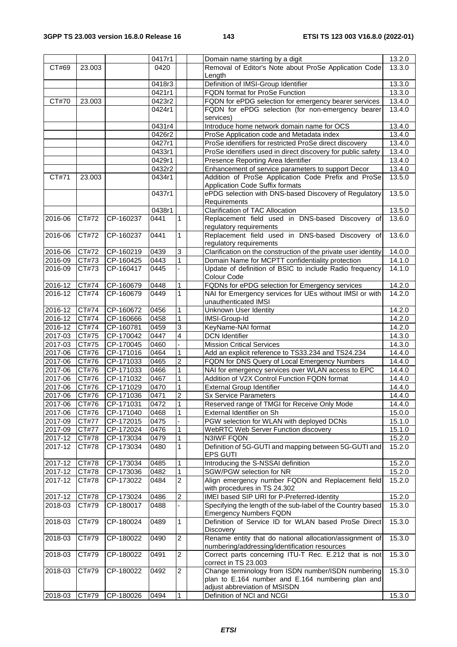|                    |                |                        | 0417r1       |                | Domain name starting by a digit                                                                     | 13.2.0           |
|--------------------|----------------|------------------------|--------------|----------------|-----------------------------------------------------------------------------------------------------|------------------|
| CT#69              | 23.003         |                        | 0420         |                | Removal of Editor's Note about ProSe Application Code                                               | 13.3.0           |
|                    |                |                        |              |                | Length                                                                                              |                  |
|                    |                |                        | 0418r3       |                | Definition of IMSI-Group Identifier                                                                 | 13.3.0           |
|                    |                |                        | 0421r1       |                | FQDN format for ProSe Function                                                                      | 13.3.0           |
| CT#70              | 23.003         |                        | 0423r2       |                | FQDN for ePDG selection for emergency bearer services                                               | 13.4.0           |
|                    |                |                        | 0424r1       |                | FQDN for ePDG selection (for non-emergency bearer                                                   | 13.4.0           |
|                    |                |                        |              |                | services)                                                                                           |                  |
|                    |                |                        | 0431r4       |                | Introduce home network domain name for OCS                                                          | 13.4.0           |
|                    |                |                        | 0426r2       |                | ProSe Application code and Metadata index                                                           | 13.4.0           |
|                    |                |                        | 0427r1       |                | ProSe identifiers for restricted ProSe direct discovery                                             | 13.4.0           |
|                    |                |                        | 0433r1       |                | ProSe identifiers used in direct discovery for public safety                                        | 13.4.0           |
|                    |                |                        | 0429r1       |                | Presence Reporting Area Identifier                                                                  | 13.4.0           |
|                    |                |                        | 0432r2       |                | Enhancement of service parameters to support Decor                                                  | 13.4.0           |
| CT#71              | 23.003         |                        | 0434r1       |                | Addition of ProSe Application Code Prefix and ProSe<br>Application Code Suffix formats              | 13.5.0           |
|                    |                |                        | 0437r1       |                | ePDG selection with DNS-based Discovery of Regulatory                                               | 13.5.0           |
|                    |                |                        |              |                | Requirements                                                                                        |                  |
|                    |                |                        | 0438r1       |                | Clarification of TAC Allocation                                                                     | 13.5.0           |
| 2016-06            | CT#72          | CP-160237              | 0441         | 1              | Replacement field used in DNS-based Discovery of                                                    | 13.6.0           |
|                    |                |                        |              |                | regulatory requirements                                                                             |                  |
| 2016-06            | CT#72          | CP-160237              | 0441         | 1              | Replacement field used in DNS-based Discovery of                                                    | 13.6.0           |
|                    |                |                        |              |                | regulatory requirements                                                                             |                  |
| 2016-06            | CT#72          | CP-160219              | 0439         | 3              | Clarification on the construction of the private user identity                                      | 14.0.0           |
| 2016-09            | CT#73          | CP-160425              | 0443         | $\mathbf{1}$   | Domain Name for MCPTT confidentiality protection                                                    | 14.1.0           |
| 2016-09            | CT#73          | CP-160417              | 0445         |                | Update of definition of BSIC to include Radio frequency                                             | 14.1.0           |
|                    |                |                        |              |                | Colour Code                                                                                         |                  |
| 2016-12            | CT#74          | CP-160679              | 0448         | 1              | FQDNs for ePDG selection for Emergency services                                                     | 14.2.0           |
| 2016-12            | CT#74          | CP-160679              | 0449         | $\mathbf{1}$   | NAI for Emergency services for UEs without IMSI or with                                             | 14.2.0           |
|                    |                |                        |              |                | unauthenticated IMSI                                                                                |                  |
| 2016-12            | CT#74          | CP-160672              | 0456         | 1              | <b>Unknown User Identity</b>                                                                        | 14.2.0           |
| 2016-12            | CT#74          | CP-160666              | 0458         | $\mathbf{1}$   | IMSI-Group-Id                                                                                       | 14.2.0           |
| 2016-12            | CT#74          | CP-160781              | 0459         | 3              | KeyName-NAI format                                                                                  | 14.2.0           |
| 2017-03<br>2017-03 | CT#75          | CP-170042              | 0447         | 4              | <b>DCN Identifier</b>                                                                               | 14.3.0           |
| 2017-06            | CT#75          | CP-170045<br>CP-171016 | 0460<br>0464 | 1              | <b>Mission Critical Services</b>                                                                    | 14.3.0<br>14.4.0 |
| 2017-06            | CT#76<br>CT#76 | CP-171033              | 0465         | 2              | Add an explicit reference to TS33.234 and TS24.234<br>FQDN for DNS Query of Local Emergency Numbers | 14.4.0           |
| $2017 - 06$        | CT#76          | CP-171033              | 0466         | 1              | NAI for emergency services over WLAN access to EPC                                                  | 14.4.0           |
| 2017-06            | CT#76          | CP-171032              | 0467         | 1              | Addition of V2X Control Function FQDN format                                                        | 14.4.0           |
| $2017 - 06$        | CT#76          | CP-171029              | 0470         | 1              | <b>External Group Identifier</b>                                                                    | 14.4.0           |
| 2017-06            | CT#76          | CP-171036              | 0471         | $\overline{2}$ | <b>Sx Service Parameters</b>                                                                        | 14.4.0           |
| 2017-06            | CT#76          | CP-171031              | 0472         | 1              | Reserved range of TMGI for Receive Only Mode                                                        | 14.4.0           |
| 2017-06            | CT#76          | CP-171040              | 0468         | 1              | External Identifier on Sh                                                                           | 15.0.0           |
| 2017-09            | CT#77          | CP-172015              | 0475         |                | PGW selection for WLAN with deployed DCNs                                                           | 15.1.0           |
| 2017-09            | CT#77          | CP-172024              | 0476         | 1              | WebRTC Web Server Function discovery                                                                | 15.1.0           |
| 2017-12            | CT#78          | CP-173034              | 0479         | 1              | N3IWF FQDN                                                                                          | 15.2.0           |
| 2017-12            | CT#78          | CP-173034              | 0480         | $\mathbf{1}$   | Definition of 5G-GUTI and mapping between 5G-GUTI and                                               | 15.2.0           |
|                    |                |                        |              |                | <b>EPS GUTI</b>                                                                                     |                  |
| 2017-12            | CT#78          | CP-173034              | 0485         | 1              | Introducing the S-NSSAI definition                                                                  | 15.2.0           |
| 2017-12            | CT#78          | CP-173036              | 0482         | 1              | SGW/PGW selection for NR                                                                            | 15.2.0           |
| 2017-12            | CT#78          | CP-173022              | 0484         | 2              | Align emergency number FQDN and Replacement field                                                   | 15.2.0           |
|                    |                |                        |              |                | with procedures in TS 24.302                                                                        |                  |
| 2017-12            | CT#78          | CP-173024              | 0486         | 2              | IMEI based SIP URI for P-Preferred-Identity                                                         | 15.2.0           |
| 2018-03            | CT#79          | CP-180017              | 0488         |                | Specifying the length of the sub-label of the Country based                                         | 15.3.0           |
|                    |                |                        |              |                | <b>Emergency Numbers FQDN</b>                                                                       |                  |
| 2018-03            | CT#79          | CP-180024              | 0489         | 1              | Definition of Service ID for WLAN based ProSe Direct                                                | 15.3.0           |
| 2018-03            | CT#79          | CP-180022              | 0490         | $\sqrt{2}$     | <b>Discovery</b><br>Rename entity that do national allocation/assignment of                         | 15.3.0           |
|                    |                |                        |              |                | numbering/addressing/identification resources                                                       |                  |
| 2018-03            | CT#79          | CP-180022              | 0491         | $\overline{2}$ | Correct parts concerning ITU-T Rec. E.212 that is not                                               | 15.3.0           |
|                    |                |                        |              |                | correct in TS 23.003                                                                                |                  |
| 2018-03            | CT#79          | CP-180022              | 0492         | $\overline{2}$ | Change terminology from ISDN number/ISDN numbering                                                  | 15.3.0           |
|                    |                |                        |              |                | plan to E.164 number and E.164 numbering plan and                                                   |                  |
|                    |                |                        |              |                | adjust abbreviation of MSISDN                                                                       |                  |
| 2018-03            | CT#79          | CP-180026              | 0494         | $\overline{1}$ | Definition of NCI and NCGI                                                                          | 15.3.0           |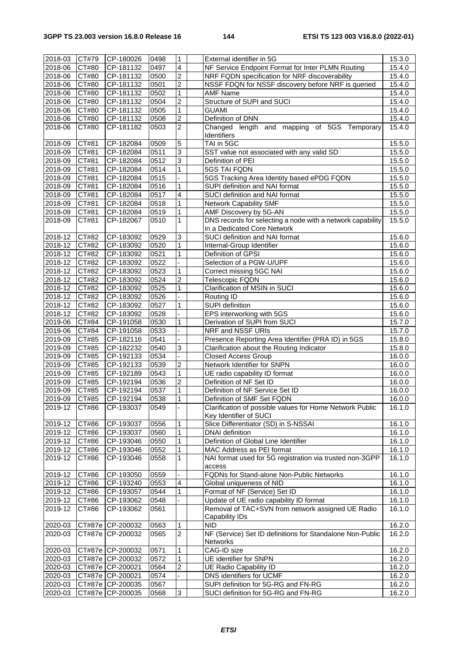| 2018-03     | CT#79              | CP-180026        | 0498 | 1                       | External identifier in 5G                                  | 15.3.0 |
|-------------|--------------------|------------------|------|-------------------------|------------------------------------------------------------|--------|
|             |                    |                  |      |                         |                                                            |        |
| 2018-06     | CT#80              | CP-181132        | 0497 | 4                       | NF Service Endpoint Format for Inter PLMN Routing          | 15.4.0 |
| 2018-06     | CT#80              | CP-181132        | 0500 | 2                       | NRF FQDN specification for NRF discoverability             | 15.4.0 |
| 2018-06     | CT#80              | CP-181132        | 0501 | $\overline{c}$          | NSSF FDQN for NSSF discovery before NRF is queried         | 15.4.0 |
| 2018-06     | CT#80              | CP-181132        | 0502 | 1                       | <b>AMF Name</b>                                            | 15.4.0 |
| $2018 - 06$ | CT#80              | CP-181132        | 0504 | $\overline{c}$          | Structure of SUPI and SUCI                                 | 15.4.0 |
|             |                    |                  |      | 1                       | <b>GUAMI</b>                                               |        |
| 2018-06     | CT#80              | CP-181132        | 0505 |                         |                                                            | 15.4.0 |
| 2018-06     | CT#80              | CP-181132        | 0508 | 2                       | Definition of DNN                                          | 15.4.0 |
| 2018-06     | CT#80              | CP-181182        | 0503 | 2                       | Changed length and mapping of 5GS Temporary                | 15.4.0 |
|             |                    |                  |      |                         | Identifiers                                                |        |
| 2018-09     | CT#81              | CP-182084        | 0509 | 5                       | TAI in 5GC                                                 | 15.5.0 |
| 2018-09     | CT#81              | CP-182084        | 0511 | 3                       | SST value not associated with any valid SD                 | 15.5.0 |
| 2018-09     |                    |                  |      |                         |                                                            |        |
|             | CT#81              | CP-182084        | 0512 | 3                       | Definition of PEI                                          | 15.5.0 |
| 2018-09     | CT#81              | CP-182084        | 0514 | 1                       | 5GS TAI FQDN                                               | 15.5.0 |
| 2018-09     | CT#81              | CP-182084        | 0515 |                         | 5GS Tracking Area Identity based ePDG FQDN                 | 15.5.0 |
| 2018-09     | CT#81              | CP-182084        | 0516 | 1                       | SUPI definition and NAI format                             | 15.5.0 |
| 2018-09     | CT#81              | CP-182084        | 0517 | 4                       | SUCI definition and NAI format                             | 15.5.0 |
| 2018-09     | CT#81              | CP-182084        | 0518 | 1                       | <b>Network Capability SMF</b>                              | 15.5.0 |
| 2018-09     | $\overline{CT#81}$ | CP-182084        | 0519 | 1                       | AMF Discovery by 5G-AN                                     | 15.5.0 |
|             |                    |                  |      |                         |                                                            |        |
| 2018-09     | CT#81              | CP-182067        | 0510 | $\mathbf{1}$            | DNS records for selecting a node with a network capability | 15.5.0 |
|             |                    |                  |      |                         | in a Dedicated Core Network                                |        |
| 2018-12     | CT#82              | CP-183092        | 0529 | 3                       | SUCI definition and NAI format                             | 15.6.0 |
| 2018-12     | CT#82              | CP-183092        | 0520 | 1                       | Internal-Group Identifier                                  | 15.6.0 |
| 2018-12     | CT#82              | CP-183092        | 0521 | 1                       | Definition of GPSI                                         | 15.6.0 |
|             |                    |                  |      | ÷.                      | Selection of a PGW-U/UPF                                   |        |
| $2018 - 12$ | CT#82              | CP-183092        | 0522 |                         |                                                            | 15.6.0 |
| 2018-12     | CT#82              | CP-183092        | 0523 | 1                       | Correct missing 5GC NAI                                    | 15.6.0 |
| 2018-12     | CT#82              | CP-183092        | 0524 | 2                       | Telescopic FQDN                                            | 15.6.0 |
| 2018-12     | CT#82              | CP-183092        | 0525 | 1                       | Clarification of MSIN in SUCI                              | 15.6.0 |
| 2018-12     | CT#82              | CP-183092        | 0526 |                         | Routing ID                                                 | 15.6.0 |
| 2018-12     | CT#82              | CP-183092        | 0527 | 1                       | <b>SUPI</b> definition                                     | 15.6.0 |
|             |                    |                  |      |                         |                                                            |        |
| 2018-12     | CT#82              | CP-183092        | 0528 |                         | EPS interworking with 5GS                                  | 15.6.0 |
| 2019-06     | CT#84              | CP-191058        | 0530 | 1                       | Derivation of SUPI from SUCI                               | 15.7.0 |
| 2019-06     | CT#84              | CP-191058        | 0533 |                         | NRF and NSSF URIs                                          | 15.7.0 |
| 2019-09     | CT#85              | CP-182116        | 0541 |                         | Presence Reporting Area Identifier (PRA ID) in 5GS         | 15.8.0 |
| 2019-09     | CT#85              | CP-182232        | 0540 | 3                       | Clarification about the Routing Indicator                  | 15.8.0 |
| 2019-09     | CT#85              | CP-192133        | 0534 |                         | <b>Closed Access Group</b>                                 | 16.0.0 |
| 2019-09     |                    |                  |      |                         | Network Identifier for SNPN                                |        |
|             | CT#85              | CP-192133        | 0539 | 2                       |                                                            | 16.0.0 |
| 2019-09     | CT#85              | CP-192189        | 0543 | 1                       | UE radio capability ID format                              | 16.0.0 |
| 2019-09     | CT#85              | CP-192194        | 0536 | $\overline{\mathbf{c}}$ | Definition of NF Set ID                                    | 16.0.0 |
| 2019-09     | CT#85              | CP-192194        | 0537 | 1                       | Definition of NF Service Set ID                            | 16.0.0 |
| 2019-09     | CT#85              | CP-192194        | 0538 | $\overline{1}$          | Definition of SMF Set FQDN                                 | 16.0.0 |
| 2019-12     | CT#86              | CP-193037        | 0549 |                         | Clarification of possible values for Home Network Public   | 16.1.0 |
|             |                    |                  |      |                         | Key Identifier of SUCI                                     |        |
|             |                    |                  |      |                         |                                                            |        |
| 2019-12     | CT#86              | CP-193037        | 0556 | 1                       | Slice Differentiator (SD) in S-NSSAI                       | 16.1.0 |
| 2019-12     | CT#86              | CP-193037        | 0560 | 1                       | DNAI definition                                            | 16.1.0 |
| 2019-12     | CT#86              | CP-193046        | 0550 | 1                       | Definition of Global Line Identifier                       | 16.1.0 |
| 2019-12     | CT#86              | CP-193046        | 0552 | 1                       | MAC Address as PEI format                                  | 16.1.0 |
| 2019-12     | CT#86              | CP-193046        | 0558 | 1                       | NAI format used for 5G registration via trusted non-3GPP   | 16.1.0 |
|             |                    |                  |      |                         | access                                                     |        |
| 2019-12     | CT#86              | CP-193050        | 0559 |                         | FQDNs for Stand-alone Non-Public Networks                  | 16.1.0 |
|             |                    |                  |      |                         |                                                            |        |
| 2019-12     | CT#86              | CP-193240        | 0553 | 4                       | Global uniqueness of NID                                   | 16.1.0 |
| 2019-12     | CT#86              | CP-193057        | 0544 | 1                       | Format of NF (Service) Set ID                              | 16.1.0 |
| 2019-12     | CT#86              | CP-193062        | 0548 |                         | Update of UE radio capability ID format                    | 16.1.0 |
| 2019-12     | CT#86              | CP-193062        | 0561 |                         | Removal of TAC+SVN from network assigned UE Radio          | 16.1.0 |
|             |                    |                  |      |                         | Capability IDs                                             |        |
| 2020-03     |                    | CT#87e CP-200032 | 0563 | 1                       | <b>NID</b>                                                 | 16.2.0 |
|             |                    |                  |      |                         |                                                            |        |
| 2020-03     |                    | CT#87e CP-200032 | 0565 | $\overline{c}$          | NF (Service) Set ID definitions for Standalone Non-Public  | 16.2.0 |
|             |                    |                  |      |                         | Networks                                                   |        |
| 2020-03     |                    | CT#87e CP-200032 | 0571 | 1                       | CAG-ID size                                                | 16.2.0 |
| 2020-03     |                    | CT#87e CP-200032 | 0572 | 1                       | UE identifier for SNPN                                     | 16.2.0 |
| 2020-03     |                    | CT#87e CP-200021 | 0564 | $\overline{c}$          | <b>UE Radio Capability ID</b>                              | 16.2.0 |
| 2020-03     |                    | CT#87e CP-200021 | 0574 |                         | DNS identifiers for UCMF                                   | 16.2.0 |
| 2020-03     |                    | CT#87e CP-200035 | 0567 |                         | SUPI definition for 5G-RG and FN-RG                        | 16.2.0 |
|             |                    |                  |      |                         |                                                            |        |
| 2020-03     |                    | CT#87e CP-200035 | 0568 | 3                       | SUCI definition for 5G-RG and FN-RG                        | 16.2.0 |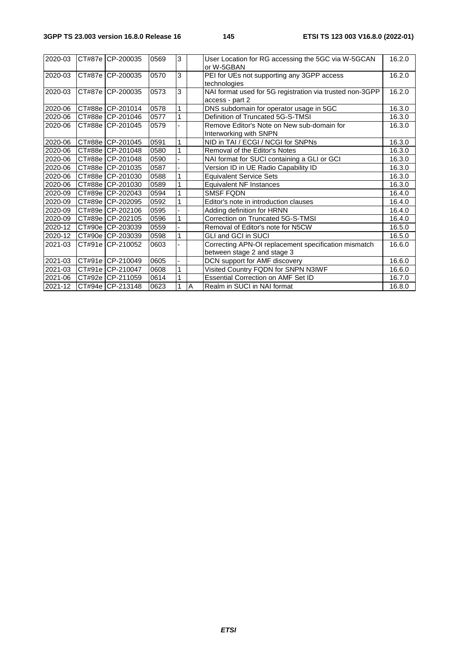| 2020-03 | CT#87e CP-200035  | 0569 | 3            |                | User Location for RG accessing the 5GC via W-5GCAN<br>or W-5GBAN | 16.2.0 |
|---------|-------------------|------|--------------|----------------|------------------------------------------------------------------|--------|
| 2020-03 | CT#87e CP-200035  | 0570 | 3            |                | PEI for UEs not supporting any 3GPP access                       | 16.2.0 |
|         |                   |      |              |                | technologies                                                     |        |
| 2020-03 | CT#87e CP-200035  | 0573 | 3            |                | NAI format used for 5G registration via trusted non-3GPP         | 16.2.0 |
|         |                   |      |              |                | access - part 2                                                  |        |
| 2020-06 | CT#88e CP-201014  | 0578 | 1            |                | DNS subdomain for operator usage in 5GC                          | 16.3.0 |
| 2020-06 | CT#88e CP-201046  | 0577 | $\mathbf{1}$ |                | Definition of Truncated 5G-S-TMSI                                | 16.3.0 |
| 2020-06 | CT#88e CP-201045  | 0579 |              |                | Remove Editor's Note on New sub-domain for                       | 16.3.0 |
|         |                   |      |              |                | Interworking with SNPN                                           |        |
| 2020-06 | CT#88e CP-201045  | 0591 | 1            |                | NID in TAI / ECGI / NCGI for SNPNs                               | 16.3.0 |
| 2020-06 | CT#88e CP-201048  | 0580 | $\mathbf 1$  |                | Removal of the Editor's Notes                                    | 16.3.0 |
| 2020-06 | CT#88e CP-201048  | 0590 |              |                | NAI format for SUCI containing a GLI or GCI                      | 16.3.0 |
| 2020-06 | CT#88e CP-201035  | 0587 |              |                | Version ID in UE Radio Capability ID                             | 16.3.0 |
| 2020-06 | CT#88e CP-201030  | 0588 | 1            |                | <b>Equivalent Service Sets</b>                                   | 16.3.0 |
| 2020-06 | CT#88e CP-201030  | 0589 |              |                | <b>Equivalent NF Instances</b>                                   | 16.3.0 |
| 2020-09 | CT#89e CP-202043  | 0594 | $\mathbf 1$  |                | <b>SMSF FQDN</b>                                                 | 16.4.0 |
| 2020-09 | CT#89e CP-202095  | 0592 | 1            |                | Editor's note in introduction clauses                            | 16.4.0 |
| 2020-09 | CT#89e CP-202106  | 0595 |              |                | Adding definition for HRNN                                       | 16.4.0 |
| 2020-09 | CT#89e ICP-202105 | 0596 | 1            |                | Correction on Truncated 5G-S-TMSI                                | 16.4.0 |
| 2020-12 | CT#90e CP-203039  | 0559 |              |                | Removal of Editor's note for N5CW                                | 16.5.0 |
| 2020-12 | CT#90e CP-203039  | 0598 | 1            |                | <b>GLI and GCI in SUCI</b>                                       | 16.5.0 |
| 2021-03 | CT#91e CP-210052  | 0603 |              |                | Correcting APN-OI replacement specification mismatch             | 16.6.0 |
|         |                   |      |              |                | between stage 2 and stage 3                                      |        |
| 2021-03 | CT#91e CP-210049  | 0605 |              |                | DCN support for AMF discovery                                    | 16.6.0 |
| 2021-03 | CT#91e CP-210047  | 0608 | $\mathbf{1}$ |                | Visited Country FQDN for SNPN N3IWF                              | 16.6.0 |
| 2021-06 | CT#92e CP-211059  | 0614 | 1            |                | Essential Correction on AMF Set ID                               | 16.7.0 |
| 2021-12 | CT#94e CP-213148  | 0623 | 1            | $\overline{A}$ | Realm in SUCI in NAI format                                      | 16.8.0 |